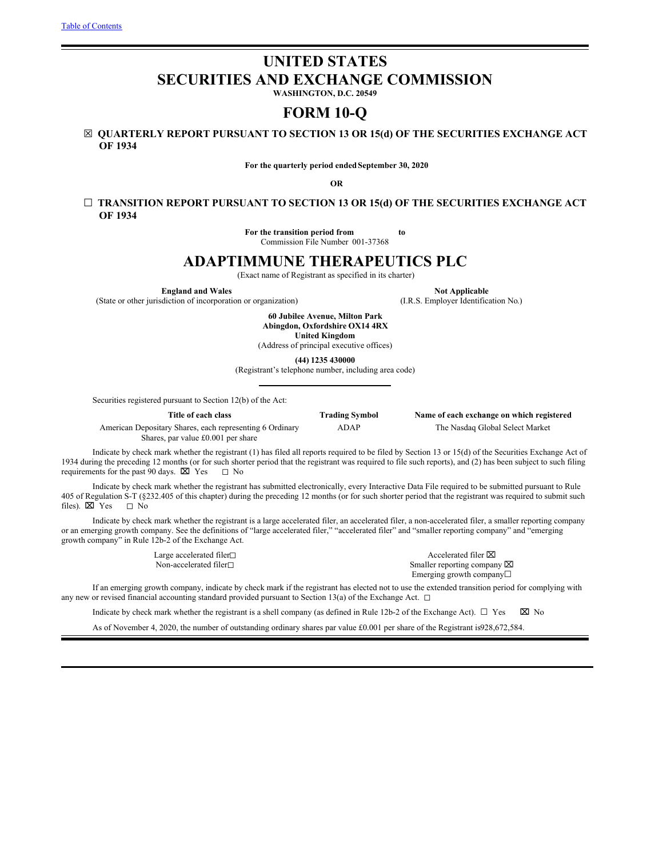# **UNITED STATES SECURITIES AND EXCHANGE COMMISSION**

**WASHINGTON, D.C. 20549**

# **FORM 10-Q**

<span id="page-0-0"></span>**☒ QUARTERLY REPORT PURSUANT TO SECTION 13 OR 15(d) OF THE SECURITIES EXCHANGE ACT OF 1934**

**For the quarterly period endedSeptember 30, 2020**

**OR**

## **☐ TRANSITION REPORT PURSUANT TO SECTION 13 OR 15(d) OF THE SECURITIES EXCHANGE ACT OF 1934**

**For the transition period from to** Commission File Number 001-37368

## **ADAPTIMMUNE THERAPEUTICS PLC**

(Exact name of Registrant as specified in its charter)

**England and Wales**<br> **Calcition of incorporation or organization**<br> **CALCONG THE CALCONG THE CALCONG TO APPLICATION**<br> **CALCONG THE CALCONG TEMPLE CALCONG TO APPLICATION**<br> **CALCONG THE CALCONG TEMPLE CALCONG TEMPLE CALCONG T** 

(State or other jurisdiction of incorporation or organization)

**60 Jubilee Avenue, Milton Park Abingdon, Oxfordshire OX14 4RX United Kingdom** (Address of principal executive offices)

**(44) 1235 430000**

(Registrant's telephone number, including area code)

Securities registered pursuant to Section 12(b) of the Act:

| Title of each class                                      | <b>Trading Symbol</b> | Name of each exchange on which registered |
|----------------------------------------------------------|-----------------------|-------------------------------------------|
| American Depositary Shares, each representing 6 Ordinary | ADAP                  | The Nasdaq Global Select Market           |
| Shares, par value $£0.001$ per share                     |                       |                                           |

Indicate by check mark whether the registrant (1) has filed all reports required to be filed by Section 13 or 15(d) of the Securities Exchange Act of 1934 during the preceding 12 months (or for such shorter period that the registrant was required to file such reports), and (2) has been subject to such filing requirements for the past 90 days.  $\boxtimes$  Yes  $\Box$  No

Indicate by check mark whether the registrant has submitted electronically, every Interactive Data File required to be submitted pursuant to Rule 405 of Regulation S-T (§232.405 of this chapter) during the preceding 12 months (or for such shorter period that the registrant was required to submit such files).  $\boxtimes$  Yes  $\Box$  No

Indicate by check mark whether the registrant is a large accelerated filer, an accelerated filer, a non-accelerated filer, a smaller reporting company or an emerging growth company. See the definitions of "large accelerated filer," "accelerated filer" and "smaller reporting company" and "emerging growth company" in Rule 12b-2 of the Exchange Act.

Large accelerated filer $\square$ 

Non-accelerated filer□ Smaller reporting company ⊠ Emerging growth company $\Box$ 

If an emerging growth company, indicate by check mark if the registrant has elected not to use the extended transition period for complying with any new or revised financial accounting standard provided pursuant to Section 13(a) of the Exchange Act.  $\square$ 

Indicate by check mark whether the registrant is a shell company (as defined in Rule 12b-2 of the Exchange Act).  $\Box$  Yes  $\boxtimes$  No

As of November 4, 2020, the number of outstanding ordinary shares par value £0.001 per share of the Registrant is928,672,584.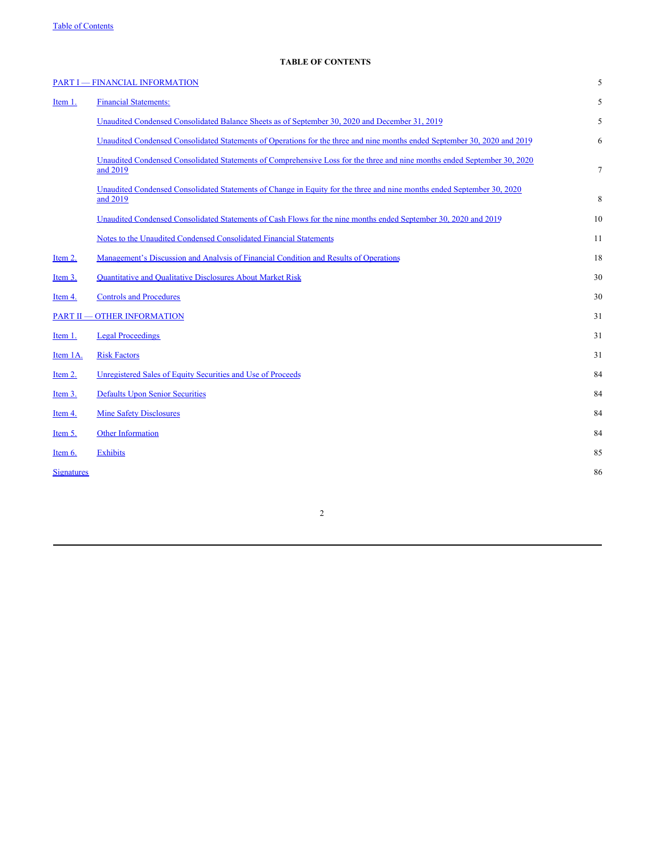## **TABLE OF CONTENTS**

## PART I — FINANCIAL [INFORMATION](#page-0-0) 5

| Item 1.           | <b>Financial Statements:</b>                                                                                                         | 5      |
|-------------------|--------------------------------------------------------------------------------------------------------------------------------------|--------|
|                   | Unaudited Condensed Consolidated Balance Sheets as of September 30, 2020 and December 31, 2019                                       | 5      |
|                   | Unaudited Condensed Consolidated Statements of Operations for the three and nine months ended September 30, 2020 and 2019            | 6      |
|                   | Unaudited Condensed Consolidated Statements of Comprehensive Loss for the three and nine months ended September 30, 2020<br>and 2019 | $\tau$ |
|                   | Unaudited Condensed Consolidated Statements of Change in Equity for the three and nine months ended September 30, 2020<br>and 2019   | 8      |
|                   | Unaudited Condensed Consolidated Statements of Cash Flows for the nine months ended September 30, 2020 and 2019                      | 10     |
|                   | Notes to the Unaudited Condensed Consolidated Financial Statements                                                                   | 11     |
| Item 2.           | Management's Discussion and Analysis of Financial Condition and Results of Operations                                                | 18     |
| Item 3.           | <b>Ouantitative and Qualitative Disclosures About Market Risk</b>                                                                    | 30     |
| Item 4.           | <b>Controls and Procedures</b>                                                                                                       | 30     |
|                   | PART II - OTHER INFORMATION                                                                                                          | 31     |
| Item 1.           | <b>Legal Proceedings</b>                                                                                                             | 31     |
| Item 1A.          | <b>Risk Factors</b>                                                                                                                  | 31     |
| Item 2.           | Unregistered Sales of Equity Securities and Use of Proceeds                                                                          | 84     |
| Item 3.           | <b>Defaults Upon Senior Securities</b>                                                                                               | 84     |
| Item 4.           | <b>Mine Safety Disclosures</b>                                                                                                       | 84     |
| Item 5.           | <b>Other Information</b>                                                                                                             | 84     |
| Item 6.           | <b>Exhibits</b>                                                                                                                      | 85     |
| <b>Signatures</b> |                                                                                                                                      | 86     |
|                   |                                                                                                                                      |        |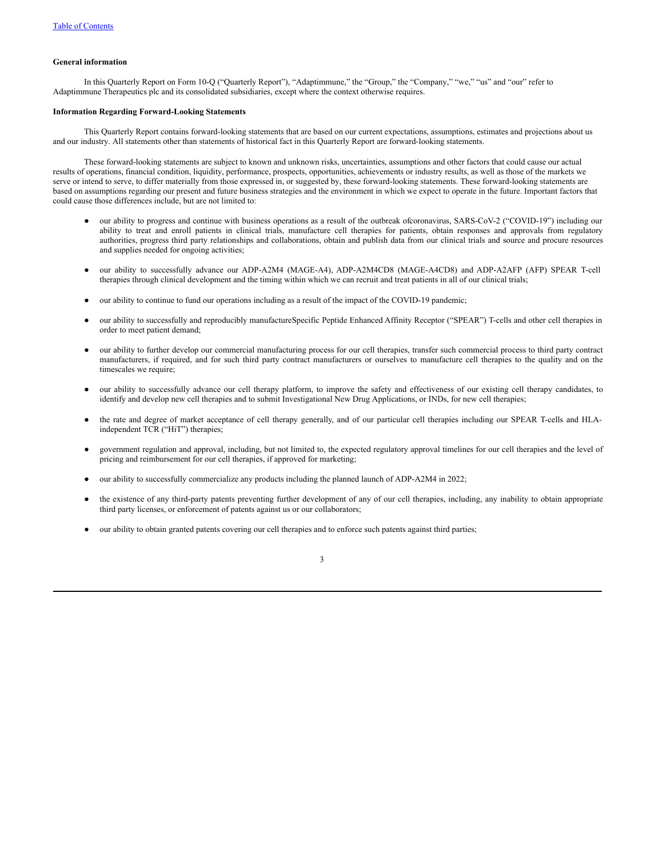#### **General information**

In this Quarterly Report on Form 10-Q ("Quarterly Report"), "Adaptimmune," the "Group," the "Company," "we," "us" and "our" refer to Adaptimmune Therapeutics plc and its consolidated subsidiaries, except where the context otherwise requires.

## **Information Regarding Forward-Looking Statements**

This Quarterly Report contains forward-looking statements that are based on our current expectations, assumptions, estimates and projections about us and our industry. All statements other than statements of historical fact in this Quarterly Report are forward-looking statements.

These forward-looking statements are subject to known and unknown risks, uncertainties, assumptions and other factors that could cause our actual results of operations, financial condition, liquidity, performance, prospects, opportunities, achievements or industry results, as well as those of the markets we serve or intend to serve, to differ materially from those expressed in, or suggested by, these forward-looking statements. These forward-looking statements are based on assumptions regarding our present and future business strategies and the environment in which we expect to operate in the future. Important factors that could cause those differences include, but are not limited to:

- our ability to progress and continue with business operations as a result of the outbreak ofcoronavirus, SARS-CoV-2 ("COVID-19") including our ability to treat and enroll patients in clinical trials, manufacture cell therapies for patients, obtain responses and approvals from regulatory authorities, progress third party relationships and collaborations, obtain and publish data from our clinical trials and source and procure resources and supplies needed for ongoing activities;
- our ability to successfully advance our ADP-A2M4 (MAGE-A4), ADP-A2M4CD8 (MAGE-A4CD8) and ADP-A2AFP (AFP) SPEAR T-cell therapies through clinical development and the timing within which we can recruit and treat patients in all of our clinical trials;
- our ability to continue to fund our operations including as a result of the impact of the COVID-19 pandemic;
- our ability to successfully and reproducibly manufactureSpecific Peptide Enhanced Affinity Receptor ("SPEAR") T-cells and other cell therapies in order to meet patient demand;
- our ability to further develop our commercial manufacturing process for our cell therapies, transfer such commercial process to third party contract manufacturers, if required, and for such third party contract manufacturers or ourselves to manufacture cell therapies to the quality and on the timescales we require;
- our ability to successfully advance our cell therapy platform, to improve the safety and effectiveness of our existing cell therapy candidates, to identify and develop new cell therapies and to submit Investigational New Drug Applications, or INDs, for new cell therapies;
- the rate and degree of market acceptance of cell therapy generally, and of our particular cell therapies including our SPEAR T-cells and HLAindependent TCR ("HiT") therapies;
- government regulation and approval, including, but not limited to, the expected regulatory approval timelines for our cell therapies and the level of pricing and reimbursement for our cell therapies, if approved for marketing;
- our ability to successfully commercialize any products including the planned launch of ADP-A2M4 in 2022;
- the existence of any third-party patents preventing further development of any of our cell therapies, including, any inability to obtain appropriate third party licenses, or enforcement of patents against us or our collaborators;
- our ability to obtain granted patents covering our cell therapies and to enforce such patents against third parties;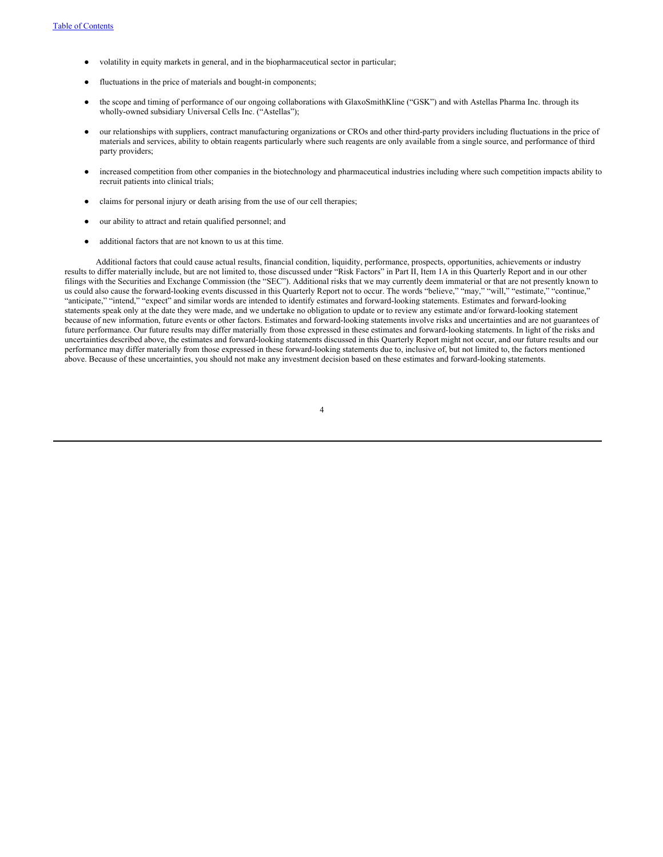- volatility in equity markets in general, and in the biopharmaceutical sector in particular;
- fluctuations in the price of materials and bought-in components;
- the scope and timing of performance of our ongoing collaborations with GlaxoSmithKline ("GSK") and with Astellas Pharma Inc. through its wholly-owned subsidiary Universal Cells Inc. ("Astellas");
- our relationships with suppliers, contract manufacturing organizations or CROs and other third-party providers including fluctuations in the price of materials and services, ability to obtain reagents particularly where such reagents are only available from a single source, and performance of third party providers;
- increased competition from other companies in the biotechnology and pharmaceutical industries including where such competition impacts ability to recruit patients into clinical trials;
- claims for personal injury or death arising from the use of our cell therapies;
- our ability to attract and retain qualified personnel; and
- additional factors that are not known to us at this time.

Additional factors that could cause actual results, financial condition, liquidity, performance, prospects, opportunities, achievements or industry results to differ materially include, but are not limited to, those discussed under "Risk Factors" in Part II, Item 1A in this Quarterly Report and in our other filings with the Securities and Exchange Commission (the "SEC"). Additional risks that we may currently deem immaterial or that are not presently known to us could also cause the forward-looking events discussed in this Quarterly Report not to occur. The words "believe," "may," "will," "estimate," "continue," "anticipate," "intend," "expect" and similar words are intended to identify estimates and forward-looking statements. Estimates and forward-looking statements speak only at the date they were made, and we undertake no obligation to update or to review any estimate and/or forward-looking statement because of new information, future events or other factors. Estimates and forward-looking statements involve risks and uncertainties and are not guarantees of future performance. Our future results may differ materially from those expressed in these estimates and forward-looking statements. In light of the risks and uncertainties described above, the estimates and forward-looking statements discussed in this Quarterly Report might not occur, and our future results and our performance may differ materially from those expressed in these forward-looking statements due to, inclusive of, but not limited to, the factors mentioned above. Because of these uncertainties, you should not make any investment decision based on these estimates and forward-looking statements.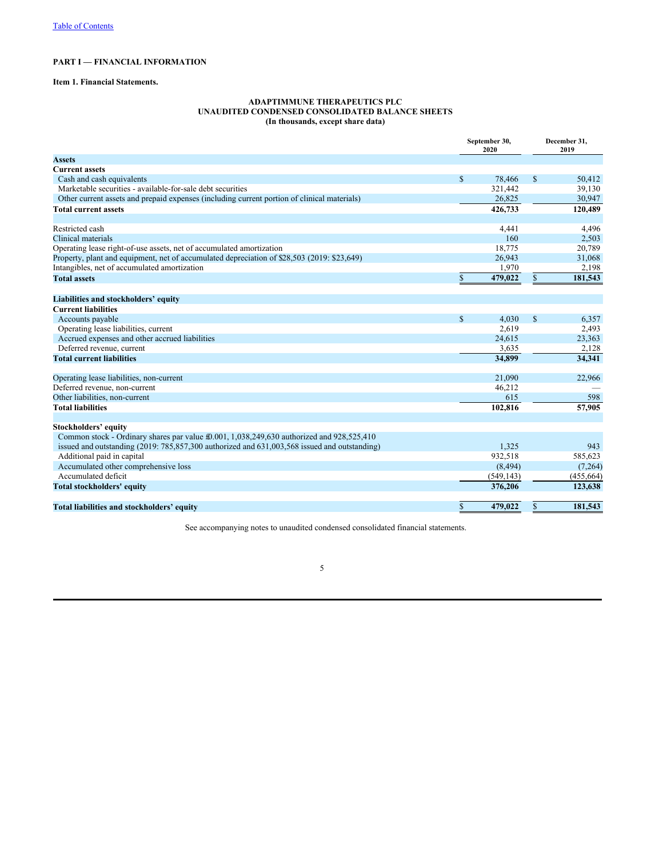## **PART I — FINANCIAL INFORMATION**

## **Item 1. Financial Statements.**

#### **ADAPTIMMUNE THERAPEUTICS PLC UNAUDITED CONDENSED CONSOLIDATED BALANCE SHEETS (In thousands, except share data)**

|                                                                                                     |              | September 30,<br>2020 |              | December 31,<br>2019 |
|-----------------------------------------------------------------------------------------------------|--------------|-----------------------|--------------|----------------------|
| <b>Assets</b>                                                                                       |              |                       |              |                      |
| <b>Current assets</b>                                                                               |              |                       |              |                      |
| Cash and cash equivalents                                                                           | $\mathbb{S}$ | 78,466                | $\mathbf S$  | 50,412               |
| Marketable securities - available-for-sale debt securities                                          |              | 321,442               |              | 39,130               |
| Other current assets and prepaid expenses (including current portion of clinical materials)         |              | 26,825                |              | 30,947               |
| <b>Total current assets</b>                                                                         |              | 426,733               |              | 120,489              |
| Restricted cash                                                                                     |              | 4,441                 |              | 4,496                |
| Clinical materials                                                                                  |              | 160                   |              | 2,503                |
| Operating lease right-of-use assets, net of accumulated amortization                                |              | 18,775                |              | 20,789               |
| Property, plant and equipment, net of accumulated depreciation of \$28,503 (2019: \$23,649)         |              | 26,943                |              | 31,068               |
| Intangibles, net of accumulated amortization                                                        |              | 1,970                 |              | 2,198                |
| <b>Total assets</b>                                                                                 | \$           | 479,022               | \$           | 181,543              |
| Liabilities and stockholders' equity                                                                |              |                       |              |                      |
| <b>Current liabilities</b>                                                                          |              |                       |              |                      |
| Accounts payable                                                                                    | $\mathbb{S}$ | 4,030                 | $\mathbb{S}$ | 6,357                |
| Operating lease liabilities, current                                                                |              | 2,619                 |              | 2,493                |
| Accrued expenses and other accrued liabilities                                                      |              | 24,615                |              | 23,363               |
| Deferred revenue, current                                                                           |              | 3,635                 |              | 2,128                |
| <b>Total current liabilities</b>                                                                    |              | 34,899                |              | 34,341               |
| Operating lease liabilities, non-current                                                            |              | 21,090                |              | 22,966               |
| Deferred revenue, non-current                                                                       |              | 46,212                |              |                      |
| Other liabilities, non-current                                                                      |              | 615                   |              | 598                  |
| <b>Total liabilities</b>                                                                            |              | 102,816               |              | 57,905               |
| <b>Stockholders' equity</b>                                                                         |              |                       |              |                      |
| Common stock - Ordinary shares par value $\pounds 0.001$ , 1,038,249,630 authorized and 928,525,410 |              |                       |              |                      |
| issued and outstanding (2019: 785,857,300 authorized and 631,003,568 issued and outstanding)        |              | 1,325                 |              | 943                  |
| Additional paid in capital                                                                          |              | 932,518               |              | 585,623              |
| Accumulated other comprehensive loss                                                                |              | (8, 494)              |              | (7,264)              |
| Accumulated deficit                                                                                 |              | (549, 143)            |              | (455, 664)           |
| <b>Total stockholders' equity</b>                                                                   |              | 376,206               |              | 123,638              |
| Total liabilities and stockholders' equity                                                          | \$           | 479,022               | $\mathbf S$  | 181,543              |

See accompanying notes to unaudited condensed consolidated financial statements.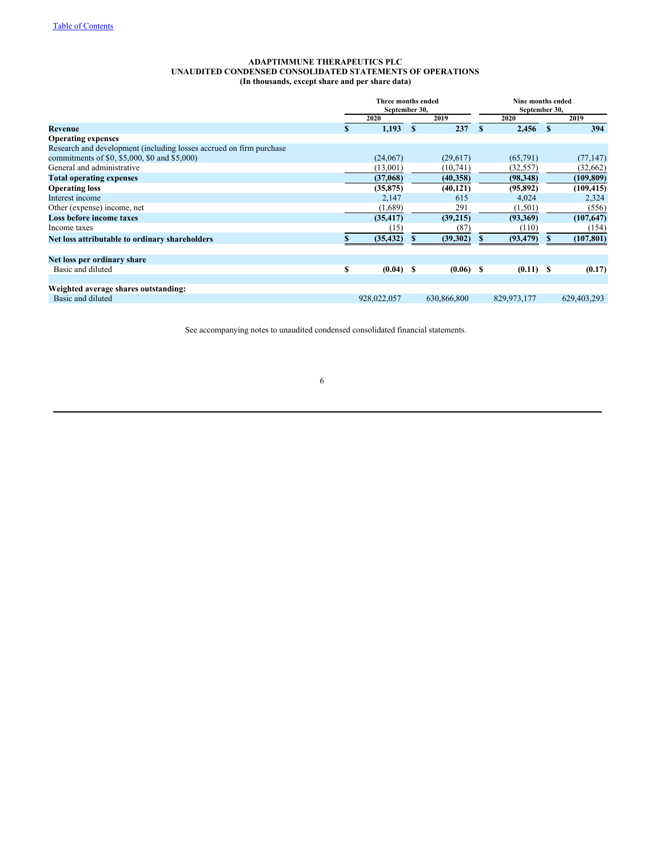## **ADAPTIMMUNE THERAPEUTICS PLC UNAUDITED CONDENSED CONSOLIDATED STATEMENTS OF OPERATIONS (In thousands, except share and per share data)**

|                                                                     |    | Three months ended<br>September 30, |      |             | Nine months ended<br>September 30, |             |      |             |  |
|---------------------------------------------------------------------|----|-------------------------------------|------|-------------|------------------------------------|-------------|------|-------------|--|
|                                                                     |    | 2020                                |      | 2019        |                                    | 2020        |      | 2019        |  |
| Revenue                                                             | S. | 1,193                               | - \$ | 237         | -S                                 | 2,456       | - \$ | 394         |  |
| <b>Operating expenses</b>                                           |    |                                     |      |             |                                    |             |      |             |  |
| Research and development (including losses accrued on firm purchase |    |                                     |      |             |                                    |             |      |             |  |
| commitments of \$0, \$5,000, \$0 and \$5,000)                       |    | (24,067)                            |      | (29,617)    |                                    | (65,791)    |      | (77, 147)   |  |
| General and administrative                                          |    | (13,001)                            |      | (10, 741)   |                                    | (32, 557)   |      | (32,662)    |  |
| <b>Total operating expenses</b>                                     |    | (37,068)                            |      | (40,358)    |                                    | (98, 348)   |      | (109, 809)  |  |
| <b>Operating loss</b>                                               |    | (35, 875)                           |      | (40, 121)   |                                    | (95, 892)   |      | (109, 415)  |  |
| Interest income                                                     |    | 2,147                               |      | 615         |                                    | 4,024       |      | 2,324       |  |
| Other (expense) income, net                                         |    | (1,689)                             |      | 291         |                                    | (1,501)     |      | (556)       |  |
| Loss before income taxes                                            |    | (35, 417)                           |      | (39,215)    |                                    | (93,369)    |      | (107, 647)  |  |
| Income taxes                                                        |    | (15)                                |      | (87)        |                                    | (110)       |      | (154)       |  |
| Net loss attributable to ordinary shareholders                      |    | (35, 432)                           |      | (39, 302)   |                                    | (93, 479)   |      | (107, 801)  |  |
| Net loss per ordinary share                                         |    |                                     |      |             |                                    |             |      |             |  |
| Basic and diluted                                                   | S  | $(0.04)$ \$                         |      | $(0.06)$ \$ |                                    | $(0.11)$ \$ |      | (0.17)      |  |
| Weighted average shares outstanding:                                |    |                                     |      |             |                                    |             |      |             |  |
| Basic and diluted                                                   |    | 928,022,057                         |      | 630,866,800 |                                    | 829,973,177 |      | 629,403,293 |  |

See accompanying notes to unaudited condensed consolidated financial statements.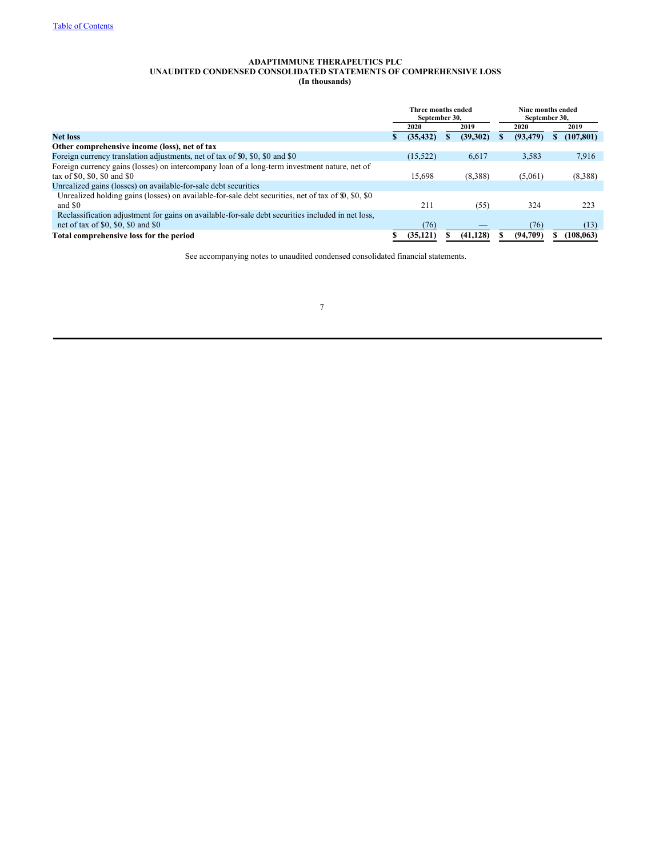## **ADAPTIMMUNE THERAPEUTICS PLC UNAUDITED CONDENSED CONSOLIDATED STATEMENTS OF COMPREHENSIVE LOSS**

**(In thousands)**

|                                                                                                      | Three months ended<br>September 30, |           |  |           | Nine months ended<br>September 30, |           |  |            |
|------------------------------------------------------------------------------------------------------|-------------------------------------|-----------|--|-----------|------------------------------------|-----------|--|------------|
|                                                                                                      |                                     | 2020      |  | 2019      | 2020                               |           |  | 2019       |
| <b>Net loss</b>                                                                                      |                                     | (35, 432) |  | (39,302)  |                                    | (93, 479) |  | (107, 801) |
| Other comprehensive income (loss), net of tax                                                        |                                     |           |  |           |                                    |           |  |            |
| Foreign currency translation adjustments, net of tax of \$0, \$0, \$0 and \$0                        |                                     | (15, 522) |  | 6,617     |                                    | 3,583     |  | 7,916      |
| Foreign currency gains (losses) on intercompany loan of a long-term investment nature, net of        |                                     |           |  |           |                                    |           |  |            |
| $\text{tax of } $0, $0, $0 \text{ and } $0$                                                          |                                     | 15.698    |  | (8,388)   |                                    | (5,061)   |  | (8,388)    |
| Unrealized gains (losses) on available-for-sale debt securities                                      |                                     |           |  |           |                                    |           |  |            |
| Unrealized holding gains (losses) on available-for-sale debt securities, net of tax of \$0, \$0, \$0 |                                     |           |  |           |                                    |           |  |            |
| and \$0                                                                                              |                                     | 211       |  | (55)      |                                    | 324       |  | 223        |
| Reclassification adjustment for gains on available-for-sale debt securities included in net loss,    |                                     |           |  |           |                                    |           |  |            |
| net of tax of \$0, \$0, \$0 and \$0                                                                  |                                     | (76)      |  | $-$       |                                    | (76)      |  | (13)       |
| Total comprehensive loss for the period                                                              |                                     | (35, 121) |  | (41, 128) |                                    | (94,709)  |  | (108, 063) |

See accompanying notes to unaudited condensed consolidated financial statements.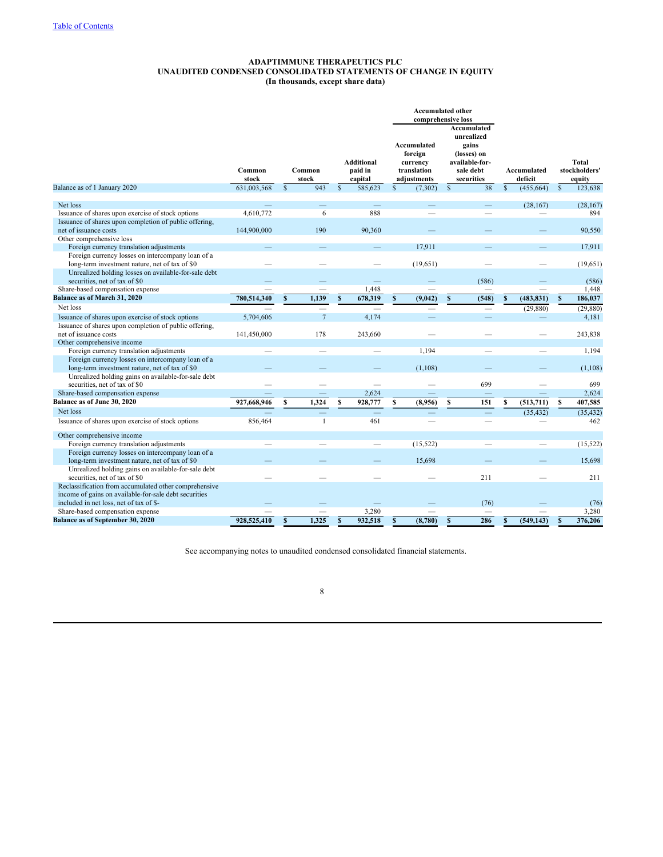## **ADAPTIMMUNE THERAPEUTICS PLC UNAUDITED CONDENSED CONSOLIDATED STATEMENTS OF CHANGE IN EQUITY (In thousands, except share data)**

|                                                                                               |                 |              |                 |              |                                         |               | <b>Accumulated other</b><br>comprehensive loss                   |               |                                                                                                |               |                          |              |                                  |
|-----------------------------------------------------------------------------------------------|-----------------|--------------|-----------------|--------------|-----------------------------------------|---------------|------------------------------------------------------------------|---------------|------------------------------------------------------------------------------------------------|---------------|--------------------------|--------------|----------------------------------|
|                                                                                               | Common<br>stock |              | Common<br>stock |              | <b>Additional</b><br>paid in<br>capital |               | Accumulated<br>foreign<br>currency<br>translation<br>adjustments |               | Accumulated<br>unrealized<br>gains<br>(losses) on<br>available-for-<br>sale debt<br>securities |               | Accumulated<br>deficit   |              | Total<br>stockholders'<br>equity |
| Balance as of 1 January 2020                                                                  | 631,003,568     | $\mathbf S$  | 943             | <b>S</b>     | 585,623                                 | $\mathcal{S}$ | (7,302)                                                          | $\mathcal{S}$ | 38                                                                                             | $\mathcal{S}$ | (455, 664)               | $\mathbb{S}$ | 123,638                          |
| Net loss                                                                                      |                 |              |                 |              |                                         |               |                                                                  |               |                                                                                                |               | (28, 167)                |              | (28, 167)                        |
| Issuance of shares upon exercise of stock options                                             | 4,610,772       |              | 6               |              | 888                                     |               |                                                                  |               |                                                                                                |               |                          |              | 894                              |
| Issuance of shares upon completion of public offering,                                        |                 |              |                 |              |                                         |               |                                                                  |               |                                                                                                |               |                          |              |                                  |
| net of issuance costs                                                                         | 144,900,000     |              | 190             |              | 90,360                                  |               |                                                                  |               |                                                                                                |               |                          |              | 90,550                           |
| Other comprehensive loss                                                                      |                 |              |                 |              |                                         |               |                                                                  |               |                                                                                                |               |                          |              |                                  |
| Foreign currency translation adjustments                                                      |                 |              |                 |              |                                         |               | 17,911                                                           |               |                                                                                                |               |                          |              | 17,911                           |
| Foreign currency losses on intercompany loan of a                                             |                 |              |                 |              |                                         |               |                                                                  |               |                                                                                                |               |                          |              |                                  |
| long-term investment nature, net of tax of \$0                                                |                 |              |                 |              |                                         |               | (19,651)                                                         |               |                                                                                                |               |                          |              | (19, 651)                        |
| Unrealized holding losses on available-for-sale debt                                          |                 |              |                 |              |                                         |               |                                                                  |               |                                                                                                |               |                          |              |                                  |
| securities, net of tax of \$0                                                                 |                 |              |                 |              |                                         |               |                                                                  |               | (586)                                                                                          |               |                          |              | (586)                            |
| Share-based compensation expense                                                              |                 |              |                 |              | 1,448                                   |               |                                                                  |               |                                                                                                |               |                          |              | 1,448                            |
| Balance as of March 31, 2020                                                                  | 780,514,340     | $\mathbf{s}$ | 1,139           | \$           | 678,319                                 | \$            | (9,042)                                                          | S             | (548)                                                                                          | S             | (483, 831)               | $\mathbf{s}$ | 186,037                          |
| Net loss                                                                                      |                 |              |                 |              |                                         |               |                                                                  |               |                                                                                                |               | (29, 880)                |              | (29, 880)                        |
| Issuance of shares upon exercise of stock options                                             | 5,704,606       |              | $7\phantom{.0}$ |              | 4.174                                   |               |                                                                  |               |                                                                                                |               |                          |              | 4,181                            |
| Issuance of shares upon completion of public offering,                                        |                 |              |                 |              |                                         |               |                                                                  |               |                                                                                                |               |                          |              |                                  |
| net of issuance costs                                                                         |                 |              | 178             |              | 243,660                                 |               |                                                                  |               |                                                                                                |               |                          |              | 243,838                          |
| Other comprehensive income                                                                    | 141,450,000     |              |                 |              |                                         |               |                                                                  |               |                                                                                                |               |                          |              |                                  |
|                                                                                               |                 |              |                 |              |                                         |               | 1,194                                                            |               |                                                                                                |               |                          |              | 1,194                            |
| Foreign currency translation adjustments<br>Foreign currency losses on intercompany loan of a |                 |              |                 |              |                                         |               |                                                                  |               |                                                                                                |               |                          |              |                                  |
| long-term investment nature, net of tax of \$0                                                |                 |              |                 |              |                                         |               |                                                                  |               |                                                                                                |               |                          |              |                                  |
| Unrealized holding gains on available-for-sale debt                                           |                 |              |                 |              |                                         |               | (1,108)                                                          |               |                                                                                                |               |                          |              | (1,108)                          |
| securities, net of tax of \$0                                                                 |                 |              |                 |              |                                         |               |                                                                  |               | 699                                                                                            |               |                          |              | 699                              |
| Share-based compensation expense                                                              |                 |              |                 |              | 2,624                                   |               |                                                                  |               |                                                                                                |               | -                        |              | 2,624                            |
|                                                                                               |                 |              |                 |              |                                         |               |                                                                  |               |                                                                                                |               | $\overline{\phantom{0}}$ |              |                                  |
| <b>Balance as of June 30, 2020</b>                                                            | 927,668,946     | S            | 1,324           | S            | 928,777                                 | \$            | (8,956)                                                          | S             | 151                                                                                            | s             | (513, 711)               | s            | 407,585                          |
| Net loss                                                                                      |                 |              |                 |              |                                         |               |                                                                  |               | Ξ,                                                                                             |               | (35, 432)                |              | (35, 432)                        |
| Issuance of shares upon exercise of stock options                                             | 856,464         |              | $\mathbf{1}$    |              | 461                                     |               |                                                                  |               |                                                                                                |               |                          |              | 462                              |
| Other comprehensive income                                                                    |                 |              |                 |              |                                         |               |                                                                  |               |                                                                                                |               |                          |              |                                  |
| Foreign currency translation adjustments                                                      |                 |              |                 |              |                                         |               | (15, 522)                                                        |               |                                                                                                |               |                          |              | (15, 522)                        |
| Foreign currency losses on intercompany loan of a                                             |                 |              |                 |              |                                         |               |                                                                  |               |                                                                                                |               |                          |              |                                  |
| long-term investment nature, net of tax of \$0                                                |                 |              |                 |              |                                         |               | 15,698                                                           |               |                                                                                                |               |                          |              | 15,698                           |
| Unrealized holding gains on available-for-sale debt                                           |                 |              |                 |              |                                         |               |                                                                  |               |                                                                                                |               |                          |              |                                  |
| securities, net of tax of \$0                                                                 |                 |              |                 |              |                                         |               |                                                                  |               | 211                                                                                            |               |                          |              | 211                              |
| Reclassification from accumulated other comprehensive                                         |                 |              |                 |              |                                         |               |                                                                  |               |                                                                                                |               |                          |              |                                  |
| income of gains on available-for-sale debt securities                                         |                 |              |                 |              |                                         |               |                                                                  |               |                                                                                                |               |                          |              |                                  |
| included in net loss, net of tax of \$-                                                       |                 |              |                 |              |                                         |               |                                                                  |               | (76)                                                                                           |               |                          |              | (76)                             |
| Share-based compensation expense                                                              |                 |              |                 |              | 3,280                                   |               |                                                                  |               |                                                                                                |               |                          |              | 3,280                            |
| <b>Balance as of September 30, 2020</b>                                                       | 928,525,410     | $\mathbf{s}$ | 1.325           | $\mathbf{s}$ | 932.518                                 | $\mathbf S$   | (8,780)                                                          | $\mathbf{s}$  | 286                                                                                            | S             | (549, 143)               | $\mathbf{s}$ | 376,206                          |

See accompanying notes to unaudited condensed consolidated financial statements.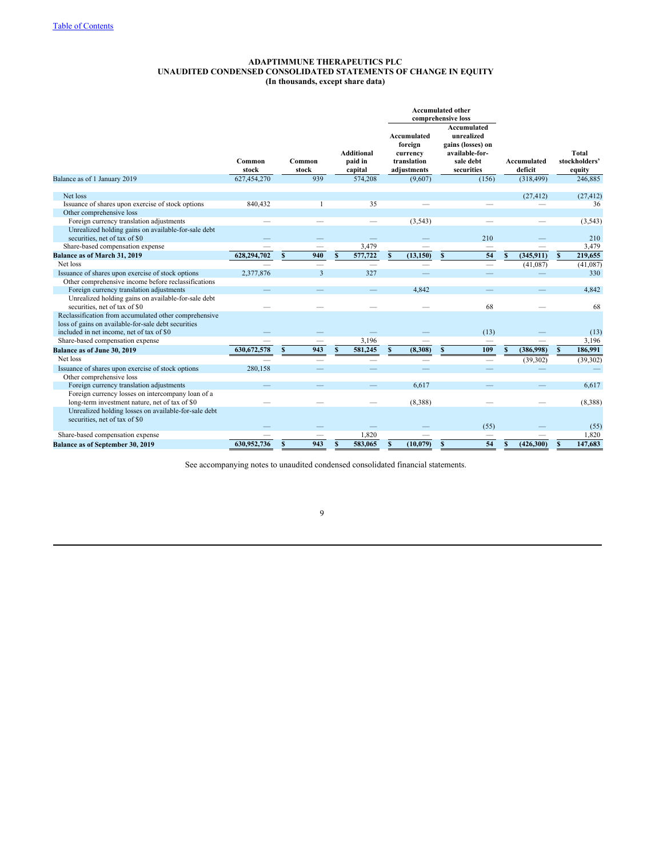## **ADAPTIMMUNE THERAPEUTICS PLC UNAUDITED CONDENSED CONSOLIDATED STATEMENTS OF CHANGE IN EQUITY (In thousands, except share data)**

|                                                                                      |                 |               |                         |              |                                         | <b>Accumulated other</b><br>comprehensive loss |                                                                  |          |                                                                                             |              |                        |              |                                  |
|--------------------------------------------------------------------------------------|-----------------|---------------|-------------------------|--------------|-----------------------------------------|------------------------------------------------|------------------------------------------------------------------|----------|---------------------------------------------------------------------------------------------|--------------|------------------------|--------------|----------------------------------|
|                                                                                      | Common<br>stock |               | Common<br>stock         |              | <b>Additional</b><br>paid in<br>capital |                                                | Accumulated<br>foreign<br>currency<br>translation<br>adjustments |          | Accumulated<br>unrealized<br>gains (losses) on<br>available-for-<br>sale debt<br>securities |              | Accumulated<br>deficit |              | Total<br>stockholders'<br>equity |
| Balance as of 1 January 2019                                                         | 627,454,270     |               | 939                     |              | 574,208                                 |                                                | (9,607)                                                          |          | (156)                                                                                       |              | (318, 499)             |              | 246,885                          |
| Net loss                                                                             |                 |               |                         |              |                                         |                                                |                                                                  |          |                                                                                             |              | (27, 412)              |              | (27, 412)                        |
| Issuance of shares upon exercise of stock options                                    | 840,432         |               |                         |              | 35                                      |                                                |                                                                  |          |                                                                                             |              |                        |              | 36                               |
| Other comprehensive loss                                                             |                 |               |                         |              |                                         |                                                |                                                                  |          |                                                                                             |              |                        |              |                                  |
| Foreign currency translation adjustments                                             |                 |               |                         |              |                                         |                                                | (3, 543)                                                         |          |                                                                                             |              |                        |              | (3, 543)                         |
| Unrealized holding gains on available-for-sale debt                                  |                 |               |                         |              |                                         |                                                |                                                                  |          |                                                                                             |              |                        |              |                                  |
| securities, net of tax of \$0                                                        |                 |               |                         |              |                                         |                                                |                                                                  |          | 210                                                                                         |              |                        |              | 210                              |
| Share-based compensation expense                                                     |                 |               |                         |              | 3,479                                   |                                                |                                                                  |          |                                                                                             |              |                        |              | 3,479                            |
| Balance as of March 31, 2019                                                         | 628.294.702     | S             | 940                     | $\mathbf{s}$ | 577,722                                 | S                                              | (13, 150)                                                        | S        | 54                                                                                          | $\mathbf{s}$ | (345.911)              | $\mathbf{s}$ | 219,655                          |
| Net loss                                                                             |                 |               |                         |              |                                         |                                                |                                                                  |          | $\qquad \qquad$                                                                             |              | (41,087)               |              | (41,087)                         |
| Issuance of shares upon exercise of stock options                                    | 2,377,876       |               | $\overline{\mathbf{3}}$ |              | 327                                     |                                                |                                                                  |          |                                                                                             |              |                        |              | 330                              |
| Other comprehensive income before reclassifications                                  |                 |               |                         |              |                                         |                                                |                                                                  |          |                                                                                             |              |                        |              |                                  |
| Foreign currency translation adjustments                                             |                 |               |                         |              |                                         |                                                | 4.842                                                            |          |                                                                                             |              |                        |              | 4,842                            |
| Unrealized holding gains on available-for-sale debt<br>securities, net of tax of \$0 |                 |               |                         |              |                                         |                                                |                                                                  |          | 68                                                                                          |              |                        |              | 68                               |
| Reclassification from accumulated other comprehensive                                |                 |               |                         |              |                                         |                                                |                                                                  |          |                                                                                             |              |                        |              |                                  |
| loss of gains on available-for-sale debt securities                                  |                 |               |                         |              |                                         |                                                |                                                                  |          |                                                                                             |              |                        |              |                                  |
| included in net income, net of tax of \$0                                            |                 |               |                         |              |                                         |                                                |                                                                  |          | (13)                                                                                        |              |                        |              | (13)                             |
| Share-based compensation expense                                                     |                 |               |                         |              | 3,196                                   |                                                |                                                                  |          | $\qquad \qquad$                                                                             |              |                        |              | 3,196                            |
|                                                                                      | 630, 672, 578   | <sup>\$</sup> | 943                     | s            | 581,245                                 | $\mathbf S$                                    | (8,308)                                                          | <b>S</b> | 109                                                                                         | S            | (386,998)              | $\mathbf{s}$ | 186,991                          |
| Balance as of June 30, 2019<br>Net loss                                              |                 |               |                         |              |                                         |                                                |                                                                  |          |                                                                                             |              |                        |              |                                  |
|                                                                                      |                 |               |                         |              |                                         |                                                |                                                                  |          |                                                                                             |              | (39, 302)              |              | (39, 302)                        |
| Issuance of shares upon exercise of stock options<br>Other comprehensive loss        | 280,158         |               |                         |              |                                         |                                                |                                                                  |          |                                                                                             |              |                        |              |                                  |
| Foreign currency translation adjustments                                             |                 |               |                         |              |                                         |                                                | 6.617                                                            |          |                                                                                             |              |                        |              | 6.617                            |
| Foreign currency losses on intercompany loan of a                                    |                 |               |                         |              |                                         |                                                |                                                                  |          |                                                                                             |              |                        |              |                                  |
| long-term investment nature, net of tax of \$0                                       |                 |               |                         |              |                                         |                                                | (8,388)                                                          |          |                                                                                             |              |                        |              | (8,388)                          |
| Unrealized holding losses on available-for-sale debt                                 |                 |               |                         |              |                                         |                                                |                                                                  |          |                                                                                             |              |                        |              |                                  |
| securities, net of tax of \$0                                                        |                 |               |                         |              |                                         |                                                |                                                                  |          |                                                                                             |              |                        |              |                                  |
|                                                                                      |                 |               |                         |              |                                         |                                                |                                                                  |          | (55)                                                                                        |              |                        |              | (55)                             |
| Share-based compensation expense                                                     |                 |               |                         |              | 1,820                                   |                                                |                                                                  |          |                                                                                             |              |                        |              | 1,820                            |
| Balance as of September 30, 2019                                                     | 630.952.736     | $\mathbf{s}$  | 943                     | S            | 583.065                                 | \$                                             | (10,079)                                                         | \$       | 54                                                                                          | S            | (426.300)              | \$           | 147,683                          |

See accompanying notes to unaudited condensed consolidated financial statements.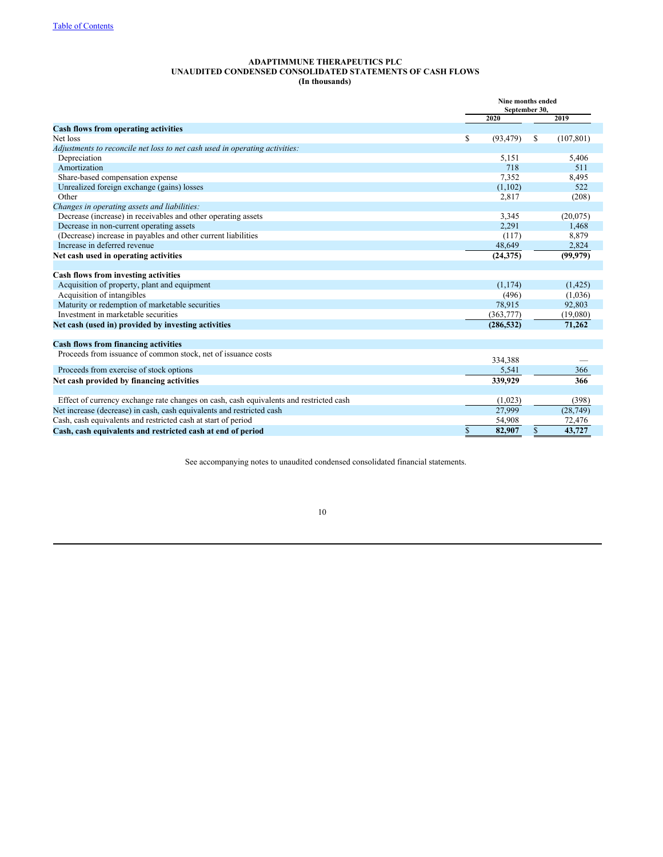#### **ADAPTIMMUNE THERAPEUTICS PLC UNAUDITED CONDENSED CONSOLIDATED STATEMENTS OF CASH FLOWS (In thousands)**

|                                                                                        |                 | Nine months ended<br>September 30, |            |  |  |  |
|----------------------------------------------------------------------------------------|-----------------|------------------------------------|------------|--|--|--|
|                                                                                        | 2020            |                                    | 2019       |  |  |  |
| <b>Cash flows from operating activities</b>                                            |                 |                                    |            |  |  |  |
| Net loss                                                                               | \$<br>(93, 479) | \$                                 | (107, 801) |  |  |  |
| Adjustments to reconcile net loss to net cash used in operating activities:            |                 |                                    |            |  |  |  |
| Depreciation                                                                           | 5,151           |                                    | 5,406      |  |  |  |
| Amortization                                                                           |                 | 718                                | 511        |  |  |  |
| Share-based compensation expense                                                       | 7,352           |                                    | 8,495      |  |  |  |
| Unrealized foreign exchange (gains) losses                                             | (1,102)         |                                    | 522        |  |  |  |
| Other                                                                                  | 2,817           |                                    | (208)      |  |  |  |
| Changes in operating assets and liabilities:                                           |                 |                                    |            |  |  |  |
| Decrease (increase) in receivables and other operating assets                          | 3,345           |                                    | (20,075)   |  |  |  |
| Decrease in non-current operating assets                                               | 2,291           |                                    | 1,468      |  |  |  |
| (Decrease) increase in payables and other current liabilities                          | (117)           |                                    | 8,879      |  |  |  |
| Increase in deferred revenue                                                           | 48,649          |                                    | 2,824      |  |  |  |
| Net cash used in operating activities                                                  | (24, 375)       |                                    | (99, 979)  |  |  |  |
|                                                                                        |                 |                                    |            |  |  |  |
| Cash flows from investing activities                                                   |                 |                                    |            |  |  |  |
| Acquisition of property, plant and equipment                                           | (1,174)         |                                    | (1, 425)   |  |  |  |
| Acquisition of intangibles                                                             | (496)           |                                    | (1,036)    |  |  |  |
| Maturity or redemption of marketable securities                                        | 78,915          |                                    | 92,803     |  |  |  |
| Investment in marketable securities                                                    | (363, 777)      |                                    | (19,080)   |  |  |  |
| Net cash (used in) provided by investing activities                                    | (286, 532)      |                                    | 71,262     |  |  |  |
|                                                                                        |                 |                                    |            |  |  |  |
| <b>Cash flows from financing activities</b>                                            |                 |                                    |            |  |  |  |
| Proceeds from issuance of common stock, net of issuance costs                          | 334,388         |                                    |            |  |  |  |
| Proceeds from exercise of stock options                                                | 5,541           |                                    | 366        |  |  |  |
| Net cash provided by financing activities                                              | 339,929         |                                    | 366        |  |  |  |
|                                                                                        |                 |                                    |            |  |  |  |
| Effect of currency exchange rate changes on cash, cash equivalents and restricted cash | (1,023)         |                                    | (398)      |  |  |  |
| Net increase (decrease) in cash, cash equivalents and restricted cash                  | 27,999          |                                    | (28, 749)  |  |  |  |
| Cash, cash equivalents and restricted cash at start of period                          | 54,908          |                                    | 72,476     |  |  |  |
| Cash, cash equivalents and restricted cash at end of period                            | $\$$<br>82,907  | \$                                 | 43,727     |  |  |  |
|                                                                                        |                 |                                    |            |  |  |  |

See accompanying notes to unaudited condensed consolidated financial statements.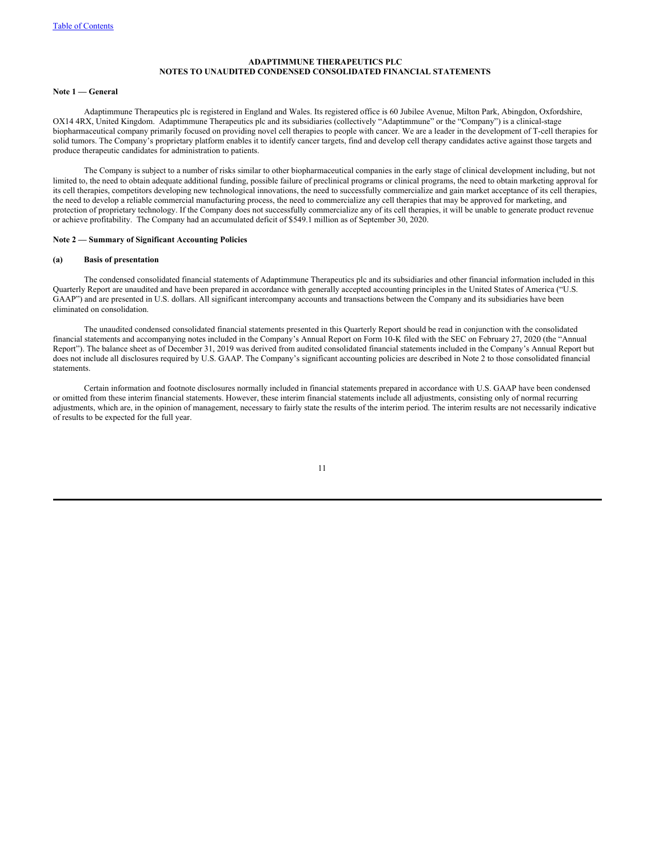## **ADAPTIMMUNE THERAPEUTICS PLC NOTES TO UNAUDITED CONDENSED CONSOLIDATED FINANCIAL STATEMENTS**

## **Note 1 — General**

Adaptimmune Therapeutics plc is registered in England and Wales. Its registered office is 60 Jubilee Avenue, Milton Park, Abingdon, Oxfordshire, OX14 4RX, United Kingdom. Adaptimmune Therapeutics plc and its subsidiaries (collectively "Adaptimmune" or the "Company") is a clinical-stage biopharmaceutical company primarily focused on providing novel cell therapies to people with cancer. We are a leader in the development of T-cell therapies for solid tumors. The Company's proprietary platform enables it to identify cancer targets, find and develop cell therapy candidates active against those targets and produce therapeutic candidates for administration to patients.

The Company is subject to a number of risks similar to other biopharmaceutical companies in the early stage of clinical development including, but not limited to, the need to obtain adequate additional funding, possible failure of preclinical programs or clinical programs, the need to obtain marketing approval for its cell therapies, competitors developing new technological innovations, the need to successfully commercialize and gain market acceptance of its cell therapies, the need to develop a reliable commercial manufacturing process, the need to commercialize any cell therapies that may be approved for marketing, and protection of proprietary technology. If the Company does not successfully commercialize any of its cell therapies, it will be unable to generate product revenue or achieve profitability. The Company had an accumulated deficit of \$549.1 million as of September 30, 2020.

## **Note 2 — Summary of Significant Accounting Policies**

## **(a) Basis of presentation**

The condensed consolidated financial statements of Adaptimmune Therapeutics plc and its subsidiaries and other financial information included in this Quarterly Report are unaudited and have been prepared in accordance with generally accepted accounting principles in the United States of America ("U.S. GAAP") and are presented in U.S. dollars. All significant intercompany accounts and transactions between the Company and its subsidiaries have been eliminated on consolidation.

The unaudited condensed consolidated financial statements presented in this Quarterly Report should be read in conjunction with the consolidated financial statements and accompanying notes included in the Company's Annual Report on Form 10-K filed with the SEC on February 27, 2020 (the "Annual Report"). The balance sheet as of December 31, 2019 was derived from audited consolidated financial statements included in the Company's Annual Report but does not include all disclosures required by U.S. GAAP. The Company's significant accounting policies are described in Note 2 to those consolidated financial statements.

Certain information and footnote disclosures normally included in financial statements prepared in accordance with U.S. GAAP have been condensed or omitted from these interim financial statements. However, these interim financial statements include all adjustments, consisting only of normal recurring adjustments, which are, in the opinion of management, necessary to fairly state the results of the interim period. The interim results are not necessarily indicative of results to be expected for the full year.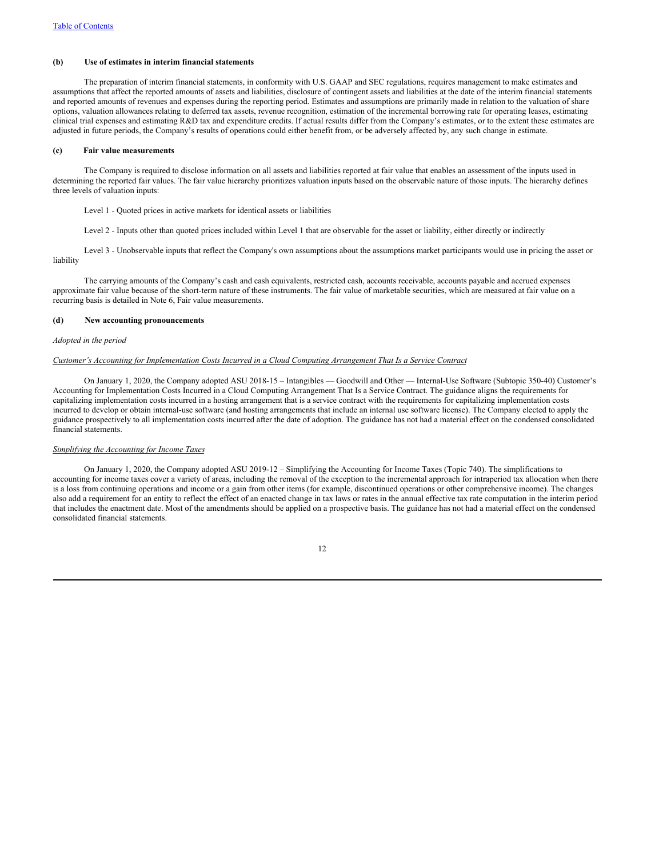## **(b) Use of estimates in interim financial statements**

The preparation of interim financial statements, in conformity with U.S. GAAP and SEC regulations, requires management to make estimates and assumptions that affect the reported amounts of assets and liabilities, disclosure of contingent assets and liabilities at the date of the interim financial statements and reported amounts of revenues and expenses during the reporting period. Estimates and assumptions are primarily made in relation to the valuation of share options, valuation allowances relating to deferred tax assets, revenue recognition, estimation of the incremental borrowing rate for operating leases, estimating clinical trial expenses and estimating R&D tax and expenditure credits. If actual results differ from the Company's estimates, or to the extent these estimates are adjusted in future periods, the Company's results of operations could either benefit from, or be adversely affected by, any such change in estimate.

#### **(c) Fair value measurements**

The Company is required to disclose information on all assets and liabilities reported at fair value that enables an assessment of the inputs used in determining the reported fair values. The fair value hierarchy prioritizes valuation inputs based on the observable nature of those inputs. The hierarchy defines three levels of valuation inputs:

Level 1 - Quoted prices in active markets for identical assets or liabilities

Level 2 - Inputs other than quoted prices included within Level 1 that are observable for the asset or liability, either directly or indirectly

Level 3 - Unobservable inputs that reflect the Company's own assumptions about the assumptions market participants would use in pricing the asset or liability

The carrying amounts of the Company's cash and cash equivalents, restricted cash, accounts receivable, accounts payable and accrued expenses approximate fair value because of the short-term nature of these instruments. The fair value of marketable securities, which are measured at fair value on a recurring basis is detailed in Note 6, Fair value measurements.

## **(d) New accounting pronouncements**

#### *Adopted in the period*

## Customer's Accounting for Implementation Costs Incurred in a Cloud Computing Arrangement That Is a Service Contract

On January 1, 2020, the Company adopted ASU 2018-15 – Intangibles — Goodwill and Other — Internal-Use Software (Subtopic 350-40) Customer's Accounting for Implementation Costs Incurred in a Cloud Computing Arrangement That Is a Service Contract. The guidance aligns the requirements for capitalizing implementation costs incurred in a hosting arrangement that is a service contract with the requirements for capitalizing implementation costs incurred to develop or obtain internal-use software (and hosting arrangements that include an internal use software license). The Company elected to apply the guidance prospectively to all implementation costs incurred after the date of adoption. The guidance has not had a material effect on the condensed consolidated financial statements.

#### *Simplifying the Accounting for Income Taxes*

On January 1, 2020, the Company adopted ASU 2019-12 – Simplifying the Accounting for Income Taxes (Topic 740). The simplifications to accounting for income taxes cover a variety of areas, including the removal of the exception to the incremental approach for intraperiod tax allocation when there is a loss from continuing operations and income or a gain from other items (for example, discontinued operations or other comprehensive income). The changes also add a requirement for an entity to reflect the effect of an enacted change in tax laws or rates in the annual effective tax rate computation in the interim period that includes the enactment date. Most of the amendments should be applied on a prospective basis. The guidance has not had a material effect on the condensed consolidated financial statements.

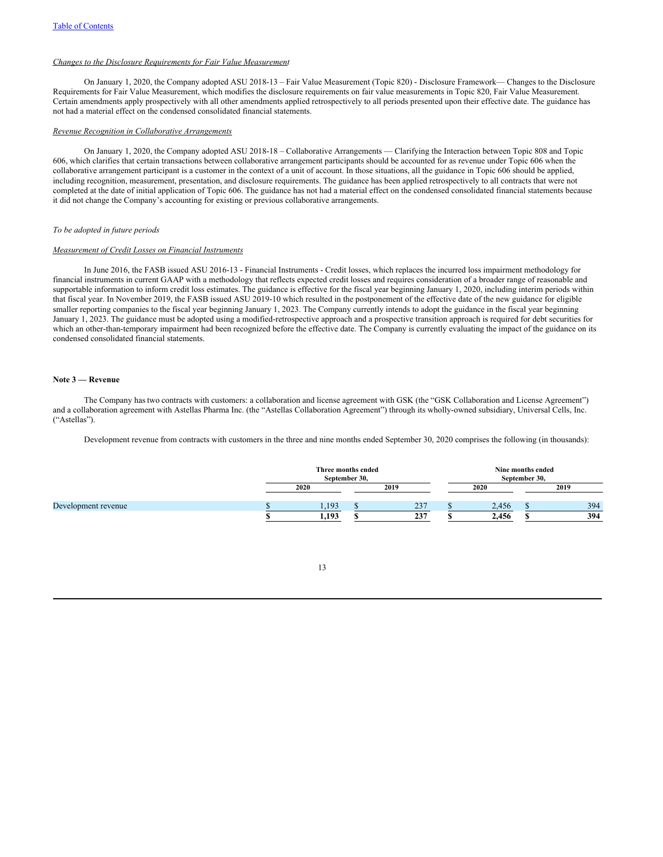## *Changes to the Disclosure Requirements for Fair Value Measurement*

On January 1, 2020, the Company adopted ASU 2018-13 – Fair Value Measurement (Topic 820) - Disclosure Framework— Changes to the Disclosure Requirements for Fair Value Measurement, which modifies the disclosure requirements on fair value measurements in Topic 820, Fair Value Measurement. Certain amendments apply prospectively with all other amendments applied retrospectively to all periods presented upon their effective date. The guidance has not had a material effect on the condensed consolidated financial statements.

## *Revenue Recognition in Collaborative Arrangements*

On January 1, 2020, the Company adopted ASU 2018-18 – Collaborative Arrangements — Clarifying the Interaction between Topic 808 and Topic 606, which clarifies that certain transactions between collaborative arrangement participants should be accounted for as revenue under Topic 606 when the collaborative arrangement participant is a customer in the context of a unit of account. In those situations, all the guidance in Topic 606 should be applied, including recognition, measurement, presentation, and disclosure requirements. The guidance has been applied retrospectively to all contracts that were not completed at the date of initial application of Topic 606. The guidance has not had a material effect on the condensed consolidated financial statements because it did not change the Company's accounting for existing or previous collaborative arrangements.

#### *To be adopted in future periods*

#### *Measurement of Credit Losses on Financial Instruments*

In June 2016, the FASB issued ASU 2016-13 - Financial Instruments - Credit losses, which replaces the incurred loss impairment methodology for financial instruments in current GAAP with a methodology that reflects expected credit losses and requires consideration of a broader range of reasonable and supportable information to inform credit loss estimates. The guidance is effective for the fiscal year beginning January 1, 2020, including interim periods within that fiscal year. In November 2019, the FASB issued ASU 2019-10 which resulted in the postponement of the effective date of the new guidance for eligible smaller reporting companies to the fiscal year beginning January 1, 2023. The Company currently intends to adopt the guidance in the fiscal year beginning January 1, 2023. The guidance must be adopted using a modified-retrospective approach and a prospective transition approach is required for debt securities for which an other-than-temporary impairment had been recognized before the effective date. The Company is currently evaluating the impact of the guidance on its condensed consolidated financial statements.

#### **Note 3 — Revenue**

The Company hastwo contracts with customers: a collaboration and license agreement with GSK (the "GSK Collaboration and License Agreement") and a collaboration agreement with Astellas Pharma Inc. (the "Astellas Collaboration Agreement") through its wholly-owned subsidiary, Universal Cells, Inc. ("Astellas").

Development revenue from contracts with customers in the three and nine months ended September 30, 2020 comprises the following (in thousands):

|                     | Three months ended<br>September 30, |      | Nine months ended<br>September 30, |  |      |
|---------------------|-------------------------------------|------|------------------------------------|--|------|
|                     | 2020                                | 2019 | 2020                               |  | 2019 |
| Development revenue | 1,193                               | 237  | 2.456                              |  | 394  |
|                     | 1,193                               | 237  | 2,456                              |  | 394  |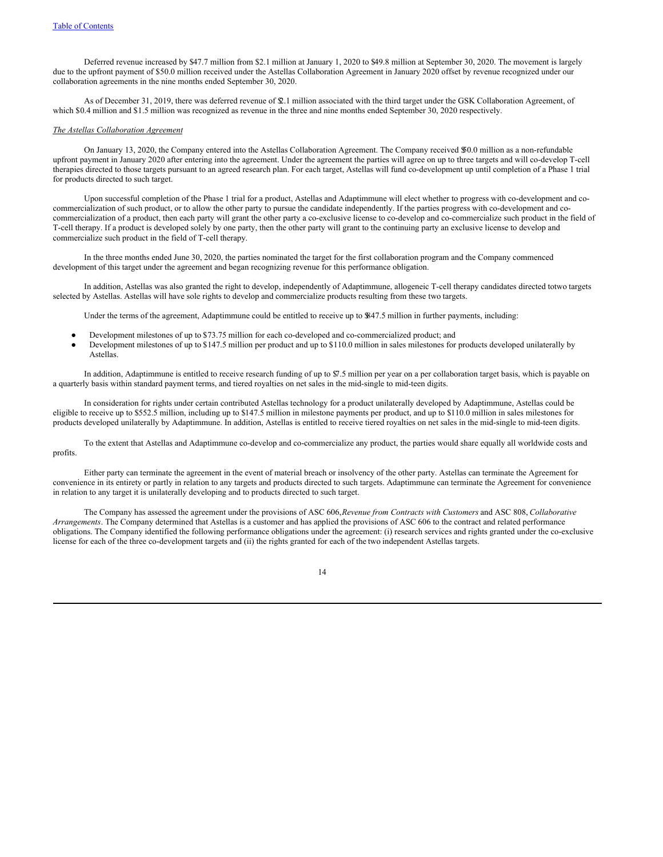Deferred revenue increased by \$47.7 million from \$2.1 million at January 1, 2020 to \$49.8 million at September 30, 2020. The movement is largely due to the upfront payment of \$50.0 million received under the Astellas Collaboration Agreement in January 2020 offset by revenue recognized under our collaboration agreements in the nine months ended September 30, 2020.

As of December 31, 2019, there was deferred revenue of \$2.1 million associated with the third target under the GSK Collaboration Agreement, of which \$0.4 million and \$1.5 million was recognized as revenue in the three and nine months ended September 30, 2020 respectively.

#### *The Astellas Collaboration Agreement*

On January 13, 2020, the Company entered into the Astellas Collaboration Agreement. The Company received \$50.0 million as a non-refundable upfront payment in January 2020 after entering into the agreement. Under the agreement the parties will agree on up to three targets and will co-develop T-cell therapies directed to those targets pursuant to an agreed research plan. For each target, Astellas will fund co-development up until completion of a Phase 1 trial for products directed to such target.

Upon successful completion of the Phase 1 trial for a product, Astellas and Adaptimmune will elect whether to progress with co-development and cocommercialization of such product, or to allow the other party to pursue the candidate independently. If the parties progress with co-development and cocommercialization of a product, then each party will grant the other party a co-exclusive license to co-develop and co-commercialize such product in the field of T-cell therapy. If a product is developed solely by one party, then the other party will grant to the continuing party an exclusive license to develop and commercialize such product in the field of T-cell therapy.

In the three months ended June 30, 2020, the parties nominated the target for the first collaboration program and the Company commenced development of this target under the agreement and began recognizing revenue for this performance obligation.

In addition, Astellas was also granted the right to develop, independently of Adaptimmune, allogeneic T-cell therapy candidates directed totwo targets selected by Astellas. Astellas will have sole rights to develop and commercialize products resulting from these two targets.

Under the terms of the agreement, Adaptimmune could be entitled to receive up to \$847.5 million in further payments, including:

- Development milestones of up to \$73.75 million for each co-developed and co-commercialized product; and
- Development milestones of up to \$147.5 million per product and up to \$110.0 million in sales milestones for products developed unilaterally by Astellas.

In addition, Adaptimmune is entitled to receive research funding of up to \$7.5 million per year on a per collaboration target basis, which is payable on a quarterly basis within standard payment terms, and tiered royalties on net sales in the mid-single to mid-teen digits.

In consideration for rights under certain contributed Astellas technology for a product unilaterally developed by Adaptimmune, Astellas could be eligible to receive up to \$552.5 million, including up to \$147.5 million in milestone payments per product, and up to \$110.0 million in sales milestones for products developed unilaterally by Adaptimmune. In addition, Astellas is entitled to receive tiered royalties on net sales in the mid-single to mid-teen digits.

To the extent that Astellas and Adaptimmune co-develop and co-commercialize any product, the parties would share equally all worldwide costs and profits.

Either party can terminate the agreement in the event of material breach or insolvency of the other party. Astellas can terminate the Agreement for convenience in its entirety or partly in relation to any targets and products directed to such targets. Adaptimmune can terminate the Agreement for convenience in relation to any target it is unilaterally developing and to products directed to such target.

The Company has assessed the agreement under the provisions of ASC 606,*Revenue from Contracts with Customers* and ASC 808, *Collaborative Arrangements*. The Company determined that Astellas is a customer and has applied the provisions of ASC 606 to the contract and related performance obligations. The Company identified the following performance obligations under the agreement: (i) research services and rights granted under the co-exclusive license for each of the three co-development targets and (ii) the rights granted for each of the two independent Astellas targets.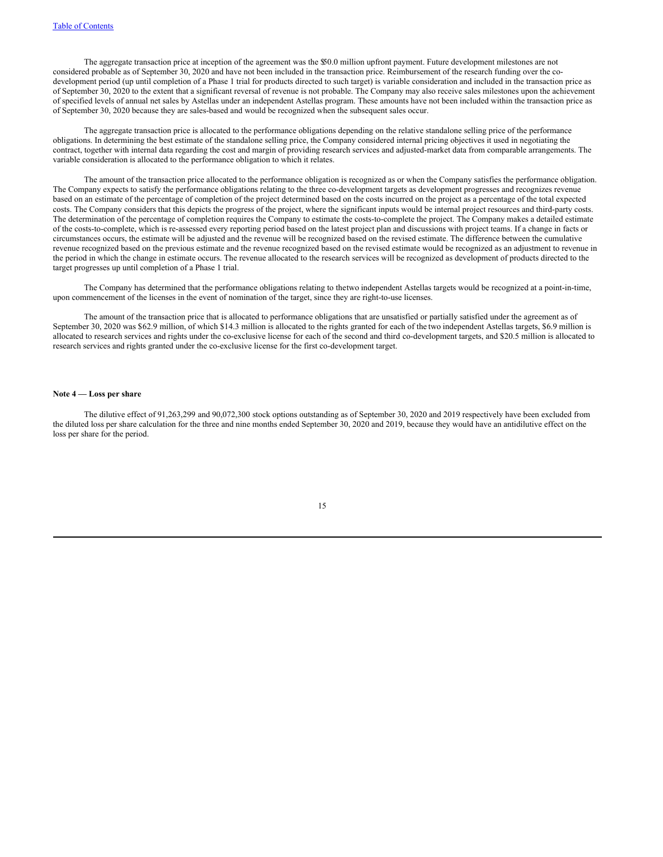The aggregate transaction price at inception of the agreement was the \$50.0 million upfront payment. Future development milestones are not considered probable as of September 30, 2020 and have not been included in the transaction price. Reimbursement of the research funding over the codevelopment period (up until completion of a Phase 1 trial for products directed to such target) is variable consideration and included in the transaction price as of September 30, 2020 to the extent that a significant reversal of revenue is not probable. The Company may also receive sales milestones upon the achievement of specified levels of annual net sales by Astellas under an independent Astellas program. These amounts have not been included within the transaction price as of September 30, 2020 because they are sales-based and would be recognized when the subsequent sales occur.

The aggregate transaction price is allocated to the performance obligations depending on the relative standalone selling price of the performance obligations. In determining the best estimate of the standalone selling price, the Company considered internal pricing objectives it used in negotiating the contract, together with internal data regarding the cost and margin of providing research services and adjusted-market data from comparable arrangements. The variable consideration is allocated to the performance obligation to which it relates.

The amount of the transaction price allocated to the performance obligation is recognized as or when the Company satisfies the performance obligation. The Company expects to satisfy the performance obligations relating to the three co-development targets as development progresses and recognizes revenue based on an estimate of the percentage of completion of the project determined based on the costs incurred on the project as a percentage of the total expected costs. The Company considers that this depicts the progress of the project, where the significant inputs would be internal project resources and third-party costs. The determination of the percentage of completion requires the Company to estimate the costs-to-complete the project. The Company makes a detailed estimate of the costs-to-complete, which is re-assessed every reporting period based on the latest project plan and discussions with project teams. If a change in facts or circumstances occurs, the estimate will be adjusted and the revenue will be recognized based on the revised estimate. The difference between the cumulative revenue recognized based on the previous estimate and the revenue recognized based on the revised estimate would be recognized as an adjustment to revenue in the period in which the change in estimate occurs. The revenue allocated to the research services will be recognized as development of products directed to the target progresses up until completion of a Phase 1 trial.

The Company has determined that the performance obligations relating to thetwo independent Astellas targets would be recognized at a point-in-time, upon commencement of the licenses in the event of nomination of the target, since they are right-to-use licenses.

The amount of the transaction price that is allocated to performance obligations that are unsatisfied or partially satisfied under the agreement as of September 30, 2020 was \$62.9 million, of which \$14.3 million is allocated to the rights granted for each of the two independent Astellas targets, \$6.9 million is allocated to research services and rights under the co-exclusive license for each of the second and third co-development targets, and \$20.5 million is allocated to research services and rights granted under the co-exclusive license for the first co-development target.

#### **Note 4 — Loss per share**

The dilutive effect of 91,263,299 and 90,072,300 stock options outstanding as of September 30, 2020 and 2019 respectively have been excluded from the diluted loss per share calculation for the three and nine months ended September 30, 2020 and 2019, because they would have an antidilutive effect on the loss per share for the period.

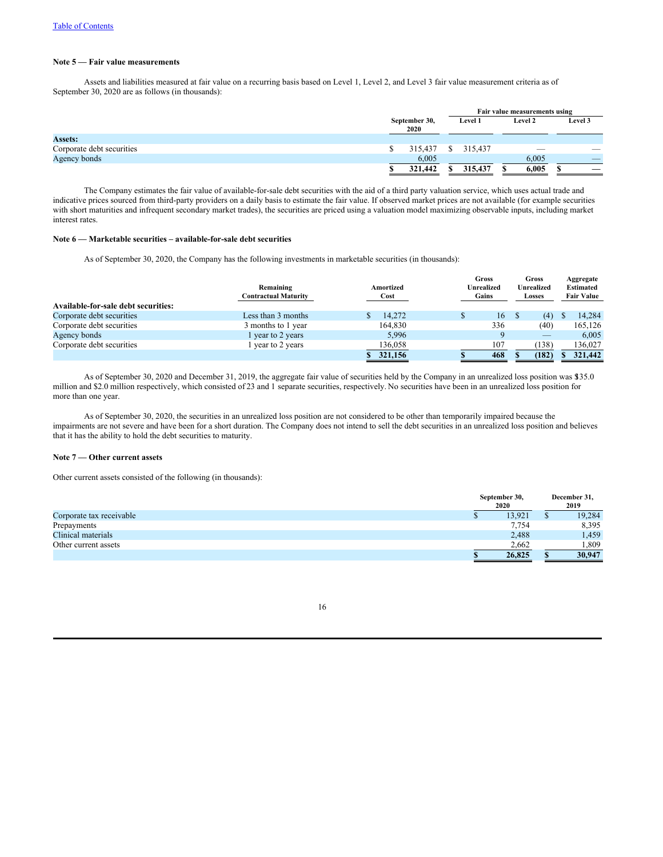#### **Note 5 — Fair value measurements**

Assets and liabilities measured at fair value on a recurring basis based on Level 1, Level 2, and Level 3 fair value measurement criteria as of September 30, 2020 are as follows (in thousands):

|                           |                       |         |    |         |                | Fair value measurements using |         |
|---------------------------|-----------------------|---------|----|---------|----------------|-------------------------------|---------|
|                           | September 30,<br>2020 |         |    | Level 1 | <b>Level 2</b> |                               | Level 3 |
| <b>Assets:</b>            |                       |         |    |         |                |                               |         |
| Corporate debt securities |                       | 315,437 | S. | 315,437 |                | $\overline{\phantom{a}}$      |         |
| Agency bonds              |                       | 6,005   |    |         |                | 6,005                         |         |
|                           |                       | 321,442 |    | 315,437 |                | 6,005                         |         |

The Company estimates the fair value of available-for-sale debt securities with the aid of a third party valuation service, which uses actual trade and indicative prices sourced from third-party providers on a daily basis to estimate the fair value. If observed market prices are not available (for example securities with short maturities and infrequent secondary market trades), the securities are priced using a valuation model maximizing observable inputs, including market interest rates.

## **Note 6 — Marketable securities – available-for-sale debt securities**

As of September 30, 2020, the Company has the following investments in marketable securities (in thousands):

|                                     | Remaining<br><b>Contractual Maturity</b> | Amortized<br>Cost | Gross<br>Unrealized<br>Gains | Gross<br><b>Unrealized</b><br><b>Losses</b> | Aggregate<br><b>Estimated</b><br><b>Fair Value</b> |
|-------------------------------------|------------------------------------------|-------------------|------------------------------|---------------------------------------------|----------------------------------------------------|
| Available-for-sale debt securities: |                                          |                   |                              |                                             |                                                    |
| Corporate debt securities           | Less than 3 months                       | 14,272            | 16                           | (4)                                         | 14,284                                             |
| Corporate debt securities           | 3 months to 1 year                       | 164,830           | 336                          | (40)                                        | 165,126                                            |
| Agency bonds                        | 1 year to 2 years                        | 5.996             |                              | $\overline{\phantom{a}}$                    | 6.005                                              |
| Corporate debt securities           | year to 2 years                          | 136.058           | 107                          | (138)                                       | 136,027                                            |
|                                     |                                          | \$321,156         | 468                          | (182)                                       | 321,442                                            |

As of September 30, 2020 and December 31, 2019, the aggregate fair value of securities held by the Company in an unrealized loss position was \$135.0 million and \$2.0 million respectively, which consisted of 23 and 1 separate securities, respectively. No securities have been in an unrealized loss position for more than one year.

As of September 30, 2020, the securities in an unrealized loss position are not considered to be other than temporarily impaired because the impairments are not severe and have been for a short duration. The Company does not intend to sell the debt securities in an unrealized loss position and believes that it has the ability to hold the debt securities to maturity.

## **Note 7 — Other current assets**

Other current assets consisted of the following (in thousands):

|                          |   | September 30,<br>2020 |  |        |
|--------------------------|---|-----------------------|--|--------|
| Corporate tax receivable | ل | 13.921                |  | 19,284 |
| Prepayments              |   | 7.754                 |  | 8,395  |
| Clinical materials       |   | 2,488                 |  | 1,459  |
| Other current assets     |   | 2.662                 |  | 1.809  |
|                          |   | 26,825                |  | 30.947 |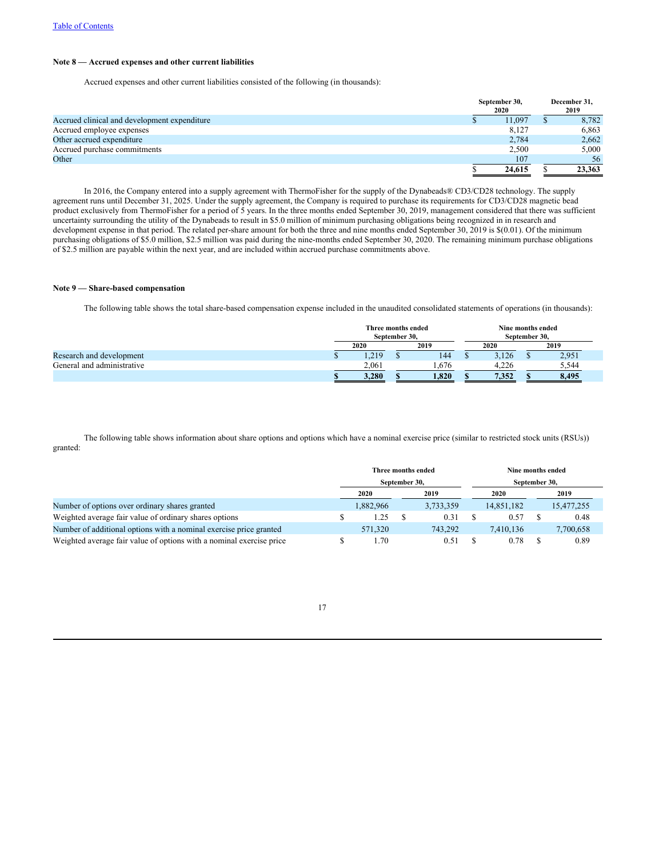## **Note 8 — Accrued expenses and other current liabilities**

Accrued expenses and other current liabilities consisted of the following (in thousands):

|                                              | September 30,<br>2020 | December 31,<br>2019 |
|----------------------------------------------|-----------------------|----------------------|
| Accrued clinical and development expenditure | 11.097                | 8,782                |
| Accrued employee expenses                    | 8.127                 | 6,863                |
| Other accrued expenditure                    | 2,784                 | 2,662                |
| Accrued purchase commitments                 | 2.500                 | 5.000                |
| Other                                        | 107                   | 56                   |
|                                              | 24,615                | 23,363               |

In 2016, the Company entered into a supply agreement with ThermoFisher for the supply of the Dynabeads® CD3/CD28 technology. The supply agreement runs until December 31, 2025. Under the supply agreement, the Company is required to purchase its requirements for CD3/CD28 magnetic bead product exclusively from ThermoFisher for a period of 5 years. In the three months ended September 30, 2019, management considered that there was sufficient uncertainty surrounding the utility of the Dynabeads to result in \$5.0 million of minimum purchasing obligations being recognized in in research and development expense in that period. The related per-share amount for both the three and nine months ended September 30, 2019 is \$(0.01). Of the minimum purchasing obligations of \$5.0 million, \$2.5 million was paid during the nine-months ended September 30, 2020. The remaining minimum purchase obligations of \$2.5 million are payable within the next year, and are included within accrued purchase commitments above.

## **Note 9 — Share-based compensation**

The following table shows the total share-based compensation expense included in the unaudited consolidated statements of operations (in thousands):

|                            |              | Three months ended<br>September 30. |       | Nine months ended<br>September 30. |      |       |
|----------------------------|--------------|-------------------------------------|-------|------------------------------------|------|-------|
|                            | 2019<br>2020 |                                     | 2020  |                                    | 2019 |       |
| Research and development   | 1.219        |                                     | 144   | 3.126                              |      | 2,951 |
| General and administrative | 2.061        |                                     | .676  | 4.226                              |      | 5,544 |
|                            | 3.280        |                                     | 1.820 | 7.352                              |      | 8.495 |

The following table shows information about share options and options which have a nominal exercise price (similar to restricted stock units (RSUs)) granted:

|                                                                      |  | Three months ended<br>September 30, |  |           |  | Nine months ended |  |            |  |
|----------------------------------------------------------------------|--|-------------------------------------|--|-----------|--|-------------------|--|------------|--|
|                                                                      |  |                                     |  |           |  | September 30,     |  |            |  |
|                                                                      |  | 2020                                |  | 2019      |  | 2020              |  | 2019       |  |
| Number of options over ordinary shares granted                       |  | 1.882.966                           |  | 3,733,359 |  | 14.851.182        |  | 15,477,255 |  |
| Weighted average fair value of ordinary shares options               |  | 1.25                                |  | 0.31      |  | 0.57              |  | 0.48       |  |
| Number of additional options with a nominal exercise price granted   |  | 571,320                             |  | 743.292   |  | 7.410.136         |  | 7,700,658  |  |
| Weighted average fair value of options with a nominal exercise price |  | 1.70                                |  | 0.51      |  | 0.78              |  | 0.89       |  |

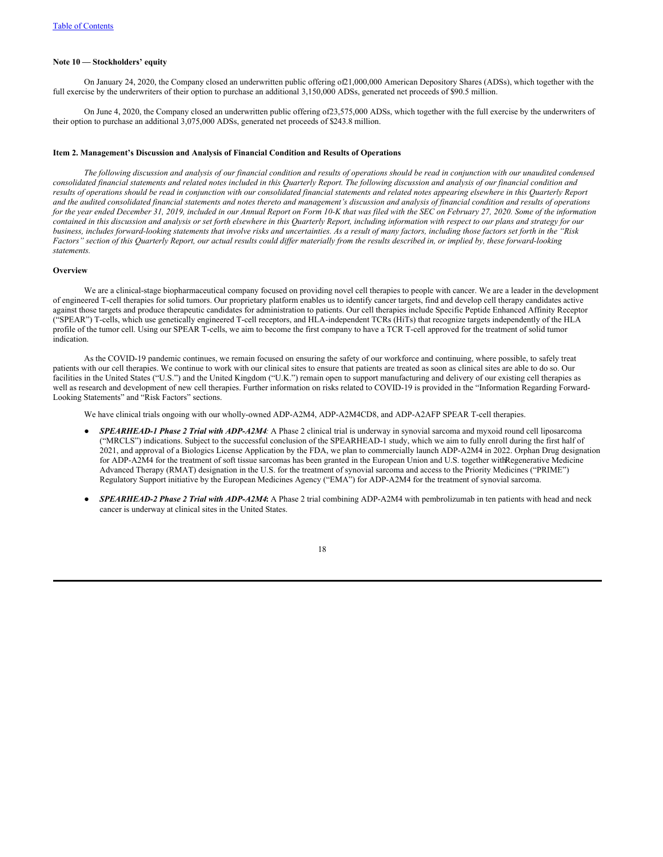#### **Note 10 — Stockholders' equity**

On January 24, 2020, the Company closed an underwritten public offering of21,000,000 American Depository Shares (ADSs), which together with the full exercise by the underwriters of their option to purchase an additional 3,150,000 ADSs, generated net proceeds of \$90.5 million.

On June 4, 2020, the Company closed an underwritten public offering of23,575,000 ADSs, which together with the full exercise by the underwriters of their option to purchase an additional 3,075,000 ADSs, generated net proceeds of \$243.8 million.

#### **Item 2. Management's Discussion and Analysis of Financial Condition and Results of Operations**

The following discussion and analysis of our financial condition and results of operations should be read in conjunction with our unaudited condensed consolidated financial statements and related notes included in this Quarterly Report. The following discussion and analysis of our financial condition and results of operations should be read in conjunction with our consolidated financial statements and related notes appearing elsewhere in this Ouarterly Report and the audited consolidated financial statements and notes thereto and management's discussion and analysis of financial condition and results of operations for the vear ended December 31, 2019, included in our Annual Report on Form 10-K that was filed with the SEC on February 27, 2020. Some of the information contained in this discussion and analysis or set forth elsewhere in this Quarterly Report, including information with respect to our plans and strategy for our business, includes forward-looking statements that involve risks and uncertainties. As a result of many factors, including those factors set forth in the "Risk Factors" section of this Quarterly Report, our actual results could differ materially from the results described in, or implied by, these forward-looking *statements.*

#### **Overview**

We are a clinical-stage biopharmaceutical company focused on providing novel cell therapies to people with cancer. We are a leader in the development of engineered T-cell therapies for solid tumors. Our proprietary platform enables us to identify cancer targets, find and develop cell therapy candidates active against those targets and produce therapeutic candidates for administration to patients. Our cell therapies include Specific Peptide Enhanced Affinity Receptor ("SPEAR") T-cells, which use genetically engineered T-cell receptors, and HLA-independent TCRs (HiTs) that recognize targets independently of the HLA profile of the tumor cell. Using our SPEAR T-cells, we aim to become the first company to have a TCR T-cell approved for the treatment of solid tumor indication.

As the COVID-19 pandemic continues, we remain focused on ensuring the safety of our workforce and continuing, where possible, to safely treat patients with our cell therapies. We continue to work with our clinical sites to ensure that patients are treated as soon as clinical sites are able to do so. Our facilities in the United States ("U.S.") and the United Kingdom ("U.K.") remain open to support manufacturing and delivery of our existing cell therapies as well as research and development of new cell therapies. Further information on risks related to COVID-19 is provided in the "Information Regarding Forward-Looking Statements" and "Risk Factors" sections.

We have clinical trials ongoing with our wholly-owned ADP-A2M4, ADP-A2M4CD8, and ADP-A2AFP SPEAR T-cell therapies.

- *SPEARHEAD-1 Phase 2 Trial with ADP-A2M4:* A Phase 2 clinical trial is underway in synovial sarcoma and myxoid round cell liposarcoma ("MRCLS") indications. Subject to the successful conclusion of the SPEARHEAD-1 study, which we aim to fully enroll during the first half of 2021, and approval of a Biologics License Application by the FDA, we plan to commercially launch ADP-A2M4 in 2022. Orphan Drug designation for ADP-A2M4 for the treatment of soft tissue sarcomas has been granted in the European Union and U.S. together withRegenerative Medicine Advanced Therapy (RMAT) designation in the U.S. for the treatment of synovial sarcoma and access to the Priority Medicines ("PRIME") Regulatory Support initiative by the European Medicines Agency ("EMA") for ADP-A2M4 for the treatment of synovial sarcoma.
- *SPEARHEAD-2 Phase 2 Trial with ADP-A2M4***:** A Phase 2 trial combining ADP-A2M4 with pembrolizumab in ten patients with head and neck cancer is underway at clinical sites in the United States.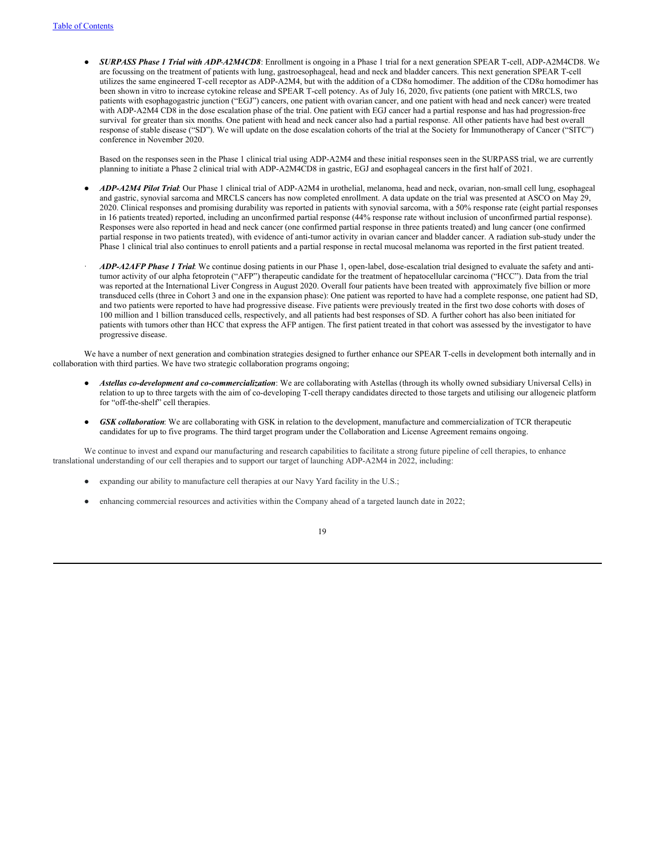● *SURPASS Phase 1 Trial with ADP-A2M4CD8*: Enrollment is ongoing in a Phase 1 trial for a next generation SPEAR T-cell, ADP-A2M4CD8. We are focussing on the treatment of patients with lung, gastroesophageal, head and neck and bladder cancers. This next generation SPEAR T-cell utilizes the same engineered T-cell receptor as ADP-A2M4, but with the addition of a CD8α homodimer. The addition of the CD8α homodimer has been shown in vitro to increase cytokine release and SPEAR T-cell potency. As of July 16, 2020, five patients (one patient with MRCLS, two patients with esophagogastric junction ("EGJ") cancers, one patient with ovarian cancer, and one patient with head and neck cancer) were treated with ADP-A2M4 CD8 in the dose escalation phase of the trial. One patient with EGJ cancer had a partial response and has had progression-free survival for greater than six months. One patient with head and neck cancer also had a partial response. All other patients have had best overall response of stable disease ("SD"). We will update on the dose escalation cohorts of the trial at the Society for Immunotherapy of Cancer ("SITC") conference in November 2020.

Based on the responses seen in the Phase 1 clinical trial using ADP-A2M4 and these initial responses seen in the SURPASS trial, we are currently planning to initiate a Phase 2 clinical trial with ADP-A2M4CD8 in gastric, EGJ and esophageal cancers in the first half of 2021.

- *ADP-A2M4 Pilot Trial*: Our Phase 1 clinical trial of ADP-A2M4 in urothelial, melanoma, head and neck, ovarian, non-small cell lung, esophageal and gastric, synovial sarcoma and MRCLS cancers has now completed enrollment. A data update on the trial was presented at ASCO on May 29, 2020. Clinical responses and promising durability was reported in patients with synovial sarcoma, with a 50% response rate (eight partial responses in 16 patients treated) reported, including an unconfirmed partial response (44% response rate without inclusion of unconfirmed partial response). Responses were also reported in head and neck cancer (one confirmed partial response in three patients treated) and lung cancer (one confirmed partial response in two patients treated), with evidence of anti-tumor activity in ovarian cancer and bladder cancer. A radiation sub-study under the Phase 1 clinical trial also continues to enroll patients and a partial response in rectal mucosal melanoma was reported in the first patient treated.
- · *ADP-A2AFP Phase 1 Trial*: We continue dosing patients in our Phase 1, open-label, dose-escalation trial designed to evaluate the safety and antitumor activity of our alpha fetoprotein ("AFP") therapeutic candidate for the treatment of hepatocellular carcinoma ("HCC"). Data from the trial was reported at the International Liver Congress in August 2020. Overall four patients have been treated with approximately five billion or more transduced cells (three in Cohort 3 and one in the expansion phase): One patient was reported to have had a complete response, one patient had SD, and two patients were reported to have had progressive disease. Five patients were previously treated in the first two dose cohorts with doses of 100 million and 1 billion transduced cells, respectively, and all patients had best responses of SD. A further cohort has also been initiated for patients with tumors other than HCC that express the AFP antigen. The first patient treated in that cohort was assessed by the investigator to have progressive disease.

We have a number of next generation and combination strategies designed to further enhance our SPEAR T-cells in development both internally and in collaboration with third parties. We have two strategic collaboration programs ongoing;

- *Astellas co-development and co-commercialization*: We are collaborating with Astellas (through its wholly owned subsidiary Universal Cells) in relation to up to three targets with the aim of co-developing T-cell therapy candidates directed to those targets and utilising our allogeneic platform for "off-the-shelf" cell therapies.
- **GSK collaboration**: We are collaborating with GSK in relation to the development, manufacture and commercialization of TCR therapeutic candidates for up to five programs. The third target program under the Collaboration and License Agreement remains ongoing.

We continue to invest and expand our manufacturing and research capabilities to facilitate a strong future pipeline of cell therapies, to enhance translational understanding of our cell therapies and to support our target of launching ADP-A2M4 in 2022, including:

- expanding our ability to manufacture cell therapies at our Navy Yard facility in the U.S.;
- enhancing commercial resources and activities within the Company ahead of a targeted launch date in 2022;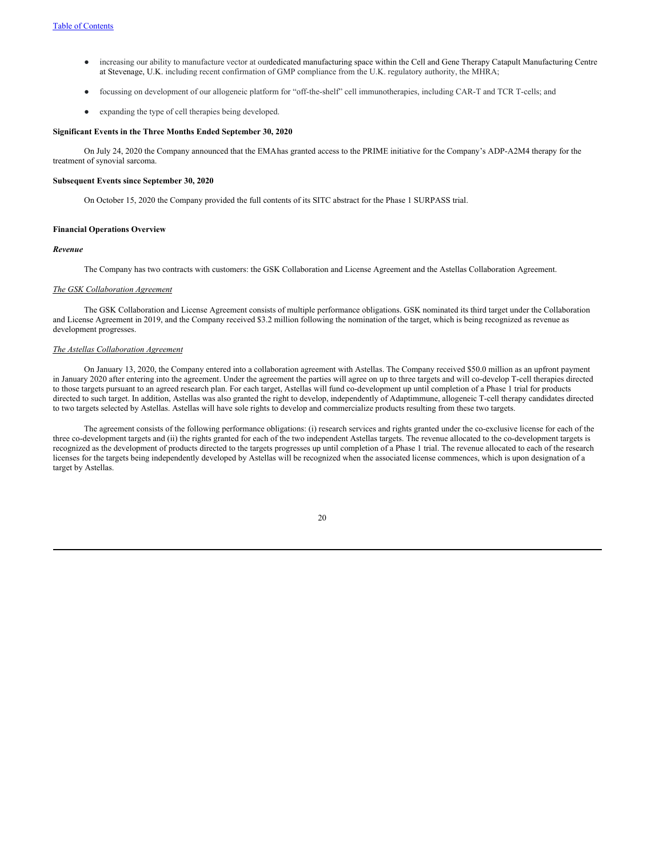- increasing our ability to manufacture vector at ourdedicated manufacturing space within the Cell and Gene Therapy Catapult Manufacturing Centre at Stevenage, U.K. including recent confirmation of GMP compliance from the U.K. regulatory authority, the MHRA;
- focussing on development of our allogeneic platform for "off-the-shelf" cell immunotherapies, including CAR-T and TCR T-cells; and
- expanding the type of cell therapies being developed.

### **Significant Events in the Three Months Ended September 30, 2020**

On July 24, 2020 the Company announced that the EMAhas granted access to the PRIME initiative for the Company's ADP-A2M4 therapy for the treatment of synovial sarcoma.

## **Subsequent Events since September 30, 2020**

On October 15, 2020 the Company provided the full contents of its SITC abstract for the Phase 1 SURPASS trial.

#### **Financial Operations Overview**

#### *Revenue*

The Company has two contracts with customers: the GSK Collaboration and License Agreement and the Astellas Collaboration Agreement.

#### *The GSK Collaboration Agreement*

The GSK Collaboration and License Agreement consists of multiple performance obligations. GSK nominated its third target under the Collaboration and License Agreement in 2019, and the Company received \$3.2 million following the nomination of the target, which is being recognized as revenue as development progresses.

## *The Astellas Collaboration Agreement*

On January 13, 2020, the Company entered into a collaboration agreement with Astellas. The Company received \$50.0 million as an upfront payment in January 2020 after entering into the agreement. Under the agreement the parties will agree on up to three targets and will co-develop T-cell therapies directed to those targets pursuant to an agreed research plan. For each target, Astellas will fund co-development up until completion of a Phase 1 trial for products directed to such target. In addition, Astellas was also granted the right to develop, independently of Adaptimmune, allogeneic T-cell therapy candidates directed to two targets selected by Astellas. Astellas will have sole rights to develop and commercialize products resulting from these two targets.

The agreement consists of the following performance obligations: (i) research services and rights granted under the co-exclusive license for each of the three co-development targets and (ii) the rights granted for each of the two independent Astellas targets. The revenue allocated to the co-development targets is recognized as the development of products directed to the targets progresses up until completion of a Phase 1 trial. The revenue allocated to each of the research licenses for the targets being independently developed by Astellas will be recognized when the associated license commences, which is upon designation of a target by Astellas.

| v |        |  |
|---|--------|--|
|   | I<br>٧ |  |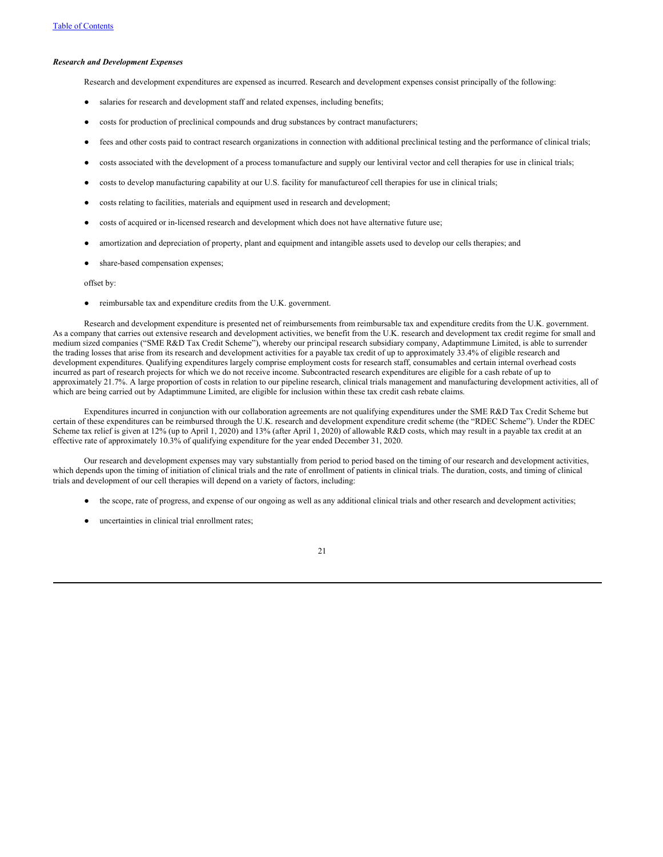#### *Research and Development Expenses*

Research and development expenditures are expensed as incurred. Research and development expenses consist principally of the following:

- salaries for research and development staff and related expenses, including benefits;
- costs for production of preclinical compounds and drug substances by contract manufacturers;
- fees and other costs paid to contract research organizations in connection with additional preclinical testing and the performance of clinical trials;
- costs associated with the development of a process tomanufacture and supply our lentiviral vector and cell therapies for use in clinical trials;
- costs to develop manufacturing capability at our U.S. facility for manufactureof cell therapies for use in clinical trials;
- costs relating to facilities, materials and equipment used in research and development;
- costs of acquired or in-licensed research and development which does not have alternative future use;
- amortization and depreciation of property, plant and equipment and intangible assets used to develop our cells therapies; and
- share-based compensation expenses;

offset by:

● reimbursable tax and expenditure credits from the U.K. government.

Research and development expenditure is presented net of reimbursements from reimbursable tax and expenditure credits from the U.K. government. As a company that carries out extensive research and development activities, we benefit from the U.K. research and development tax credit regime for small and medium sized companies ("SME R&D Tax Credit Scheme"), whereby our principal research subsidiary company, Adaptimmune Limited, is able to surrender the trading losses that arise from its research and development activities for a payable tax credit of up to approximately 33.4% of eligible research and development expenditures. Qualifying expenditures largely comprise employment costs for research staff, consumables and certain internal overhead costs incurred as part of research projects for which we do not receive income. Subcontracted research expenditures are eligible for a cash rebate of up to approximately 21.7%. A large proportion of costs in relation to our pipeline research, clinical trials management and manufacturing development activities, all of which are being carried out by Adaptimmune Limited, are eligible for inclusion within these tax credit cash rebate claims.

Expenditures incurred in conjunction with our collaboration agreements are not qualifying expenditures under the SME R&D Tax Credit Scheme but certain of these expenditures can be reimbursed through the U.K. research and development expenditure credit scheme (the "RDEC Scheme"). Under the RDEC Scheme tax relief is given at 12% (up to April 1, 2020) and 13% (after April 1, 2020) of allowable R&D costs, which may result in a payable tax credit at an effective rate of approximately 10.3% of qualifying expenditure for the year ended December 31, 2020.

Our research and development expenses may vary substantially from period to period based on the timing of our research and development activities, which depends upon the timing of initiation of clinical trials and the rate of enrollment of patients in clinical trials. The duration, costs, and timing of clinical trials and development of our cell therapies will depend on a variety of factors, including:

- the scope, rate of progress, and expense of our ongoing as well as any additional clinical trials and other research and development activities;
- uncertainties in clinical trial enrollment rates: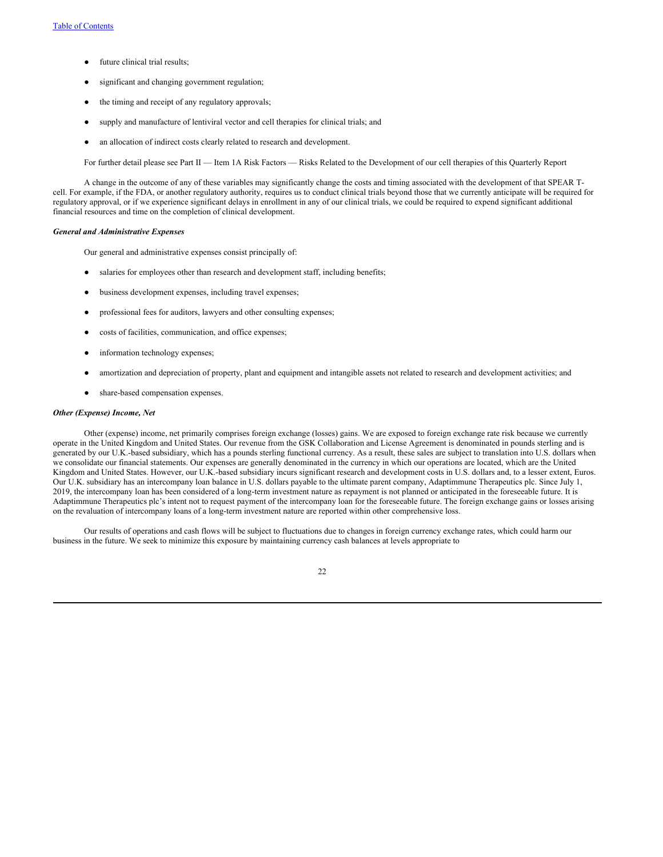- future clinical trial results;
- significant and changing government regulation;
- the timing and receipt of any regulatory approvals;
- supply and manufacture of lentiviral vector and cell therapies for clinical trials; and
- an allocation of indirect costs clearly related to research and development.

For further detail please see Part II — Item 1A Risk Factors — Risks Related to the Development of our cell therapies of this Quarterly Report

A change in the outcome of any of these variables may significantly change the costs and timing associated with the development of that SPEAR Tcell. For example, if the FDA, or another regulatory authority, requires us to conduct clinical trials beyond those that we currently anticipate will be required for regulatory approval, or if we experience significant delays in enrollment in any of our clinical trials, we could be required to expend significant additional financial resources and time on the completion of clinical development.

#### *General and Administrative Expenses*

Our general and administrative expenses consist principally of:

- salaries for employees other than research and development staff, including benefits;
- business development expenses, including travel expenses;
- professional fees for auditors, lawyers and other consulting expenses;
- costs of facilities, communication, and office expenses;
- information technology expenses;
- amortization and depreciation of property, plant and equipment and intangible assets not related to research and development activities; and
- share-based compensation expenses.

#### *Other (Expense) Income, Net*

Other (expense) income, net primarily comprises foreign exchange (losses) gains. We are exposed to foreign exchange rate risk because we currently operate in the United Kingdom and United States. Our revenue from the GSK Collaboration and License Agreement is denominated in pounds sterling and is generated by our U.K.-based subsidiary, which has a pounds sterling functional currency. As a result, these sales are subject to translation into U.S. dollars when we consolidate our financial statements. Our expenses are generally denominated in the currency in which our operations are located, which are the United Kingdom and United States. However, our U.K.-based subsidiary incurs significant research and development costs in U.S. dollars and, to a lesser extent, Euros. Our U.K. subsidiary has an intercompany loan balance in U.S. dollars payable to the ultimate parent company, Adaptimmune Therapeutics plc. Since July 1, 2019, the intercompany loan has been considered of a long-term investment nature as repayment is not planned or anticipated in the foreseeable future. It is Adaptimmune Therapeutics plc's intent not to request payment of the intercompany loan for the foreseeable future. The foreign exchange gains or losses arising on the revaluation of intercompany loans of a long-term investment nature are reported within other comprehensive loss.

Our results of operations and cash flows will be subject to fluctuations due to changes in foreign currency exchange rates, which could harm our business in the future. We seek to minimize this exposure by maintaining currency cash balances at levels appropriate to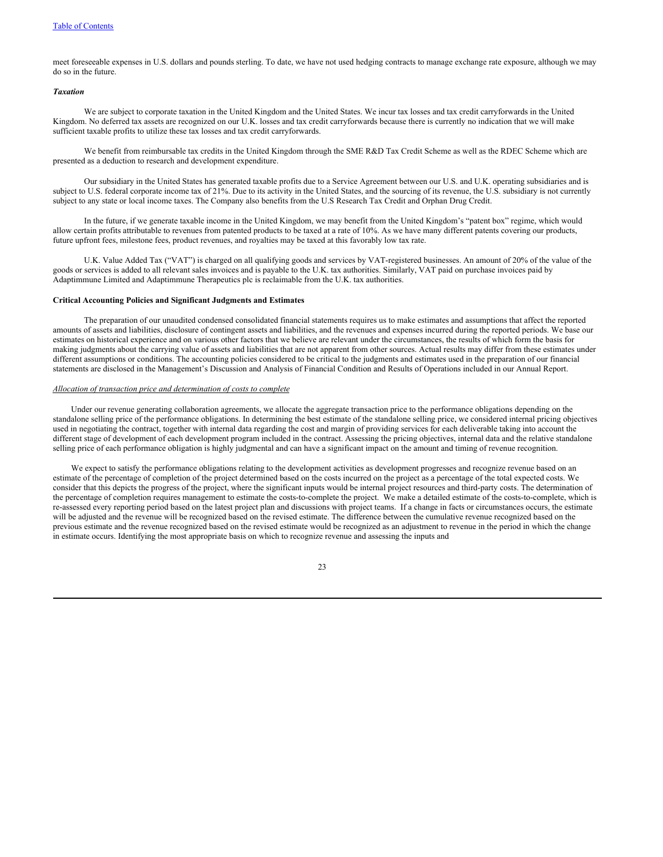meet foreseeable expenses in U.S. dollars and pounds sterling. To date, we have not used hedging contracts to manage exchange rate exposure, although we may do so in the future.

## *Taxation*

We are subject to corporate taxation in the United Kingdom and the United States. We incur tax losses and tax credit carryforwards in the United Kingdom. No deferred tax assets are recognized on our U.K. losses and tax credit carryforwards because there is currently no indication that we will make sufficient taxable profits to utilize these tax losses and tax credit carryforwards.

We benefit from reimbursable tax credits in the United Kingdom through the SME R&D Tax Credit Scheme as well as the RDEC Scheme which are presented as a deduction to research and development expenditure.

Our subsidiary in the United States has generated taxable profits due to a Service Agreement between our U.S. and U.K. operating subsidiaries and is subject to U.S. federal corporate income tax of 21%. Due to its activity in the United States, and the sourcing of its revenue, the U.S. subsidiary is not currently subject to any state or local income taxes. The Company also benefits from the U.S Research Tax Credit and Orphan Drug Credit.

In the future, if we generate taxable income in the United Kingdom, we may benefit from the United Kingdom's "patent box" regime, which would allow certain profits attributable to revenues from patented products to be taxed at a rate of 10%. As we have many different patents covering our products, future upfront fees, milestone fees, product revenues, and royalties may be taxed at this favorably low tax rate.

U.K. Value Added Tax ("VAT") is charged on all qualifying goods and services by VAT-registered businesses. An amount of 20% of the value of the goods or services is added to all relevant sales invoices and is payable to the U.K. tax authorities. Similarly, VAT paid on purchase invoices paid by Adaptimmune Limited and Adaptimmune Therapeutics plc is reclaimable from the U.K. tax authorities.

#### **Critical Accounting Policies and Significant Judgments and Estimates**

The preparation of our unaudited condensed consolidated financial statements requires us to make estimates and assumptions that affect the reported amounts of assets and liabilities, disclosure of contingent assets and liabilities, and the revenues and expenses incurred during the reported periods. We base our estimates on historical experience and on various other factors that we believe are relevant under the circumstances, the results of which form the basis for making judgments about the carrying value of assets and liabilities that are not apparent from other sources. Actual results may differ from these estimates under different assumptions or conditions. The accounting policies considered to be critical to the judgments and estimates used in the preparation of our financial statements are disclosed in the Management's Discussion and Analysis of Financial Condition and Results of Operations included in our Annual Report.

#### *Allocation of transaction price and determination of costs to complete*

Under our revenue generating collaboration agreements, we allocate the aggregate transaction price to the performance obligations depending on the standalone selling price of the performance obligations. In determining the best estimate of the standalone selling price, we considered internal pricing objectives used in negotiating the contract, together with internal data regarding the cost and margin of providing services for each deliverable taking into account the different stage of development of each development program included in the contract. Assessing the pricing objectives, internal data and the relative standalone selling price of each performance obligation is highly judgmental and can have a significant impact on the amount and timing of revenue recognition.

We expect to satisfy the performance obligations relating to the development activities as development progresses and recognize revenue based on an estimate of the percentage of completion of the project determined based on the costs incurred on the project as a percentage of the total expected costs. We consider that this depicts the progress of the project, where the significant inputs would be internal project resources and third-party costs. The determination of the percentage of completion requires management to estimate the costs-to-complete the project. We make a detailed estimate of the costs-to-complete, which is re-assessed every reporting period based on the latest project plan and discussions with project teams. If a change in facts or circumstances occurs, the estimate will be adjusted and the revenue will be recognized based on the revised estimate. The difference between the cumulative revenue recognized based on the previous estimate and the revenue recognized based on the revised estimate would be recognized as an adjustment to revenue in the period in which the change in estimate occurs. Identifying the most appropriate basis on which to recognize revenue and assessing the inputs and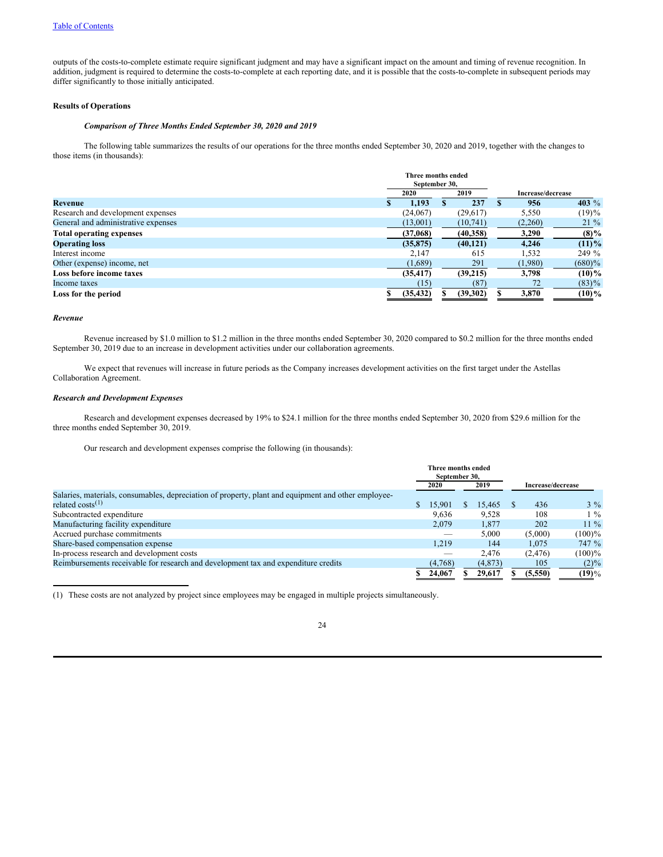outputs of the costs-to-complete estimate require significant judgment and may have a significant impact on the amount and timing of revenue recognition. In addition, judgment is required to determine the costs-to-complete at each reporting date, and it is possible that the costs-to-complete in subsequent periods may differ significantly to those initially anticipated.

## **Results of Operations**

## *Comparison of Three Months Ended September 30, 2020 and 2019*

The following table summarizes the results of our operations for the three months ended September 30, 2020 and 2019, together with the changes to those items (in thousands):

|                                     |               | Three months ended |  |                   |   |         |           |
|-------------------------------------|---------------|--------------------|--|-------------------|---|---------|-----------|
|                                     | September 30. |                    |  |                   |   |         |           |
|                                     |               | 2020<br>2019       |  | Increase/decrease |   |         |           |
| Revenue                             |               | 1.193              |  | 237               | S | 956     | 403 %     |
| Research and development expenses   |               | (24,067)           |  | (29,617)          |   | 5,550   | $(19)\%$  |
| General and administrative expenses |               | (13,001)           |  | (10,741)          |   | (2,260) | $21\%$    |
| <b>Total operating expenses</b>     |               | (37,068)           |  | (40, 358)         |   | 3,290   | $(8)\%$   |
| <b>Operating loss</b>               |               | (35, 875)          |  | (40, 121)         |   | 4.246   | $(11)\%$  |
| Interest income                     |               | 2.147              |  | 615               |   | 1,532   | 249 %     |
| Other (expense) income, net         |               | (1,689)            |  | 291               |   | (1,980) | $(680)\%$ |
| Loss before income taxes            |               | (35, 417)          |  | (39,215)          |   | 3.798   | $(10)\%$  |
| Income taxes                        |               | (15)               |  | (87)              |   | 72      | $(83)\%$  |
| Loss for the period                 |               | (35, 432)          |  | (39,302)          |   | 3,870   | $(10)\%$  |

#### *Revenue*

Revenue increased by \$1.0 million to \$1.2 million in the three months ended September 30, 2020 compared to \$0.2 million for the three months ended September 30, 2019 due to an increase in development activities under our collaboration agreements.

We expect that revenues will increase in future periods as the Company increases development activities on the first target under the Astellas Collaboration Agreement.

## *Research and Development Expenses*

Research and development expenses decreased by 19% to \$24.1 million for the three months ended September 30, 2020 from \$29.6 million for the three months ended September 30, 2019.

Our research and development expenses comprise the following (in thousands):

|                                                                                                     | Three months ended<br>September 30, |         |      |         |  |                   |               |
|-----------------------------------------------------------------------------------------------------|-------------------------------------|---------|------|---------|--|-------------------|---------------|
|                                                                                                     |                                     | 2020    | 2019 |         |  | Increase/decrease |               |
| Salaries, materials, consumables, depreciation of property, plant and equipment and other employee- |                                     |         |      |         |  |                   |               |
| related $costs^{(1)}$                                                                               | S                                   | 15,901  |      | 15,465  |  | 436               | $3\%$         |
| Subcontracted expenditure                                                                           |                                     | 9.636   |      | 9,528   |  | 108               | $\frac{0}{0}$ |
| Manufacturing facility expenditure                                                                  |                                     | 2.079   |      | 1.877   |  | 202               | $11\%$        |
| Accrued purchase commitments                                                                        |                                     |         |      | 5.000   |  | (5,000)           | $(100)\%$     |
| Share-based compensation expense                                                                    |                                     | 1,219   |      | 144     |  | 1.075             | 747 %         |
| In-process research and development costs                                                           |                                     | _       |      | 2.476   |  | (2, 476)          | $(100)\%$     |
| Reimbursements receivable for research and development tax and expenditure credits                  |                                     | (4,768) |      | (4,873) |  | 105               | $(2)\%$       |
|                                                                                                     |                                     | 24,067  |      | 29,617  |  | (5,550)           | $(19)\%$      |

(1) These costs are not analyzed by project since employees may be engaged in multiple projects simultaneously.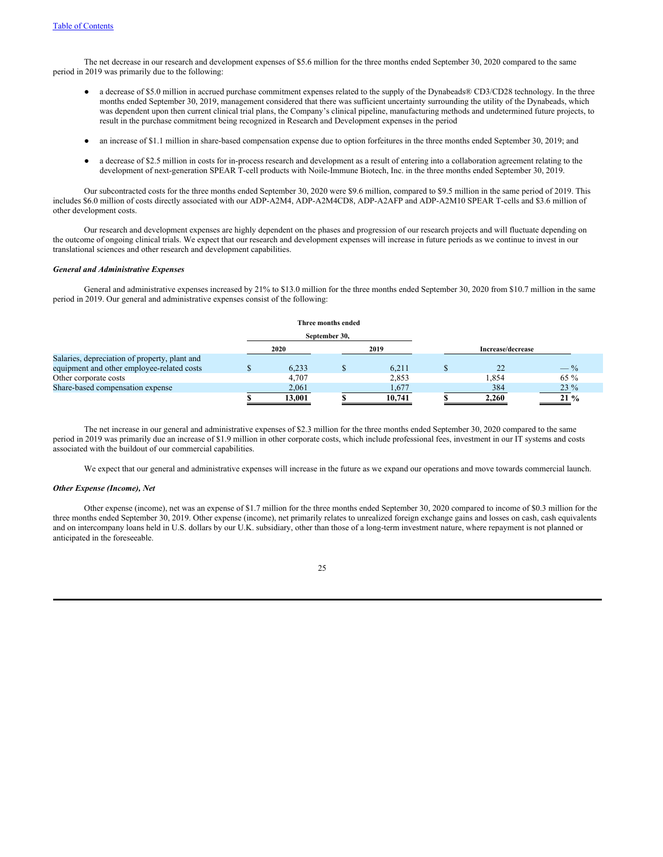The net decrease in our research and development expenses of \$5.6 million for the three months ended September 30, 2020 compared to the same period in 2019 was primarily due to the following:

- a decrease of \$5.0 million in accrued purchase commitment expenses related to the supply of the Dynabeads® CD3/CD28 technology. In the three months ended September 30, 2019, management considered that there was sufficient uncertainty surrounding the utility of the Dynabeads, which was dependent upon then current clinical trial plans, the Company's clinical pipeline, manufacturing methods and undetermined future projects, to result in the purchase commitment being recognized in Research and Development expenses in the period
- an increase of \$1.1 million in share-based compensation expense due to option forfeitures in the three months ended September 30, 2019; and
- a decrease of \$2.5 million in costs for in-process research and development as a result of entering into a collaboration agreement relating to the development of next-generation SPEAR T-cell products with Noile-Immune Biotech, Inc. in the three months ended September 30, 2019.

Our subcontracted costs for the three months ended September 30, 2020 were \$9.6 million, compared to \$9.5 million in the same period of 2019. This includes \$6.0 million of costs directly associated with our ADP-A2M4, ADP-A2M4CD8, ADP-A2AFP and ADP-A2M10 SPEAR T-cells and \$3.6 million of other development costs.

Our research and development expenses are highly dependent on the phases and progression of our research projects and will fluctuate depending on the outcome of ongoing clinical trials. We expect that our research and development expenses will increase in future periods as we continue to invest in our translational sciences and other research and development capabilities.

#### *General and Administrative Expenses*

General and administrative expenses increased by 21% to \$13.0 million for the three months ended September 30, 2020 from \$10.7 million in the same period in 2019. Our general and administrative expenses consist of the following:

|                                               |        | Three months ended |        |  |                   |                 |
|-----------------------------------------------|--------|--------------------|--------|--|-------------------|-----------------|
|                                               |        | September 30,      |        |  |                   |                 |
|                                               | 2020   |                    | 2019   |  | Increase/decrease |                 |
| Salaries, depreciation of property, plant and |        |                    |        |  |                   |                 |
| equipment and other employee-related costs    | 6.233  |                    | 6.211  |  | 22                | $- \frac{6}{6}$ |
| Other corporate costs                         | 4,707  |                    | 2,853  |  | 1,854             | 65 %            |
| Share-based compensation expense              | 2,061  |                    | 1,677  |  | 384               | $23\%$          |
|                                               | 13,001 |                    | 10,741 |  | 2,260             | $21\%$          |

The net increase in our general and administrative expenses of \$2.3 million for the three months ended September 30, 2020 compared to the same period in 2019 was primarily due an increase of \$1.9 million in other corporate costs, which include professional fees, investment in our IT systems and costs associated with the buildout of our commercial capabilities.

We expect that our general and administrative expenses will increase in the future as we expand our operations and move towards commercial launch.

## *Other Expense (Income), Net*

Other expense (income), net was an expense of \$1.7 million for the three months ended September 30, 2020 compared to income of \$0.3 million for the three months ended September 30, 2019. Other expense (income), net primarily relates to unrealized foreign exchange gains and losses on cash, cash equivalents and on intercompany loans held in U.S. dollars by our U.K. subsidiary, other than those of a long-term investment nature, where repayment is not planned or anticipated in the foreseeable.

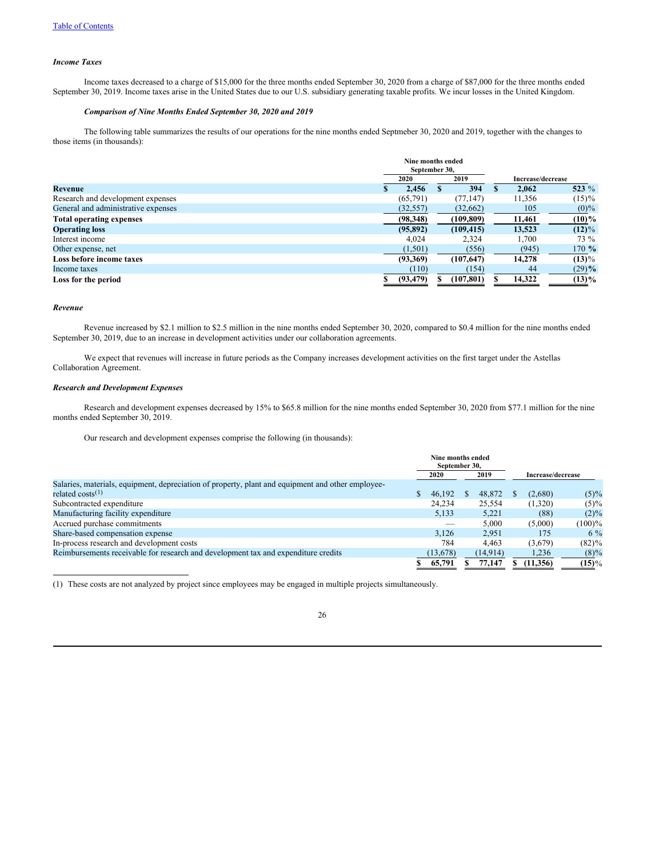#### *Income Taxes*

Income taxes decreased to a charge of \$15,000 for the three months ended September 30, 2020 from a charge of \$87,000 for the three months ended September 30, 2019. Income taxes arise in the United States due to our U.S. subsidiary generating taxable profits. We incur losses in the United Kingdom.

## *Comparison of Nine Months Ended September 30, 2020 and 2019*

The following table summarizes the results of our operations for the nine months ended Septmeber 30, 2020 and 2019, together with the changes to those items (in thousands):

|                                     |              | Nine months ended |                   |            |        |          |
|-------------------------------------|--------------|-------------------|-------------------|------------|--------|----------|
|                                     |              | September 30,     |                   |            |        |          |
|                                     | 2020<br>2019 |                   | Increase/decrease |            |        |          |
| Revenue                             |              | 2.456             |                   | 394        | 2.062  | 523 %    |
| Research and development expenses   |              | (65, 791)         |                   | (77, 147)  | 11,356 | $(15)\%$ |
| General and administrative expenses |              | (32, 557)         |                   | (32,662)   | 105    | $(0)\%$  |
| <b>Total operating expenses</b>     |              | (98, 348)         |                   | (109, 809) | 11,461 | $(10)\%$ |
| <b>Operating loss</b>               |              | (95, 892)         |                   | (109, 415) | 13,523 | $(12)\%$ |
| Interest income                     |              | 4.024             |                   | 2,324      | 1.700  | 73 %     |
| Other expense, net                  |              | (1,501)           |                   | (556)      | (945)  | $170 \%$ |
| Loss before income taxes            |              | (93,369)          |                   | (107, 647) | 14,278 | $(13)\%$ |
| Income taxes                        |              | (110)             |                   | (154)      | 44     | (29)%    |
| Loss for the period                 |              | (93, 479)         |                   | (107, 801) | 14,322 | $(13)\%$ |

## *Revenue*

Revenue increased by \$2.1 million to \$2.5 million in the nine months ended September 30, 2020, compared to \$0.4 million for the nine months ended September 30, 2019, due to an increase in development activities under our collaboration agreements.

We expect that revenues will increase in future periods as the Company increases development activities on the first target under the Astellas Collaboration Agreement.

### *Research and Development Expenses*

Research and development expenses decreased by 15% to \$65.8 million for the nine months ended September 30, 2020 from \$77.1 million for the nine months ended September 30, 2019.

Our research and development expenses comprise the following (in thousands):

|                                                                                                   | Nine months ended<br>September 30, |          |  |           |                   |           |  |
|---------------------------------------------------------------------------------------------------|------------------------------------|----------|--|-----------|-------------------|-----------|--|
|                                                                                                   |                                    | 2020     |  | 2019      | Increase/decrease |           |  |
| Salaries, materials, equipment, depreciation of property, plant and equipment and other employee- |                                    |          |  |           |                   |           |  |
| related $costs^{(1)}$                                                                             |                                    | 46,192   |  | 48,872    | (2,680)           | $(5)\%$   |  |
| Subcontracted expenditure                                                                         |                                    | 24.234   |  | 25,554    | (1,320)           | $(5)\%$   |  |
| Manufacturing facility expenditure                                                                |                                    | 5,133    |  | 5.221     | (88)              | $(2)\%$   |  |
| Accrued purchase commitments                                                                      |                                    |          |  | 5.000     | (5,000)           | $(100)\%$ |  |
| Share-based compensation expense                                                                  |                                    | 3,126    |  | 2.951     | 175               | $6\%$     |  |
| In-process research and development costs                                                         |                                    | 784      |  | 4.463     | (3,679)           | $(82) \%$ |  |
| Reimbursements receivable for research and development tax and expenditure credits                |                                    | (13.678) |  | (14, 914) | 1.236             | $(8)\%$   |  |
|                                                                                                   |                                    | 65,791   |  | 77.147    | (11,356)          | $(15)\%$  |  |

(1) These costs are not analyzed by project since employees may be engaged in multiple projects simultaneously.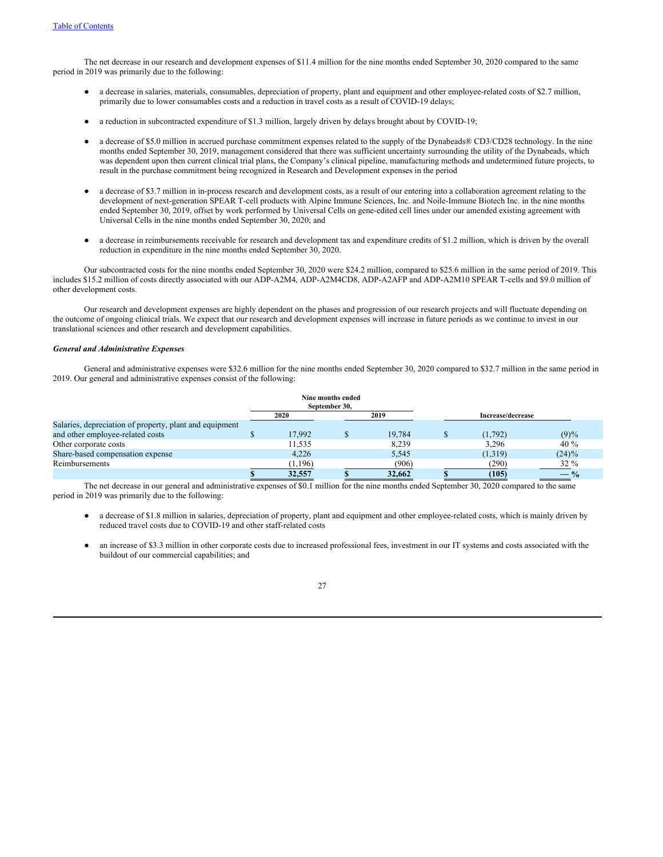The net decrease in our research and development expenses of \$11.4 million for the nine months ended September 30, 2020 compared to the same period in 2019 was primarily due to the following:

- a decrease in salaries, materials, consumables, depreciation of property, plant and equipment and other employee-related costs of \$2.7 million, primarily due to lower consumables costs and a reduction in travel costs as a result of COVID-19 delays;
- a reduction in subcontracted expenditure of \$1.3 million, largely driven by delays brought about by COVID-19;
- a decrease of \$5.0 million in accrued purchase commitment expenses related to the supply of the Dynabeads® CD3/CD28 technology. In the nine months ended September 30, 2019, management considered that there was sufficient uncertainty surrounding the utility of the Dynabeads, which was dependent upon then current clinical trial plans, the Company's clinical pipeline, manufacturing methods and undetermined future projects, to result in the purchase commitment being recognized in Research and Development expenses in the period
- a decrease of \$3.7 million in in-process research and development costs, as a result of our entering into a collaboration agreement relating to the development of next-generation SPEAR T-cell products with Alpine Immune Sciences, Inc. and Noile-Immune Biotech Inc. in the nine months ended September 30, 2019, offset by work performed by Universal Cells on gene-edited cell lines under our amended existing agreement with Universal Cells in the nine months ended September 30, 2020; and
- a decrease in reimbursements receivable for research and development tax and expenditure credits of \$1.2 million, which is driven by the overall reduction in expenditure in the nine months ended September 30, 2020.

Our subcontracted costs for the nine months ended September 30, 2020 were \$24.2 million, compared to \$25.6 million in the same period of 2019. This includes \$15.2 million of costs directly associated with our ADP-A2M4, ADP-A2M4CD8, ADP-A2AFP and ADP-A2M10 SPEAR T-cells and \$9.0 million of other development costs.

Our research and development expenses are highly dependent on the phases and progression of our research projects and will fluctuate depending on the outcome of ongoing clinical trials. We expect that our research and development expenses will increase in future periods as we continue to invest in our translational sciences and other research and development capabilities.

#### *General and Administrative Expenses*

General and administrative expenses were \$32.6 million for the nine months ended September 30, 2020 compared to \$32.7 million in the same period in 2019. Our general and administrative expenses consist of the following:

|                                                         |         | Nine months ended<br>September 30, |        |  |                   |          |
|---------------------------------------------------------|---------|------------------------------------|--------|--|-------------------|----------|
|                                                         | 2020    |                                    | 2019   |  | Increase/decrease |          |
| Salaries, depreciation of property, plant and equipment |         |                                    |        |  |                   |          |
| and other employee-related costs                        | 17.992  |                                    | 19.784 |  | (1,792)           | $(9)\%$  |
| Other corporate costs                                   | 11,535  |                                    | 8,239  |  | 3.296             | 40 $%$   |
| Share-based compensation expense                        | 4.226   |                                    | 5.545  |  | (1,319)           | $(24)\%$ |
| Reimbursements                                          | (1,196) |                                    | (906)  |  | (290)             | $32\%$   |
|                                                         | 32,557  |                                    | 32,662 |  | (105)             | $-$ %    |

The net decrease in our general and administrative expenses of \$0.1 million for the nine months ended September 30, 2020 compared to the same period in 2019 was primarily due to the following:

- a decrease of \$1.8 million in salaries, depreciation of property, plant and equipment and other employee-related costs, which is mainly driven by reduced travel costs due to COVID-19 and other staff-related costs
- an increase of \$3.3 million in other corporate costs due to increased professional fees, investment in our IT systems and costs associated with the buildout of our commercial capabilities; and

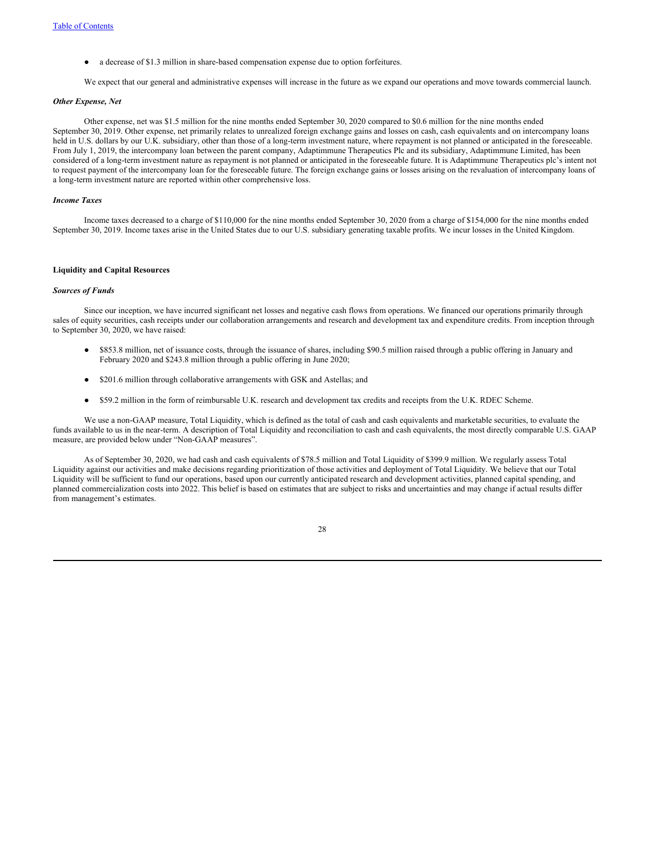● a decrease of \$1.3 million in share-based compensation expense due to option forfeitures.

We expect that our general and administrative expenses will increase in the future as we expand our operations and move towards commercial launch.

### *Other Expense, Net*

Other expense, net was \$1.5 million for the nine months ended September 30, 2020 compared to \$0.6 million for the nine months ended September 30, 2019. Other expense, net primarily relates to unrealized foreign exchange gains and losses on cash, cash equivalents and on intercompany loans held in U.S. dollars by our U.K. subsidiary, other than those of a long-term investment nature, where repayment is not planned or anticipated in the foreseeable. From July 1, 2019, the intercompany loan between the parent company, Adaptimmune Therapeutics Plc and its subsidiary, Adaptimmune Limited, has been considered of a long-term investment nature as repayment is not planned or anticipated in the foreseeable future. It is Adaptimmune Therapeutics plc's intent not to request payment of the intercompany loan for the foreseeable future. The foreign exchange gains or losses arising on the revaluation of intercompany loans of a long-term investment nature are reported within other comprehensive loss.

## *Income Taxes*

Income taxes decreased to a charge of \$110,000 for the nine months ended September 30, 2020 from a charge of \$154,000 for the nine months ended September 30, 2019. Income taxes arise in the United States due to our U.S. subsidiary generating taxable profits. We incur losses in the United Kingdom.

## **Liquidity and Capital Resources**

#### *Sources of Funds*

Since our inception, we have incurred significant net losses and negative cash flows from operations. We financed our operations primarily through sales of equity securities, cash receipts under our collaboration arrangements and research and development tax and expenditure credits. From inception through to September 30, 2020, we have raised:

- \$853.8 million, net of issuance costs, through the issuance of shares, including \$90.5 million raised through a public offering in January and February 2020 and \$243.8 million through a public offering in June 2020;
- \$201.6 million through collaborative arrangements with GSK and Astellas; and
- \$59.2 million in the form of reimbursable U.K. research and development tax credits and receipts from the U.K. RDEC Scheme.

We use a non-GAAP measure, Total Liquidity, which is defined as the total of cash and cash equivalents and marketable securities, to evaluate the funds available to us in the near-term. A description of Total Liquidity and reconciliation to cash and cash equivalents, the most directly comparable U.S. GAAP measure, are provided below under "Non-GAAP measures".

As of September 30, 2020, we had cash and cash equivalents of \$78.5 million and Total Liquidity of \$399.9 million. We regularly assess Total Liquidity against our activities and make decisions regarding prioritization of those activities and deployment of Total Liquidity. We believe that our Total Liquidity will be sufficient to fund our operations, based upon our currently anticipated research and development activities, planned capital spending, and planned commercialization costs into 2022. This belief is based on estimates that are subject to risks and uncertainties and may change if actual results differ from management's estimates.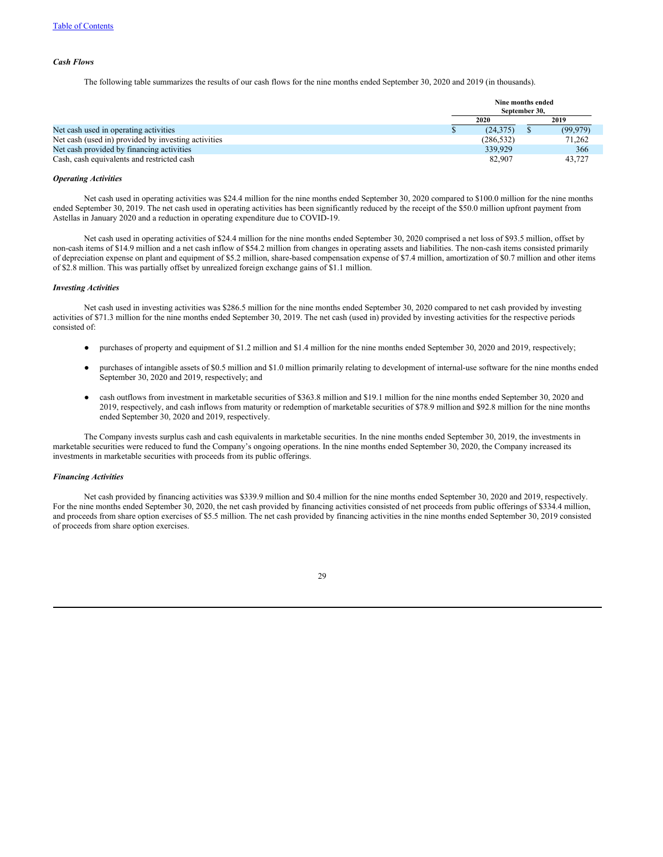#### *Cash Flows*

The following table summarizes the results of our cash flows for the nine months ended September 30, 2020 and 2019 (in thousands).

|                                                     |      | Nine months ended<br>September 30, |  |           |  |
|-----------------------------------------------------|------|------------------------------------|--|-----------|--|
|                                                     | 2020 |                                    |  | 2019      |  |
| Net cash used in operating activities               |      | (24.375)                           |  | (99, 979) |  |
| Net cash (used in) provided by investing activities |      | (286.532)                          |  | 71,262    |  |
| Net cash provided by financing activities           |      | 339,929                            |  | 366       |  |
| Cash, cash equivalents and restricted cash          |      | 82,907                             |  | 43.727    |  |

#### *Operating Activities*

Net cash used in operating activities was \$24.4 million for the nine months ended September 30, 2020 compared to \$100.0 million for the nine months ended September 30, 2019. The net cash used in operating activities has been significantly reduced by the receipt of the \$50.0 million upfront payment from Astellas in January 2020 and a reduction in operating expenditure due to COVID-19.

Net cash used in operating activities of \$24.4 million for the nine months ended September 30, 2020 comprised a net loss of \$93.5 million, offset by non-cash items of \$14.9 million and a net cash inflow of \$54.2 million from changes in operating assets and liabilities. The non-cash items consisted primarily of depreciation expense on plant and equipment of \$5.2 million, share-based compensation expense of \$7.4 million, amortization of \$0.7 million and other items of \$2.8 million. This was partially offset by unrealized foreign exchange gains of \$1.1 million.

#### *Investing Activities*

Net cash used in investing activities was \$286.5 million for the nine months ended September 30, 2020 compared to net cash provided by investing activities of \$71.3 million for the nine months ended September 30, 2019. The net cash (used in) provided by investing activities for the respective periods consisted of:

- purchases of property and equipment of \$1.2 million and \$1.4 million for the nine months ended September 30, 2020 and 2019, respectively;
- purchases of intangible assets of \$0.5 million and \$1.0 million primarily relating to development of internal-use software for the nine months ended September 30, 2020 and 2019, respectively; and
- cash outflows from investment in marketable securities of \$363.8 million and \$19.1 million for the nine months ended September 30, 2020 and 2019, respectively, and cash inflows from maturity or redemption of marketable securities of \$78.9 million and \$92.8 million for the nine months ended September 30, 2020 and 2019, respectively.

The Company invests surplus cash and cash equivalents in marketable securities. In the nine months ended September 30, 2019, the investments in marketable securities were reduced to fund the Company's ongoing operations. In the nine months ended September 30, 2020, the Company increased its investments in marketable securities with proceeds from its public offerings.

### *Financing Activities*

Net cash provided by financing activities was \$339.9 million and \$0.4 million for the nine months ended September 30, 2020 and 2019, respectively. For the nine months ended September 30, 2020, the net cash provided by financing activities consisted of net proceeds from public offerings of \$334.4 million, and proceeds from share option exercises of \$5.5 million. The net cash provided by financing activities in the nine months ended September 30, 2019 consisted of proceeds from share option exercises.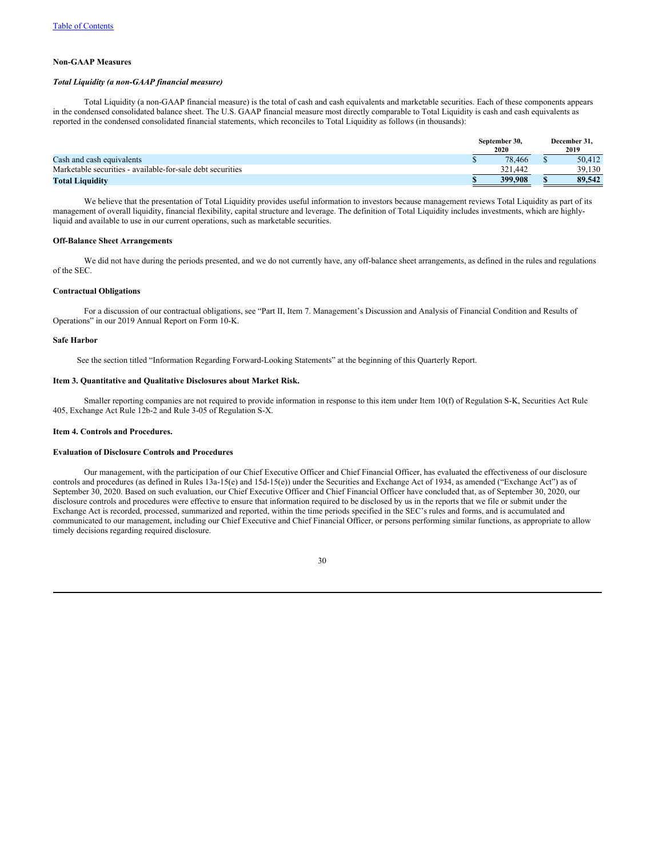#### **Non-GAAP Measures**

## *Total Liquidity (a non-GAAP financial measure)*

Total Liquidity (a non-GAAP financial measure) is the total of cash and cash equivalents and marketable securities. Each of these components appears in the condensed consolidated balance sheet. The U.S. GAAP financial measure most directly comparable to Total Liquidity is cash and cash equivalents as reported in the condensed consolidated financial statements, which reconciles to Total Liquidity as follows (in thousands):

|                                                            | September 30.<br>2020 | December 31,<br>2019 |
|------------------------------------------------------------|-----------------------|----------------------|
| Cash and cash equivalents                                  | 78.466                | 50.412               |
| Marketable securities - available-for-sale debt securities | 321.442               | 39.130               |
| <b>Total Liquidity</b>                                     | 399,908               | 89.542               |

We believe that the presentation of Total Liquidity provides useful information to investors because management reviews Total Liquidity as part of its management of overall liquidity, financial flexibility, capital structure and leverage. The definition of Total Liquidity includes investments, which are highlyliquid and available to use in our current operations, such as marketable securities.

#### **Off-Balance Sheet Arrangements**

We did not have during the periods presented, and we do not currently have, any off-balance sheet arrangements, as defined in the rules and regulations of the SEC.

## **Contractual Obligations**

For a discussion of our contractual obligations, see "Part II, Item 7. Management's Discussion and Analysis of Financial Condition and Results of Operations" in our 2019 Annual Report on Form 10-K.

## **Safe Harbor**

See the section titled "Information Regarding Forward-Looking Statements" at the beginning of this Quarterly Report.

## **Item 3. Quantitative and Qualitative Disclosures about Market Risk.**

Smaller reporting companies are not required to provide information in response to this item under Item 10(f) of Regulation S-K, Securities Act Rule 405, Exchange Act Rule 12b-2 and Rule 3-05 of Regulation S-X.

#### **Item 4. Controls and Procedures.**

#### **Evaluation of Disclosure Controls and Procedures**

Our management, with the participation of our Chief Executive Officer and Chief Financial Officer, has evaluated the effectiveness of our disclosure controls and procedures (as defined in Rules 13a-15(e) and 15d-15(e)) under the Securities and Exchange Act of 1934, as amended ("Exchange Act") as of September 30, 2020. Based on such evaluation, our Chief Executive Officer and Chief Financial Officer have concluded that, as of September 30, 2020, our disclosure controls and procedures were effective to ensure that information required to be disclosed by us in the reports that we file or submit under the Exchange Act is recorded, processed, summarized and reported, within the time periods specified in the SEC's rules and forms, and is accumulated and communicated to our management, including our Chief Executive and Chief Financial Officer, or persons performing similar functions, as appropriate to allow timely decisions regarding required disclosure.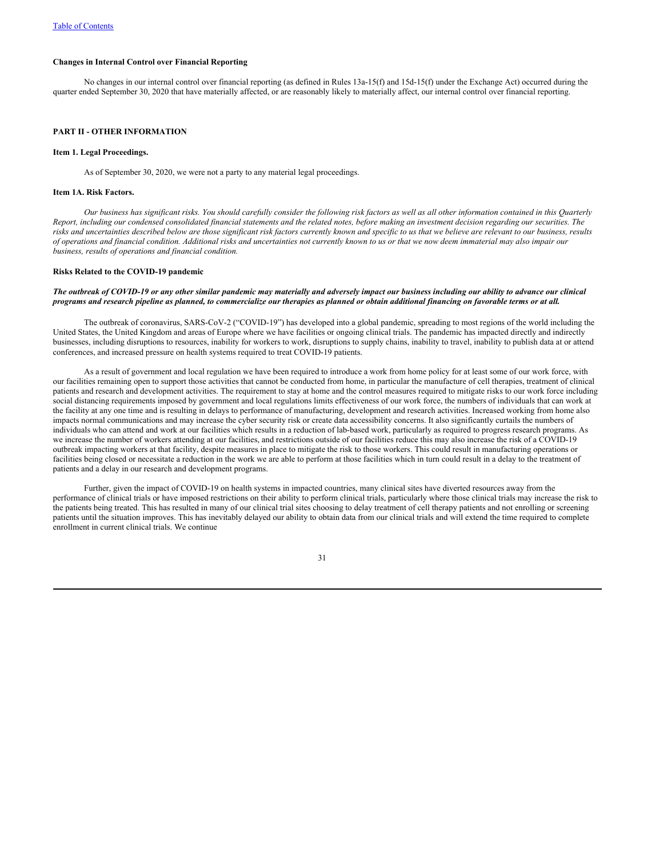## **Changes in Internal Control over Financial Reporting**

No changes in our internal control over financial reporting (as defined in Rules 13a-15(f) and 15d-15(f) under the Exchange Act) occurred during the quarter ended September 30, 2020 that have materially affected, or are reasonably likely to materially affect, our internal control over financial reporting.

## **PART II - OTHER INFORMATION**

#### **Item 1. Legal Proceedings.**

As of September 30, 2020, we were not a party to any material legal proceedings.

## **Item 1A. Risk Factors.**

Our business has significant risks. You should carefully consider the following risk factors as well as all other information contained in this Quarterly Report, including our condensed consolidated financial statements and the related notes, before making an investment decision regarding our securities. The risks and uncertainties described below are those significant risk factors currently known and specific to us that we believe are relevant to our business, results of operations and financial condition. Additional risks and uncertainties not currently known to us or that we now deem immaterial may also impair our *business, results of operations and financial condition.*

## **Risks Related to the COVID-19 pandemic**

### The outbreak of COVID-19 or any other similar pandemic may materially and adversely impact our business including our ability to advance our clinical programs and research pipeline as planned, to commercialize our therapies as planned or obtain additional financing on favorable terms or at all.

The outbreak of coronavirus, SARS-CoV-2 ("COVID-19") has developed into a global pandemic, spreading to most regions of the world including the United States, the United Kingdom and areas of Europe where we have facilities or ongoing clinical trials. The pandemic has impacted directly and indirectly businesses, including disruptions to resources, inability for workers to work, disruptions to supply chains, inability to travel, inability to publish data at or attend conferences, and increased pressure on health systems required to treat COVID-19 patients.

As a result of government and local regulation we have been required to introduce a work from home policy for at least some of our work force, with our facilities remaining open to support those activities that cannot be conducted from home, in particular the manufacture of cell therapies, treatment of clinical patients and research and development activities. The requirement to stay at home and the control measures required to mitigate risks to our work force including social distancing requirements imposed by government and local regulations limits effectiveness of our work force, the numbers of individuals that can work at the facility at any one time and is resulting in delays to performance of manufacturing, development and research activities. Increased working from home also impacts normal communications and may increase the cyber security risk or create data accessibility concerns. It also significantly curtails the numbers of individuals who can attend and work at our facilities which results in a reduction of lab-based work, particularly as required to progress research programs. As we increase the number of workers attending at our facilities, and restrictions outside of our facilities reduce this may also increase the risk of a COVID-19 outbreak impacting workers at that facility, despite measures in place to mitigate the risk to those workers. This could result in manufacturing operations or facilities being closed or necessitate a reduction in the work we are able to perform at those facilities which in turn could result in a delay to the treatment of patients and a delay in our research and development programs.

Further, given the impact of COVID-19 on health systems in impacted countries, many clinical sites have diverted resources away from the performance of clinical trials or have imposed restrictions on their ability to perform clinical trials, particularly where those clinical trials may increase the risk to the patients being treated. This has resulted in many of our clinical trial sites choosing to delay treatment of cell therapy patients and not enrolling or screening patients until the situation improves. This has inevitably delayed our ability to obtain data from our clinical trials and will extend the time required to complete enrollment in current clinical trials. We continue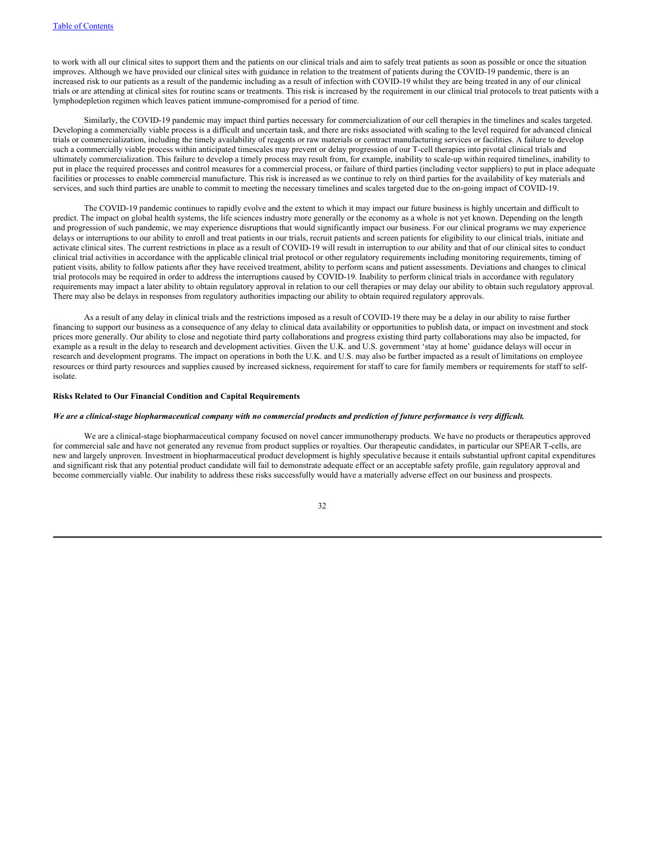to work with all our clinical sites to support them and the patients on our clinical trials and aim to safely treat patients as soon as possible or once the situation improves. Although we have provided our clinical sites with guidance in relation to the treatment of patients during the COVID-19 pandemic, there is an increased risk to our patients as a result of the pandemic including as a result of infection with COVID-19 whilst they are being treated in any of our clinical trials or are attending at clinical sites for routine scans or treatments. This risk is increased by the requirement in our clinical trial protocols to treat patients with a lymphodepletion regimen which leaves patient immune-compromised for a period of time.

Similarly, the COVID-19 pandemic may impact third parties necessary for commercialization of our cell therapies in the timelines and scales targeted. Developing a commercially viable process is a difficult and uncertain task, and there are risks associated with scaling to the level required for advanced clinical trials or commercialization, including the timely availability of reagents or raw materials or contract manufacturing services or facilities. A failure to develop such a commercially viable process within anticipated timescales may prevent or delay progression of our T-cell therapies into pivotal clinical trials and ultimately commercialization. This failure to develop a timely process may result from, for example, inability to scale-up within required timelines, inability to put in place the required processes and control measures for a commercial process, or failure of third parties (including vector suppliers) to put in place adequate facilities or processes to enable commercial manufacture. This risk is increased as we continue to rely on third parties for the availability of key materials and services, and such third parties are unable to commit to meeting the necessary timelines and scales targeted due to the on-going impact of COVID-19.

The COVID-19 pandemic continues to rapidly evolve and the extent to which it may impact our future business is highly uncertain and difficult to predict. The impact on global health systems, the life sciences industry more generally or the economy as a whole is not yet known. Depending on the length and progression of such pandemic, we may experience disruptions that would significantly impact our business. For our clinical programs we may experience delays or interruptions to our ability to enroll and treat patients in our trials, recruit patients and screen patients for eligibility to our clinical trials, initiate and activate clinical sites. The current restrictions in place as a result of COVID-19 will result in interruption to our ability and that of our clinical sites to conduct clinical trial activities in accordance with the applicable clinical trial protocol or other regulatory requirements including monitoring requirements, timing of patient visits, ability to follow patients after they have received treatment, ability to perform scans and patient assessments. Deviations and changes to clinical trial protocols may be required in order to address the interruptions caused by COVID-19. Inability to perform clinical trials in accordance with regulatory requirements may impact a later ability to obtain regulatory approval in relation to our cell therapies or may delay our ability to obtain such regulatory approval. There may also be delays in responses from regulatory authorities impacting our ability to obtain required regulatory approvals.

As a result of any delay in clinical trials and the restrictions imposed as a result of COVID-19 there may be a delay in our ability to raise further financing to support our business as a consequence of any delay to clinical data availability or opportunities to publish data, or impact on investment and stock prices more generally. Our ability to close and negotiate third party collaborations and progress existing third party collaborations may also be impacted, for example as a result in the delay to research and development activities. Given the U.K. and U.S. government 'stay at home' guidance delays will occur in research and development programs. The impact on operations in both the U.K. and U.S. may also be further impacted as a result of limitations on employee resources or third party resources and supplies caused by increased sickness, requirement for staff to care for family members or requirements for staff to selfisolate.

#### **Risks Related to Our Financial Condition and Capital Requirements**

#### We are a clinical-stage biopharmaceutical company with no commercial products and prediction of future performance is very difficult.

We are a clinical-stage biopharmaceutical company focused on novel cancer immunotherapy products. We have no products or therapeutics approved for commercial sale and have not generated any revenue from product supplies or royalties. Our therapeutic candidates, in particular our SPEAR T-cells, are new and largely unproven. Investment in biopharmaceutical product development is highly speculative because it entails substantial upfront capital expenditures and significant risk that any potential product candidate will fail to demonstrate adequate effect or an acceptable safety profile, gain regulatory approval and become commercially viable. Our inability to address these risks successfully would have a materially adverse effect on our business and prospects.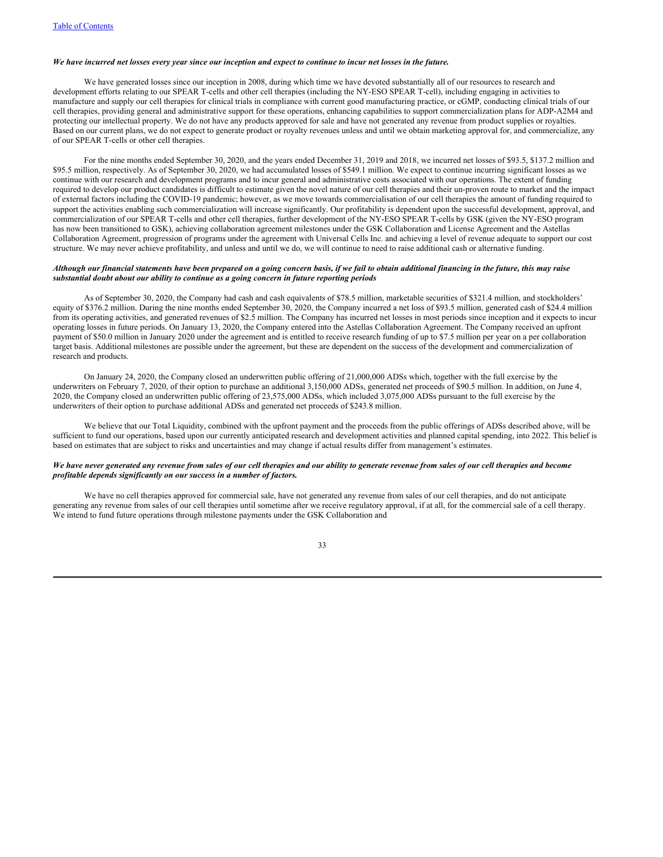#### We have incurred net losses every year since our inception and expect to continue to incur net losses in the future.

We have generated losses since our inception in 2008, during which time we have devoted substantially all of our resources to research and development efforts relating to our SPEAR T-cells and other cell therapies (including the NY-ESO SPEAR T-cell), including engaging in activities to manufacture and supply our cell therapies for clinical trials in compliance with current good manufacturing practice, or cGMP, conducting clinical trials of our cell therapies, providing general and administrative support for these operations, enhancing capabilities to support commercialization plans for ADP-A2M4 and protecting our intellectual property. We do not have any products approved for sale and have not generated any revenue from product supplies or royalties. Based on our current plans, we do not expect to generate product or royalty revenues unless and until we obtain marketing approval for, and commercialize, any of our SPEAR T-cells or other cell therapies.

For the nine months ended September 30, 2020, and the years ended December 31, 2019 and 2018, we incurred net losses of \$93.5, \$137.2 million and \$95.5 million, respectively. As of September 30, 2020, we had accumulated losses of \$549.1 million. We expect to continue incurring significant losses as we continue with our research and development programs and to incur general and administrative costs associated with our operations. The extent of funding required to develop our product candidates is difficult to estimate given the novel nature of our cell therapies and their un-proven route to market and the impact of external factors including the COVID-19 pandemic; however, as we move towards commercialisation of our cell therapies the amount of funding required to support the activities enabling such commercialization will increase significantly. Our profitability is dependent upon the successful development, approval, and commercialization of our SPEAR T-cells and other cell therapies, further development of the NY-ESO SPEAR T-cells by GSK (given the NY-ESO program has now been transitioned to GSK), achieving collaboration agreement milestones under the GSK Collaboration and License Agreement and the Astellas Collaboration Agreement, progression of programs under the agreement with Universal Cells Inc. and achieving a level of revenue adequate to support our cost structure. We may never achieve profitability, and unless and until we do, we will continue to need to raise additional cash or alternative funding.

## Although our financial statements have been prepared on a going concern basis, if we fail to obtain additional financing in the future, this may raise *substantial doubt about our ability to continue as a going concern in future reporting periods*

As of September 30, 2020, the Company had cash and cash equivalents of \$78.5 million, marketable securities of \$321.4 million, and stockholders' equity of \$376.2 million. During the nine months ended September 30, 2020, the Company incurred a net loss of \$93.5 million, generated cash of \$24.4 million from its operating activities, and generated revenues of \$2.5 million. The Company has incurred net losses in most periods since inception and it expects to incur operating losses in future periods. On January 13, 2020, the Company entered into the Astellas Collaboration Agreement. The Company received an upfront payment of \$50.0 million in January 2020 under the agreement and is entitled to receive research funding of up to \$7.5 million per year on a per collaboration target basis. Additional milestones are possible under the agreement, but these are dependent on the success of the development and commercialization of research and products.

On January 24, 2020, the Company closed an underwritten public offering of 21,000,000 ADSs which, together with the full exercise by the underwriters on February 7, 2020, of their option to purchase an additional 3,150,000 ADSs, generated net proceeds of \$90.5 million. In addition, on June 4, 2020, the Company closed an underwritten public offering of 23,575,000 ADSs, which included 3,075,000 ADSs pursuant to the full exercise by the underwriters of their option to purchase additional ADSs and generated net proceeds of \$243.8 million.

We believe that our Total Liquidity, combined with the upfront payment and the proceeds from the public offerings of ADSs described above, will be sufficient to fund our operations, based upon our currently anticipated research and development activities and planned capital spending, into 2022. This belief is based on estimates that are subject to risks and uncertainties and may change if actual results differ from management's estimates.

## We have never generated any revenue from sales of our cell therapies and our ability to generate revenue from sales of our cell therapies and become *profitable depends significantly on our success in a number of factors.*

We have no cell therapies approved for commercial sale, have not generated any revenue from sales of our cell therapies, and do not anticipate generating any revenue from sales of our cell therapies until sometime after we receive regulatory approval, if at all, for the commercial sale of a cell therapy. We intend to fund future operations through milestone payments under the GSK Collaboration and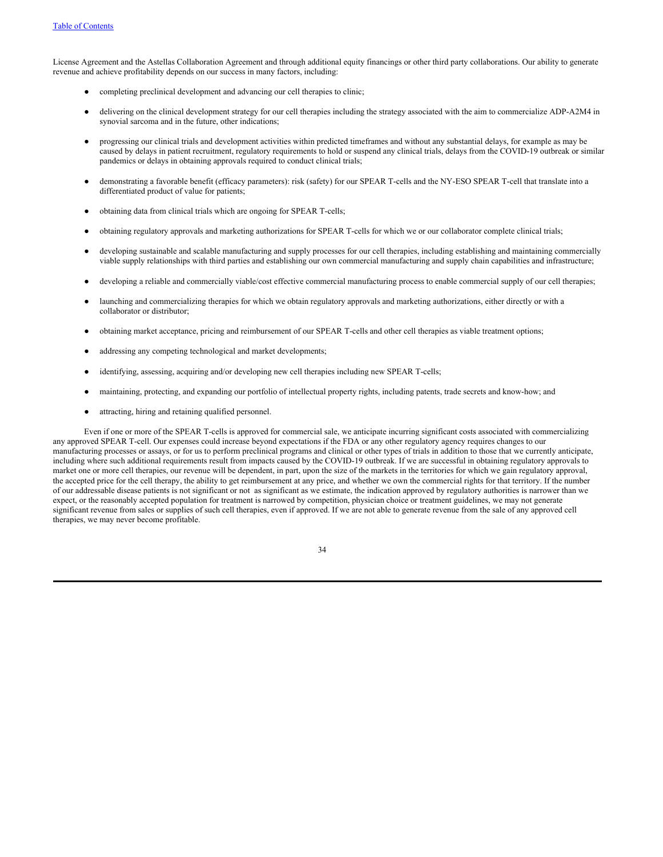License Agreement and the Astellas Collaboration Agreement and through additional equity financings or other third party collaborations. Our ability to generate revenue and achieve profitability depends on our success in many factors, including:

- completing preclinical development and advancing our cell therapies to clinic;
- delivering on the clinical development strategy for our cell therapies including the strategy associated with the aim to commercialize ADP-A2M4 in synovial sarcoma and in the future, other indications;
- progressing our clinical trials and development activities within predicted timeframes and without any substantial delays, for example as may be caused by delays in patient recruitment, regulatory requirements to hold or suspend any clinical trials, delays from the COVID-19 outbreak or similar pandemics or delays in obtaining approvals required to conduct clinical trials;
- demonstrating a favorable benefit (efficacy parameters): risk (safety) for our SPEAR T-cells and the NY-ESO SPEAR T-cell that translate into a differentiated product of value for patients;
- obtaining data from clinical trials which are ongoing for SPEAR T-cells;
- obtaining regulatory approvals and marketing authorizations for SPEAR T-cells for which we or our collaborator complete clinical trials;
- developing sustainable and scalable manufacturing and supply processes for our cell therapies, including establishing and maintaining commercially viable supply relationships with third parties and establishing our own commercial manufacturing and supply chain capabilities and infrastructure;
- developing a reliable and commercially viable/cost effective commercial manufacturing process to enable commercial supply of our cell therapies;
- launching and commercializing therapies for which we obtain regulatory approvals and marketing authorizations, either directly or with a collaborator or distributor;
- obtaining market acceptance, pricing and reimbursement of our SPEAR T-cells and other cell therapies as viable treatment options;
- addressing any competing technological and market developments;
- identifying, assessing, acquiring and/or developing new cell therapies including new SPEAR T-cells;
- maintaining, protecting, and expanding our portfolio of intellectual property rights, including patents, trade secrets and know-how; and
- attracting, hiring and retaining qualified personnel.

Even if one or more of the SPEAR T-cells is approved for commercial sale, we anticipate incurring significant costs associated with commercializing any approved SPEAR T-cell. Our expenses could increase beyond expectations if the FDA or any other regulatory agency requires changes to our manufacturing processes or assays, or for us to perform preclinical programs and clinical or other types of trials in addition to those that we currently anticipate, including where such additional requirements result from impacts caused by the COVID-19 outbreak. If we are successful in obtaining regulatory approvals to market one or more cell therapies, our revenue will be dependent, in part, upon the size of the markets in the territories for which we gain regulatory approval, the accepted price for the cell therapy, the ability to get reimbursement at any price, and whether we own the commercial rights for that territory. If the number of our addressable disease patients is not significant or not as significant as we estimate, the indication approved by regulatory authorities is narrower than we expect, or the reasonably accepted population for treatment is narrowed by competition, physician choice or treatment guidelines, we may not generate significant revenue from sales or supplies of such cell therapies, even if approved. If we are not able to generate revenue from the sale of any approved cell therapies, we may never become profitable.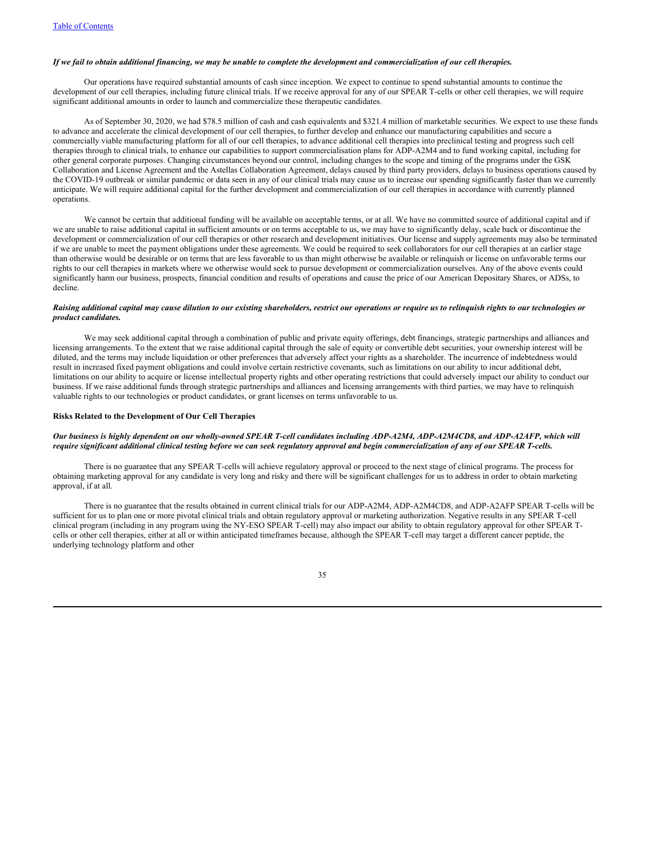#### If we fail to obtain additional financing, we may be unable to complete the development and commercialization of our cell therapies.

Our operations have required substantial amounts of cash since inception. We expect to continue to spend substantial amounts to continue the development of our cell therapies, including future clinical trials. If we receive approval for any of our SPEAR T-cells or other cell therapies, we will require significant additional amounts in order to launch and commercialize these therapeutic candidates.

As of September 30, 2020, we had \$78.5 million of cash and cash equivalents and \$321.4 million of marketable securities. We expect to use these funds to advance and accelerate the clinical development of our cell therapies, to further develop and enhance our manufacturing capabilities and secure a commercially viable manufacturing platform for all of our cell therapies, to advance additional cell therapies into preclinical testing and progress such cell therapies through to clinical trials, to enhance our capabilities to support commercialisation plans for ADP-A2M4 and to fund working capital, including for other general corporate purposes. Changing circumstances beyond our control, including changes to the scope and timing of the programs under the GSK Collaboration and License Agreement and the Astellas Collaboration Agreement, delays caused by third party providers, delays to business operations caused by the COVID-19 outbreak or similar pandemic or data seen in any of our clinical trials may cause us to increase our spending significantly faster than we currently anticipate. We will require additional capital for the further development and commercialization of our cell therapies in accordance with currently planned operations.

We cannot be certain that additional funding will be available on acceptable terms, or at all. We have no committed source of additional capital and if we are unable to raise additional capital in sufficient amounts or on terms acceptable to us, we may have to significantly delay, scale back or discontinue the development or commercialization of our cell therapies or other research and development initiatives. Our license and supply agreements may also be terminated if we are unable to meet the payment obligations under these agreements. We could be required to seek collaborators for our cell therapies at an earlier stage than otherwise would be desirable or on terms that are less favorable to us than might otherwise be available or relinquish or license on unfavorable terms our rights to our cell therapies in markets where we otherwise would seek to pursue development or commercialization ourselves. Any of the above events could significantly harm our business, prospects, financial condition and results of operations and cause the price of our American Depositary Shares, or ADSs, to decline.

## Raising additional capital may cause dilution to our existing shareholders, restrict our operations or require us to relinquish rights to our technologies or *product candidates.*

We may seek additional capital through a combination of public and private equity offerings, debt financings, strategic partnerships and alliances and licensing arrangements. To the extent that we raise additional capital through the sale of equity or convertible debt securities, your ownership interest will be diluted, and the terms may include liquidation or other preferences that adversely affect your rights as a shareholder. The incurrence of indebtedness would result in increased fixed payment obligations and could involve certain restrictive covenants, such as limitations on our ability to incur additional debt, limitations on our ability to acquire or license intellectual property rights and other operating restrictions that could adversely impact our ability to conduct our business. If we raise additional funds through strategic partnerships and alliances and licensing arrangements with third parties, we may have to relinquish valuable rights to our technologies or product candidates, or grant licenses on terms unfavorable to us.

#### **Risks Related to the Development of Our Cell Therapies**

#### Our business is highly dependent on our wholly-owned SPEAR T-cell candidates including ADP-A2M4, ADP-A2M4CD8, and ADP-A2AFP, which will require significant additional clinical testing before we can seek regulatory approval and begin commercialization of any of our SPEAR T-cells.

There is no guarantee that any SPEAR T-cells will achieve regulatory approval or proceed to the next stage of clinical programs. The process for obtaining marketing approval for any candidate is very long and risky and there will be significant challenges for us to address in order to obtain marketing approval, if at all.

There is no guarantee that the results obtained in current clinical trials for our ADP-A2M4, ADP-A2M4CD8, and ADP-A2AFP SPEAR T-cells will be sufficient for us to plan one or more pivotal clinical trials and obtain regulatory approval or marketing authorization. Negative results in any SPEAR T-cell clinical program (including in any program using the NY-ESO SPEAR T-cell) may also impact our ability to obtain regulatory approval for other SPEAR Tcells or other cell therapies, either at all or within anticipated timeframes because, although the SPEAR T-cell may target a different cancer peptide, the underlying technology platform and other

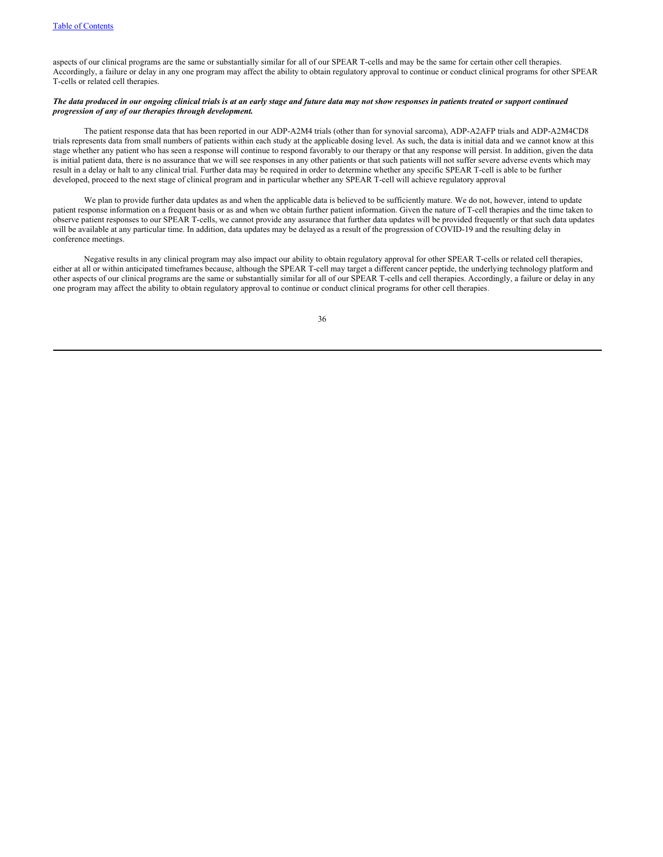aspects of our clinical programs are the same or substantially similar for all of our SPEAR T-cells and may be the same for certain other cell therapies. Accordingly, a failure or delay in any one program may affect the ability to obtain regulatory approval to continue or conduct clinical programs for other SPEAR T-cells or related cell therapies.

## The data produced in our ongoing clinical trials is at an early stage and future data may not show responses in patients treated or support continued *progression of any of our therapies through development.*

The patient response data that has been reported in our ADP-A2M4 trials (other than for synovial sarcoma), ADP-A2AFP trials and ADP-A2M4CD8 trials represents data from small numbers of patients within each study at the applicable dosing level. As such, the data is initial data and we cannot know at this stage whether any patient who has seen a response will continue to respond favorably to our therapy or that any response will persist. In addition, given the data is initial patient data, there is no assurance that we will see responses in any other patients or that such patients will not suffer severe adverse events which may result in a delay or halt to any clinical trial. Further data may be required in order to determine whether any specific SPEAR T-cell is able to be further developed, proceed to the next stage of clinical program and in particular whether any SPEAR T-cell will achieve regulatory approval

We plan to provide further data updates as and when the applicable data is believed to be sufficiently mature. We do not, however, intend to update patient response information on a frequent basis or as and when we obtain further patient information. Given the nature of T-cell therapies and the time taken to observe patient responses to our SPEAR T-cells, we cannot provide any assurance that further data updates will be provided frequently or that such data updates will be available at any particular time. In addition, data updates may be delayed as a result of the progression of COVID-19 and the resulting delay in conference meetings.

Negative results in any clinical program may also impact our ability to obtain regulatory approval for other SPEAR T-cells or related cell therapies, either at all or within anticipated timeframes because, although the SPEAR T-cell may target a different cancer peptide, the underlying technology platform and other aspects of our clinical programs are the same or substantially similar for all of our SPEAR T-cells and cell therapies. Accordingly, a failure or delay in any one program may affect the ability to obtain regulatory approval to continue or conduct clinical programs for other cell therapies.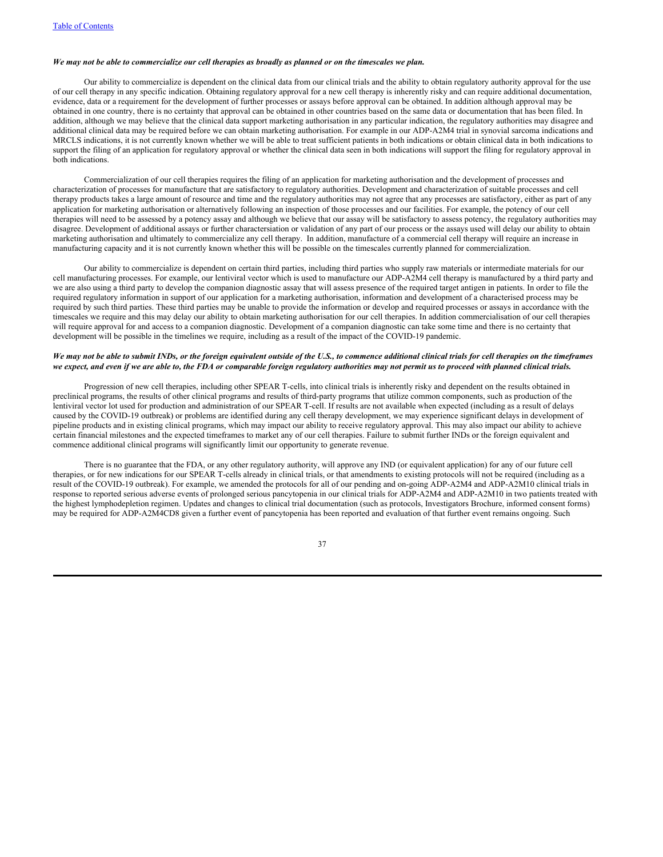#### We may not be able to commercialize our cell therapies as broadly as planned or on the timescales we plan.

Our ability to commercialize is dependent on the clinical data from our clinical trials and the ability to obtain regulatory authority approval for the use of our cell therapy in any specific indication. Obtaining regulatory approval for a new cell therapy is inherently risky and can require additional documentation, evidence, data or a requirement for the development of further processes or assays before approval can be obtained. In addition although approval may be obtained in one country, there is no certainty that approval can be obtained in other countries based on the same data or documentation that has been filed. In addition, although we may believe that the clinical data support marketing authorisation in any particular indication, the regulatory authorities may disagree and additional clinical data may be required before we can obtain marketing authorisation. For example in our ADP-A2M4 trial in synovial sarcoma indications and MRCLS indications, it is not currently known whether we will be able to treat sufficient patients in both indications or obtain clinical data in both indications to support the filing of an application for regulatory approval or whether the clinical data seen in both indications will support the filing for regulatory approval in both indications.

Commercialization of our cell therapies requires the filing of an application for marketing authorisation and the development of processes and characterization of processes for manufacture that are satisfactory to regulatory authorities. Development and characterization of suitable processes and cell therapy products takes a large amount of resource and time and the regulatory authorities may not agree that any processes are satisfactory, either as part of any application for marketing authorisation or alternatively following an inspection of those processes and our facilities. For example, the potency of our cell therapies will need to be assessed by a potency assay and although we believe that our assay will be satisfactory to assess potency, the regulatory authorities may disagree. Development of additional assays or further charactersiation or validation of any part of our process or the assays used will delay our ability to obtain marketing authorisation and ultimately to commercialize any cell therapy. In addition, manufacture of a commercial cell therapy will require an increase in manufacturing capacity and it is not currently known whether this will be possible on the timescales currently planned for commercialization.

Our ability to commercialize is dependent on certain third parties, including third parties who supply raw materials or intermediate materials for our cell manufacturing processes. For example, our lentiviral vector which is used to manufacture our ADP-A2M4 cell therapy is manufactured by a third party and we are also using a third party to develop the companion diagnostic assay that will assess presence of the required target antigen in patients. In order to file the required regulatory information in support of our application for a marketing authorisation, information and development of a characterised process may be required by such third parties. These third parties may be unable to provide the information or develop and required processes or assays in accordance with the timescales we require and this may delay our ability to obtain marketing authorisation for our cell therapies. In addition commercialisation of our cell therapies will require approval for and access to a companion diagnostic. Development of a companion diagnostic can take some time and there is no certainty that development will be possible in the timelines we require, including as a result of the impact of the COVID-19 pandemic.

### We may not be able to submit INDs, or the foreign equivalent outside of the U.S., to commence additional clinical trials for cell therapies on the timeframes we expect, and even if we are able to, the FDA or comparable foreign regulatory authorities may not permit us to proceed with planned clinical trials.

Progression of new cell therapies, including other SPEAR T-cells, into clinical trials is inherently risky and dependent on the results obtained in preclinical programs, the results of other clinical programs and results of third-party programs that utilize common components, such as production of the lentiviral vector lot used for production and administration of our SPEAR T-cell. If results are not available when expected (including as a result of delays caused by the COVID-19 outbreak) or problems are identified during any cell therapy development, we may experience significant delays in development of pipeline products and in existing clinical programs, which may impact our ability to receive regulatory approval. This may also impact our ability to achieve certain financial milestones and the expected timeframes to market any of our cell therapies. Failure to submit further INDs or the foreign equivalent and commence additional clinical programs will significantly limit our opportunity to generate revenue.

There is no guarantee that the FDA, or any other regulatory authority, will approve any IND (or equivalent application) for any of our future cell therapies, or for new indications for our SPEAR T-cells already in clinical trials, or that amendments to existing protocols will not be required (including as a result of the COVID-19 outbreak). For example, we amended the protocols for all of our pending and on-going ADP-A2M4 and ADP-A2M10 clinical trials in response to reported serious adverse events of prolonged serious pancytopenia in our clinical trials for ADP-A2M4 and ADP-A2M10 in two patients treated with the highest lymphodepletion regimen. Updates and changes to clinical trial documentation (such as protocols, Investigators Brochure, informed consent forms) may be required for ADP-A2M4CD8 given a further event of pancytopenia has been reported and evaluation of that further event remains ongoing. Such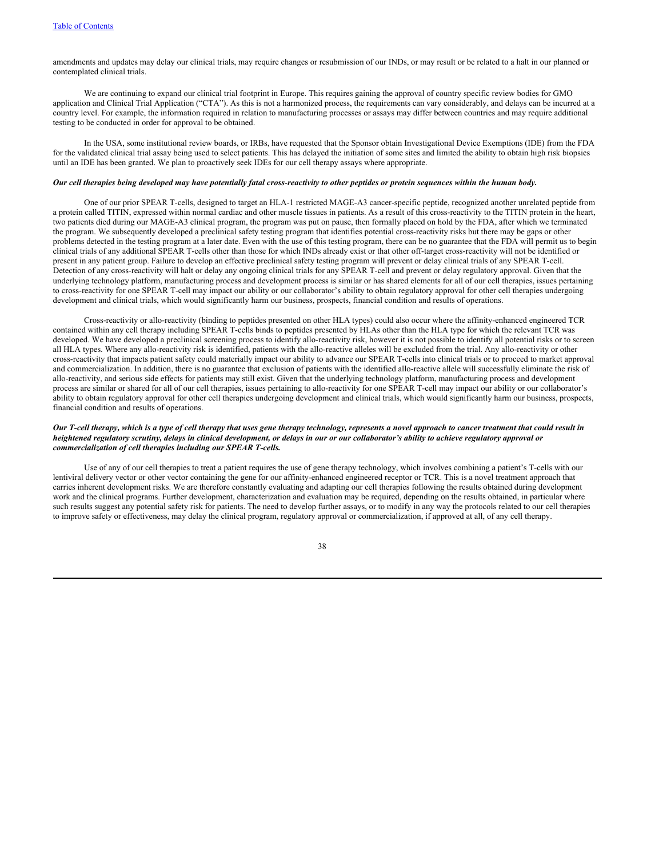amendments and updates may delay our clinical trials, may require changes or resubmission of our INDs, or may result or be related to a halt in our planned or contemplated clinical trials.

We are continuing to expand our clinical trial footprint in Europe. This requires gaining the approval of country specific review bodies for GMO application and Clinical Trial Application ("CTA"). As this is not a harmonized process, the requirements can vary considerably, and delays can be incurred at a country level. For example, the information required in relation to manufacturing processes or assays may differ between countries and may require additional testing to be conducted in order for approval to be obtained.

In the USA, some institutional review boards, or IRBs, have requested that the Sponsor obtain Investigational Device Exemptions (IDE) from the FDA for the validated clinical trial assay being used to select patients. This has delayed the initiation of some sites and limited the ability to obtain high risk biopsies until an IDE has been granted. We plan to proactively seek IDEs for our cell therapy assays where appropriate.

#### Our cell therapies being developed may have potentially fatal cross-reactivity to other peptides or protein sequences within the human body.

One of our prior SPEAR T-cells, designed to target an HLA-1 restricted MAGE-A3 cancer-specific peptide, recognized another unrelated peptide from a protein called TITIN, expressed within normal cardiac and other muscle tissues in patients. As a result of this cross-reactivity to the TITIN protein in the heart, two patients died during our MAGE-A3 clinical program, the program was put on pause, then formally placed on hold by the FDA, after which we terminated the program. We subsequently developed a preclinical safety testing program that identifies potential cross-reactivity risks but there may be gaps or other problems detected in the testing program at a later date. Even with the use of this testing program, there can be no guarantee that the FDA will permit us to begin clinical trials of any additional SPEAR T-cells other than those for which INDs already exist or that other off-target cross-reactivity will not be identified or present in any patient group. Failure to develop an effective preclinical safety testing program will prevent or delay clinical trials of any SPEAR T-cell. Detection of any cross-reactivity will halt or delay any ongoing clinical trials for any SPEAR T-cell and prevent or delay regulatory approval. Given that the underlying technology platform, manufacturing process and development process is similar or has shared elements for all of our cell therapies, issues pertaining to cross-reactivity for one SPEAR T-cell may impact our ability or our collaborator's ability to obtain regulatory approval for other cell therapies undergoing development and clinical trials, which would significantly harm our business, prospects, financial condition and results of operations.

Cross-reactivity or allo-reactivity (binding to peptides presented on other HLA types) could also occur where the affinity-enhanced engineered TCR contained within any cell therapy including SPEAR T-cells binds to peptides presented by HLAs other than the HLA type for which the relevant TCR was developed. We have developed a preclinical screening process to identify allo-reactivity risk, however it is not possible to identify all potential risks or to screen all HLA types. Where any allo-reactivity risk is identified, patients with the allo-reactive alleles will be excluded from the trial. Any allo-reactivity or other cross-reactivity that impacts patient safety could materially impact our ability to advance our SPEAR T-cells into clinical trials or to proceed to market approval and commercialization. In addition, there is no guarantee that exclusion of patients with the identified allo-reactive allele will successfully eliminate the risk of allo-reactivity, and serious side effects for patients may still exist. Given that the underlying technology platform, manufacturing process and development process are similar or shared for all of our cell therapies, issues pertaining to allo-reactivity for one SPEAR T-cell may impact our ability or our collaborator's ability to obtain regulatory approval for other cell therapies undergoing development and clinical trials, which would significantly harm our business, prospects, financial condition and results of operations.

### Our T-cell therapy, which is a type of cell therapy that uses gene therapy technology, represents a novel approach to cancer treatment that could result in heightened regulatory scrutiny, delays in clinical development, or delays in our or our collaborator's ability to achieve regulatory approval or *commercialization of cell therapies including our SPEAR T-cells.*

Use of any of our cell therapies to treat a patient requires the use of gene therapy technology, which involves combining a patient's T-cells with our lentiviral delivery vector or other vector containing the gene for our affinity-enhanced engineered receptor or TCR. This is a novel treatment approach that carries inherent development risks. We are therefore constantly evaluating and adapting our cell therapies following the results obtained during development work and the clinical programs. Further development, characterization and evaluation may be required, depending on the results obtained, in particular where such results suggest any potential safety risk for patients. The need to develop further assays, or to modify in any way the protocols related to our cell therapies to improve safety or effectiveness, may delay the clinical program, regulatory approval or commercialization, if approved at all, of any cell therapy.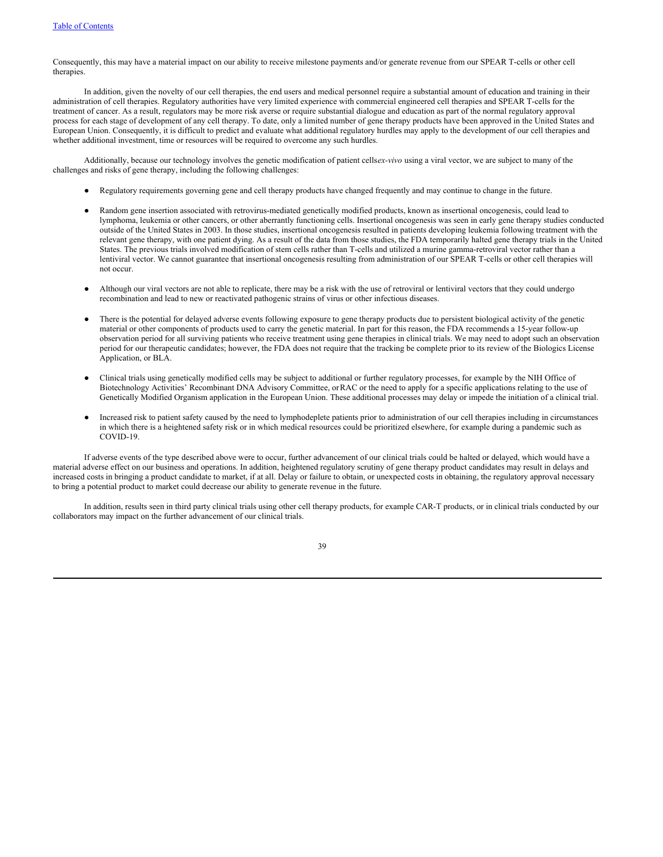Consequently, this may have a material impact on our ability to receive milestone payments and/or generate revenue from our SPEAR T-cells or other cell therapies.

In addition, given the novelty of our cell therapies, the end users and medical personnel require a substantial amount of education and training in their administration of cell therapies. Regulatory authorities have very limited experience with commercial engineered cell therapies and SPEAR T-cells for the treatment of cancer. As a result, regulators may be more risk averse or require substantial dialogue and education as part of the normal regulatory approval process for each stage of development of any cell therapy. To date, only a limited number of gene therapy products have been approved in the United States and European Union. Consequently, it is difficult to predict and evaluate what additional regulatory hurdles may apply to the development of our cell therapies and whether additional investment, time or resources will be required to overcome any such hurdles.

Additionally, because our technology involves the genetic modification of patient cells*ex-vivo* using a viral vector, we are subject to many of the challenges and risks of gene therapy, including the following challenges:

- Regulatory requirements governing gene and cell therapy products have changed frequently and may continue to change in the future.
- Random gene insertion associated with retrovirus-mediated genetically modified products, known as insertional oncogenesis, could lead to lymphoma, leukemia or other cancers, or other aberrantly functioning cells. Insertional oncogenesis was seen in early gene therapy studies conducted outside of the United States in 2003. In those studies, insertional oncogenesis resulted in patients developing leukemia following treatment with the relevant gene therapy, with one patient dying. As a result of the data from those studies, the FDA temporarily halted gene therapy trials in the United States. The previous trials involved modification of stem cells rather than T-cells and utilized a murine gamma-retroviral vector rather than a lentiviral vector. We cannot guarantee that insertional oncogenesis resulting from administration of our SPEAR T-cells or other cell therapies will not occur.
- Although our viral vectors are not able to replicate, there may be a risk with the use of retroviral or lentiviral vectors that they could undergo recombination and lead to new or reactivated pathogenic strains of virus or other infectious diseases.
- There is the potential for delayed adverse events following exposure to gene therapy products due to persistent biological activity of the genetic material or other components of products used to carry the genetic material. In part for this reason, the FDA recommends a 15-year follow-up observation period for all surviving patients who receive treatment using gene therapies in clinical trials. We may need to adopt such an observation period for our therapeutic candidates; however, the FDA does not require that the tracking be complete prior to its review of the Biologics License Application, or BLA.
- Clinical trials using genetically modified cells may be subject to additional or further regulatory processes, for example by the NIH Office of Biotechnology Activities' Recombinant DNA Advisory Committee, orRAC or the need to apply for a specific applications relating to the use of Genetically Modified Organism application in the European Union. These additional processes may delay or impede the initiation of a clinical trial.
- Increased risk to patient safety caused by the need to lymphodeplete patients prior to administration of our cell therapies including in circumstances in which there is a heightened safety risk or in which medical resources could be prioritized elsewhere, for example during a pandemic such as COVID-19.

If adverse events of the type described above were to occur, further advancement of our clinical trials could be halted or delayed, which would have a material adverse effect on our business and operations. In addition, heightened regulatory scrutiny of gene therapy product candidates may result in delays and increased costs in bringing a product candidate to market, if at all. Delay or failure to obtain, or unexpected costs in obtaining, the regulatory approval necessary to bring a potential product to market could decrease our ability to generate revenue in the future.

In addition, results seen in third party clinical trials using other cell therapy products, for example CAR-T products, or in clinical trials conducted by our collaborators may impact on the further advancement of our clinical trials.

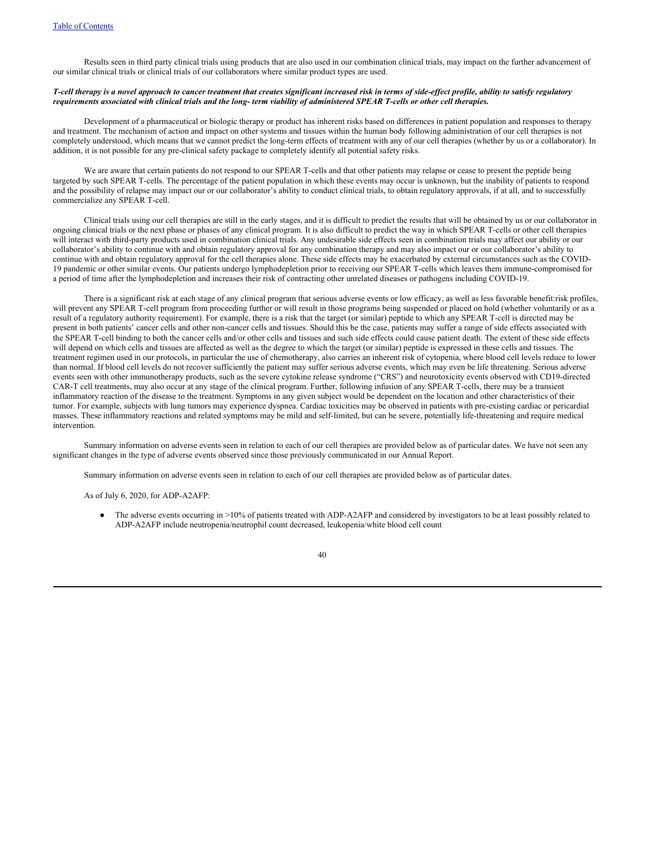Results seen in third party clinical trials using products that are also used in our combination clinical trials, may impact on the further advancement of our similar clinical trials or clinical trials of our collaborators where similar product types are used.

# T-cell therapy is a novel approach to cancer treatment that creates significant increased risk in terms of side-effect profile, ability to satisfy regulatory requirements associated with clinical trials and the long-term viability of administered SPEAR T-cells or other cell therapies.

Development of a pharmaceutical or biologic therapy or product has inherent risks based on differences in patient population and responses to therapy and treatment. The mechanism of action and impact on other systems and tissues within the human body following administration of our cell therapies is not completely understood, which means that we cannot predict the long-term effects of treatment with any of our cell therapies (whether by us or a collaborator). In addition, it is not possible for any pre-clinical safety package to completely identify all potential safety risks.

We are aware that certain patients do not respond to our SPEAR T-cells and that other patients may relapse or cease to present the peptide being targeted by such SPEAR T-cells. The percentage of the patient population in which these events may occur is unknown, but the inability of patients to respond and the possibility of relapse may impact our or our collaborator's ability to conduct clinical trials, to obtain regulatory approvals, if at all, and to successfully commercialize any SPEAR T-cell.

Clinical trials using our cell therapies are still in the early stages, and it is difficult to predict the results that will be obtained by us or our collaborator in ongoing clinical trials or the next phase or phases of any clinical program. It is also difficult to predict the way in which SPEAR T-cells or other cell therapies will interact with third-party products used in combination clinical trials. Any undesirable side effects seen in combination trials may affect our ability or our collaborator's ability to continue with and obtain regulatory approval for any combination therapy and may also impact our or our collaborator's ability to continue with and obtain regulatory approval for the cell therapies alone. These side effects may be exacerbated by external circumstances such as the COVID-19 pandemic or other similar events. Our patients undergo lymphodepletion prior to receiving our SPEAR T-cells which leaves them immune-compromised for a period of time after the lymphodepletion and increases their risk of contracting other unrelated diseases or pathogens including COVID-19.

There is a significant risk at each stage of any clinical program that serious adverse events or low efficacy, as well as less favorable benefit:risk profiles, will prevent any SPEAR T-cell program from proceeding further or will result in those programs being suspended or placed on hold (whether voluntarily or as a result of a regulatory authority requirement). For example, there is a risk that the target (or similar) peptide to which any SPEAR T-cell is directed may be present in both patients' cancer cells and other non-cancer cells and tissues. Should this be the case, patients may suffer a range of side effects associated with the SPEAR T-cell binding to both the cancer cells and/or other cells and tissues and such side effects could cause patient death. The extent of these side effects will depend on which cells and tissues are affected as well as the degree to which the target (or similar) peptide is expressed in these cells and tissues. The treatment regimen used in our protocols, in particular the use of chemotherapy, also carries an inherent risk of cytopenia, where blood cell levels reduce to lower than normal. If blood cell levels do not recover sufficiently the patient may suffer serious adverse events, which may even be life threatening. Serious adverse events seen with other immunotherapy products, such as the severe cytokine release syndrome ("CRS") and neurotoxicity events observed with CD19-directed CAR-T cell treatments, may also occur at any stage of the clinical program. Further, following infusion of any SPEAR T-cells, there may be a transient inflammatory reaction of the disease to the treatment. Symptoms in any given subject would be dependent on the location and other characteristics of their tumor. For example, subjects with lung tumors may experience dyspnea. Cardiac toxicities may be observed in patients with pre-existing cardiac or pericardial masses. These inflammatory reactions and related symptoms may be mild and self-limited, but can be severe, potentially life-threatening and require medical intervention.

Summary information on adverse events seen in relation to each of our cell therapies are provided below as of particular dates. We have not seen any significant changes in the type of adverse events observed since those previously communicated in our Annual Report.

Summary information on adverse events seen in relation to each of our cell therapies are provided below as of particular dates.

As of July 6, 2020, for ADP-A2AFP:

The adverse events occurring in >10% of patients treated with ADP-A2AFP and considered by investigators to be at least possibly related to ADP-A2AFP include neutropenia/neutrophil count decreased, leukopenia/white blood cell count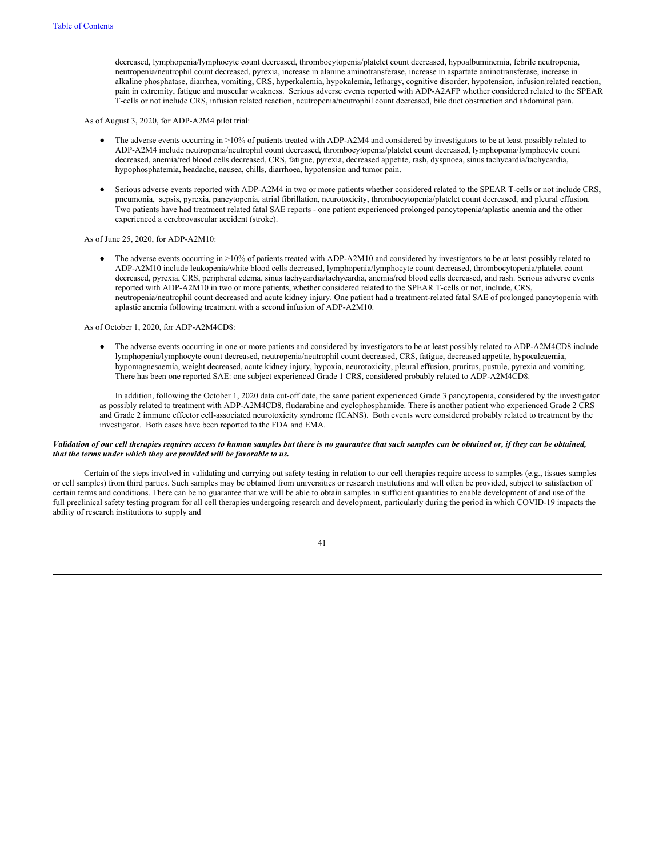decreased, lymphopenia/lymphocyte count decreased, thrombocytopenia/platelet count decreased, hypoalbuminemia, febrile neutropenia, neutropenia/neutrophil count decreased, pyrexia, increase in alanine aminotransferase, increase in aspartate aminotransferase, increase in alkaline phosphatase, diarrhea, vomiting, CRS, hyperkalemia, hypokalemia, lethargy, cognitive disorder, hypotension, infusion related reaction, pain in extremity, fatigue and muscular weakness. Serious adverse events reported with ADP-A2AFP whether considered related to the SPEAR T-cells or not include CRS, infusion related reaction, neutropenia/neutrophil count decreased, bile duct obstruction and abdominal pain.

As of August 3, 2020, for ADP-A2M4 pilot trial:

- The adverse events occurring in >10% of patients treated with ADP-A2M4 and considered by investigators to be at least possibly related to ADP-A2M4 include neutropenia/neutrophil count decreased, thrombocytopenia/platelet count decreased, lymphopenia/lymphocyte count decreased, anemia/red blood cells decreased, CRS, fatigue, pyrexia, decreased appetite, rash, dyspnoea, sinus tachycardia/tachycardia, hypophosphatemia, headache, nausea, chills, diarrhoea, hypotension and tumor pain.
- Serious adverse events reported with ADP-A2M4 in two or more patients whether considered related to the SPEAR T-cells or not include CRS, pneumonia, sepsis, pyrexia, pancytopenia, atrial fibrillation, neurotoxicity, thrombocytopenia/platelet count decreased, and pleural effusion. Two patients have had treatment related fatal SAE reports - one patient experienced prolonged pancytopenia/aplastic anemia and the other experienced a cerebrovascular accident (stroke).

As of June 25, 2020, for ADP-A2M10:

• The adverse events occurring in >10% of patients treated with ADP-A2M10 and considered by investigators to be at least possibly related to ADP-A2M10 include leukopenia/white blood cells decreased, lymphopenia/lymphocyte count decreased, thrombocytopenia/platelet count decreased, pyrexia, CRS, peripheral edema, sinus tachycardia/tachycardia, anemia/red blood cells decreased, and rash. Serious adverse events reported with ADP-A2M10 in two or more patients, whether considered related to the SPEAR T-cells or not, include, CRS, neutropenia/neutrophil count decreased and acute kidney injury. One patient had a treatment-related fatal SAE of prolonged pancytopenia with aplastic anemia following treatment with a second infusion of ADP-A2M10.

As of October 1, 2020, for ADP-A2M4CD8:

The adverse events occurring in one or more patients and considered by investigators to be at least possibly related to ADP-A2M4CD8 include lymphopenia/lymphocyte count decreased, neutropenia/neutrophil count decreased, CRS, fatigue, decreased appetite, hypocalcaemia, hypomagnesaemia, weight decreased, acute kidney injury, hypoxia, neurotoxicity, pleural effusion, pruritus, pustule, pyrexia and vomiting. There has been one reported SAE: one subject experienced Grade 1 CRS, considered probably related to ADP-A2M4CD8.

In addition, following the October 1, 2020 data cut-off date, the same patient experienced Grade 3 pancytopenia, considered by the investigator as possibly related to treatment with ADP-A2M4CD8, fludarabine and cyclophosphamide. There is another patient who experienced Grade 2 CRS and Grade 2 immune effector cell-associated neurotoxicity syndrome (ICANS). Both events were considered probably related to treatment by the investigator. Both cases have been reported to the FDA and EMA.

#### Validation of our cell therapies requires access to human samples but there is no guarantee that such samples can be obtained or, if they can be obtained, *that the terms under which they are provided will be favorable to us.*

Certain of the steps involved in validating and carrying out safety testing in relation to our cell therapies require access to samples (e.g., tissues samples or cell samples) from third parties. Such samples may be obtained from universities or research institutions and will often be provided, subject to satisfaction of certain terms and conditions. There can be no guarantee that we will be able to obtain samples in sufficient quantities to enable development of and use of the full preclinical safety testing program for all cell therapies undergoing research and development, particularly during the period in which COVID-19 impacts the ability of research institutions to supply and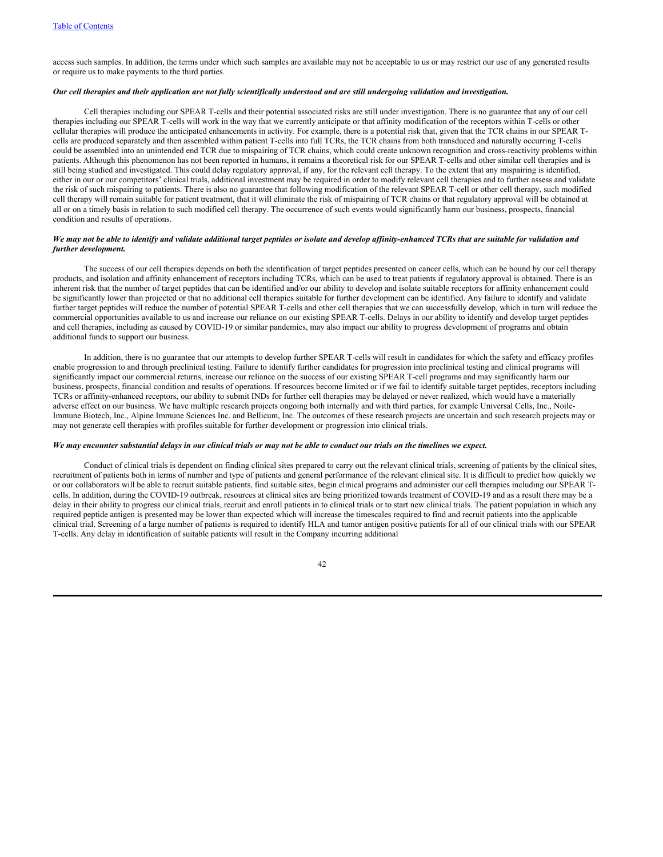access such samples. In addition, the terms under which such samples are available may not be acceptable to us or may restrict our use of any generated results or require us to make payments to the third parties.

# Our cell therapies and their application are not fully scientifically understood and are still undergoing validation and investigation.

Cell therapies including our SPEAR T-cells and their potential associated risks are still under investigation. There is no guarantee that any of our cell therapies including our SPEAR T-cells will work in the way that we currently anticipate or that affinity modification of the receptors within T-cells or other cellular therapies will produce the anticipated enhancements in activity. For example, there is a potential risk that, given that the TCR chains in our SPEAR Tcells are produced separately and then assembled within patient T-cells into full TCRs, the TCR chains from both transduced and naturally occurring T-cells could be assembled into an unintended end TCR due to mispairing of TCR chains, which could create unknown recognition and cross-reactivity problems within patients. Although this phenomenon has not been reported in humans, it remains a theoretical risk for our SPEAR T-cells and other similar cell therapies and is still being studied and investigated. This could delay regulatory approval, if any, for the relevant cell therapy. To the extent that any mispairing is identified, either in our or our competitors' clinical trials, additional investment may be required in order to modify relevant cell therapies and to further assess and validate the risk of such mispairing to patients. There is also no guarantee that following modification of the relevant SPEAR T-cell or other cell therapy, such modified cell therapy will remain suitable for patient treatment, that it will eliminate the risk of mispairing of TCR chains or that regulatory approval will be obtained at all or on a timely basis in relation to such modified cell therapy. The occurrence of such events would significantly harm our business, prospects, financial condition and results of operations.

### We may not be able to identify and validate additional target peptides or isolate and develop affinity-enhanced TCRs that are suitable for validation and *further development.*

The success of our cell therapies depends on both the identification of target peptides presented on cancer cells, which can be bound by our cell therapy products, and isolation and affinity enhancement of receptors including TCRs, which can be used to treat patients if regulatory approval is obtained. There is an inherent risk that the number of target peptides that can be identified and/or our ability to develop and isolate suitable receptors for affinity enhancement could be significantly lower than projected or that no additional cell therapies suitable for further development can be identified. Any failure to identify and validate further target peptides will reduce the number of potential SPEAR T-cells and other cell therapies that we can successfully develop, which in turn will reduce the commercial opportunities available to us and increase our reliance on our existing SPEAR T-cells. Delays in our ability to identify and develop target peptides and cell therapies, including as caused by COVID-19 or similar pandemics, may also impact our ability to progress development of programs and obtain additional funds to support our business.

In addition, there is no guarantee that our attempts to develop further SPEAR T-cells will result in candidates for which the safety and efficacy profiles enable progression to and through preclinical testing. Failure to identify further candidates for progression into preclinical testing and clinical programs will significantly impact our commercial returns, increase our reliance on the success of our existing SPEAR T-cell programs and may significantly harm our business, prospects, financial condition and results of operations. If resources become limited or if we fail to identify suitable target peptides, receptors including TCRs or affinity-enhanced receptors, our ability to submit INDs for further cell therapies may be delayed or never realized, which would have a materially adverse effect on our business. We have multiple research projects ongoing both internally and with third parties, for example Universal Cells, Inc., Noile-Immune Biotech, Inc., Alpine Immune Sciences Inc. and Bellicum, Inc. The outcomes of these research projects are uncertain and such research projects may or may not generate cell therapies with profiles suitable for further development or progression into clinical trials.

# We may encounter substantial delays in our clinical trials or may not be able to conduct our trials on the timelines we expect.

Conduct of clinical trials is dependent on finding clinical sites prepared to carry out the relevant clinical trials, screening of patients by the clinical sites, recruitment of patients both in terms of number and type of patients and general performance of the relevant clinical site. It is difficult to predict how quickly we or our collaborators will be able to recruit suitable patients, find suitable sites, begin clinical programs and administer our cell therapies including our SPEAR Tcells. In addition, during the COVID-19 outbreak, resources at clinical sites are being prioritized towards treatment of COVID-19 and as a result there may be a delay in their ability to progress our clinical trials, recruit and enroll patients in to clinical trials or to start new clinical trials. The patient population in which any required peptide antigen is presented may be lower than expected which will increase the timescales required to find and recruit patients into the applicable clinical trial. Screening of a large number of patients is required to identify HLA and tumor antigen positive patients for all of our clinical trials with our SPEAR T-cells. Any delay in identification of suitable patients will result in the Company incurring additional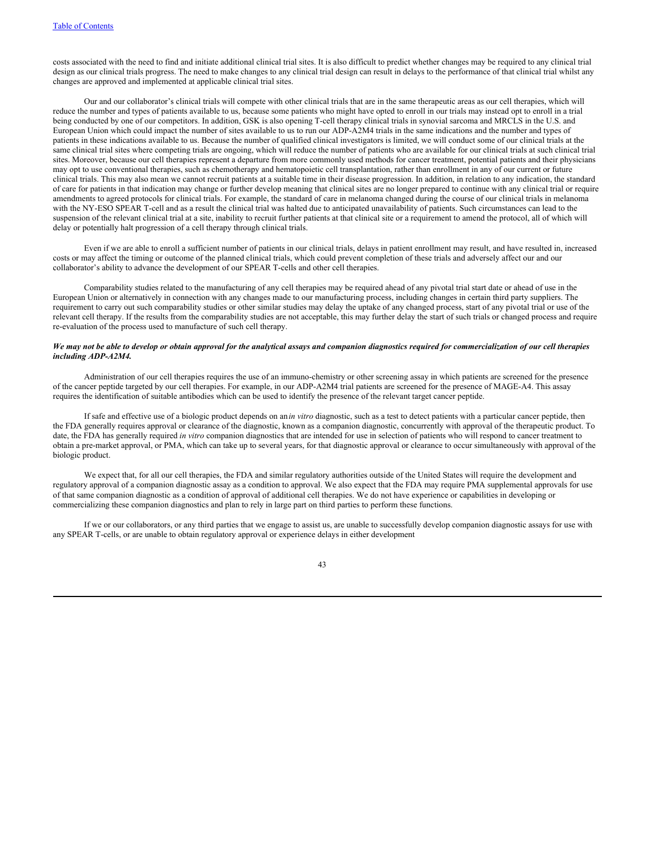costs associated with the need to find and initiate additional clinical trial sites. It is also difficult to predict whether changes may be required to any clinical trial design as our clinical trials progress. The need to make changes to any clinical trial design can result in delays to the performance of that clinical trial whilst any changes are approved and implemented at applicable clinical trial sites.

Our and our collaborator's clinical trials will compete with other clinical trials that are in the same therapeutic areas as our cell therapies, which will reduce the number and types of patients available to us, because some patients who might have opted to enroll in our trials may instead opt to enroll in a trial being conducted by one of our competitors. In addition, GSK is also opening T-cell therapy clinical trials in synovial sarcoma and MRCLS in the U.S. and European Union which could impact the number of sites available to us to run our ADP-A2M4 trials in the same indications and the number and types of patients in these indications available to us. Because the number of qualified clinical investigators is limited, we will conduct some of our clinical trials at the same clinical trial sites where competing trials are ongoing, which will reduce the number of patients who are available for our clinical trials at such clinical trial sites. Moreover, because our cell therapies represent a departure from more commonly used methods for cancer treatment, potential patients and their physicians may opt to use conventional therapies, such as chemotherapy and hematopoietic cell transplantation, rather than enrollment in any of our current or future clinical trials. This may also mean we cannot recruit patients at a suitable time in their disease progression. In addition, in relation to any indication, the standard of care for patients in that indication may change or further develop meaning that clinical sites are no longer prepared to continue with any clinical trial or require amendments to agreed protocols for clinical trials. For example, the standard of care in melanoma changed during the course of our clinical trials in melanoma with the NY-ESO SPEAR T-cell and as a result the clinical trial was halted due to anticipated unavailability of patients. Such circumstances can lead to the suspension of the relevant clinical trial at a site, inability to recruit further patients at that clinical site or a requirement to amend the protocol, all of which will delay or potentially halt progression of a cell therapy through clinical trials.

Even if we are able to enroll a sufficient number of patients in our clinical trials, delays in patient enrollment may result, and have resulted in, increased costs or may affect the timing or outcome of the planned clinical trials, which could prevent completion of these trials and adversely affect our and our collaborator's ability to advance the development of our SPEAR T-cells and other cell therapies.

Comparability studies related to the manufacturing of any cell therapies may be required ahead of any pivotal trial start date or ahead of use in the European Union or alternatively in connection with any changes made to our manufacturing process, including changes in certain third party suppliers. The requirement to carry out such comparability studies or other similar studies may delay the uptake of any changed process, start of any pivotal trial or use of the relevant cell therapy. If the results from the comparability studies are not acceptable, this may further delay the start of such trials or changed process and require re-evaluation of the process used to manufacture of such cell therapy.

### We may not be able to develop or obtain approval for the analytical assays and companion diagnostics required for commercialization of our cell therapies *including ADP-A2M4.*

Administration of our cell therapies requires the use of an immuno-chemistry or other screening assay in which patients are screened for the presence of the cancer peptide targeted by our cell therapies. For example, in our ADP-A2M4 trial patients are screened for the presence of MAGE-A4. This assay requires the identification of suitable antibodies which can be used to identify the presence of the relevant target cancer peptide.

If safe and effective use of a biologic product depends on an*in vitro* diagnostic, such as a test to detect patients with a particular cancer peptide, then the FDA generally requires approval or clearance of the diagnostic, known as a companion diagnostic, concurrently with approval of the therapeutic product. To date, the FDA has generally required *in vitro* companion diagnostics that are intended for use in selection of patients who will respond to cancer treatment to obtain a pre-market approval, or PMA, which can take up to several years, for that diagnostic approval or clearance to occur simultaneously with approval of the biologic product.

We expect that, for all our cell therapies, the FDA and similar regulatory authorities outside of the United States will require the development and regulatory approval of a companion diagnostic assay as a condition to approval. We also expect that the FDA may require PMA supplemental approvals for use of that same companion diagnostic as a condition of approval of additional cell therapies. We do not have experience or capabilities in developing or commercializing these companion diagnostics and plan to rely in large part on third parties to perform these functions.

If we or our collaborators, or any third parties that we engage to assist us, are unable to successfully develop companion diagnostic assays for use with any SPEAR T-cells, or are unable to obtain regulatory approval or experience delays in either development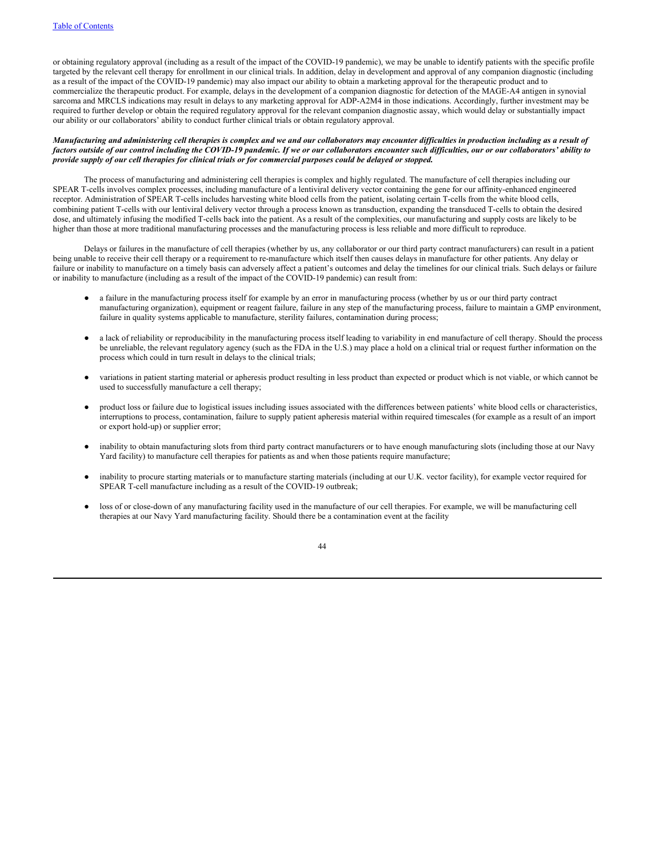or obtaining regulatory approval (including as a result of the impact of the COVID-19 pandemic), we may be unable to identify patients with the specific profile targeted by the relevant cell therapy for enrollment in our clinical trials. In addition, delay in development and approval of any companion diagnostic (including as a result of the impact of the COVID-19 pandemic) may also impact our ability to obtain a marketing approval for the therapeutic product and to commercialize the therapeutic product. For example, delays in the development of a companion diagnostic for detection of the MAGE-A4 antigen in synovial sarcoma and MRCLS indications may result in delays to any marketing approval for ADP-A2M4 in those indications. Accordingly, further investment may be required to further develop or obtain the required regulatory approval for the relevant companion diagnostic assay, which would delay or substantially impact our ability or our collaborators' ability to conduct further clinical trials or obtain regulatory approval.

### Manufacturing and administering cell therapies is complex and we and our collaborators may encounter difficulties in production including as a result of factors outside of our control including the COVID-19 pandemic. If we or our collaborators encounter such difficulties, our or our collaborators' ability to provide supply of our cell therapies for clinical trials or for commercial purposes could be delayed or stopped.

The process of manufacturing and administering cell therapies is complex and highly regulated. The manufacture of cell therapies including our SPEAR T-cells involves complex processes, including manufacture of a lentiviral delivery vector containing the gene for our affinity-enhanced engineered receptor. Administration of SPEAR T-cells includes harvesting white blood cells from the patient, isolating certain T-cells from the white blood cells, combining patient T-cells with our lentiviral delivery vector through a process known as transduction, expanding the transduced T-cells to obtain the desired dose, and ultimately infusing the modified T-cells back into the patient. As a result of the complexities, our manufacturing and supply costs are likely to be higher than those at more traditional manufacturing processes and the manufacturing process is less reliable and more difficult to reproduce.

Delays or failures in the manufacture of cell therapies (whether by us, any collaborator or our third party contract manufacturers) can result in a patient being unable to receive their cell therapy or a requirement to re-manufacture which itself then causes delays in manufacture for other patients. Any delay or failure or inability to manufacture on a timely basis can adversely affect a patient's outcomes and delay the timelines for our clinical trials. Such delays or failure or inability to manufacture (including as a result of the impact of the COVID-19 pandemic) can result from:

- a failure in the manufacturing process itself for example by an error in manufacturing process (whether by us or our third party contract manufacturing organization), equipment or reagent failure, failure in any step of the manufacturing process, failure to maintain a GMP environment, failure in quality systems applicable to manufacture, sterility failures, contamination during process;
- a lack of reliability or reproducibility in the manufacturing process itself leading to variability in end manufacture of cell therapy. Should the process be unreliable, the relevant regulatory agency (such as the FDA in the U.S.) may place a hold on a clinical trial or request further information on the process which could in turn result in delays to the clinical trials;
- variations in patient starting material or apheresis product resulting in less product than expected or product which is not viable, or which cannot be used to successfully manufacture a cell therapy;
- product loss or failure due to logistical issues including issues associated with the differences between patients' white blood cells or characteristics, interruptions to process, contamination, failure to supply patient apheresis material within required timescales (for example as a result of an import or export hold-up) or supplier error;
- inability to obtain manufacturing slots from third party contract manufacturers or to have enough manufacturing slots (including those at our Navy Yard facility) to manufacture cell therapies for patients as and when those patients require manufacture;
- inability to procure starting materials or to manufacture starting materials (including at our U.K. vector facility), for example vector required for SPEAR T-cell manufacture including as a result of the COVID-19 outbreak;
- loss of or close-down of any manufacturing facility used in the manufacture of our cell therapies. For example, we will be manufacturing cell therapies at our Navy Yard manufacturing facility. Should there be a contamination event at the facility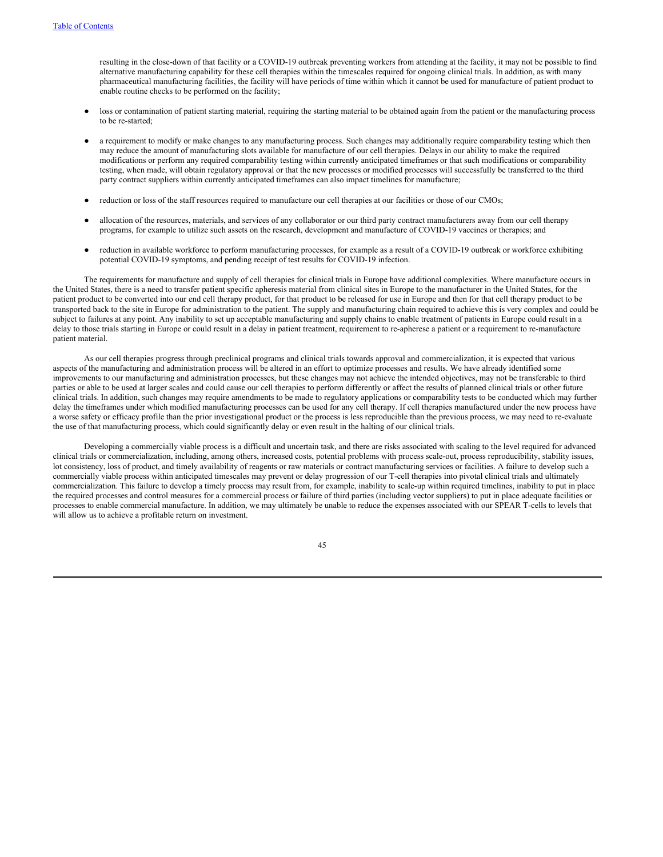resulting in the close-down of that facility or a COVID-19 outbreak preventing workers from attending at the facility, it may not be possible to find alternative manufacturing capability for these cell therapies within the timescales required for ongoing clinical trials. In addition, as with many pharmaceutical manufacturing facilities, the facility will have periods of time within which it cannot be used for manufacture of patient product to enable routine checks to be performed on the facility;

- loss or contamination of patient starting material, requiring the starting material to be obtained again from the patient or the manufacturing process to be re-started;
- a requirement to modify or make changes to any manufacturing process. Such changes may additionally require comparability testing which then may reduce the amount of manufacturing slots available for manufacture of our cell therapies. Delays in our ability to make the required modifications or perform any required comparability testing within currently anticipated timeframes or that such modifications or comparability testing, when made, will obtain regulatory approval or that the new processes or modified processes will successfully be transferred to the third party contract suppliers within currently anticipated timeframes can also impact timelines for manufacture;
- reduction or loss of the staff resources required to manufacture our cell therapies at our facilities or those of our CMOs;
- allocation of the resources, materials, and services of any collaborator or our third party contract manufacturers away from our cell therapy programs, for example to utilize such assets on the research, development and manufacture of COVID-19 vaccines or therapies; and
- reduction in available workforce to perform manufacturing processes, for example as a result of a COVID-19 outbreak or workforce exhibiting potential COVID-19 symptoms, and pending receipt of test results for COVID-19 infection.

The requirements for manufacture and supply of cell therapies for clinical trials in Europe have additional complexities. Where manufacture occurs in the United States, there is a need to transfer patient specific apheresis material from clinical sites in Europe to the manufacturer in the United States, for the patient product to be converted into our end cell therapy product, for that product to be released for use in Europe and then for that cell therapy product to be transported back to the site in Europe for administration to the patient. The supply and manufacturing chain required to achieve this is very complex and could be subject to failures at any point. Any inability to set up acceptable manufacturing and supply chains to enable treatment of patients in Europe could result in a delay to those trials starting in Europe or could result in a delay in patient treatment, requirement to re-apherese a patient or a requirement to re-manufacture patient material.

As our cell therapies progress through preclinical programs and clinical trials towards approval and commercialization, it is expected that various aspects of the manufacturing and administration process will be altered in an effort to optimize processes and results. We have already identified some improvements to our manufacturing and administration processes, but these changes may not achieve the intended objectives, may not be transferable to third parties or able to be used at larger scales and could cause our cell therapies to perform differently or affect the results of planned clinical trials or other future clinical trials. In addition, such changes may require amendments to be made to regulatory applications or comparability tests to be conducted which may further delay the timeframes under which modified manufacturing processes can be used for any cell therapy. If cell therapies manufactured under the new process have a worse safety or efficacy profile than the prior investigational product or the process is less reproducible than the previous process, we may need to re-evaluate the use of that manufacturing process, which could significantly delay or even result in the halting of our clinical trials.

Developing a commercially viable process is a difficult and uncertain task, and there are risks associated with scaling to the level required for advanced clinical trials or commercialization, including, among others, increased costs, potential problems with process scale-out, process reproducibility, stability issues, lot consistency, loss of product, and timely availability of reagents or raw materials or contract manufacturing services or facilities. A failure to develop such a commercially viable process within anticipated timescales may prevent or delay progression of our T-cell therapies into pivotal clinical trials and ultimately commercialization. This failure to develop a timely process may result from, for example, inability to scale-up within required timelines, inability to put in place the required processes and control measures for a commercial process or failure of third parties (including vector suppliers) to put in place adequate facilities or processes to enable commercial manufacture. In addition, we may ultimately be unable to reduce the expenses associated with our SPEAR T-cells to levels that will allow us to achieve a profitable return on investment.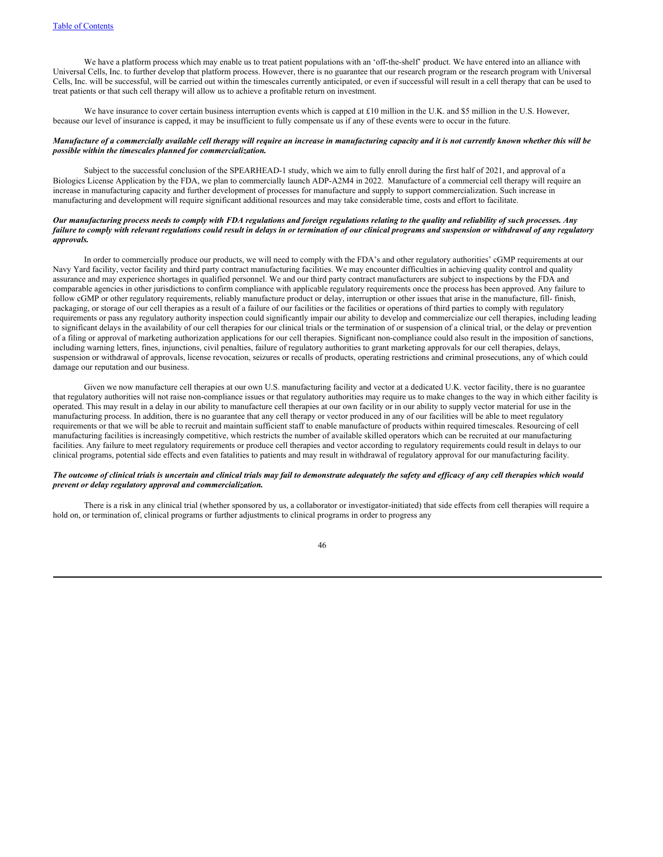We have a platform process which may enable us to treat patient populations with an 'off-the-shelf' product. We have entered into an alliance with Universal Cells, Inc. to further develop that platform process. However, there is no guarantee that our research program or the research program with Universal Cells, Inc. will be successful, will be carried out within the timescales currently anticipated, or even if successful will result in a cell therapy that can be used to treat patients or that such cell therapy will allow us to achieve a profitable return on investment.

We have insurance to cover certain business interruption events which is capped at £10 million in the U.K. and \$5 million in the U.S. However, because our level of insurance is capped, it may be insufficient to fully compensate us if any of these events were to occur in the future.

### Manufacture of a commercially available cell therapy will require an increase in manufacturing capacity and it is not currently known whether this will be *possible within the timescales planned for commercialization.*

Subject to the successful conclusion of the SPEARHEAD-1 study, which we aim to fully enroll during the first half of 2021, and approval of a Biologics License Application by the FDA, we plan to commercially launch ADP-A2M4 in 2022. Manufacture of a commercial cell therapy will require an increase in manufacturing capacity and further development of processes for manufacture and supply to support commercialization. Such increase in manufacturing and development will require significant additional resources and may take considerable time, costs and effort to facilitate.

# Our manufacturing process needs to comply with FDA regulations and foreign regulations relating to the quality and reliability of such processes. Any failure to comply with relevant regulations could result in delays in or termination of our clinical programs and suspension or withdrawal of any regulatory *approvals.*

In order to commercially produce our products, we will need to comply with the FDA's and other regulatory authorities' cGMP requirements at our Navy Yard facility, vector facility and third party contract manufacturing facilities. We may encounter difficulties in achieving quality control and quality assurance and may experience shortages in qualified personnel. We and our third party contract manufacturers are subject to inspections by the FDA and comparable agencies in other jurisdictions to confirm compliance with applicable regulatory requirements once the process has been approved. Any failure to follow cGMP or other regulatory requirements, reliably manufacture product or delay, interruption or other issues that arise in the manufacture, fill- finish, packaging, or storage of our cell therapies as a result of a failure of our facilities or the facilities or operations of third parties to comply with regulatory requirements or pass any regulatory authority inspection could significantly impair our ability to develop and commercialize our cell therapies, including leading to significant delays in the availability of our cell therapies for our clinical trials or the termination of or suspension of a clinical trial, or the delay or prevention of a filing or approval of marketing authorization applications for our cell therapies. Significant non-compliance could also result in the imposition of sanctions, including warning letters, fines, injunctions, civil penalties, failure of regulatory authorities to grant marketing approvals for our cell therapies, delays, suspension or withdrawal of approvals, license revocation, seizures or recalls of products, operating restrictions and criminal prosecutions, any of which could damage our reputation and our business.

Given we now manufacture cell therapies at our own U.S. manufacturing facility and vector at a dedicated U.K. vector facility, there is no guarantee that regulatory authorities will not raise non-compliance issues or that regulatory authorities may require us to make changes to the way in which either facility is operated. This may result in a delay in our ability to manufacture cell therapies at our own facility or in our ability to supply vector material for use in the manufacturing process. In addition, there is no guarantee that any cell therapy or vector produced in any of our facilities will be able to meet regulatory requirements or that we will be able to recruit and maintain sufficient staff to enable manufacture of products within required timescales. Resourcing of cell manufacturing facilities is increasingly competitive, which restricts the number of available skilled operators which can be recruited at our manufacturing facilities. Any failure to meet regulatory requirements or produce cell therapies and vector according to regulatory requirements could result in delays to our clinical programs, potential side effects and even fatalities to patients and may result in withdrawal of regulatory approval for our manufacturing facility.

# The outcome of clinical trials is uncertain and clinical trials may fail to demonstrate adequately the safety and efficacy of any cell therapies which would *prevent or delay regulatory approval and commercialization.*

There is a risk in any clinical trial (whether sponsored by us, a collaborator or investigator-initiated) that side effects from cell therapies will require a hold on, or termination of, clinical programs or further adjustments to clinical programs in order to progress any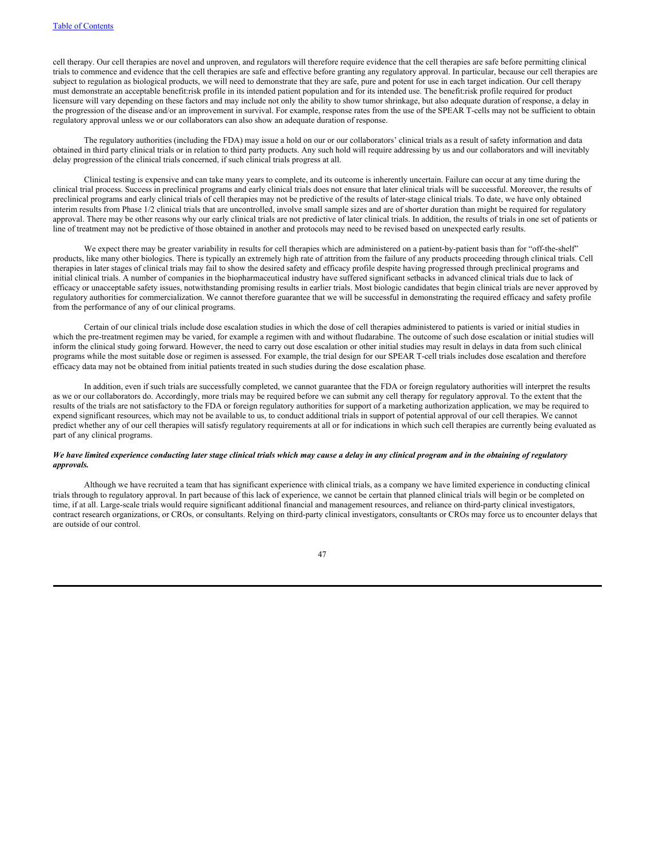cell therapy. Our cell therapies are novel and unproven, and regulators will therefore require evidence that the cell therapies are safe before permitting clinical trials to commence and evidence that the cell therapies are safe and effective before granting any regulatory approval. In particular, because our cell therapies are subject to regulation as biological products, we will need to demonstrate that they are safe, pure and potent for use in each target indication. Our cell therapy must demonstrate an acceptable benefit:risk profile in its intended patient population and for its intended use. The benefit:risk profile required for product licensure will vary depending on these factors and may include not only the ability to show tumor shrinkage, but also adequate duration of response, a delay in the progression of the disease and/or an improvement in survival. For example, response rates from the use of the SPEAR T-cells may not be sufficient to obtain regulatory approval unless we or our collaborators can also show an adequate duration of response.

The regulatory authorities (including the FDA) may issue a hold on our or our collaborators' clinical trials as a result of safety information and data obtained in third party clinical trials or in relation to third party products. Any such hold will require addressing by us and our collaborators and will inevitably delay progression of the clinical trials concerned, if such clinical trials progress at all.

Clinical testing is expensive and can take many years to complete, and its outcome is inherently uncertain. Failure can occur at any time during the clinical trial process. Success in preclinical programs and early clinical trials does not ensure that later clinical trials will be successful. Moreover, the results of preclinical programs and early clinical trials of cell therapies may not be predictive of the results of later-stage clinical trials. To date, we have only obtained interim results from Phase 1/2 clinical trials that are uncontrolled, involve small sample sizes and are of shorter duration than might be required for regulatory approval. There may be other reasons why our early clinical trials are not predictive of later clinical trials. In addition, the results of trials in one set of patients or line of treatment may not be predictive of those obtained in another and protocols may need to be revised based on unexpected early results.

We expect there may be greater variability in results for cell therapies which are administered on a patient-by-patient basis than for "off-the-shelf" products, like many other biologics. There is typically an extremely high rate of attrition from the failure of any products proceeding through clinical trials. Cell therapies in later stages of clinical trials may fail to show the desired safety and efficacy profile despite having progressed through preclinical programs and initial clinical trials. A number of companies in the biopharmaceutical industry have suffered significant setbacks in advanced clinical trials due to lack of efficacy or unacceptable safety issues, notwithstanding promising results in earlier trials. Most biologic candidates that begin clinical trials are never approved by regulatory authorities for commercialization. We cannot therefore guarantee that we will be successful in demonstrating the required efficacy and safety profile from the performance of any of our clinical programs.

Certain of our clinical trials include dose escalation studies in which the dose of cell therapies administered to patients is varied or initial studies in which the pre-treatment regimen may be varied, for example a regimen with and without fludarabine. The outcome of such dose escalation or initial studies will inform the clinical study going forward. However, the need to carry out dose escalation or other initial studies may result in delays in data from such clinical programs while the most suitable dose or regimen is assessed. For example, the trial design for our SPEAR T-cell trials includes dose escalation and therefore efficacy data may not be obtained from initial patients treated in such studies during the dose escalation phase.

In addition, even if such trials are successfully completed, we cannot guarantee that the FDA or foreign regulatory authorities will interpret the results as we or our collaborators do. Accordingly, more trials may be required before we can submit any cell therapy for regulatory approval. To the extent that the results of the trials are not satisfactory to the FDA or foreign regulatory authorities for support of a marketing authorization application, we may be required to expend significant resources, which may not be available to us, to conduct additional trials in support of potential approval of our cell therapies. We cannot predict whether any of our cell therapies will satisfy regulatory requirements at all or for indications in which such cell therapies are currently being evaluated as part of any clinical programs.

### We have limited experience conducting later stage clinical trials which may cause a delay in any clinical program and in the obtaining of regulatory *approvals.*

Although we have recruited a team that has significant experience with clinical trials, as a company we have limited experience in conducting clinical trials through to regulatory approval. In part because of this lack of experience, we cannot be certain that planned clinical trials will begin or be completed on time, if at all. Large-scale trials would require significant additional financial and management resources, and reliance on third-party clinical investigators, contract research organizations, or CROs, or consultants. Relying on third-party clinical investigators, consultants or CROs may force us to encounter delays that are outside of our control.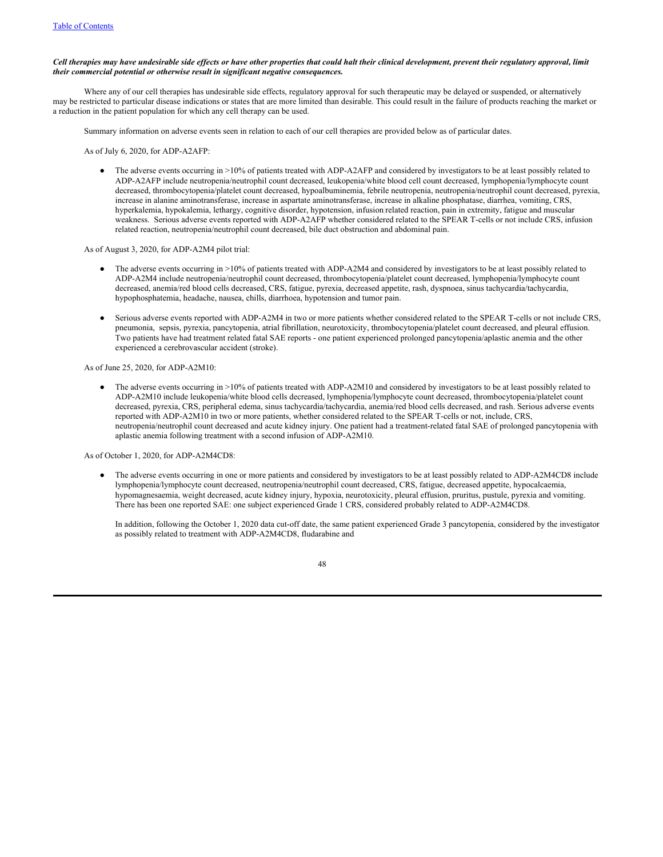### Cell therapies may have undesirable side effects or have other properties that could halt their clinical development, prevent their regulatory approval, limit *their commercial potential or otherwise result in significant negative consequences.*

Where any of our cell therapies has undesirable side effects, regulatory approval for such therapeutic may be delayed or suspended, or alternatively may be restricted to particular disease indications or states that are more limited than desirable. This could result in the failure of products reaching the market or a reduction in the patient population for which any cell therapy can be used.

Summary information on adverse events seen in relation to each of our cell therapies are provided below as of particular dates.

As of July 6, 2020, for ADP-A2AFP:

The adverse events occurring in >10% of patients treated with ADP-A2AFP and considered by investigators to be at least possibly related to ADP-A2AFP include neutropenia/neutrophil count decreased, leukopenia/white blood cell count decreased, lymphopenia/lymphocyte count decreased, thrombocytopenia/platelet count decreased, hypoalbuminemia, febrile neutropenia, neutropenia/neutrophil count decreased, pyrexia, increase in alanine aminotransferase, increase in aspartate aminotransferase, increase in alkaline phosphatase, diarrhea, vomiting, CRS, hyperkalemia, hypokalemia, lethargy, cognitive disorder, hypotension, infusion related reaction, pain in extremity, fatigue and muscular weakness. Serious adverse events reported with ADP-A2AFP whether considered related to the SPEAR T-cells or not include CRS, infusion related reaction, neutropenia/neutrophil count decreased, bile duct obstruction and abdominal pain.

As of August 3, 2020, for ADP-A2M4 pilot trial:

- The adverse events occurring in >10% of patients treated with ADP-A2M4 and considered by investigators to be at least possibly related to ADP-A2M4 include neutropenia/neutrophil count decreased, thrombocytopenia/platelet count decreased, lymphopenia/lymphocyte count decreased, anemia/red blood cells decreased, CRS, fatigue, pyrexia, decreased appetite, rash, dyspnoea, sinus tachycardia/tachycardia, hypophosphatemia, headache, nausea, chills, diarrhoea, hypotension and tumor pain.
- Serious adverse events reported with ADP-A2M4 in two or more patients whether considered related to the SPEAR T-cells or not include CRS, pneumonia, sepsis, pyrexia, pancytopenia, atrial fibrillation, neurotoxicity, thrombocytopenia/platelet count decreased, and pleural effusion. Two patients have had treatment related fatal SAE reports - one patient experienced prolonged pancytopenia/aplastic anemia and the other experienced a cerebrovascular accident (stroke).

As of June 25, 2020, for ADP-A2M10:

The adverse events occurring in >10% of patients treated with ADP-A2M10 and considered by investigators to be at least possibly related to ADP-A2M10 include leukopenia/white blood cells decreased, lymphopenia/lymphocyte count decreased, thrombocytopenia/platelet count decreased, pyrexia, CRS, peripheral edema, sinus tachycardia/tachycardia, anemia/red blood cells decreased, and rash. Serious adverse events reported with ADP-A2M10 in two or more patients, whether considered related to the SPEAR T-cells or not, include, CRS, neutropenia/neutrophil count decreased and acute kidney injury. One patient had a treatment-related fatal SAE of prolonged pancytopenia with aplastic anemia following treatment with a second infusion of ADP-A2M10.

As of October 1, 2020, for ADP-A2M4CD8:

The adverse events occurring in one or more patients and considered by investigators to be at least possibly related to ADP-A2M4CD8 include lymphopenia/lymphocyte count decreased, neutropenia/neutrophil count decreased, CRS, fatigue, decreased appetite, hypocalcaemia, hypomagnesaemia, weight decreased, acute kidney injury, hypoxia, neurotoxicity, pleural effusion, pruritus, pustule, pyrexia and vomiting. There has been one reported SAE: one subject experienced Grade 1 CRS, considered probably related to ADP-A2M4CD8.

In addition, following the October 1, 2020 data cut-off date, the same patient experienced Grade 3 pancytopenia, considered by the investigator as possibly related to treatment with ADP-A2M4CD8, fludarabine and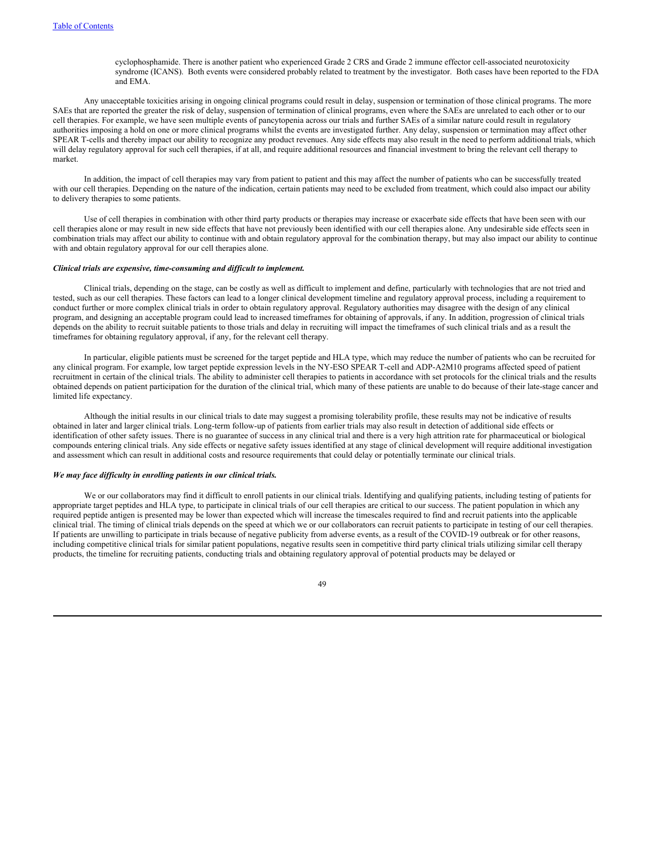cyclophosphamide. There is another patient who experienced Grade 2 CRS and Grade 2 immune effector cell-associated neurotoxicity syndrome (ICANS). Both events were considered probably related to treatment by the investigator. Both cases have been reported to the FDA and EMA.

Any unacceptable toxicities arising in ongoing clinical programs could result in delay, suspension or termination of those clinical programs. The more SAEs that are reported the greater the risk of delay, suspension of termination of clinical programs, even where the SAEs are unrelated to each other or to our cell therapies. For example, we have seen multiple events of pancytopenia across our trials and further SAEs of a similar nature could result in regulatory authorities imposing a hold on one or more clinical programs whilst the events are investigated further. Any delay, suspension or termination may affect other SPEAR T-cells and thereby impact our ability to recognize any product revenues. Any side effects may also result in the need to perform additional trials, which will delay regulatory approval for such cell therapies, if at all, and require additional resources and financial investment to bring the relevant cell therapy to market.

In addition, the impact of cell therapies may vary from patient to patient and this may affect the number of patients who can be successfully treated with our cell therapies. Depending on the nature of the indication, certain patients may need to be excluded from treatment, which could also impact our ability to delivery therapies to some patients.

Use of cell therapies in combination with other third party products or therapies may increase or exacerbate side effects that have been seen with our cell therapies alone or may result in new side effects that have not previously been identified with our cell therapies alone. Any undesirable side effects seen in combination trials may affect our ability to continue with and obtain regulatory approval for the combination therapy, but may also impact our ability to continue with and obtain regulatory approval for our cell therapies alone.

# *Clinical trials are expensive, time-consuming and dif icult to implement.*

Clinical trials, depending on the stage, can be costly as well as difficult to implement and define, particularly with technologies that are not tried and tested, such as our cell therapies. These factors can lead to a longer clinical development timeline and regulatory approval process, including a requirement to conduct further or more complex clinical trials in order to obtain regulatory approval. Regulatory authorities may disagree with the design of any clinical program, and designing an acceptable program could lead to increased timeframes for obtaining of approvals, if any. In addition, progression of clinical trials depends on the ability to recruit suitable patients to those trials and delay in recruiting will impact the timeframes of such clinical trials and as a result the timeframes for obtaining regulatory approval, if any, for the relevant cell therapy.

In particular, eligible patients must be screened for the target peptide and HLA type, which may reduce the number of patients who can be recruited for any clinical program. For example, low target peptide expression levels in the NY-ESO SPEAR T-cell and ADP-A2M10 programs affected speed of patient recruitment in certain of the clinical trials. The ability to administer cell therapies to patients in accordance with set protocols for the clinical trials and the results obtained depends on patient participation for the duration of the clinical trial, which many of these patients are unable to do because of their late-stage cancer and limited life expectancy.

Although the initial results in our clinical trials to date may suggest a promising tolerability profile, these results may not be indicative of results obtained in later and larger clinical trials. Long-term follow-up of patients from earlier trials may also result in detection of additional side effects or identification of other safety issues. There is no guarantee of success in any clinical trial and there is a very high attrition rate for pharmaceutical or biological compounds entering clinical trials. Any side effects or negative safety issues identified at any stage of clinical development will require additional investigation and assessment which can result in additional costs and resource requirements that could delay or potentially terminate our clinical trials.

### *We may face dif iculty in enrolling patients in our clinical trials.*

We or our collaborators may find it difficult to enroll patients in our clinical trials. Identifying and qualifying patients, including testing of patients for appropriate target peptides and HLA type, to participate in clinical trials of our cell therapies are critical to our success. The patient population in which any required peptide antigen is presented may be lower than expected which will increase the timescales required to find and recruit patients into the applicable clinical trial. The timing of clinical trials depends on the speed at which we or our collaborators can recruit patients to participate in testing of our cell therapies. If patients are unwilling to participate in trials because of negative publicity from adverse events, as a result of the COVID-19 outbreak or for other reasons, including competitive clinical trials for similar patient populations, negative results seen in competitive third party clinical trials utilizing similar cell therapy products, the timeline for recruiting patients, conducting trials and obtaining regulatory approval of potential products may be delayed or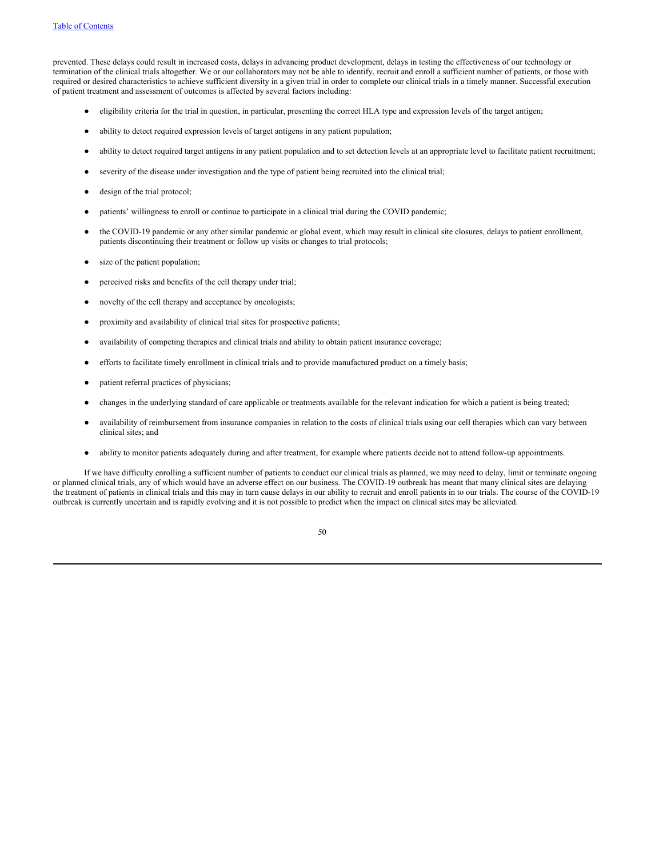prevented. These delays could result in increased costs, delays in advancing product development, delays in testing the effectiveness of our technology or termination of the clinical trials altogether. We or our collaborators may not be able to identify, recruit and enroll a sufficient number of patients, or those with required or desired characteristics to achieve sufficient diversity in a given trial in order to complete our clinical trials in a timely manner. Successful execution of patient treatment and assessment of outcomes is affected by several factors including:

- eligibility criteria for the trial in question, in particular, presenting the correct HLA type and expression levels of the target antigen;
- ability to detect required expression levels of target antigens in any patient population;
- ability to detect required target antigens in any patient population and to set detection levels at an appropriate level to facilitate patient recruitment;
- severity of the disease under investigation and the type of patient being recruited into the clinical trial;
- design of the trial protocol;
- patients' willingness to enroll or continue to participate in a clinical trial during the COVID pandemic;
- the COVID-19 pandemic or any other similar pandemic or global event, which may result in clinical site closures, delays to patient enrollment, patients discontinuing their treatment or follow up visits or changes to trial protocols;
- size of the patient population;
- perceived risks and benefits of the cell therapy under trial;
- novelty of the cell therapy and acceptance by oncologists;
- proximity and availability of clinical trial sites for prospective patients;
- availability of competing therapies and clinical trials and ability to obtain patient insurance coverage;
- efforts to facilitate timely enrollment in clinical trials and to provide manufactured product on a timely basis;
- patient referral practices of physicians;
- changes in the underlying standard of care applicable or treatments available for the relevant indication for which a patient is being treated;
- availability of reimbursement from insurance companies in relation to the costs of clinical trials using our cell therapies which can vary between clinical sites; and
- ability to monitor patients adequately during and after treatment, for example where patients decide not to attend follow-up appointments.

If we have difficulty enrolling a sufficient number of patients to conduct our clinical trials as planned, we may need to delay, limit or terminate ongoing or planned clinical trials, any of which would have an adverse effect on our business. The COVID-19 outbreak has meant that many clinical sites are delaying the treatment of patients in clinical trials and this may in turn cause delays in our ability to recruit and enroll patients in to our trials. The course of the COVID-19 outbreak is currently uncertain and is rapidly evolving and it is not possible to predict when the impact on clinical sites may be alleviated.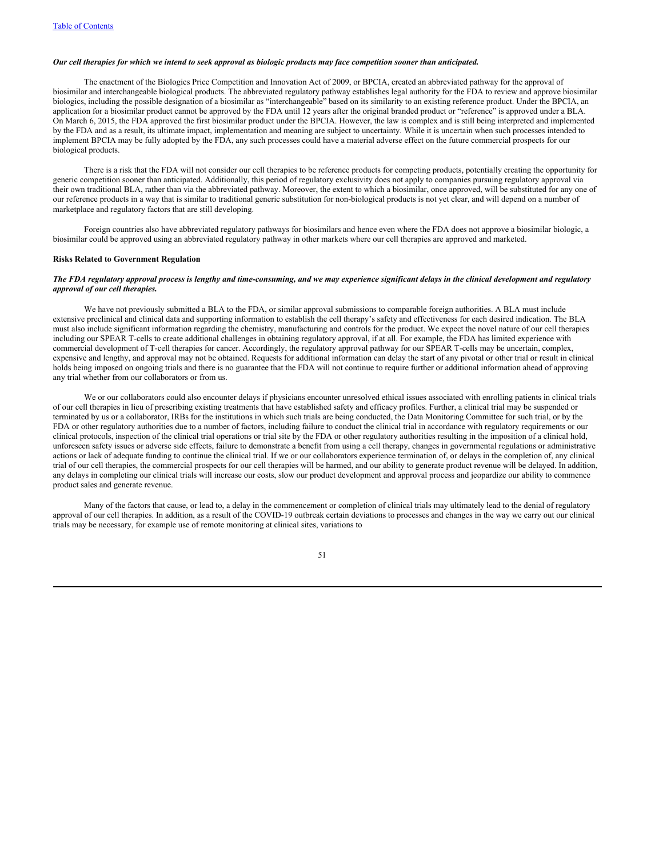#### Our cell therapies for which we intend to seek approval as biologic products may face competition sooner than anticipated.

The enactment of the Biologics Price Competition and Innovation Act of 2009, or BPCIA, created an abbreviated pathway for the approval of biosimilar and interchangeable biological products. The abbreviated regulatory pathway establishes legal authority for the FDA to review and approve biosimilar biologics, including the possible designation of a biosimilar as "interchangeable" based on its similarity to an existing reference product. Under the BPCIA, an application for a biosimilar product cannot be approved by the FDA until 12 years after the original branded product or "reference" is approved under a BLA. On March 6, 2015, the FDA approved the first biosimilar product under the BPCIA. However, the law is complex and is still being interpreted and implemented by the FDA and as a result, its ultimate impact, implementation and meaning are subject to uncertainty. While it is uncertain when such processes intended to implement BPCIA may be fully adopted by the FDA, any such processes could have a material adverse effect on the future commercial prospects for our biological products.

There is a risk that the FDA will not consider our cell therapies to be reference products for competing products, potentially creating the opportunity for generic competition sooner than anticipated. Additionally, this period of regulatory exclusivity does not apply to companies pursuing regulatory approval via their own traditional BLA, rather than via the abbreviated pathway. Moreover, the extent to which a biosimilar, once approved, will be substituted for any one of our reference products in a way that is similar to traditional generic substitution for non-biological products is not yet clear, and will depend on a number of marketplace and regulatory factors that are still developing.

Foreign countries also have abbreviated regulatory pathways for biosimilars and hence even where the FDA does not approve a biosimilar biologic, a biosimilar could be approved using an abbreviated regulatory pathway in other markets where our cell therapies are approved and marketed.

#### **Risks Related to Government Regulation**

### The FDA regulatory approval process is lengthy and time-consuming, and we may experience significant delays in the clinical development and regulatory *approval of our cell therapies.*

We have not previously submitted a BLA to the FDA, or similar approval submissions to comparable foreign authorities. A BLA must include extensive preclinical and clinical data and supporting information to establish the cell therapy's safety and effectiveness for each desired indication. The BLA must also include significant information regarding the chemistry, manufacturing and controls for the product. We expect the novel nature of our cell therapies including our SPEAR T-cells to create additional challenges in obtaining regulatory approval, if at all. For example, the FDA has limited experience with commercial development of T-cell therapies for cancer. Accordingly, the regulatory approval pathway for our SPEAR T-cells may be uncertain, complex, expensive and lengthy, and approval may not be obtained. Requests for additional information can delay the start of any pivotal or other trial or result in clinical holds being imposed on ongoing trials and there is no guarantee that the FDA will not continue to require further or additional information ahead of approving any trial whether from our collaborators or from us.

We or our collaborators could also encounter delays if physicians encounter unresolved ethical issues associated with enrolling patients in clinical trials of our cell therapies in lieu of prescribing existing treatments that have established safety and efficacy profiles. Further, a clinical trial may be suspended or terminated by us or a collaborator, IRBs for the institutions in which such trials are being conducted, the Data Monitoring Committee for such trial, or by the FDA or other regulatory authorities due to a number of factors, including failure to conduct the clinical trial in accordance with regulatory requirements or our clinical protocols, inspection of the clinical trial operations or trial site by the FDA or other regulatory authorities resulting in the imposition of a clinical hold, unforeseen safety issues or adverse side effects, failure to demonstrate a benefit from using a cell therapy, changes in governmental regulations or administrative actions or lack of adequate funding to continue the clinical trial. If we or our collaborators experience termination of, or delays in the completion of, any clinical trial of our cell therapies, the commercial prospects for our cell therapies will be harmed, and our ability to generate product revenue will be delayed. In addition, any delays in completing our clinical trials will increase our costs, slow our product development and approval process and jeopardize our ability to commence product sales and generate revenue.

Many of the factors that cause, or lead to, a delay in the commencement or completion of clinical trials may ultimately lead to the denial of regulatory approval of our cell therapies. In addition, as a result of the COVID-19 outbreak certain deviations to processes and changes in the way we carry out our clinical trials may be necessary, for example use of remote monitoring at clinical sites, variations to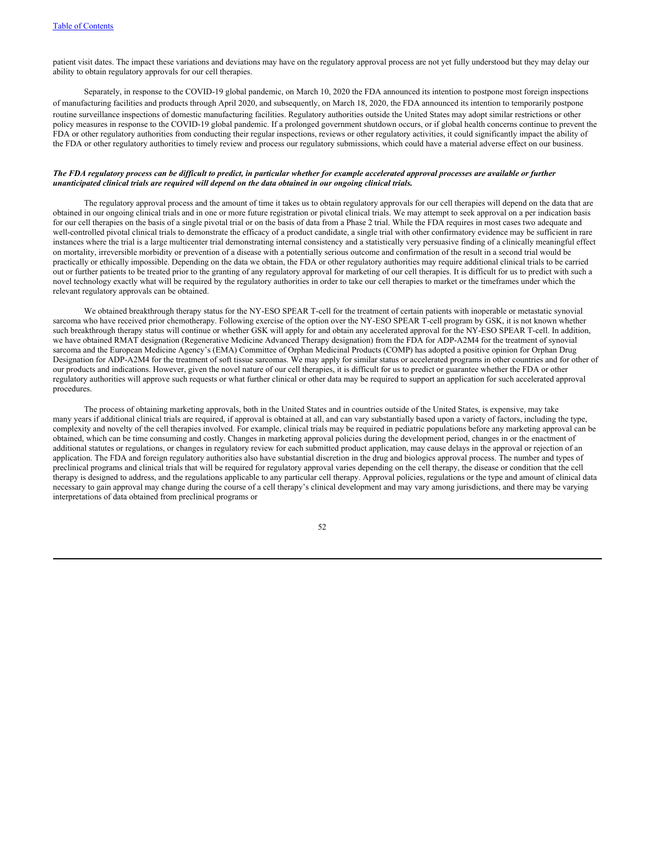patient visit dates. The impact these variations and deviations may have on the regulatory approval process are not yet fully understood but they may delay our ability to obtain regulatory approvals for our cell therapies.

Separately, in response to the COVID-19 global pandemic, on March 10, 2020 the FDA announced its intention to postpone most foreign inspections of manufacturing facilities and products through April 2020, and subsequently, on March 18, 2020, the FDA announced its intention to temporarily postpone routine surveillance inspections of domestic manufacturing facilities. Regulatory authorities outside the United States may adopt similar restrictions or other policy measures in response to the COVID-19 global pandemic. If a prolonged government shutdown occurs, or if global health concerns continue to prevent the FDA or other regulatory authorities from conducting their regular inspections, reviews or other regulatory activities, it could significantly impact the ability of the FDA or other regulatory authorities to timely review and process our regulatory submissions, which could have a material adverse effect on our business.

### The FDA regulatory process can be difficult to predict, in particular whether for example accelerated approval processes are available or further *unanticipated clinical trials are required will depend on the data obtained in our ongoing clinical trials.*

The regulatory approval process and the amount of time it takes us to obtain regulatory approvals for our cell therapies will depend on the data that are obtained in our ongoing clinical trials and in one or more future registration or pivotal clinical trials. We may attempt to seek approval on a per indication basis for our cell therapies on the basis of a single pivotal trial or on the basis of data from a Phase 2 trial. While the FDA requires in most cases two adequate and well-controlled pivotal clinical trials to demonstrate the efficacy of a product candidate, a single trial with other confirmatory evidence may be sufficient in rare instances where the trial is a large multicenter trial demonstrating internal consistency and a statistically very persuasive finding of a clinically meaningful effect on mortality, irreversible morbidity or prevention of a disease with a potentially serious outcome and confirmation of the result in a second trial would be practically or ethically impossible. Depending on the data we obtain, the FDA or other regulatory authorities may require additional clinical trials to be carried out or further patients to be treated prior to the granting of any regulatory approval for marketing of our cell therapies. It is difficult for us to predict with such a novel technology exactly what will be required by the regulatory authorities in order to take our cell therapies to market or the timeframes under which the relevant regulatory approvals can be obtained.

We obtained breakthrough therapy status for the NY-ESO SPEAR T-cell for the treatment of certain patients with inoperable or metastatic synovial sarcoma who have received prior chemotherapy. Following exercise of the option over the NY-ESO SPEAR T-cell program by GSK, it is not known whether such breakthrough therapy status will continue or whether GSK will apply for and obtain any accelerated approval for the NY-ESO SPEAR T-cell. In addition, we have obtained RMAT designation (Regenerative Medicine Advanced Therapy designation) from the FDA for ADP-A2M4 for the treatment of synovial sarcoma and the European Medicine Agency's (EMA) Committee of Orphan Medicinal Products (COMP) has adopted a positive opinion for Orphan Drug Designation for ADP-A2M4 for the treatment of soft tissue sarcomas. We may apply for similar status or accelerated programs in other countries and for other of our products and indications. However, given the novel nature of our cell therapies, it is difficult for us to predict or guarantee whether the FDA or other regulatory authorities will approve such requests or what further clinical or other data may be required to support an application for such accelerated approval procedures.

The process of obtaining marketing approvals, both in the United States and in countries outside of the United States, is expensive, may take many years if additional clinical trials are required, if approval is obtained at all, and can vary substantially based upon a variety of factors, including the type, complexity and novelty of the cell therapies involved. For example, clinical trials may be required in pediatric populations before any marketing approval can be obtained, which can be time consuming and costly. Changes in marketing approval policies during the development period, changes in or the enactment of additional statutes or regulations, or changes in regulatory review for each submitted product application, may cause delays in the approval or rejection of an application. The FDA and foreign regulatory authorities also have substantial discretion in the drug and biologics approval process. The number and types of preclinical programs and clinical trials that will be required for regulatory approval varies depending on the cell therapy, the disease or condition that the cell therapy is designed to address, and the regulations applicable to any particular cell therapy. Approval policies, regulations or the type and amount of clinical data necessary to gain approval may change during the course of a cell therapy's clinical development and may vary among jurisdictions, and there may be varying interpretations of data obtained from preclinical programs or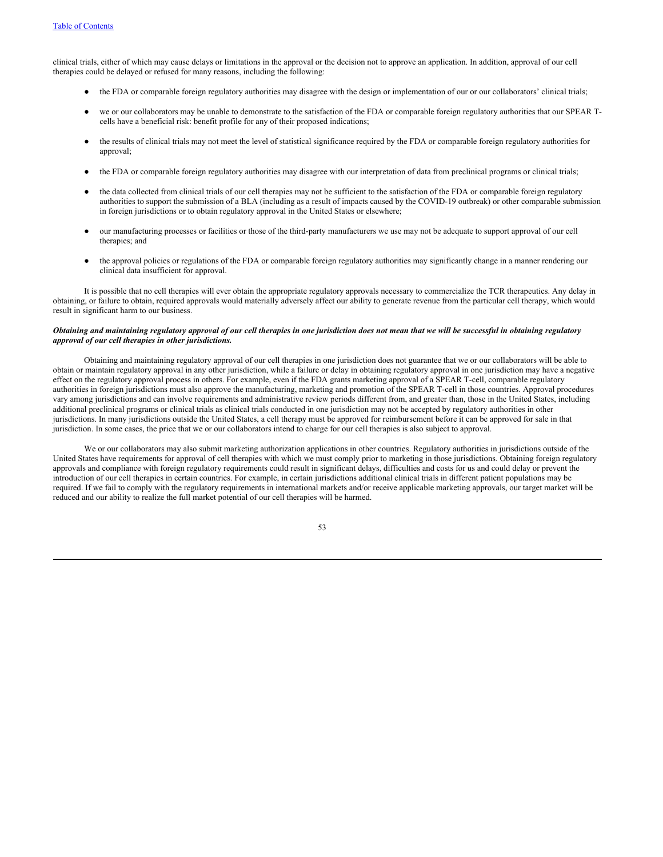clinical trials, either of which may cause delays or limitations in the approval or the decision not to approve an application. In addition, approval of our cell therapies could be delayed or refused for many reasons, including the following:

- the FDA or comparable foreign regulatory authorities may disagree with the design or implementation of our or our collaborators' clinical trials;
- we or our collaborators may be unable to demonstrate to the satisfaction of the FDA or comparable foreign regulatory authorities that our SPEAR Tcells have a beneficial risk: benefit profile for any of their proposed indications;
- the results of clinical trials may not meet the level of statistical significance required by the FDA or comparable foreign regulatory authorities for approval;
- the FDA or comparable foreign regulatory authorities may disagree with our interpretation of data from preclinical programs or clinical trials;
- the data collected from clinical trials of our cell therapies may not be sufficient to the satisfaction of the FDA or comparable foreign regulatory authorities to support the submission of a BLA (including as a result of impacts caused by the COVID-19 outbreak) or other comparable submission in foreign jurisdictions or to obtain regulatory approval in the United States or elsewhere;
- our manufacturing processes or facilities or those of the third-party manufacturers we use may not be adequate to support approval of our cell therapies; and
- the approval policies or regulations of the FDA or comparable foreign regulatory authorities may significantly change in a manner rendering our clinical data insufficient for approval.

It is possible that no cell therapies will ever obtain the appropriate regulatory approvals necessary to commercialize the TCR therapeutics. Any delay in obtaining, or failure to obtain, required approvals would materially adversely affect our ability to generate revenue from the particular cell therapy, which would result in significant harm to our business.

#### Obtaining and maintaining regulatory approval of our cell therapies in one jurisdiction does not mean that we will be successful in obtaining regulatory *approval of our cell therapies in other jurisdictions.*

Obtaining and maintaining regulatory approval of our cell therapies in one jurisdiction does not guarantee that we or our collaborators will be able to obtain or maintain regulatory approval in any other jurisdiction, while a failure or delay in obtaining regulatory approval in one jurisdiction may have a negative effect on the regulatory approval process in others. For example, even if the FDA grants marketing approval of a SPEAR T-cell, comparable regulatory authorities in foreign jurisdictions must also approve the manufacturing, marketing and promotion of the SPEAR T-cell in those countries. Approval procedures vary among jurisdictions and can involve requirements and administrative review periods different from, and greater than, those in the United States, including additional preclinical programs or clinical trials as clinical trials conducted in one jurisdiction may not be accepted by regulatory authorities in other jurisdictions. In many jurisdictions outside the United States, a cell therapy must be approved for reimbursement before it can be approved for sale in that jurisdiction. In some cases, the price that we or our collaborators intend to charge for our cell therapies is also subject to approval.

We or our collaborators may also submit marketing authorization applications in other countries. Regulatory authorities in jurisdictions outside of the United States have requirements for approval of cell therapies with which we must comply prior to marketing in those jurisdictions. Obtaining foreign regulatory approvals and compliance with foreign regulatory requirements could result in significant delays, difficulties and costs for us and could delay or prevent the introduction of our cell therapies in certain countries. For example, in certain jurisdictions additional clinical trials in different patient populations may be required. If we fail to comply with the regulatory requirements in international markets and/or receive applicable marketing approvals, our target market will be reduced and our ability to realize the full market potential of our cell therapies will be harmed.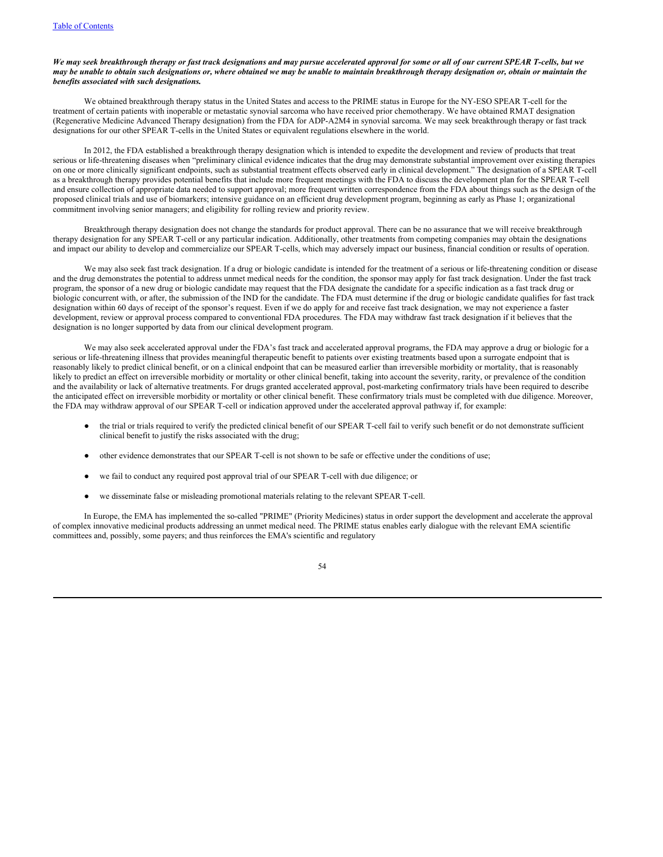### We may seek breakthrough therapy or fast track designations and may pursue accelerated approval for some or all of our current SPEAR T-cells, but we may be unable to obtain such designations or, where obtained we may be unable to maintain breakthrough therapy designation or, obtain or maintain the *benefits associated with such designations.*

We obtained breakthrough therapy status in the United States and access to the PRIME status in Europe for the NY-ESO SPEAR T-cell for the treatment of certain patients with inoperable or metastatic synovial sarcoma who have received prior chemotherapy. We have obtained RMAT designation (Regenerative Medicine Advanced Therapy designation) from the FDA for ADP-A2M4 in synovial sarcoma. We may seek breakthrough therapy or fast track designations for our other SPEAR T-cells in the United States or equivalent regulations elsewhere in the world.

In 2012, the FDA established a breakthrough therapy designation which is intended to expedite the development and review of products that treat serious or life-threatening diseases when "preliminary clinical evidence indicates that the drug may demonstrate substantial improvement over existing therapies on one or more clinically significant endpoints, such as substantial treatment effects observed early in clinical development." The designation of a SPEAR T-cell as a breakthrough therapy provides potential benefits that include more frequent meetings with the FDA to discuss the development plan for the SPEAR T-cell and ensure collection of appropriate data needed to support approval; more frequent written correspondence from the FDA about things such as the design of the proposed clinical trials and use of biomarkers; intensive guidance on an efficient drug development program, beginning as early as Phase 1; organizational commitment involving senior managers; and eligibility for rolling review and priority review.

Breakthrough therapy designation does not change the standards for product approval. There can be no assurance that we will receive breakthrough therapy designation for any SPEAR T-cell or any particular indication. Additionally, other treatments from competing companies may obtain the designations and impact our ability to develop and commercialize our SPEAR T-cells, which may adversely impact our business, financial condition or results of operation.

We may also seek fast track designation. If a drug or biologic candidate is intended for the treatment of a serious or life-threatening condition or disease and the drug demonstrates the potential to address unmet medical needs for the condition, the sponsor may apply for fast track designation. Under the fast track program, the sponsor of a new drug or biologic candidate may request that the FDA designate the candidate for a specific indication as a fast track drug or biologic concurrent with, or after, the submission of the IND for the candidate. The FDA must determine if the drug or biologic candidate qualifies for fast track designation within 60 days of receipt of the sponsor's request. Even if we do apply for and receive fast track designation, we may not experience a faster development, review or approval process compared to conventional FDA procedures. The FDA may withdraw fast track designation if it believes that the designation is no longer supported by data from our clinical development program.

We may also seek accelerated approval under the FDA's fast track and accelerated approval programs, the FDA may approve a drug or biologic for a serious or life-threatening illness that provides meaningful therapeutic benefit to patients over existing treatments based upon a surrogate endpoint that is reasonably likely to predict clinical benefit, or on a clinical endpoint that can be measured earlier than irreversible morbidity or mortality, that is reasonably likely to predict an effect on irreversible morbidity or mortality or other clinical benefit, taking into account the severity, rarity, or prevalence of the condition and the availability or lack of alternative treatments. For drugs granted accelerated approval, post-marketing confirmatory trials have been required to describe the anticipated effect on irreversible morbidity or mortality or other clinical benefit. These confirmatory trials must be completed with due diligence. Moreover, the FDA may withdraw approval of our SPEAR T-cell or indication approved under the accelerated approval pathway if, for example:

- the trial or trials required to verify the predicted clinical benefit of our SPEAR T-cell fail to verify such benefit or do not demonstrate sufficient clinical benefit to justify the risks associated with the drug;
- other evidence demonstrates that our SPEAR T-cell is not shown to be safe or effective under the conditions of use;
- we fail to conduct any required post approval trial of our SPEAR T-cell with due diligence; or
- we disseminate false or misleading promotional materials relating to the relevant SPEAR T-cell.

In Europe, the EMA has implemented the so-called "PRIME" (Priority Medicines) status in order support the development and accelerate the approval of complex innovative medicinal products addressing an unmet medical need. The PRIME status enables early dialogue with the relevant EMA scientific committees and, possibly, some payers; and thus reinforces the EMA's scientific and regulatory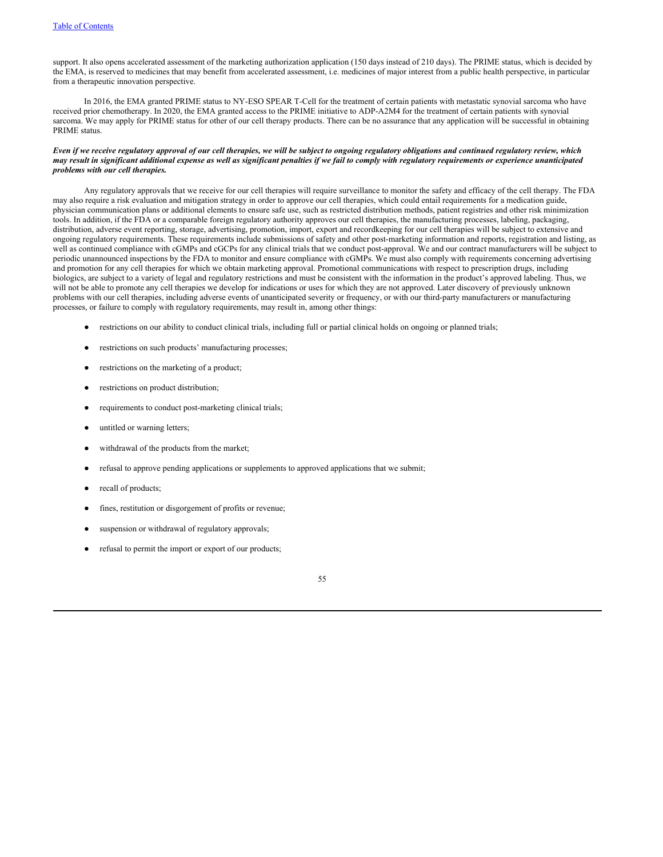support. It also opens accelerated assessment of the marketing authorization application (150 days instead of 210 days). The PRIME status, which is decided by the EMA, is reserved to medicines that may benefit from accelerated assessment, i.e. medicines of major interest from a public health perspective, in particular from a therapeutic innovation perspective.

In 2016, the EMA granted PRIME status to NY-ESO SPEAR T-Cell for the treatment of certain patients with metastatic synovial sarcoma who have received prior chemotherapy. In 2020, the EMA granted access to the PRIME initiative to ADP-A2M4 for the treatment of certain patients with synovial sarcoma. We may apply for PRIME status for other of our cell therapy products. There can be no assurance that any application will be successful in obtaining PRIME status.

# Even if we receive regulatory approval of our cell therapies, we will be subject to ongoing regulatory obligations and continued regulatory review, which may result in significant additional expense as well as significant penalties if we fail to comply with regulatory requirements or experience unanticipated *problems with our cell therapies.*

Any regulatory approvals that we receive for our cell therapies will require surveillance to monitor the safety and efficacy of the cell therapy. The FDA may also require a risk evaluation and mitigation strategy in order to approve our cell therapies, which could entail requirements for a medication guide, physician communication plans or additional elements to ensure safe use, such as restricted distribution methods, patient registries and other risk minimization tools. In addition, if the FDA or a comparable foreign regulatory authority approves our cell therapies, the manufacturing processes, labeling, packaging, distribution, adverse event reporting, storage, advertising, promotion, import, export and recordkeeping for our cell therapies will be subject to extensive and ongoing regulatory requirements. These requirements include submissions of safety and other post-marketing information and reports, registration and listing, as well as continued compliance with cGMPs and cGCPs for any clinical trials that we conduct post-approval. We and our contract manufacturers will be subject to periodic unannounced inspections by the FDA to monitor and ensure compliance with cGMPs. We must also comply with requirements concerning advertising and promotion for any cell therapies for which we obtain marketing approval. Promotional communications with respect to prescription drugs, including biologics, are subject to a variety of legal and regulatory restrictions and must be consistent with the information in the product's approved labeling. Thus, we will not be able to promote any cell therapies we develop for indications or uses for which they are not approved. Later discovery of previously unknown problems with our cell therapies, including adverse events of unanticipated severity or frequency, or with our third-party manufacturers or manufacturing processes, or failure to comply with regulatory requirements, may result in, among other things:

- restrictions on our ability to conduct clinical trials, including full or partial clinical holds on ongoing or planned trials;
- restrictions on such products' manufacturing processes;
- restrictions on the marketing of a product;
- restrictions on product distribution;
- requirements to conduct post-marketing clinical trials;
- untitled or warning letters;
- withdrawal of the products from the market;
- refusal to approve pending applications or supplements to approved applications that we submit;
- recall of products;
- fines, restitution or disgorgement of profits or revenue;
- suspension or withdrawal of regulatory approvals;
- refusal to permit the import or export of our products;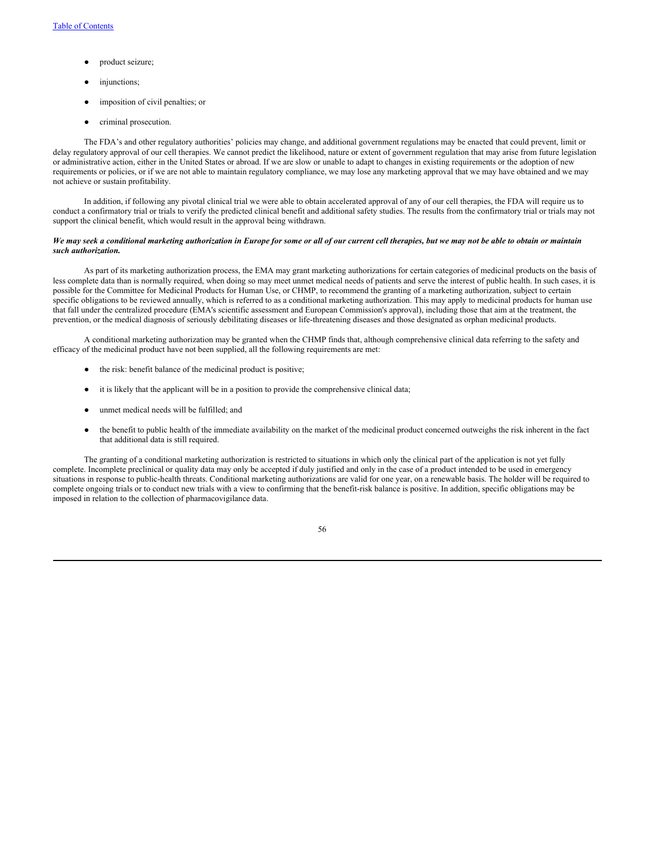- product seizure;
- injunctions:
- imposition of civil penalties; or
- criminal prosecution.

The FDA's and other regulatory authorities' policies may change, and additional government regulations may be enacted that could prevent, limit or delay regulatory approval of our cell therapies. We cannot predict the likelihood, nature or extent of government regulation that may arise from future legislation or administrative action, either in the United States or abroad. If we are slow or unable to adapt to changes in existing requirements or the adoption of new requirements or policies, or if we are not able to maintain regulatory compliance, we may lose any marketing approval that we may have obtained and we may not achieve or sustain profitability.

In addition, if following any pivotal clinical trial we were able to obtain accelerated approval of any of our cell therapies, the FDA will require us to conduct a confirmatory trial or trials to verify the predicted clinical benefit and additional safety studies. The results from the confirmatory trial or trials may not support the clinical benefit, which would result in the approval being withdrawn.

### We may seek a conditional marketing authorization in Europe for some or all of our current cell therapies, but we may not be able to obtain or maintain *such authorization.*

As part of its marketing authorization process, the EMA may grant marketing authorizations for certain categories of medicinal products on the basis of less complete data than is normally required, when doing so may meet unmet medical needs of patients and serve the interest of public health. In such cases, it is possible for the Committee for Medicinal Products for Human Use, or CHMP, to recommend the granting of a marketing authorization, subject to certain specific obligations to be reviewed annually, which is referred to as a conditional marketing authorization. This may apply to medicinal products for human use that fall under the centralized procedure (EMA's scientific assessment and European Commission's approval), including those that aim at the treatment, the prevention, or the medical diagnosis of seriously debilitating diseases or life-threatening diseases and those designated as orphan medicinal products.

A conditional marketing authorization may be granted when the CHMP finds that, although comprehensive clinical data referring to the safety and efficacy of the medicinal product have not been supplied, all the following requirements are met:

- the risk: benefit balance of the medicinal product is positive;
- it is likely that the applicant will be in a position to provide the comprehensive clinical data;
- unmet medical needs will be fulfilled; and
- the benefit to public health of the immediate availability on the market of the medicinal product concerned outweighs the risk inherent in the fact that additional data is still required.

The granting of a conditional marketing authorization is restricted to situations in which only the clinical part of the application is not yet fully complete. Incomplete preclinical or quality data may only be accepted if duly justified and only in the case of a product intended to be used in emergency situations in response to public-health threats. Conditional marketing authorizations are valid for one year, on a renewable basis. The holder will be required to complete ongoing trials or to conduct new trials with a view to confirming that the benefit-risk balance is positive. In addition, specific obligations may be imposed in relation to the collection of pharmacovigilance data.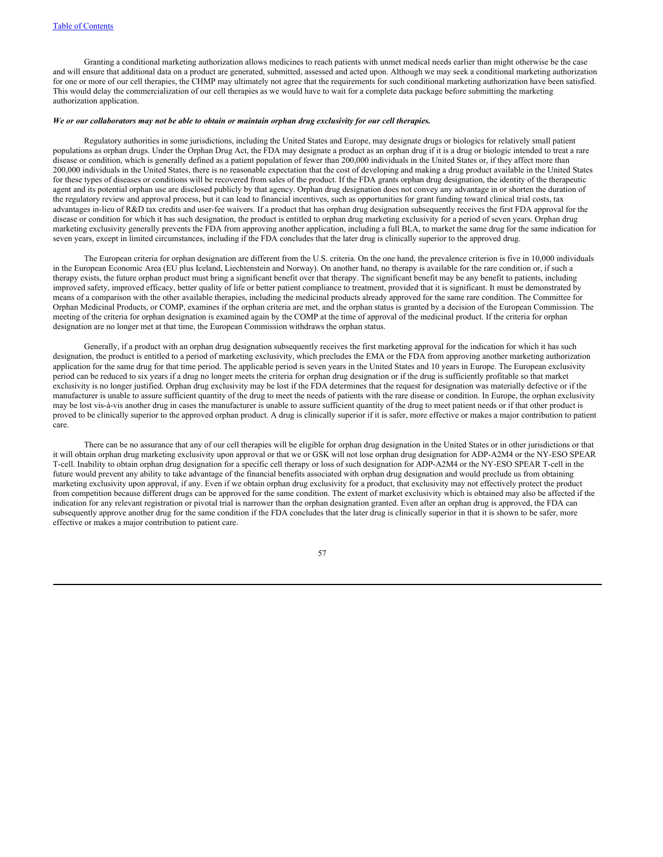Granting a conditional marketing authorization allows medicines to reach patients with unmet medical needs earlier than might otherwise be the case and will ensure that additional data on a product are generated, submitted, assessed and acted upon. Although we may seek a conditional marketing authorization for one or more of our cell therapies, the CHMP may ultimately not agree that the requirements for such conditional marketing authorization have been satisfied. This would delay the commercialization of our cell therapies as we would have to wait for a complete data package before submitting the marketing authorization application.

#### We or our collaborators may not be able to obtain or maintain orphan drug exclusivity for our cell therapies.

Regulatory authorities in some jurisdictions, including the United States and Europe, may designate drugs or biologics for relatively small patient populations as orphan drugs. Under the Orphan Drug Act, the FDA may designate a product as an orphan drug if it is a drug or biologic intended to treat a rare disease or condition, which is generally defined as a patient population of fewer than 200,000 individuals in the United States or, if they affect more than 200,000 individuals in the United States, there is no reasonable expectation that the cost of developing and making a drug product available in the United States for these types of diseases or conditions will be recovered from sales of the product. If the FDA grants orphan drug designation, the identity of the therapeutic agent and its potential orphan use are disclosed publicly by that agency. Orphan drug designation does not convey any advantage in or shorten the duration of the regulatory review and approval process, but it can lead to financial incentives, such as opportunities for grant funding toward clinical trial costs, tax advantages in-lieu of R&D tax credits and user-fee waivers. If a product that has orphan drug designation subsequently receives the first FDA approval for the disease or condition for which it has such designation, the product is entitled to orphan drug marketing exclusivity for a period of seven years. Orphan drug marketing exclusivity generally prevents the FDA from approving another application, including a full BLA, to market the same drug for the same indication for seven years, except in limited circumstances, including if the FDA concludes that the later drug is clinically superior to the approved drug.

The European criteria for orphan designation are different from the U.S. criteria. On the one hand, the prevalence criterion is five in 10,000 individuals in the European Economic Area (EU plus Iceland, Liechtenstein and Norway). On another hand, no therapy is available for the rare condition or, if such a therapy exists, the future orphan product must bring a significant benefit over that therapy. The significant benefit may be any benefit to patients, including improved safety, improved efficacy, better quality of life or better patient compliance to treatment, provided that it is significant. It must be demonstrated by means of a comparison with the other available therapies, including the medicinal products already approved for the same rare condition. The Committee for Orphan Medicinal Products, or COMP, examines if the orphan criteria are met, and the orphan status is granted by a decision of the European Commission. The meeting of the criteria for orphan designation is examined again by the COMP at the time of approval of the medicinal product. If the criteria for orphan designation are no longer met at that time, the European Commission withdraws the orphan status.

Generally, if a product with an orphan drug designation subsequently receives the first marketing approval for the indication for which it has such designation, the product is entitled to a period of marketing exclusivity, which precludes the EMA or the FDA from approving another marketing authorization application for the same drug for that time period. The applicable period is seven years in the United States and 10 years in Europe. The European exclusivity period can be reduced to six years if a drug no longer meets the criteria for orphan drug designation or if the drug is sufficiently profitable so that market exclusivity is no longer justified. Orphan drug exclusivity may be lost if the FDA determines that the request for designation was materially defective or if the manufacturer is unable to assure sufficient quantity of the drug to meet the needs of patients with the rare disease or condition. In Europe, the orphan exclusivity may be lost vis-à-vis another drug in cases the manufacturer is unable to assure sufficient quantity of the drug to meet patient needs or if that other product is proved to be clinically superior to the approved orphan product. A drug is clinically superior if it is safer, more effective or makes a major contribution to patient care.

There can be no assurance that any of our cell therapies will be eligible for orphan drug designation in the United States or in other jurisdictions or that it will obtain orphan drug marketing exclusivity upon approval or that we or GSK will not lose orphan drug designation for ADP-A2M4 or the NY-ESO SPEAR T-cell. Inability to obtain orphan drug designation for a specific cell therapy or loss of such designation for ADP-A2M4 or the NY-ESO SPEAR T-cell in the future would prevent any ability to take advantage of the financial benefits associated with orphan drug designation and would preclude us from obtaining marketing exclusivity upon approval, if any. Even if we obtain orphan drug exclusivity for a product, that exclusivity may not effectively protect the product from competition because different drugs can be approved for the same condition. The extent of market exclusivity which is obtained may also be affected if the indication for any relevant registration or pivotal trial is narrower than the orphan designation granted. Even after an orphan drug is approved, the FDA can subsequently approve another drug for the same condition if the FDA concludes that the later drug is clinically superior in that it is shown to be safer, more effective or makes a major contribution to patient care.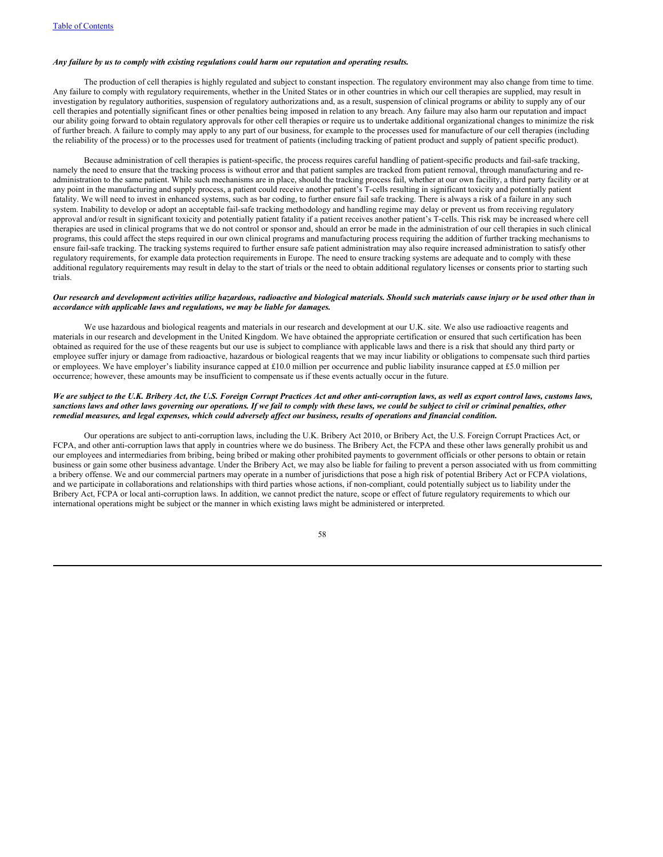#### *Any failure by us to comply with existing regulations could harm our reputation and operating results.*

The production of cell therapies is highly regulated and subject to constant inspection. The regulatory environment may also change from time to time. Any failure to comply with regulatory requirements, whether in the United States or in other countries in which our cell therapies are supplied, may result in investigation by regulatory authorities, suspension of regulatory authorizations and, as a result, suspension of clinical programs or ability to supply any of our cell therapies and potentially significant fines or other penalties being imposed in relation to any breach. Any failure may also harm our reputation and impact our ability going forward to obtain regulatory approvals for other cell therapies or require us to undertake additional organizational changes to minimize the risk of further breach. A failure to comply may apply to any part of our business, for example to the processes used for manufacture of our cell therapies (including the reliability of the process) or to the processes used for treatment of patients (including tracking of patient product and supply of patient specific product).

Because administration of cell therapies is patient-specific, the process requires careful handling of patient-specific products and fail-safe tracking, namely the need to ensure that the tracking process is without error and that patient samples are tracked from patient removal, through manufacturing and readministration to the same patient. While such mechanisms are in place, should the tracking process fail, whether at our own facility, a third party facility or at any point in the manufacturing and supply process, a patient could receive another patient's T-cells resulting in significant toxicity and potentially patient fatality. We will need to invest in enhanced systems, such as bar coding, to further ensure fail safe tracking. There is always a risk of a failure in any such system. Inability to develop or adopt an acceptable fail-safe tracking methodology and handling regime may delay or prevent us from receiving regulatory approval and/or result in significant toxicity and potentially patient fatality if a patient receives another patient's T-cells. This risk may be increased where cell therapies are used in clinical programs that we do not control or sponsor and, should an error be made in the administration of our cell therapies in such clinical programs, this could affect the steps required in our own clinical programs and manufacturing process requiring the addition of further tracking mechanisms to ensure fail-safe tracking. The tracking systems required to further ensure safe patient administration may also require increased administration to satisfy other regulatory requirements, for example data protection requirements in Europe. The need to ensure tracking systems are adequate and to comply with these additional regulatory requirements may result in delay to the start of trials or the need to obtain additional regulatory licenses or consents prior to starting such trials.

## Our research and development activities utilize hazardous, radioactive and biological materials. Should such materials cause injury or be used other than in *accordance with applicable laws and regulations, we may be liable for damages.*

We use hazardous and biological reagents and materials in our research and development at our U.K. site. We also use radioactive reagents and materials in our research and development in the United Kingdom. We have obtained the appropriate certification or ensured that such certification has been obtained as required for the use of these reagents but our use is subject to compliance with applicable laws and there is a risk that should any third party or employee suffer injury or damage from radioactive, hazardous or biological reagents that we may incur liability or obligations to compensate such third parties or employees. We have employer's liability insurance capped at £10.0 million per occurrence and public liability insurance capped at £5.0 million per occurrence; however, these amounts may be insufficient to compensate us if these events actually occur in the future.

#### We are subject to the U.K. Bribery Act, the U.S. Foreign Corrupt Practices Act and other anti-corruption laws, as well as export control laws, customs laws, sanctions laws and other laws governing our operations. If we fail to comply with these laws, we could be subject to civil or criminal penalties, other remedial measures, and legal expenses, which could adversely affect our business, results of operations and financial condition.

Our operations are subject to anti-corruption laws, including the U.K. Bribery Act 2010, or Bribery Act, the U.S. Foreign Corrupt Practices Act, or FCPA, and other anti-corruption laws that apply in countries where we do business. The Bribery Act, the FCPA and these other laws generally prohibit us and our employees and intermediaries from bribing, being bribed or making other prohibited payments to government officials or other persons to obtain or retain business or gain some other business advantage. Under the Bribery Act, we may also be liable for failing to prevent a person associated with us from committing a bribery offense. We and our commercial partners may operate in a number of jurisdictions that pose a high risk of potential Bribery Act or FCPA violations, and we participate in collaborations and relationships with third parties whose actions, if non-compliant, could potentially subject us to liability under the Bribery Act, FCPA or local anti-corruption laws. In addition, we cannot predict the nature, scope or effect of future regulatory requirements to which our international operations might be subject or the manner in which existing laws might be administered or interpreted.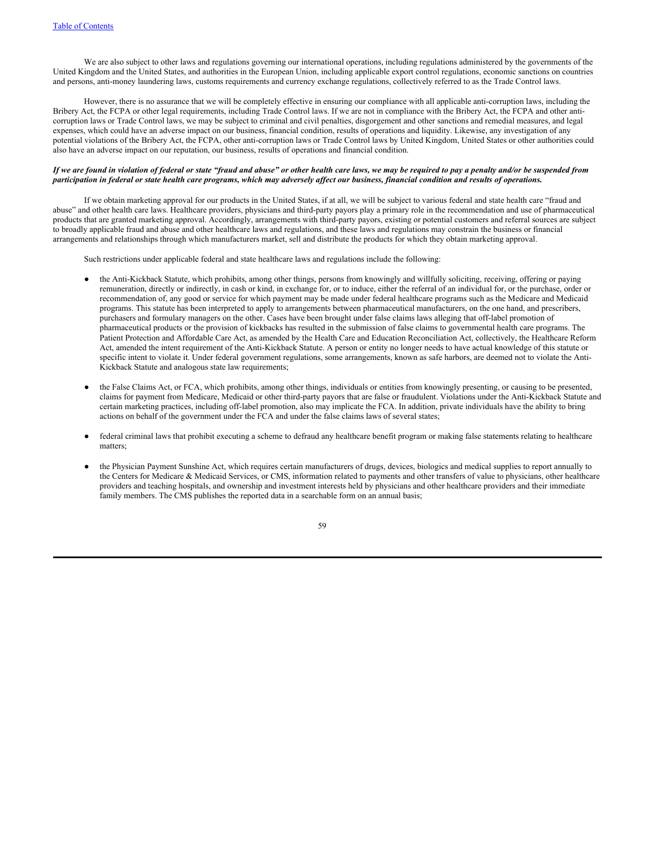We are also subject to other laws and regulations governing our international operations, including regulations administered by the governments of the United Kingdom and the United States, and authorities in the European Union, including applicable export control regulations, economic sanctions on countries and persons, anti-money laundering laws, customs requirements and currency exchange regulations, collectively referred to as the Trade Control laws.

However, there is no assurance that we will be completely effective in ensuring our compliance with all applicable anti-corruption laws, including the Bribery Act, the FCPA or other legal requirements, including Trade Control laws. If we are not in compliance with the Bribery Act, the FCPA and other anticorruption laws or Trade Control laws, we may be subject to criminal and civil penalties, disgorgement and other sanctions and remedial measures, and legal expenses, which could have an adverse impact on our business, financial condition, results of operations and liquidity. Likewise, any investigation of any potential violations of the Bribery Act, the FCPA, other anti-corruption laws or Trade Control laws by United Kingdom, United States or other authorities could also have an adverse impact on our reputation, our business, results of operations and financial condition.

#### If we are found in violation of federal or state "fraud and abuse" or other health care laws, we may be required to pay a penalty and/or be suspended from participation in federal or state health care programs, which may adversely affect our business, financial condition and results of operations.

If we obtain marketing approval for our products in the United States, if at all, we will be subject to various federal and state health care "fraud and abuse" and other health care laws. Healthcare providers, physicians and third-party payors play a primary role in the recommendation and use of pharmaceutical products that are granted marketing approval. Accordingly, arrangements with third-party payors, existing or potential customers and referral sources are subject to broadly applicable fraud and abuse and other healthcare laws and regulations, and these laws and regulations may constrain the business or financial arrangements and relationships through which manufacturers market, sell and distribute the products for which they obtain marketing approval.

Such restrictions under applicable federal and state healthcare laws and regulations include the following:

- the Anti-Kickback Statute, which prohibits, among other things, persons from knowingly and willfully soliciting, receiving, offering or paying remuneration, directly or indirectly, in cash or kind, in exchange for, or to induce, either the referral of an individual for, or the purchase, order or recommendation of, any good or service for which payment may be made under federal healthcare programs such as the Medicare and Medicaid programs. This statute has been interpreted to apply to arrangements between pharmaceutical manufacturers, on the one hand, and prescribers, purchasers and formulary managers on the other. Cases have been brought under false claims laws alleging that off-label promotion of pharmaceutical products or the provision of kickbacks has resulted in the submission of false claims to governmental health care programs. The Patient Protection and Affordable Care Act, as amended by the Health Care and Education Reconciliation Act, collectively, the Healthcare Reform Act, amended the intent requirement of the Anti-Kickback Statute. A person or entity no longer needs to have actual knowledge of this statute or specific intent to violate it. Under federal government regulations, some arrangements, known as safe harbors, are deemed not to violate the Anti-Kickback Statute and analogous state law requirements;
- the False Claims Act, or FCA, which prohibits, among other things, individuals or entities from knowingly presenting, or causing to be presented, claims for payment from Medicare, Medicaid or other third-party payors that are false or fraudulent. Violations under the Anti-Kickback Statute and certain marketing practices, including off-label promotion, also may implicate the FCA. In addition, private individuals have the ability to bring actions on behalf of the government under the FCA and under the false claims laws of several states;
- federal criminal laws that prohibit executing a scheme to defraud any healthcare benefit program or making false statements relating to healthcare matters;
- the Physician Payment Sunshine Act, which requires certain manufacturers of drugs, devices, biologics and medical supplies to report annually to the Centers for Medicare & Medicaid Services, or CMS, information related to payments and other transfers of value to physicians, other healthcare providers and teaching hospitals, and ownership and investment interests held by physicians and other healthcare providers and their immediate family members. The CMS publishes the reported data in a searchable form on an annual basis;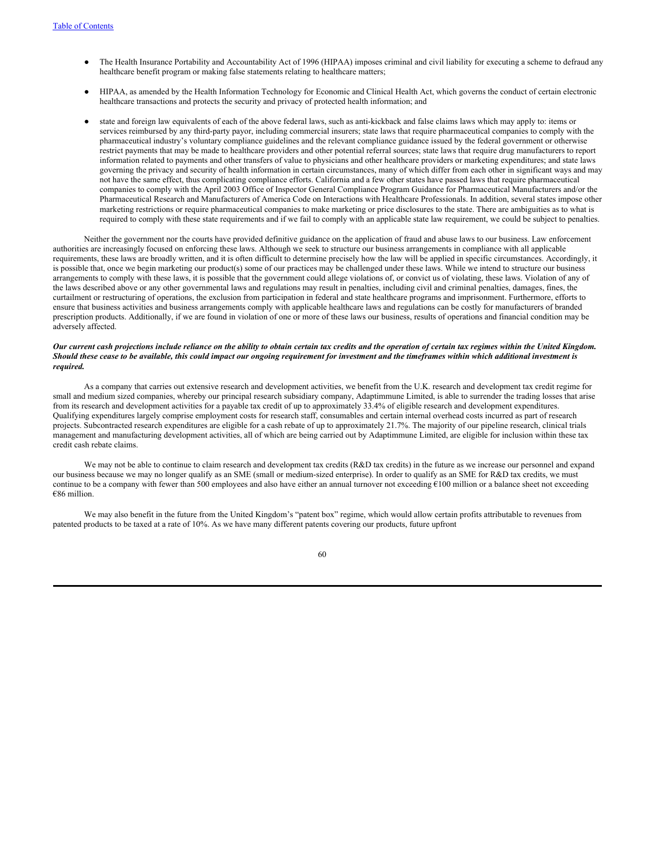- The Health Insurance Portability and Accountability Act of 1996 (HIPAA) imposes criminal and civil liability for executing a scheme to defraud any healthcare benefit program or making false statements relating to healthcare matters;
- HIPAA, as amended by the Health Information Technology for Economic and Clinical Health Act, which governs the conduct of certain electronic healthcare transactions and protects the security and privacy of protected health information; and
- state and foreign law equivalents of each of the above federal laws, such as anti-kickback and false claims laws which may apply to: items or services reimbursed by any third-party payor, including commercial insurers; state laws that require pharmaceutical companies to comply with the pharmaceutical industry's voluntary compliance guidelines and the relevant compliance guidance issued by the federal government or otherwise restrict payments that may be made to healthcare providers and other potential referral sources; state laws that require drug manufacturers to report information related to payments and other transfers of value to physicians and other healthcare providers or marketing expenditures; and state laws governing the privacy and security of health information in certain circumstances, many of which differ from each other in significant ways and may not have the same effect, thus complicating compliance efforts. California and a few other states have passed laws that require pharmaceutical companies to comply with the April 2003 Office of Inspector General Compliance Program Guidance for Pharmaceutical Manufacturers and/or the Pharmaceutical Research and Manufacturers of America Code on Interactions with Healthcare Professionals. In addition, several states impose other marketing restrictions or require pharmaceutical companies to make marketing or price disclosures to the state. There are ambiguities as to what is required to comply with these state requirements and if we fail to comply with an applicable state law requirement, we could be subject to penalties.

Neither the government nor the courts have provided definitive guidance on the application of fraud and abuse laws to our business. Law enforcement authorities are increasingly focused on enforcing these laws. Although we seek to structure our business arrangements in compliance with all applicable requirements, these laws are broadly written, and it is often difficult to determine precisely how the law will be applied in specific circumstances. Accordingly, it is possible that, once we begin marketing our product(s) some of our practices may be challenged under these laws. While we intend to structure our business arrangements to comply with these laws, it is possible that the government could allege violations of, or convict us of violating, these laws. Violation of any of the laws described above or any other governmental laws and regulations may result in penalties, including civil and criminal penalties, damages, fines, the curtailment or restructuring of operations, the exclusion from participation in federal and state healthcare programs and imprisonment. Furthermore, efforts to ensure that business activities and business arrangements comply with applicable healthcare laws and regulations can be costly for manufacturers of branded prescription products. Additionally, if we are found in violation of one or more of these laws our business, results of operations and financial condition may be adversely affected.

#### Our current cash projections include reliance on the ability to obtain certain tax credits and the operation of certain tax regimes within the United Kingdom. Should these cease to be available, this could impact our ongoing requirement for investment and the timeframes within which additional investment is *required.*

As a company that carries out extensive research and development activities, we benefit from the U.K. research and development tax credit regime for small and medium sized companies, whereby our principal research subsidiary company, Adaptimmune Limited, is able to surrender the trading losses that arise from its research and development activities for a payable tax credit of up to approximately 33.4% of eligible research and development expenditures. Qualifying expenditures largely comprise employment costs for research staff, consumables and certain internal overhead costs incurred as part of research projects. Subcontracted research expenditures are eligible for a cash rebate of up to approximately 21.7%. The majority of our pipeline research, clinical trials management and manufacturing development activities, all of which are being carried out by Adaptimmune Limited, are eligible for inclusion within these tax credit cash rebate claims.

We may not be able to continue to claim research and development tax credits (R&D tax credits) in the future as we increase our personnel and expand our business because we may no longer qualify as an SME (small or medium-sized enterprise). In order to qualify as an SME for R&D tax credits, we must continue to be a company with fewer than 500 employees and also have either an annual turnover not exceeding  $6100$  million or a balance sheet not exceeding €86 million.

We may also benefit in the future from the United Kingdom's "patent box" regime, which would allow certain profits attributable to revenues from patented products to be taxed at a rate of 10%. As we have many different patents covering our products, future upfront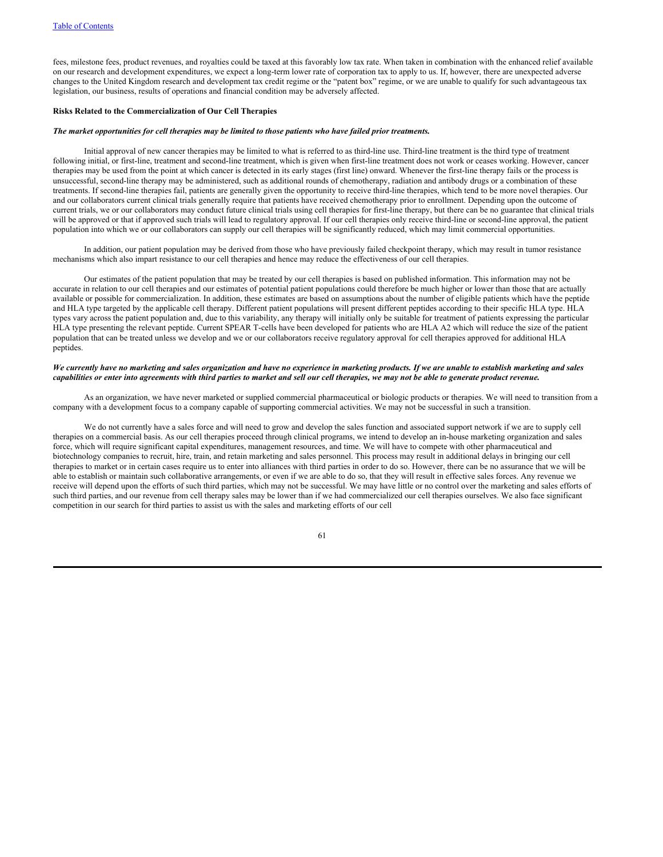fees, milestone fees, product revenues, and royalties could be taxed at this favorably low tax rate. When taken in combination with the enhanced relief available on our research and development expenditures, we expect a long-term lower rate of corporation tax to apply to us. If, however, there are unexpected adverse changes to the United Kingdom research and development tax credit regime or the "patent box" regime, or we are unable to qualify for such advantageous tax legislation, our business, results of operations and financial condition may be adversely affected.

#### **Risks Related to the Commercialization of Our Cell Therapies**

### The market opportunities for cell therapies may be limited to those patients who have failed prior treatments.

Initial approval of new cancer therapies may be limited to what is referred to as third-line use. Third-line treatment is the third type of treatment following initial, or first-line, treatment and second-line treatment, which is given when first-line treatment does not work or ceases working. However, cancer therapies may be used from the point at which cancer is detected in its early stages (first line) onward. Whenever the first-line therapy fails or the process is unsuccessful, second-line therapy may be administered, such as additional rounds of chemotherapy, radiation and antibody drugs or a combination of these treatments. If second-line therapies fail, patients are generally given the opportunity to receive third-line therapies, which tend to be more novel therapies. Our and our collaborators current clinical trials generally require that patients have received chemotherapy prior to enrollment. Depending upon the outcome of current trials, we or our collaborators may conduct future clinical trials using cell therapies for first-line therapy, but there can be no guarantee that clinical trials will be approved or that if approved such trials will lead to regulatory approval. If our cell therapies only receive third-line or second-line approval, the patient population into which we or our collaborators can supply our cell therapies will be significantly reduced, which may limit commercial opportunities.

In addition, our patient population may be derived from those who have previously failed checkpoint therapy, which may result in tumor resistance mechanisms which also impart resistance to our cell therapies and hence may reduce the effectiveness of our cell therapies.

Our estimates of the patient population that may be treated by our cell therapies is based on published information. This information may not be accurate in relation to our cell therapies and our estimates of potential patient populations could therefore be much higher or lower than those that are actually available or possible for commercialization. In addition, these estimates are based on assumptions about the number of eligible patients which have the peptide and HLA type targeted by the applicable cell therapy. Different patient populations will present different peptides according to their specific HLA type. HLA types vary across the patient population and, due to this variability, any therapy will initially only be suitable for treatment of patients expressing the particular HLA type presenting the relevant peptide. Current SPEAR T-cells have been developed for patients who are HLA A2 which will reduce the size of the patient population that can be treated unless we develop and we or our collaborators receive regulatory approval for cell therapies approved for additional HLA peptides.

## We currently have no marketing and sales organization and have no experience in marketing products. If we are unable to establish marketing and sales capabilities or enter into agreements with third parties to market and sell our cell therapies, we may not be able to generate product revenue.

As an organization, we have never marketed or supplied commercial pharmaceutical or biologic products or therapies. We will need to transition from a company with a development focus to a company capable of supporting commercial activities. We may not be successful in such a transition.

We do not currently have a sales force and will need to grow and develop the sales function and associated support network if we are to supply cell therapies on a commercial basis. As our cell therapies proceed through clinical programs, we intend to develop an in-house marketing organization and sales force, which will require significant capital expenditures, management resources, and time. We will have to compete with other pharmaceutical and biotechnology companies to recruit, hire, train, and retain marketing and sales personnel. This process may result in additional delays in bringing our cell therapies to market or in certain cases require us to enter into alliances with third parties in order to do so. However, there can be no assurance that we will be able to establish or maintain such collaborative arrangements, or even if we are able to do so, that they will result in effective sales forces. Any revenue we receive will depend upon the efforts of such third parties, which may not be successful. We may have little or no control over the marketing and sales efforts of such third parties, and our revenue from cell therapy sales may be lower than if we had commercialized our cell therapies ourselves. We also face significant competition in our search for third parties to assist us with the sales and marketing efforts of our cell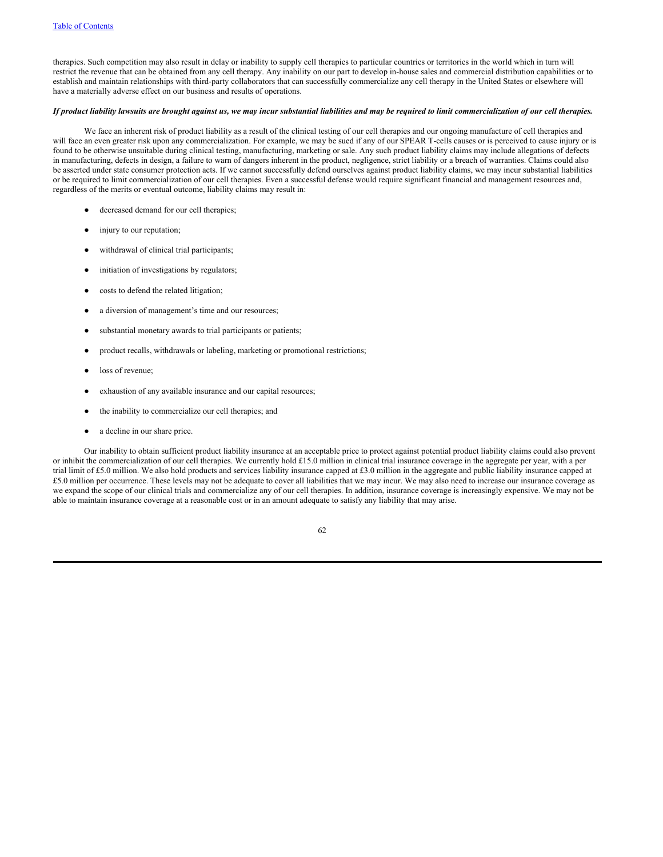therapies. Such competition may also result in delay or inability to supply cell therapies to particular countries or territories in the world which in turn will restrict the revenue that can be obtained from any cell therapy. Any inability on our part to develop in-house sales and commercial distribution capabilities or to establish and maintain relationships with third-party collaborators that can successfully commercialize any cell therapy in the United States or elsewhere will have a materially adverse effect on our business and results of operations.

#### If product liability lawsuits are brought against us, we may incur substantial liabilities and may be required to limit commercialization of our cell therapies.

We face an inherent risk of product liability as a result of the clinical testing of our cell therapies and our ongoing manufacture of cell therapies and will face an even greater risk upon any commercialization. For example, we may be sued if any of our SPEAR T-cells causes or is perceived to cause injury or is found to be otherwise unsuitable during clinical testing, manufacturing, marketing or sale. Any such product liability claims may include allegations of defects in manufacturing, defects in design, a failure to warn of dangers inherent in the product, negligence, strict liability or a breach of warranties. Claims could also be asserted under state consumer protection acts. If we cannot successfully defend ourselves against product liability claims, we may incur substantial liabilities or be required to limit commercialization of our cell therapies. Even a successful defense would require significant financial and management resources and, regardless of the merits or eventual outcome, liability claims may result in:

- decreased demand for our cell therapies;
- injury to our reputation;
- withdrawal of clinical trial participants;
- initiation of investigations by regulators;
- costs to defend the related litigation;
- a diversion of management's time and our resources;
- substantial monetary awards to trial participants or patients;
- product recalls, withdrawals or labeling, marketing or promotional restrictions;
- loss of revenue;
- exhaustion of any available insurance and our capital resources;
- the inability to commercialize our cell therapies; and
- a decline in our share price.

Our inability to obtain sufficient product liability insurance at an acceptable price to protect against potential product liability claims could also prevent or inhibit the commercialization of our cell therapies. We currently hold £15.0 million in clinical trial insurance coverage in the aggregate per year, with a per trial limit of £5.0 million. We also hold products and services liability insurance capped at £3.0 million in the aggregate and public liability insurance capped at £5.0 million per occurrence. These levels may not be adequate to cover all liabilities that we may incur. We may also need to increase our insurance coverage as we expand the scope of our clinical trials and commercialize any of our cell therapies. In addition, insurance coverage is increasingly expensive. We may not be able to maintain insurance coverage at a reasonable cost or in an amount adequate to satisfy any liability that may arise.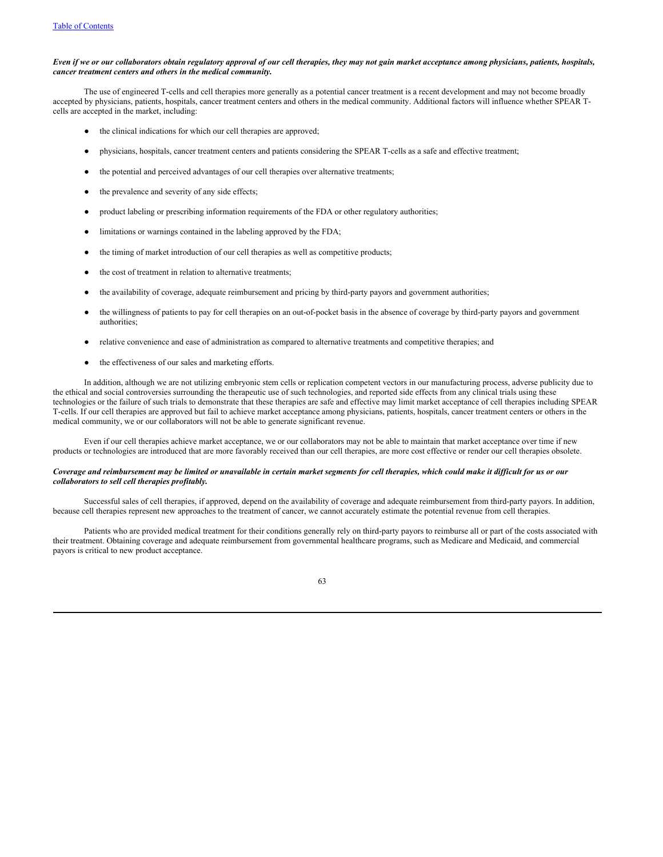#### Even if we or our collaborators obtain regulatory approval of our cell therapies, they may not gain market acceptance among physicians, patients, hospitals, *cancer treatment centers and others in the medical community.*

The use of engineered T-cells and cell therapies more generally as a potential cancer treatment is a recent development and may not become broadly accepted by physicians, patients, hospitals, cancer treatment centers and others in the medical community. Additional factors will influence whether SPEAR Tcells are accepted in the market, including:

- the clinical indications for which our cell therapies are approved;
- physicians, hospitals, cancer treatment centers and patients considering the SPEAR T-cells as a safe and effective treatment;
- the potential and perceived advantages of our cell therapies over alternative treatments;
- the prevalence and severity of any side effects;
- product labeling or prescribing information requirements of the FDA or other regulatory authorities;
- limitations or warnings contained in the labeling approved by the FDA;
- the timing of market introduction of our cell therapies as well as competitive products;
- the cost of treatment in relation to alternative treatments;
- the availability of coverage, adequate reimbursement and pricing by third-party payors and government authorities;
- the willingness of patients to pay for cell therapies on an out-of-pocket basis in the absence of coverage by third-party payors and government authorities;
- relative convenience and ease of administration as compared to alternative treatments and competitive therapies; and
- the effectiveness of our sales and marketing efforts.

In addition, although we are not utilizing embryonic stem cells or replication competent vectors in our manufacturing process, adverse publicity due to the ethical and social controversies surrounding the therapeutic use of such technologies, and reported side effects from any clinical trials using these technologies or the failure of such trials to demonstrate that these therapies are safe and effective may limit market acceptance of cell therapies including SPEAR T-cells. If our cell therapies are approved but fail to achieve market acceptance among physicians, patients, hospitals, cancer treatment centers or others in the medical community, we or our collaborators will not be able to generate significant revenue.

Even if our cell therapies achieve market acceptance, we or our collaborators may not be able to maintain that market acceptance over time if new products or technologies are introduced that are more favorably received than our cell therapies, are more cost effective or render our cell therapies obsolete.

# Coverage and reimbursement may be limited or unavailable in certain market segments for cell therapies, which could make it difficult for us or our *collaborators to sell cell therapies profitably.*

Successful sales of cell therapies, if approved, depend on the availability of coverage and adequate reimbursement from third-party payors. In addition, because cell therapies represent new approaches to the treatment of cancer, we cannot accurately estimate the potential revenue from cell therapies.

Patients who are provided medical treatment for their conditions generally rely on third-party payors to reimburse all or part of the costs associated with their treatment. Obtaining coverage and adequate reimbursement from governmental healthcare programs, such as Medicare and Medicaid, and commercial payors is critical to new product acceptance.

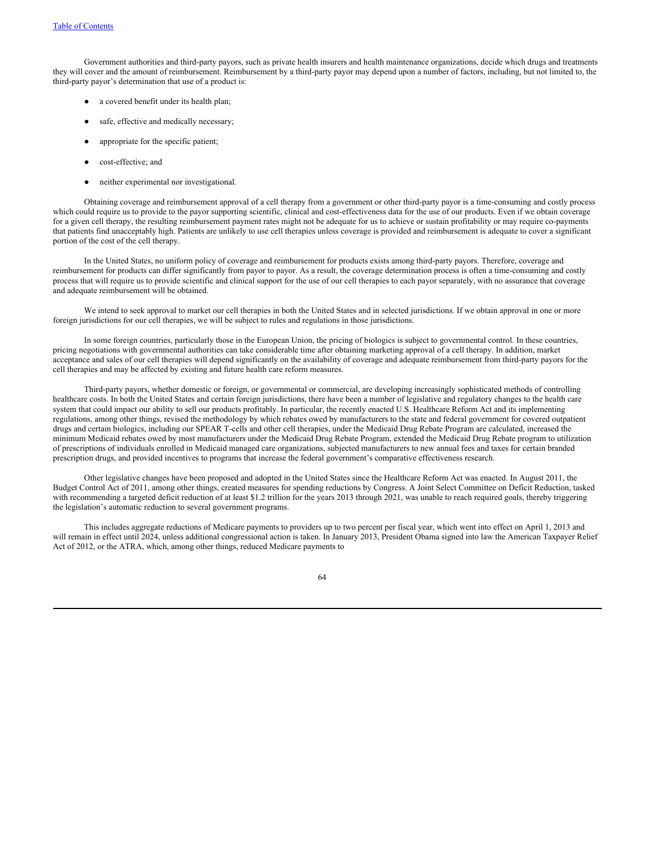Government authorities and third-party payors, such as private health insurers and health maintenance organizations, decide which drugs and treatments they will cover and the amount of reimbursement. Reimbursement by a third-party payor may depend upon a number of factors, including, but not limited to, the third-party payor's determination that use of a product is:

- a covered benefit under its health plan;
- safe, effective and medically necessary;
- appropriate for the specific patient;
- cost-effective; and
- neither experimental nor investigational.

Obtaining coverage and reimbursement approval of a cell therapy from a government or other third-party payor is a time-consuming and costly process which could require us to provide to the payor supporting scientific, clinical and cost-effectiveness data for the use of our products. Even if we obtain coverage for a given cell therapy, the resulting reimbursement payment rates might not be adequate for us to achieve or sustain profitability or may require co-payments that patients find unacceptably high. Patients are unlikely to use cell therapies unless coverage is provided and reimbursement is adequate to cover a significant portion of the cost of the cell therapy.

In the United States, no uniform policy of coverage and reimbursement for products exists among third-party payors. Therefore, coverage and reimbursement for products can differ significantly from payor to payor. As a result, the coverage determination process is often a time-consuming and costly process that will require us to provide scientific and clinical support for the use of our cell therapies to each payor separately, with no assurance that coverage and adequate reimbursement will be obtained.

We intend to seek approval to market our cell therapies in both the United States and in selected jurisdictions. If we obtain approval in one or more foreign jurisdictions for our cell therapies, we will be subject to rules and regulations in those jurisdictions.

In some foreign countries, particularly those in the European Union, the pricing of biologics is subject to governmental control. In these countries, pricing negotiations with governmental authorities can take considerable time after obtaining marketing approval of a cell therapy. In addition, market acceptance and sales of our cell therapies will depend significantly on the availability of coverage and adequate reimbursement from third-party payors for the cell therapies and may be affected by existing and future health care reform measures.

Third-party payors, whether domestic or foreign, or governmental or commercial, are developing increasingly sophisticated methods of controlling healthcare costs. In both the United States and certain foreign jurisdictions, there have been a number of legislative and regulatory changes to the health care system that could impact our ability to sell our products profitably. In particular, the recently enacted U.S. Healthcare Reform Act and its implementing regulations, among other things, revised the methodology by which rebates owed by manufacturers to the state and federal government for covered outpatient drugs and certain biologics, including our SPEAR T-cells and other cell therapies, under the Medicaid Drug Rebate Program are calculated, increased the minimum Medicaid rebates owed by most manufacturers under the Medicaid Drug Rebate Program, extended the Medicaid Drug Rebate program to utilization of prescriptions of individuals enrolled in Medicaid managed care organizations, subjected manufacturers to new annual fees and taxes for certain branded prescription drugs, and provided incentives to programs that increase the federal government's comparative effectiveness research.

Other legislative changes have been proposed and adopted in the United States since the Healthcare Reform Act was enacted. In August 2011, the Budget Control Act of 2011, among other things, created measures for spending reductions by Congress. A Joint Select Committee on Deficit Reduction, tasked with recommending a targeted deficit reduction of at least \$1.2 trillion for the years 2013 through 2021, was unable to reach required goals, thereby triggering the legislation's automatic reduction to several government programs.

This includes aggregate reductions of Medicare payments to providers up to two percent per fiscal year, which went into effect on April 1, 2013 and will remain in effect until 2024, unless additional congressional action is taken. In January 2013, President Obama signed into law the American Taxpayer Relief Act of 2012, or the ATRA, which, among other things, reduced Medicare payments to

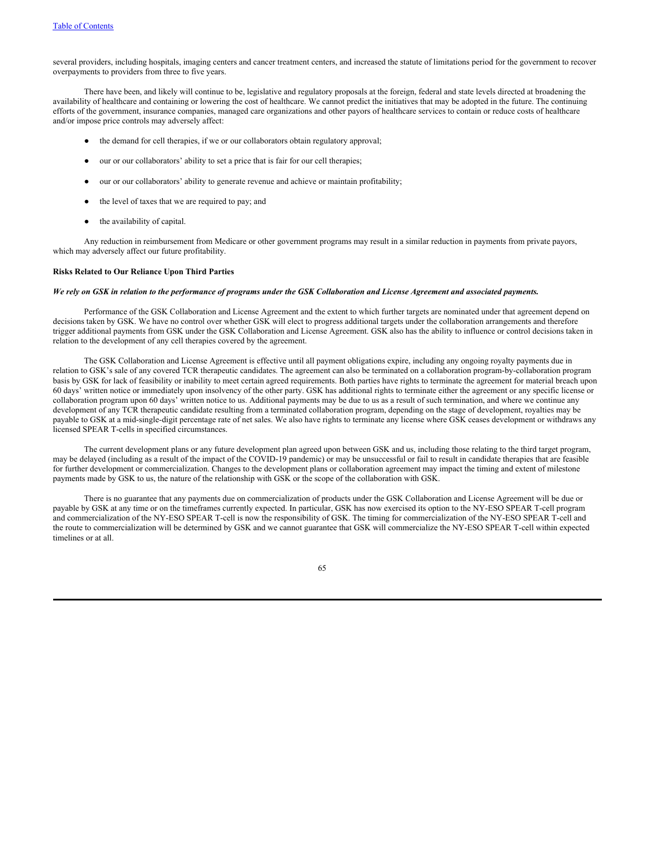several providers, including hospitals, imaging centers and cancer treatment centers, and increased the statute of limitations period for the government to recover overpayments to providers from three to five years.

There have been, and likely will continue to be, legislative and regulatory proposals at the foreign, federal and state levels directed at broadening the availability of healthcare and containing or lowering the cost of healthcare. We cannot predict the initiatives that may be adopted in the future. The continuing efforts of the government, insurance companies, managed care organizations and other payors of healthcare services to contain or reduce costs of healthcare and/or impose price controls may adversely affect:

- the demand for cell therapies, if we or our collaborators obtain regulatory approval;
- our or our collaborators' ability to set a price that is fair for our cell therapies;
- our or our collaborators' ability to generate revenue and achieve or maintain profitability;
- the level of taxes that we are required to pay; and
- the availability of capital.

Any reduction in reimbursement from Medicare or other government programs may result in a similar reduction in payments from private payors, which may adversely affect our future profitability.

#### **Risks Related to Our Reliance Upon Third Parties**

### We rely on GSK in relation to the performance of programs under the GSK Collaboration and License Agreement and associated payments.

Performance of the GSK Collaboration and License Agreement and the extent to which further targets are nominated under that agreement depend on decisions taken by GSK. We have no control over whether GSK will elect to progress additional targets under the collaboration arrangements and therefore trigger additional payments from GSK under the GSK Collaboration and License Agreement. GSK also has the ability to influence or control decisions taken in relation to the development of any cell therapies covered by the agreement.

The GSK Collaboration and License Agreement is effective until all payment obligations expire, including any ongoing royalty payments due in relation to GSK's sale of any covered TCR therapeutic candidates. The agreement can also be terminated on a collaboration program-by-collaboration program basis by GSK for lack of feasibility or inability to meet certain agreed requirements. Both parties have rights to terminate the agreement for material breach upon 60 days' written notice or immediately upon insolvency of the other party. GSK has additional rights to terminate either the agreement or any specific license or collaboration program upon 60 days' written notice to us. Additional payments may be due to us as a result of such termination, and where we continue any development of any TCR therapeutic candidate resulting from a terminated collaboration program, depending on the stage of development, royalties may be payable to GSK at a mid-single-digit percentage rate of net sales. We also have rights to terminate any license where GSK ceases development or withdraws any licensed SPEAR T-cells in specified circumstances.

The current development plans or any future development plan agreed upon between GSK and us, including those relating to the third target program, may be delayed (including as a result of the impact of the COVID-19 pandemic) or may be unsuccessful or fail to result in candidate therapies that are feasible for further development or commercialization. Changes to the development plans or collaboration agreement may impact the timing and extent of milestone payments made by GSK to us, the nature of the relationship with GSK or the scope of the collaboration with GSK.

There is no guarantee that any payments due on commercialization of products under the GSK Collaboration and License Agreement will be due or payable by GSK at any time or on the timeframes currently expected. In particular, GSK has now exercised its option to the NY-ESO SPEAR T-cell program and commercialization of the NY-ESO SPEAR T-cell is now the responsibility of GSK. The timing for commercialization of the NY-ESO SPEAR T-cell and the route to commercialization will be determined by GSK and we cannot guarantee that GSK will commercialize the NY-ESO SPEAR T-cell within expected timelines or at all.

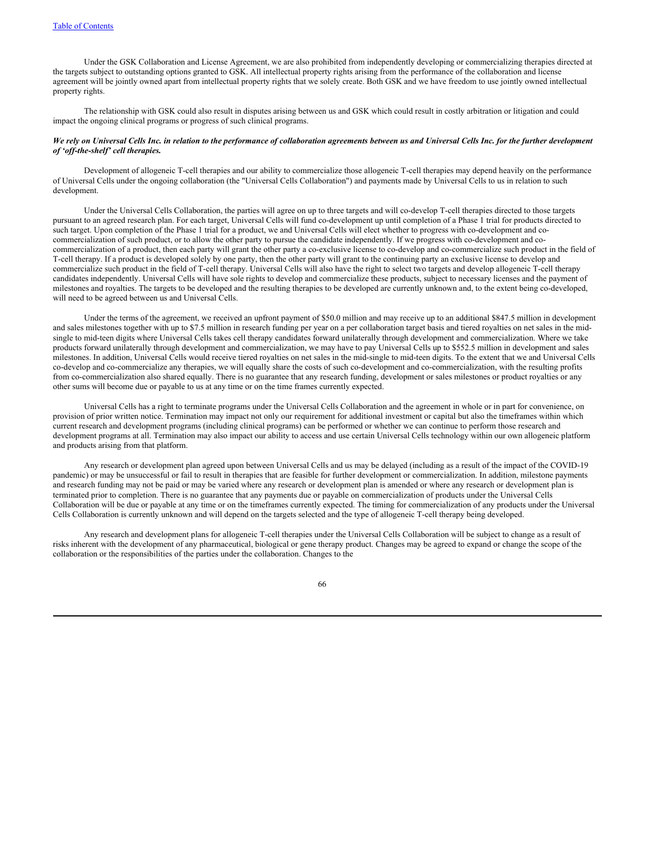Under the GSK Collaboration and License Agreement, we are also prohibited from independently developing or commercializing therapies directed at the targets subject to outstanding options granted to GSK. All intellectual property rights arising from the performance of the collaboration and license agreement will be jointly owned apart from intellectual property rights that we solely create. Both GSK and we have freedom to use jointly owned intellectual property rights.

The relationship with GSK could also result in disputes arising between us and GSK which could result in costly arbitration or litigation and could impact the ongoing clinical programs or progress of such clinical programs.

# We rely on Universal Cells Inc. in relation to the performance of collaboration agreements between us and Universal Cells Inc. for the further development *of 'of -the-shelf' cell therapies.*

Development of allogeneic T-cell therapies and our ability to commercialize those allogeneic T-cell therapies may depend heavily on the performance of Universal Cells under the ongoing collaboration (the "Universal Cells Collaboration") and payments made by Universal Cells to us in relation to such development.

Under the Universal Cells Collaboration, the parties will agree on up to three targets and will co-develop T-cell therapies directed to those targets pursuant to an agreed research plan. For each target, Universal Cells will fund co-development up until completion of a Phase 1 trial for products directed to such target. Upon completion of the Phase 1 trial for a product, we and Universal Cells will elect whether to progress with co-development and cocommercialization of such product, or to allow the other party to pursue the candidate independently. If we progress with co-development and cocommercialization of a product, then each party will grant the other party a co-exclusive license to co-develop and co-commercialize such product in the field of T-cell therapy. If a product is developed solely by one party, then the other party will grant to the continuing party an exclusive license to develop and commercialize such product in the field of T-cell therapy. Universal Cells will also have the right to select two targets and develop allogeneic T-cell therapy candidates independently. Universal Cells will have sole rights to develop and commercialize these products, subject to necessary licenses and the payment of milestones and royalties. The targets to be developed and the resulting therapies to be developed are currently unknown and, to the extent being co-developed, will need to be agreed between us and Universal Cells.

Under the terms of the agreement, we received an upfront payment of \$50.0 million and may receive up to an additional \$847.5 million in development and sales milestones together with up to \$7.5 million in research funding per year on a per collaboration target basis and tiered royalties on net sales in the midsingle to mid-teen digits where Universal Cells takes cell therapy candidates forward unilaterally through development and commercialization. Where we take products forward unilaterally through development and commercialization, we may have to pay Universal Cells up to \$552.5 million in development and sales milestones. In addition, Universal Cells would receive tiered royalties on net sales in the mid-single to mid-teen digits. To the extent that we and Universal Cells co-develop and co-commercialize any therapies, we will equally share the costs of such co-development and co-commercialization, with the resulting profits from co-commercialization also shared equally. There is no guarantee that any research funding, development or sales milestones or product royalties or any other sums will become due or payable to us at any time or on the time frames currently expected.

Universal Cells has a right to terminate programs under the Universal Cells Collaboration and the agreement in whole or in part for convenience, on provision of prior written notice. Termination may impact not only our requirement for additional investment or capital but also the timeframes within which current research and development programs (including clinical programs) can be performed or whether we can continue to perform those research and development programs at all. Termination may also impact our ability to access and use certain Universal Cells technology within our own allogeneic platform and products arising from that platform.

Any research or development plan agreed upon between Universal Cells and us may be delayed (including as a result of the impact of the COVID-19 pandemic) or may be unsuccessful or fail to result in therapies that are feasible for further development or commercialization. In addition, milestone payments and research funding may not be paid or may be varied where any research or development plan is amended or where any research or development plan is terminated prior to completion. There is no guarantee that any payments due or payable on commercialization of products under the Universal Cells Collaboration will be due or payable at any time or on the timeframes currently expected. The timing for commercialization of any products under the Universal Cells Collaboration is currently unknown and will depend on the targets selected and the type of allogeneic T-cell therapy being developed.

Any research and development plans for allogeneic T-cell therapies under the Universal Cells Collaboration will be subject to change as a result of risks inherent with the development of any pharmaceutical, biological or gene therapy product. Changes may be agreed to expand or change the scope of the collaboration or the responsibilities of the parties under the collaboration. Changes to the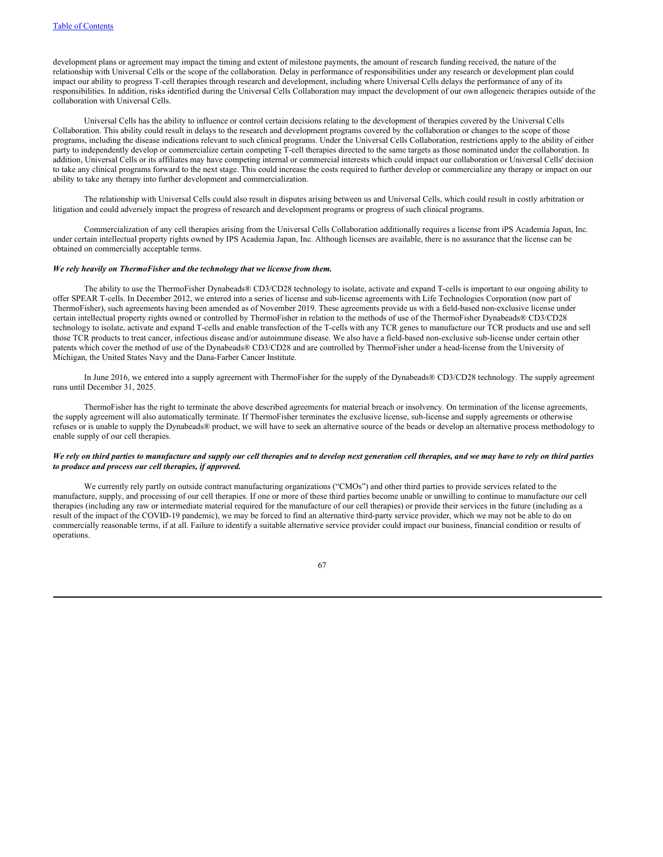development plans or agreement may impact the timing and extent of milestone payments, the amount of research funding received, the nature of the relationship with Universal Cells or the scope of the collaboration. Delay in performance of responsibilities under any research or development plan could impact our ability to progress T-cell therapies through research and development, including where Universal Cells delays the performance of any of its responsibilities. In addition, risks identified during the Universal Cells Collaboration may impact the development of our own allogeneic therapies outside of the collaboration with Universal Cells.

Universal Cells has the ability to influence or control certain decisions relating to the development of therapies covered by the Universal Cells Collaboration. This ability could result in delays to the research and development programs covered by the collaboration or changes to the scope of those programs, including the disease indications relevant to such clinical programs. Under the Universal Cells Collaboration, restrictions apply to the ability of either party to independently develop or commercialize certain competing T-cell therapies directed to the same targets as those nominated under the collaboration. In addition, Universal Cells or its affiliates may have competing internal or commercial interests which could impact our collaboration or Universal Cells' decision to take any clinical programs forward to the next stage. This could increase the costs required to further develop or commercialize any therapy or impact on our ability to take any therapy into further development and commercialization.

The relationship with Universal Cells could also result in disputes arising between us and Universal Cells, which could result in costly arbitration or litigation and could adversely impact the progress of research and development programs or progress of such clinical programs.

Commercialization of any cell therapies arising from the Universal Cells Collaboration additionally requires a license from iPS Academia Japan, Inc. under certain intellectual property rights owned by IPS Academia Japan, Inc. Although licenses are available, there is no assurance that the license can be obtained on commercially acceptable terms.

# *We rely heavily on ThermoFisher and the technology that we license from them.*

The ability to use the ThermoFisher Dynabeads® CD3/CD28 technology to isolate, activate and expand T-cells is important to our ongoing ability to offer SPEAR T-cells. In December 2012, we entered into a series of license and sub-license agreements with Life Technologies Corporation (now part of ThermoFisher), such agreements having been amended as of November 2019. These agreements provide us with a field-based non-exclusive license under certain intellectual property rights owned or controlled by ThermoFisher in relation to the methods of use of the ThermoFisher Dynabeads® CD3/CD28 technology to isolate, activate and expand T-cells and enable transfection of the T-cells with any TCR genes to manufacture our TCR products and use and sell those TCR products to treat cancer, infectious disease and/or autoimmune disease. We also have a field-based non-exclusive sub-license under certain other patents which cover the method of use of the Dynabeads® CD3/CD28 and are controlled by ThermoFisher under a head-license from the University of Michigan, the United States Navy and the Dana-Farber Cancer Institute.

In June 2016, we entered into a supply agreement with ThermoFisher for the supply of the Dynabeads® CD3/CD28 technology. The supply agreement runs until December 31, 2025.

ThermoFisher has the right to terminate the above described agreements for material breach or insolvency. On termination of the license agreements, the supply agreement will also automatically terminate. If ThermoFisher terminates the exclusive license, sub-license and supply agreements or otherwise refuses or is unable to supply the Dynabeads® product, we will have to seek an alternative source of the beads or develop an alternative process methodology to enable supply of our cell therapies.

# We rely on third parties to manufacture and supply our cell therapies and to develop next generation cell therapies, and we may have to rely on third parties *to produce and process our cell therapies, if approved.*

We currently rely partly on outside contract manufacturing organizations ("CMOs") and other third parties to provide services related to the manufacture, supply, and processing of our cell therapies. If one or more of these third parties become unable or unwilling to continue to manufacture our cell therapies (including any raw or intermediate material required for the manufacture of our cell therapies) or provide their services in the future (including as a result of the impact of the COVID-19 pandemic), we may be forced to find an alternative third-party service provider, which we may not be able to do on commercially reasonable terms, if at all. Failure to identify a suitable alternative service provider could impact our business, financial condition or results of operations.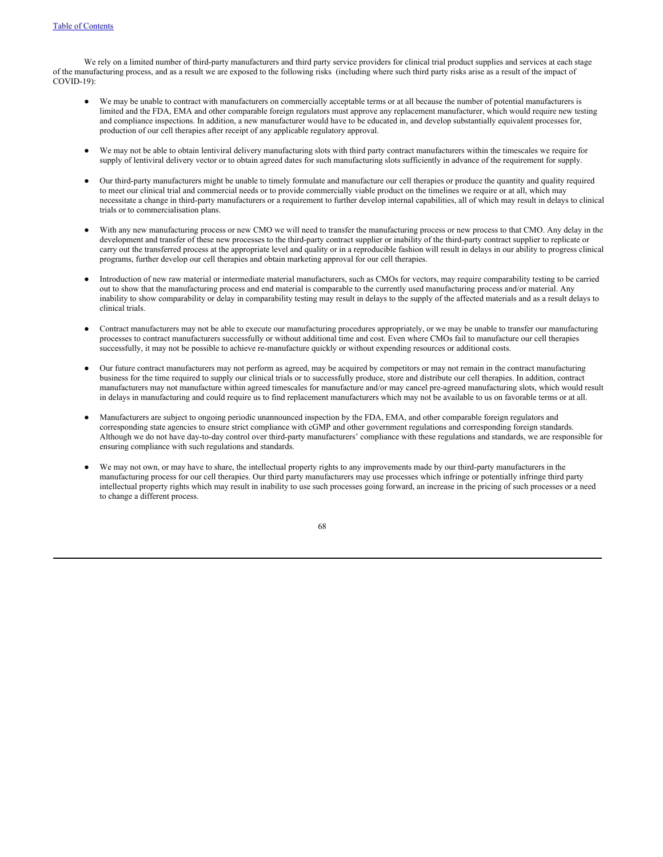We rely on a limited number of third-party manufacturers and third party service providers for clinical trial product supplies and services at each stage of the manufacturing process, and as a result we are exposed to the following risks (including where such third party risks arise as a result of the impact of COVID-19):

- We may be unable to contract with manufacturers on commercially acceptable terms or at all because the number of potential manufacturers is limited and the FDA, EMA and other comparable foreign regulators must approve any replacement manufacturer, which would require new testing and compliance inspections. In addition, a new manufacturer would have to be educated in, and develop substantially equivalent processes for, production of our cell therapies after receipt of any applicable regulatory approval.
- We may not be able to obtain lentiviral delivery manufacturing slots with third party contract manufacturers within the timescales we require for supply of lentiviral delivery vector or to obtain agreed dates for such manufacturing slots sufficiently in advance of the requirement for supply.
- Our third-party manufacturers might be unable to timely formulate and manufacture our cell therapies or produce the quantity and quality required to meet our clinical trial and commercial needs or to provide commercially viable product on the timelines we require or at all, which may necessitate a change in third-party manufacturers or a requirement to further develop internal capabilities, all of which may result in delays to clinical trials or to commercialisation plans.
- With any new manufacturing process or new CMO we will need to transfer the manufacturing process or new process to that CMO. Any delay in the development and transfer of these new processes to the third-party contract supplier or inability of the third-party contract supplier to replicate or carry out the transferred process at the appropriate level and quality or in a reproducible fashion will result in delays in our ability to progress clinical programs, further develop our cell therapies and obtain marketing approval for our cell therapies.
- Introduction of new raw material or intermediate material manufacturers, such as CMOs for vectors, may require comparability testing to be carried out to show that the manufacturing process and end material is comparable to the currently used manufacturing process and/or material. Any inability to show comparability or delay in comparability testing may result in delays to the supply of the affected materials and as a result delays to clinical trials.
- Contract manufacturers may not be able to execute our manufacturing procedures appropriately, or we may be unable to transfer our manufacturing processes to contract manufacturers successfully or without additional time and cost. Even where CMOs fail to manufacture our cell therapies successfully, it may not be possible to achieve re-manufacture quickly or without expending resources or additional costs.
- Our future contract manufacturers may not perform as agreed, may be acquired by competitors or may not remain in the contract manufacturing business for the time required to supply our clinical trials or to successfully produce, store and distribute our cell therapies. In addition, contract manufacturers may not manufacture within agreed timescales for manufacture and/or may cancel pre-agreed manufacturing slots, which would result in delays in manufacturing and could require us to find replacement manufacturers which may not be available to us on favorable terms or at all.
- Manufacturers are subject to ongoing periodic unannounced inspection by the FDA, EMA, and other comparable foreign regulators and corresponding state agencies to ensure strict compliance with cGMP and other government regulations and corresponding foreign standards. Although we do not have day-to-day control over third-party manufacturers' compliance with these regulations and standards, we are responsible for ensuring compliance with such regulations and standards.
- We may not own, or may have to share, the intellectual property rights to any improvements made by our third-party manufacturers in the manufacturing process for our cell therapies. Our third party manufacturers may use processes which infringe or potentially infringe third party intellectual property rights which may result in inability to use such processes going forward, an increase in the pricing of such processes or a need to change a different process.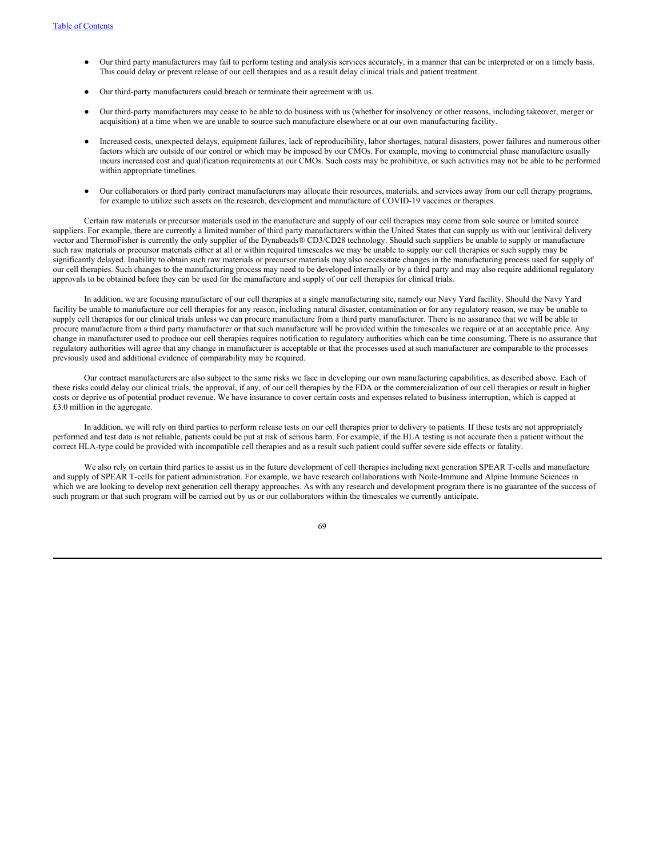- Our third party manufacturers may fail to perform testing and analysis services accurately, in a manner that can be interpreted or on a timely basis. This could delay or prevent release of our cell therapies and as a result delay clinical trials and patient treatment.
- Our third-party manufacturers could breach or terminate their agreement with us.
- Our third-party manufacturers may cease to be able to do business with us (whether for insolvency or other reasons, including takeover, merger or acquisition) at a time when we are unable to source such manufacture elsewhere or at our own manufacturing facility.
- Increased costs, unexpected delays, equipment failures, lack of reproducibility, labor shortages, natural disasters, power failures and numerous other factors which are outside of our control or which may be imposed by our CMOs. For example, moving to commercial phase manufacture usually incurs increased cost and qualification requirements at our CMOs. Such costs may be prohibitive, or such activities may not be able to be performed within appropriate timelines.
- Our collaborators or third party contract manufacturers may allocate their resources, materials, and services away from our cell therapy programs, for example to utilize such assets on the research, development and manufacture of COVID-19 vaccines or therapies.

Certain raw materials or precursor materials used in the manufacture and supply of our cell therapies may come from sole source or limited source suppliers. For example, there are currently a limited number of third party manufacturers within the United States that can supply us with our lentiviral delivery vector and ThermoFisher is currently the only supplier of the Dynabeads® CD3/CD28 technology. Should such suppliers be unable to supply or manufacture such raw materials or precursor materials either at all or within required timescales we may be unable to supply our cell therapies or such supply may be significantly delayed. Inability to obtain such raw materials or precursor materials may also necessitate changes in the manufacturing process used for supply of our cell therapies. Such changes to the manufacturing process may need to be developed internally or by a third party and may also require additional regulatory approvals to be obtained before they can be used for the manufacture and supply of our cell therapies for clinical trials.

In addition, we are focusing manufacture of our cell therapies at a single manufacturing site, namely our Navy Yard facility. Should the Navy Yard facility be unable to manufacture our cell therapies for any reason, including natural disaster, contamination or for any regulatory reason, we may be unable to supply cell therapies for our clinical trials unless we can procure manufacture from a third party manufacturer. There is no assurance that we will be able to procure manufacture from a third party manufacturer or that such manufacture will be provided within the timescales we require or at an acceptable price. Any change in manufacturer used to produce our cell therapies requires notification to regulatory authorities which can be time consuming. There is no assurance that regulatory authorities will agree that any change in manufacturer is acceptable or that the processes used at such manufacturer are comparable to the processes previously used and additional evidence of comparability may be required.

Our contract manufacturers are also subject to the same risks we face in developing our own manufacturing capabilities, as described above. Each of these risks could delay our clinical trials, the approval, if any, of our cell therapies by the FDA or the commercialization of our cell therapies or result in higher costs or deprive us of potential product revenue. We have insurance to cover certain costs and expenses related to business interruption, which is capped at £3.0 million in the aggregate.

In addition, we will rely on third parties to perform release tests on our cell therapies prior to delivery to patients. If these tests are not appropriately performed and test data is not reliable, patients could be put at risk of serious harm. For example, if the HLA testing is not accurate then a patient without the correct HLA-type could be provided with incompatible cell therapies and as a result such patient could suffer severe side effects or fatality.

We also rely on certain third parties to assist us in the future development of cell therapies including next generation SPEAR T-cells and manufacture and supply of SPEAR T-cells for patient administration. For example, we have research collaborations with Noile-Immune and Alpine Immune Sciences in which we are looking to develop next generation cell therapy approaches. As with any research and development program there is no guarantee of the success of such program or that such program will be carried out by us or our collaborators within the timescales we currently anticipate.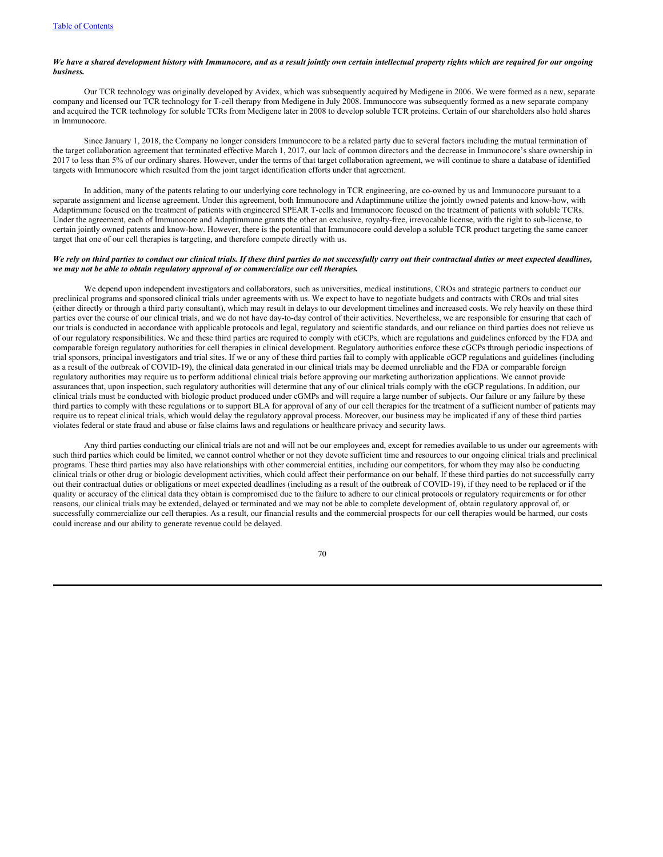### We have a shared development history with Immunocore, and as a result jointly own certain intellectual property rights which are required for our ongoing *business.*

Our TCR technology was originally developed by Avidex, which was subsequently acquired by Medigene in 2006. We were formed as a new, separate company and licensed our TCR technology for T-cell therapy from Medigene in July 2008. Immunocore was subsequently formed as a new separate company and acquired the TCR technology for soluble TCRs from Medigene later in 2008 to develop soluble TCR proteins. Certain of our shareholders also hold shares in Immunocore.

Since January 1, 2018, the Company no longer considers Immunocore to be a related party due to several factors including the mutual termination of the target collaboration agreement that terminated effective March 1, 2017, our lack of common directors and the decrease in Immunocore's share ownership in 2017 to less than 5% of our ordinary shares. However, under the terms of that target collaboration agreement, we will continue to share a database of identified targets with Immunocore which resulted from the joint target identification efforts under that agreement.

In addition, many of the patents relating to our underlying core technology in TCR engineering, are co-owned by us and Immunocore pursuant to a separate assignment and license agreement. Under this agreement, both Immunocore and Adaptimmune utilize the jointly owned patents and know-how, with Adaptimmune focused on the treatment of patients with engineered SPEAR T-cells and Immunocore focused on the treatment of patients with soluble TCRs. Under the agreement, each of Immunocore and Adaptimmune grants the other an exclusive, royalty-free, irrevocable license, with the right to sub-license, to certain jointly owned patents and know-how. However, there is the potential that Immunocore could develop a soluble TCR product targeting the same cancer target that one of our cell therapies is targeting, and therefore compete directly with us.

#### We rely on third parties to conduct our clinical trials. If these third parties do not successfully carry out their contractual duties or meet expected deadlines, *we may not be able to obtain regulatory approval of or commercialize our cell therapies.*

We depend upon independent investigators and collaborators, such as universities, medical institutions, CROs and strategic partners to conduct our preclinical programs and sponsored clinical trials under agreements with us. We expect to have to negotiate budgets and contracts with CROs and trial sites (either directly or through a third party consultant), which may result in delays to our development timelines and increased costs. We rely heavily on these third parties over the course of our clinical trials, and we do not have day-to-day control of their activities. Nevertheless, we are responsible for ensuring that each of our trials is conducted in accordance with applicable protocols and legal, regulatory and scientific standards, and our reliance on third parties does not relieve us of our regulatory responsibilities. We and these third parties are required to comply with cGCPs, which are regulations and guidelines enforced by the FDA and comparable foreign regulatory authorities for cell therapies in clinical development. Regulatory authorities enforce these cGCPs through periodic inspections of trial sponsors, principal investigators and trial sites. If we or any of these third parties fail to comply with applicable cGCP regulations and guidelines (including as a result of the outbreak of COVID-19), the clinical data generated in our clinical trials may be deemed unreliable and the FDA or comparable foreign regulatory authorities may require us to perform additional clinical trials before approving our marketing authorization applications. We cannot provide assurances that, upon inspection, such regulatory authorities will determine that any of our clinical trials comply with the cGCP regulations. In addition, our clinical trials must be conducted with biologic product produced under cGMPs and will require a large number of subjects. Our failure or any failure by these third parties to comply with these regulations or to support BLA for approval of any of our cell therapies for the treatment of a sufficient number of patients may require us to repeat clinical trials, which would delay the regulatory approval process. Moreover, our business may be implicated if any of these third parties violates federal or state fraud and abuse or false claims laws and regulations or healthcare privacy and security laws.

Any third parties conducting our clinical trials are not and will not be our employees and, except for remedies available to us under our agreements with such third parties which could be limited, we cannot control whether or not they devote sufficient time and resources to our ongoing clinical trials and preclinical programs. These third parties may also have relationships with other commercial entities, including our competitors, for whom they may also be conducting clinical trials or other drug or biologic development activities, which could affect their performance on our behalf. If these third parties do not successfully carry out their contractual duties or obligations or meet expected deadlines (including as a result of the outbreak of COVID-19), if they need to be replaced or if the quality or accuracy of the clinical data they obtain is compromised due to the failure to adhere to our clinical protocols or regulatory requirements or for other reasons, our clinical trials may be extended, delayed or terminated and we may not be able to complete development of, obtain regulatory approval of, or successfully commercialize our cell therapies. As a result, our financial results and the commercial prospects for our cell therapies would be harmed, our costs could increase and our ability to generate revenue could be delayed.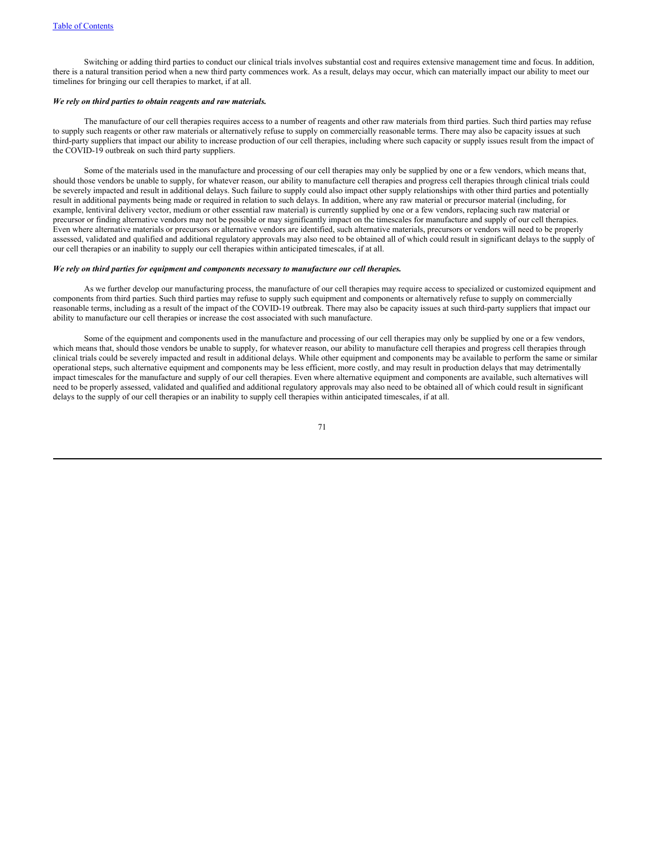Switching or adding third parties to conduct our clinical trials involves substantial cost and requires extensive management time and focus. In addition, there is a natural transition period when a new third party commences work. As a result, delays may occur, which can materially impact our ability to meet our timelines for bringing our cell therapies to market, if at all.

#### *We rely on third parties to obtain reagents and raw materials.*

The manufacture of our cell therapies requires access to a number of reagents and other raw materials from third parties. Such third parties may refuse to supply such reagents or other raw materials or alternatively refuse to supply on commercially reasonable terms. There may also be capacity issues at such third-party suppliers that impact our ability to increase production of our cell therapies, including where such capacity or supply issues result from the impact of the COVID-19 outbreak on such third party suppliers.

Some of the materials used in the manufacture and processing of our cell therapies may only be supplied by one or a few vendors, which means that, should those vendors be unable to supply, for whatever reason, our ability to manufacture cell therapies and progress cell therapies through clinical trials could be severely impacted and result in additional delays. Such failure to supply could also impact other supply relationships with other third parties and potentially result in additional payments being made or required in relation to such delays. In addition, where any raw material or precursor material (including, for example, lentiviral delivery vector, medium or other essential raw material) is currently supplied by one or a few vendors, replacing such raw material or precursor or finding alternative vendors may not be possible or may significantly impact on the timescales for manufacture and supply of our cell therapies. Even where alternative materials or precursors or alternative vendors are identified, such alternative materials, precursors or vendors will need to be properly assessed, validated and qualified and additional regulatory approvals may also need to be obtained all of which could result in significant delays to the supply of our cell therapies or an inability to supply our cell therapies within anticipated timescales, if at all.

### *We rely on third parties for equipment and components necessary to manufacture our cell therapies.*

As we further develop our manufacturing process, the manufacture of our cell therapies may require access to specialized or customized equipment and components from third parties. Such third parties may refuse to supply such equipment and components or alternatively refuse to supply on commercially reasonable terms, including as a result of the impact of the COVID-19 outbreak. There may also be capacity issues at such third-party suppliers that impact our ability to manufacture our cell therapies or increase the cost associated with such manufacture.

Some of the equipment and components used in the manufacture and processing of our cell therapies may only be supplied by one or a few vendors, which means that, should those vendors be unable to supply, for whatever reason, our ability to manufacture cell therapies and progress cell therapies through clinical trials could be severely impacted and result in additional delays. While other equipment and components may be available to perform the same or similar operational steps, such alternative equipment and components may be less efficient, more costly, and may result in production delays that may detrimentally impact timescales for the manufacture and supply of our cell therapies. Even where alternative equipment and components are available, such alternatives will need to be properly assessed, validated and qualified and additional regulatory approvals may also need to be obtained all of which could result in significant delays to the supply of our cell therapies or an inability to supply cell therapies within anticipated timescales, if at all.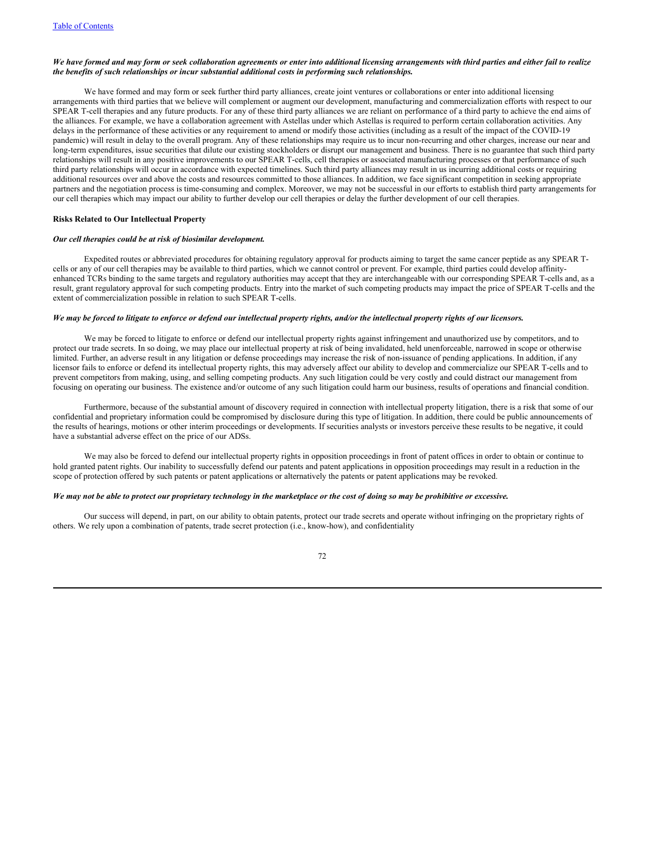#### We have formed and may form or seek collaboration agreements or enter into additional licensing arrangements with third parties and either fail to realize *the benefits of such relationships or incur substantial additional costs in performing such relationships.*

We have formed and may form or seek further third party alliances, create joint ventures or collaborations or enter into additional licensing arrangements with third parties that we believe will complement or augment our development, manufacturing and commercialization efforts with respect to our SPEAR T-cell therapies and any future products. For any of these third party alliances we are reliant on performance of a third party to achieve the end aims of the alliances. For example, we have a collaboration agreement with Astellas under which Astellas is required to perform certain collaboration activities. Any delays in the performance of these activities or any requirement to amend or modify those activities (including as a result of the impact of the COVID-19 pandemic) will result in delay to the overall program. Any of these relationships may require us to incur non-recurring and other charges, increase our near and long-term expenditures, issue securities that dilute our existing stockholders or disrupt our management and business. There is no guarantee that such third party relationships will result in any positive improvements to our SPEAR T-cells, cell therapies or associated manufacturing processes or that performance of such third party relationships will occur in accordance with expected timelines. Such third party alliances may result in us incurring additional costs or requiring additional resources over and above the costs and resources committed to those alliances. In addition, we face significant competition in seeking appropriate partners and the negotiation process is time-consuming and complex. Moreover, we may not be successful in our efforts to establish third party arrangements for our cell therapies which may impact our ability to further develop our cell therapies or delay the further development of our cell therapies.

# **Risks Related to Our Intellectual Property**

#### *Our cell therapies could be at risk of biosimilar development.*

Expedited routes or abbreviated procedures for obtaining regulatory approval for products aiming to target the same cancer peptide as any SPEAR Tcells or any of our cell therapies may be available to third parties, which we cannot control or prevent. For example, third parties could develop affinityenhanced TCRs binding to the same targets and regulatory authorities may accept that they are interchangeable with our corresponding SPEAR T-cells and, as a result, grant regulatory approval for such competing products. Entry into the market of such competing products may impact the price of SPEAR T-cells and the extent of commercialization possible in relation to such SPEAR T-cells.

#### We may be forced to litigate to enforce or defend our intellectual property rights, and/or the intellectual property rights of our licensors.

We may be forced to litigate to enforce or defend our intellectual property rights against infringement and unauthorized use by competitors, and to protect our trade secrets. In so doing, we may place our intellectual property at risk of being invalidated, held unenforceable, narrowed in scope or otherwise limited. Further, an adverse result in any litigation or defense proceedings may increase the risk of non-issuance of pending applications. In addition, if any licensor fails to enforce or defend its intellectual property rights, this may adversely affect our ability to develop and commercialize our SPEAR T-cells and to prevent competitors from making, using, and selling competing products. Any such litigation could be very costly and could distract our management from focusing on operating our business. The existence and/or outcome of any such litigation could harm our business, results of operations and financial condition.

Furthermore, because of the substantial amount of discovery required in connection with intellectual property litigation, there is a risk that some of our confidential and proprietary information could be compromised by disclosure during this type of litigation. In addition, there could be public announcements of the results of hearings, motions or other interim proceedings or developments. If securities analysts or investors perceive these results to be negative, it could have a substantial adverse effect on the price of our ADSs.

We may also be forced to defend our intellectual property rights in opposition proceedings in front of patent offices in order to obtain or continue to hold granted patent rights. Our inability to successfully defend our patents and patent applications in opposition proceedings may result in a reduction in the scope of protection offered by such patents or patent applications or alternatively the patents or patent applications may be revoked.

#### We may not be able to protect our proprietary technology in the marketplace or the cost of doing so may be prohibitive or excessive.

Our success will depend, in part, on our ability to obtain patents, protect our trade secrets and operate without infringing on the proprietary rights of others. We rely upon a combination of patents, trade secret protection (i.e., know-how), and confidentiality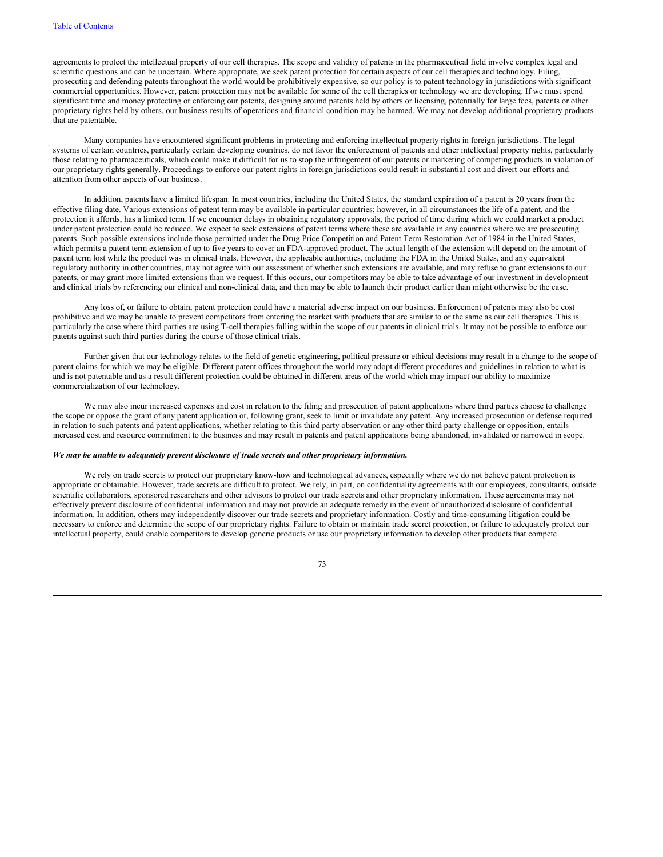agreements to protect the intellectual property of our cell therapies. The scope and validity of patents in the pharmaceutical field involve complex legal and scientific questions and can be uncertain. Where appropriate, we seek patent protection for certain aspects of our cell therapies and technology. Filing, prosecuting and defending patents throughout the world would be prohibitively expensive, so our policy is to patent technology in jurisdictions with significant commercial opportunities. However, patent protection may not be available for some of the cell therapies or technology we are developing. If we must spend significant time and money protecting or enforcing our patents, designing around patents held by others or licensing, potentially for large fees, patents or other proprietary rights held by others, our business results of operations and financial condition may be harmed. We may not develop additional proprietary products that are patentable.

Many companies have encountered significant problems in protecting and enforcing intellectual property rights in foreign jurisdictions. The legal systems of certain countries, particularly certain developing countries, do not favor the enforcement of patents and other intellectual property rights, particularly those relating to pharmaceuticals, which could make it difficult for us to stop the infringement of our patents or marketing of competing products in violation of our proprietary rights generally. Proceedings to enforce our patent rights in foreign jurisdictions could result in substantial cost and divert our efforts and attention from other aspects of our business.

In addition, patents have a limited lifespan. In most countries, including the United States, the standard expiration of a patent is 20 years from the effective filing date. Various extensions of patent term may be available in particular countries; however, in all circumstances the life of a patent, and the protection it affords, has a limited term. If we encounter delays in obtaining regulatory approvals, the period of time during which we could market a product under patent protection could be reduced. We expect to seek extensions of patent terms where these are available in any countries where we are prosecuting patents. Such possible extensions include those permitted under the Drug Price Competition and Patent Term Restoration Act of 1984 in the United States, which permits a patent term extension of up to five years to cover an FDA-approved product. The actual length of the extension will depend on the amount of patent term lost while the product was in clinical trials. However, the applicable authorities, including the FDA in the United States, and any equivalent regulatory authority in other countries, may not agree with our assessment of whether such extensions are available, and may refuse to grant extensions to our patents, or may grant more limited extensions than we request. If this occurs, our competitors may be able to take advantage of our investment in development and clinical trials by referencing our clinical and non-clinical data, and then may be able to launch their product earlier than might otherwise be the case.

Any loss of, or failure to obtain, patent protection could have a material adverse impact on our business. Enforcement of patents may also be cost prohibitive and we may be unable to prevent competitors from entering the market with products that are similar to or the same as our cell therapies. This is particularly the case where third parties are using T-cell therapies falling within the scope of our patents in clinical trials. It may not be possible to enforce our patents against such third parties during the course of those clinical trials.

Further given that our technology relates to the field of genetic engineering, political pressure or ethical decisions may result in a change to the scope of patent claims for which we may be eligible. Different patent offices throughout the world may adopt different procedures and guidelines in relation to what is and is not patentable and as a result different protection could be obtained in different areas of the world which may impact our ability to maximize commercialization of our technology.

We may also incur increased expenses and cost in relation to the filing and prosecution of patent applications where third parties choose to challenge the scope or oppose the grant of any patent application or, following grant, seek to limit or invalidate any patent. Any increased prosecution or defense required in relation to such patents and patent applications, whether relating to this third party observation or any other third party challenge or opposition, entails increased cost and resource commitment to the business and may result in patents and patent applications being abandoned, invalidated or narrowed in scope.

#### *We may be unable to adequately prevent disclosure of trade secrets and other proprietary information.*

We rely on trade secrets to protect our proprietary know-how and technological advances, especially where we do not believe patent protection is appropriate or obtainable. However, trade secrets are difficult to protect. We rely, in part, on confidentiality agreements with our employees, consultants, outside scientific collaborators, sponsored researchers and other advisors to protect our trade secrets and other proprietary information. These agreements may not effectively prevent disclosure of confidential information and may not provide an adequate remedy in the event of unauthorized disclosure of confidential information. In addition, others may independently discover our trade secrets and proprietary information. Costly and time-consuming litigation could be necessary to enforce and determine the scope of our proprietary rights. Failure to obtain or maintain trade secret protection, or failure to adequately protect our intellectual property, could enable competitors to develop generic products or use our proprietary information to develop other products that compete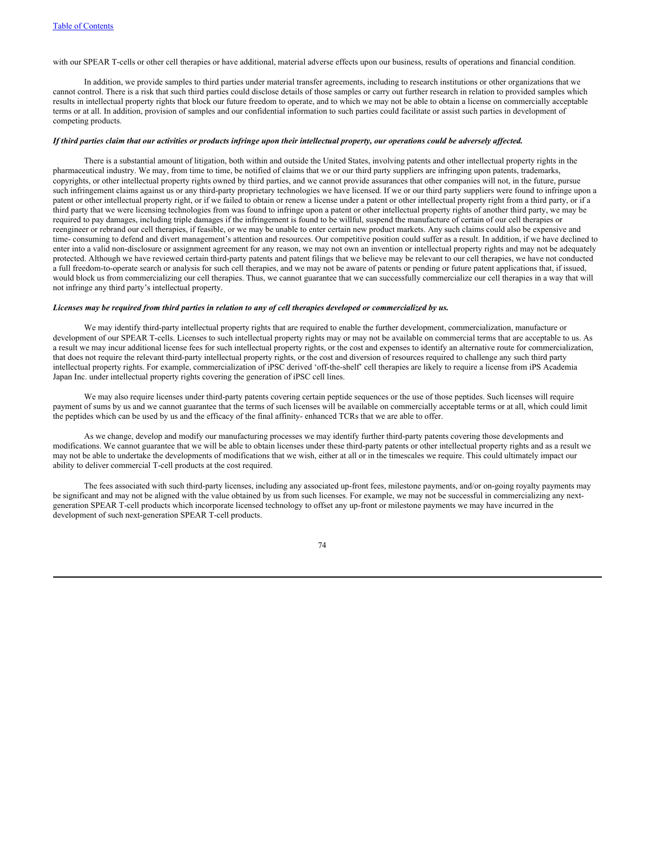with our SPEAR T-cells or other cell therapies or have additional, material adverse effects upon our business, results of operations and financial condition.

In addition, we provide samples to third parties under material transfer agreements, including to research institutions or other organizations that we cannot control. There is a risk that such third parties could disclose details of those samples or carry out further research in relation to provided samples which results in intellectual property rights that block our future freedom to operate, and to which we may not be able to obtain a license on commercially acceptable terms or at all. In addition, provision of samples and our confidential information to such parties could facilitate or assist such parties in development of competing products.

### If third parties claim that our activities or products infringe upon their intellectual property, our operations could be adversely affected.

There is a substantial amount of litigation, both within and outside the United States, involving patents and other intellectual property rights in the pharmaceutical industry. We may, from time to time, be notified of claims that we or our third party suppliers are infringing upon patents, trademarks, copyrights, or other intellectual property rights owned by third parties, and we cannot provide assurances that other companies will not, in the future, pursue such infringement claims against us or any third-party proprietary technologies we have licensed. If we or our third party suppliers were found to infringe upon a patent or other intellectual property right, or if we failed to obtain or renew a license under a patent or other intellectual property right from a third party, or if a third party that we were licensing technologies from was found to infringe upon a patent or other intellectual property rights of another third party, we may be required to pay damages, including triple damages if the infringement is found to be willful, suspend the manufacture of certain of our cell therapies or reengineer or rebrand our cell therapies, if feasible, or we may be unable to enter certain new product markets. Any such claims could also be expensive and time- consuming to defend and divert management's attention and resources. Our competitive position could suffer as a result. In addition, if we have declined to enter into a valid non-disclosure or assignment agreement for any reason, we may not own an invention or intellectual property rights and may not be adequately protected. Although we have reviewed certain third-party patents and patent filings that we believe may be relevant to our cell therapies, we have not conducted a full freedom-to-operate search or analysis for such cell therapies, and we may not be aware of patents or pending or future patent applications that, if issued, would block us from commercializing our cell therapies. Thus, we cannot guarantee that we can successfully commercialize our cell therapies in a way that will not infringe any third party's intellectual property.

### Licenses may be required from third parties in relation to any of cell therapies developed or commercialized by us.

We may identify third-party intellectual property rights that are required to enable the further development, commercialization, manufacture or development of our SPEAR T-cells. Licenses to such intellectual property rights may or may not be available on commercial terms that are acceptable to us. As a result we may incur additional license fees for such intellectual property rights, or the cost and expenses to identify an alternative route for commercialization, that does not require the relevant third-party intellectual property rights, or the cost and diversion of resources required to challenge any such third party intellectual property rights. For example, commercialization of iPSC derived 'off-the-shelf' cell therapies are likely to require a license from iPS Academia Japan Inc. under intellectual property rights covering the generation of iPSC cell lines.

We may also require licenses under third-party patents covering certain peptide sequences or the use of those peptides. Such licenses will require payment of sums by us and we cannot guarantee that the terms of such licenses will be available on commercially acceptable terms or at all, which could limit the peptides which can be used by us and the efficacy of the final affinity- enhanced TCRs that we are able to offer.

As we change, develop and modify our manufacturing processes we may identify further third-party patents covering those developments and modifications. We cannot guarantee that we will be able to obtain licenses under these third-party patents or other intellectual property rights and as a result we may not be able to undertake the developments of modifications that we wish, either at all or in the timescales we require. This could ultimately impact our ability to deliver commercial T-cell products at the cost required.

The fees associated with such third-party licenses, including any associated up-front fees, milestone payments, and/or on-going royalty payments may be significant and may not be aligned with the value obtained by us from such licenses. For example, we may not be successful in commercializing any nextgeneration SPEAR T-cell products which incorporate licensed technology to offset any up-front or milestone payments we may have incurred in the development of such next-generation SPEAR T-cell products.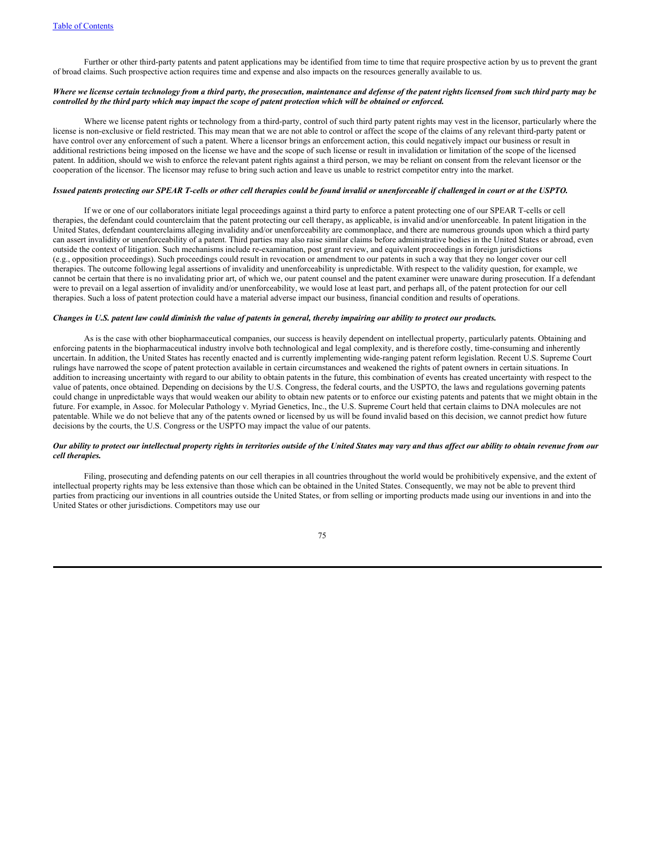Further or other third-party patents and patent applications may be identified from time to time that require prospective action by us to prevent the grant of broad claims. Such prospective action requires time and expense and also impacts on the resources generally available to us.

### Where we license certain technology from a third party, the prosecution, maintenance and defense of the patent rights licensed from such third party may be controlled by the third party which may impact the scope of patent protection which will be obtained or enforced.

Where we license patent rights or technology from a third-party, control of such third party patent rights may vest in the licensor, particularly where the license is non-exclusive or field restricted. This may mean that we are not able to control or affect the scope of the claims of any relevant third-party patent or have control over any enforcement of such a patent. Where a licensor brings an enforcement action, this could negatively impact our business or result in additional restrictions being imposed on the license we have and the scope of such license or result in invalidation or limitation of the scope of the licensed patent. In addition, should we wish to enforce the relevant patent rights against a third person, we may be reliant on consent from the relevant licensor or the cooperation of the licensor. The licensor may refuse to bring such action and leave us unable to restrict competitor entry into the market.

#### Issued patents protecting our SPEAR T-cells or other cell therapies could be found invalid or unenforceable if challenged in court or at the USPTO.

If we or one of our collaborators initiate legal proceedings against a third party to enforce a patent protecting one of our SPEAR T-cells or cell therapies, the defendant could counterclaim that the patent protecting our cell therapy, as applicable, is invalid and/or unenforceable. In patent litigation in the United States, defendant counterclaims alleging invalidity and/or unenforceability are commonplace, and there are numerous grounds upon which a third party can assert invalidity or unenforceability of a patent. Third parties may also raise similar claims before administrative bodies in the United States or abroad, even outside the context of litigation. Such mechanisms include re-examination, post grant review, and equivalent proceedings in foreign jurisdictions (e.g., opposition proceedings). Such proceedings could result in revocation or amendment to our patents in such a way that they no longer cover our cell therapies. The outcome following legal assertions of invalidity and unenforceability is unpredictable. With respect to the validity question, for example, we cannot be certain that there is no invalidating prior art, of which we, our patent counsel and the patent examiner were unaware during prosecution. If a defendant were to prevail on a legal assertion of invalidity and/or unenforceability, we would lose at least part, and perhaps all, of the patent protection for our cell therapies. Such a loss of patent protection could have a material adverse impact our business, financial condition and results of operations.

#### Changes in U.S. patent law could diminish the value of patents in general, thereby impairing our ability to protect our products.

As is the case with other biopharmaceutical companies, our success is heavily dependent on intellectual property, particularly patents. Obtaining and enforcing patents in the biopharmaceutical industry involve both technological and legal complexity, and is therefore costly, time-consuming and inherently uncertain. In addition, the United States has recently enacted and is currently implementing wide-ranging patent reform legislation. Recent U.S. Supreme Court rulings have narrowed the scope of patent protection available in certain circumstances and weakened the rights of patent owners in certain situations. In addition to increasing uncertainty with regard to our ability to obtain patents in the future, this combination of events has created uncertainty with respect to the value of patents, once obtained. Depending on decisions by the U.S. Congress, the federal courts, and the USPTO, the laws and regulations governing patents could change in unpredictable ways that would weaken our ability to obtain new patents or to enforce our existing patents and patents that we might obtain in the future. For example, in Assoc. for Molecular Pathology v. Myriad Genetics, Inc., the U.S. Supreme Court held that certain claims to DNA molecules are not patentable. While we do not believe that any of the patents owned or licensed by us will be found invalid based on this decision, we cannot predict how future decisions by the courts, the U.S. Congress or the USPTO may impact the value of our patents.

### Our ability to protect our intellectual property rights in territories outside of the United States may vary and thus affect our ability to obtain revenue from our *cell therapies.*

Filing, prosecuting and defending patents on our cell therapies in all countries throughout the world would be prohibitively expensive, and the extent of intellectual property rights may be less extensive than those which can be obtained in the United States. Consequently, we may not be able to prevent third parties from practicing our inventions in all countries outside the United States, or from selling or importing products made using our inventions in and into the United States or other jurisdictions. Competitors may use our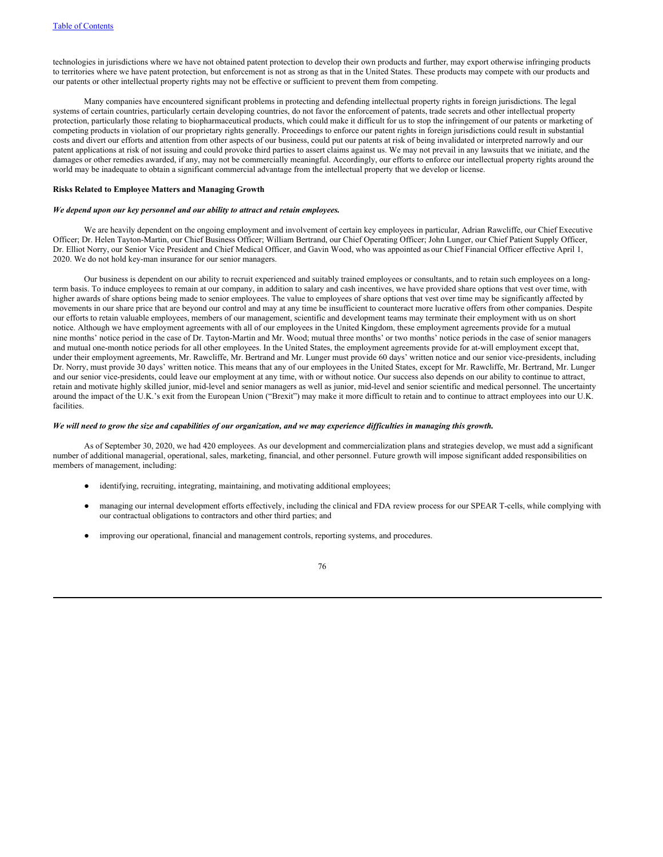technologies in jurisdictions where we have not obtained patent protection to develop their own products and further, may export otherwise infringing products to territories where we have patent protection, but enforcement is not as strong as that in the United States. These products may compete with our products and our patents or other intellectual property rights may not be effective or sufficient to prevent them from competing.

Many companies have encountered significant problems in protecting and defending intellectual property rights in foreign jurisdictions. The legal systems of certain countries, particularly certain developing countries, do not favor the enforcement of patents, trade secrets and other intellectual property protection, particularly those relating to biopharmaceutical products, which could make it difficult for us to stop the infringement of our patents or marketing of competing products in violation of our proprietary rights generally. Proceedings to enforce our patent rights in foreign jurisdictions could result in substantial costs and divert our efforts and attention from other aspects of our business, could put our patents at risk of being invalidated or interpreted narrowly and our patent applications at risk of not issuing and could provoke third parties to assert claims against us. We may not prevail in any lawsuits that we initiate, and the damages or other remedies awarded, if any, may not be commercially meaningful. Accordingly, our efforts to enforce our intellectual property rights around the world may be inadequate to obtain a significant commercial advantage from the intellectual property that we develop or license.

#### **Risks Related to Employee Matters and Managing Growth**

#### *We depend upon our key personnel and our ability to attract and retain employees.*

We are heavily dependent on the ongoing employment and involvement of certain key employees in particular, Adrian Rawcliffe, our Chief Executive Officer; Dr. Helen Tayton-Martin, our Chief Business Officer; William Bertrand, our Chief Operating Officer; John Lunger, our Chief Patient Supply Officer, Dr. Elliot Norry, our Senior Vice President and Chief Medical Officer, and Gavin Wood, who was appointed as our Chief Financial Officer effective April 1, 2020. We do not hold key-man insurance for our senior managers.

Our business is dependent on our ability to recruit experienced and suitably trained employees or consultants, and to retain such employees on a longterm basis. To induce employees to remain at our company, in addition to salary and cash incentives, we have provided share options that vest over time, with higher awards of share options being made to senior employees. The value to employees of share options that vest over time may be significantly affected by movements in our share price that are beyond our control and may at any time be insufficient to counteract more lucrative offers from other companies. Despite our efforts to retain valuable employees, members of our management, scientific and development teams may terminate their employment with us on short notice. Although we have employment agreements with all of our employees in the United Kingdom, these employment agreements provide for a mutual nine months' notice period in the case of Dr. Tayton-Martin and Mr. Wood; mutual three months' or two months' notice periods in the case of senior managers and mutual one-month notice periods for all other employees. In the United States, the employment agreements provide for at-will employment except that, under their employment agreements, Mr. Rawcliffe, Mr. Bertrand and Mr. Lunger must provide 60 days' written notice and our senior vice-presidents, including Dr. Norry, must provide 30 days' written notice. This means that any of our employees in the United States, except for Mr. Rawcliffe, Mr. Bertrand, Mr. Lunger and our senior vice-presidents, could leave our employment at any time, with or without notice. Our success also depends on our ability to continue to attract, retain and motivate highly skilled junior, mid-level and senior managers as well as junior, mid-level and senior scientific and medical personnel. The uncertainty around the impact of the U.K.'s exit from the European Union ("Brexit") may make it more difficult to retain and to continue to attract employees into our U.K. facilities.

#### We will need to grow the size and capabilities of our organization, and we may experience difficulties in managing this growth.

As of September 30, 2020, we had 420 employees. As our development and commercialization plans and strategies develop, we must add a significant number of additional managerial, operational, sales, marketing, financial, and other personnel. Future growth will impose significant added responsibilities on members of management, including:

- identifying, recruiting, integrating, maintaining, and motivating additional employees;
- managing our internal development efforts effectively, including the clinical and FDA review process for our SPEAR T-cells, while complying with our contractual obligations to contractors and other third parties; and
- improving our operational, financial and management controls, reporting systems, and procedures.

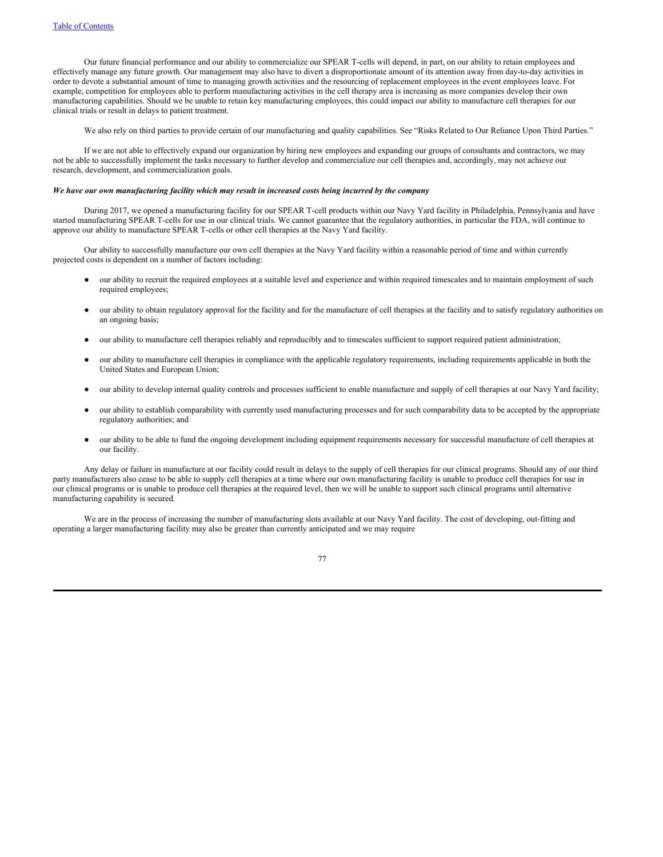Our future financial performance and our ability to commercialize our SPEAR T-cells will depend, in part, on our ability to retain employees and effectively manage any future growth. Our management may also have to divert a disproportionate amount of its attention away from day-to-day activities in order to devote a substantial amount of time to managing growth activities and the resourcing of replacement employees in the event employees leave. For example, competition for employees able to perform manufacturing activities in the cell therapy area is increasing as more companies develop their own manufacturing capabilities. Should we be unable to retain key manufacturing employees, this could impact our ability to manufacture cell therapies for our clinical trials or result in delays to patient treatment.

We also rely on third parties to provide certain of our manufacturing and quality capabilities. See "Risks Related to Our Reliance Upon Third Parties."

If we are not able to effectively expand our organization by hiring new employees and expanding our groups of consultants and contractors, we may not be able to successfully implement the tasks necessary to further develop and commercialize our cell therapies and, accordingly, may not achieve our research, development, and commercialization goals.

### *We have our own manufacturing facility which may result in increased costs being incurred by the company*

During 2017, we opened a manufacturing facility for our SPEAR T-cell products within our Navy Yard facility in Philadelphia, Pennsylvania and have started manufacturing SPEAR T-cells for use in our clinical trials. We cannot guarantee that the regulatory authorities, in particular the FDA, will continue to approve our ability to manufacture SPEAR T-cells or other cell therapies at the Navy Yard facility.

Our ability to successfully manufacture our own cell therapies at the Navy Yard facility within a reasonable period of time and within currently projected costs is dependent on a number of factors including:

- our ability to recruit the required employees at a suitable level and experience and within required timescales and to maintain employment of such required employees;
- our ability to obtain regulatory approval for the facility and for the manufacture of cell therapies at the facility and to satisfy regulatory authorities on an ongoing basis;
- our ability to manufacture cell therapies reliably and reproducibly and to timescales sufficient to support required patient administration;
- our ability to manufacture cell therapies in compliance with the applicable regulatory requirements, including requirements applicable in both the United States and European Union;
- our ability to develop internal quality controls and processes sufficient to enable manufacture and supply of cell therapies at our Navy Yard facility;
- our ability to establish comparability with currently used manufacturing processes and for such comparability data to be accepted by the appropriate regulatory authorities; and
- our ability to be able to fund the ongoing development including equipment requirements necessary for successful manufacture of cell therapies at our facility.

Any delay or failure in manufacture at our facility could result in delays to the supply of cell therapies for our clinical programs. Should any of our third party manufacturers also cease to be able to supply cell therapies at a time where our own manufacturing facility is unable to produce cell therapies for use in our clinical programs or is unable to produce cell therapies at the required level, then we will be unable to support such clinical programs until alternative manufacturing capability is secured.

We are in the process of increasing the number of manufacturing slots available at our Navy Yard facility. The cost of developing, out-fitting and operating a larger manufacturing facility may also be greater than currently anticipated and we may require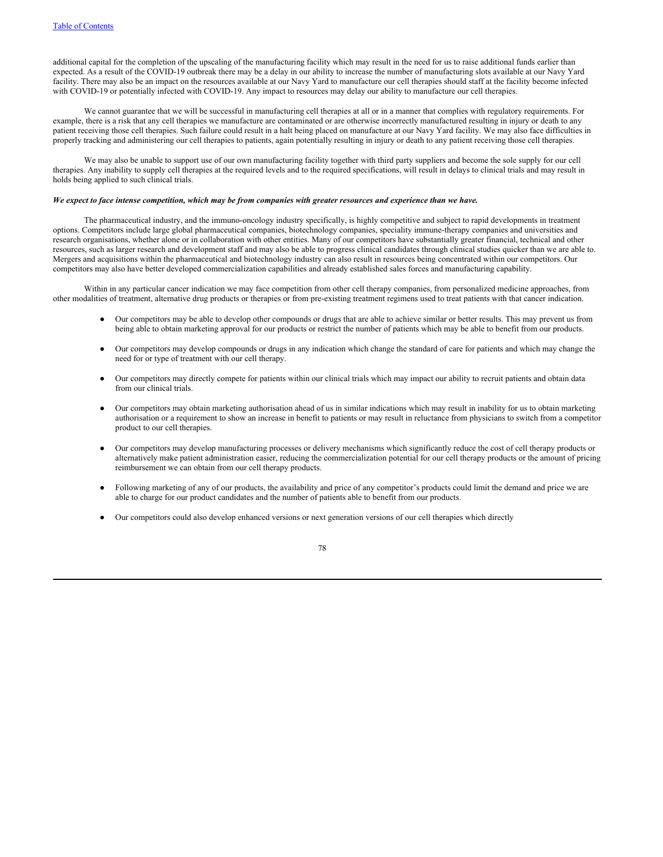additional capital for the completion of the upscaling of the manufacturing facility which may result in the need for us to raise additional funds earlier than expected. As a result of the COVID-19 outbreak there may be a delay in our ability to increase the number of manufacturing slots available at our Navy Yard facility. There may also be an impact on the resources available at our Navy Yard to manufacture our cell therapies should staff at the facility become infected with COVID-19 or potentially infected with COVID-19. Any impact to resources may delay our ability to manufacture our cell therapies.

We cannot guarantee that we will be successful in manufacturing cell therapies at all or in a manner that complies with regulatory requirements. For example, there is a risk that any cell therapies we manufacture are contaminated or are otherwise incorrectly manufactured resulting in injury or death to any patient receiving those cell therapies. Such failure could result in a halt being placed on manufacture at our Navy Yard facility. We may also face difficulties in properly tracking and administering our cell therapies to patients, again potentially resulting in injury or death to any patient receiving those cell therapies.

We may also be unable to support use of our own manufacturing facility together with third party suppliers and become the sole supply for our cell therapies. Any inability to supply cell therapies at the required levels and to the required specifications, will result in delays to clinical trials and may result in holds being applied to such clinical trials.

#### We expect to face intense competition, which may be from companies with greater resources and experience than we have.

The pharmaceutical industry, and the immuno-oncology industry specifically, is highly competitive and subject to rapid developments in treatment options. Competitors include large global pharmaceutical companies, biotechnology companies, speciality immune-therapy companies and universities and research organisations, whether alone or in collaboration with other entities. Many of our competitors have substantially greater financial, technical and other resources, such as larger research and development staff and may also be able to progress clinical candidates through clinical studies quicker than we are able to. Mergers and acquisitions within the pharmaceutical and biotechnology industry can also result in resources being concentrated within our competitors. Our competitors may also have better developed commercialization capabilities and already established sales forces and manufacturing capability.

Within in any particular cancer indication we may face competition from other cell therapy companies, from personalized medicine approaches, from other modalities of treatment, alternative drug products or therapies or from pre-existing treatment regimens used to treat patients with that cancer indication.

- Our competitors may be able to develop other compounds or drugs that are able to achieve similar or better results. This may prevent us from being able to obtain marketing approval for our products or restrict the number of patients which may be able to benefit from our products.
- Our competitors may develop compounds or drugs in any indication which change the standard of care for patients and which may change the need for or type of treatment with our cell therapy.
- Our competitors may directly compete for patients within our clinical trials which may impact our ability to recruit patients and obtain data from our clinical trials.
- Our competitors may obtain marketing authorisation ahead of us in similar indications which may result in inability for us to obtain marketing authorisation or a requirement to show an increase in benefit to patients or may result in reluctance from physicians to switch from a competitor product to our cell therapies.
- Our competitors may develop manufacturing processes or delivery mechanisms which significantly reduce the cost of cell therapy products or alternatively make patient administration easier, reducing the commercialization potential for our cell therapy products or the amount of pricing reimbursement we can obtain from our cell therapy products.
- Following marketing of any of our products, the availability and price of any competitor's products could limit the demand and price we are able to charge for our product candidates and the number of patients able to benefit from our products.
- Our competitors could also develop enhanced versions or next generation versions of our cell therapies which directly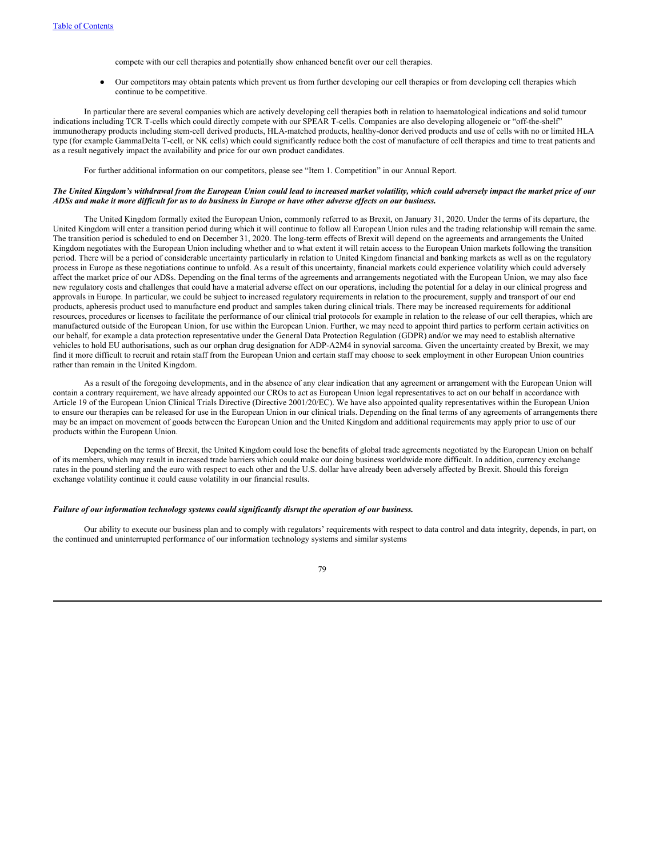compete with our cell therapies and potentially show enhanced benefit over our cell therapies.

● Our competitors may obtain patents which prevent us from further developing our cell therapies or from developing cell therapies which continue to be competitive.

In particular there are several companies which are actively developing cell therapies both in relation to haematological indications and solid tumour indications including TCR T-cells which could directly compete with our SPEAR T-cells. Companies are also developing allogeneic or "off-the-shelf" immunotherapy products including stem-cell derived products, HLA-matched products, healthy-donor derived products and use of cells with no or limited HLA type (for example GammaDelta T-cell, or NK cells) which could significantly reduce both the cost of manufacture of cell therapies and time to treat patients and as a result negatively impact the availability and price for our own product candidates.

For further additional information on our competitors, please see "Item 1. Competition" in our Annual Report.

# The United Kingdom's withdrawal from the European Union could lead to increased market volatility, which could adversely impact the market price of our ADSs and make it more difficult for us to do business in Europe or have other adverse effects on our business.

The United Kingdom formally exited the European Union, commonly referred to as Brexit, on January 31, 2020. Under the terms of its departure, the United Kingdom will enter a transition period during which it will continue to follow all European Union rules and the trading relationship will remain the same. The transition period is scheduled to end on December 31, 2020. The long-term effects of Brexit will depend on the agreements and arrangements the United Kingdom negotiates with the European Union including whether and to what extent it will retain access to the European Union markets following the transition period. There will be a period of considerable uncertainty particularly in relation to United Kingdom financial and banking markets as well as on the regulatory process in Europe as these negotiations continue to unfold. As a result of this uncertainty, financial markets could experience volatility which could adversely affect the market price of our ADSs. Depending on the final terms of the agreements and arrangements negotiated with the European Union, we may also face new regulatory costs and challenges that could have a material adverse effect on our operations, including the potential for a delay in our clinical progress and approvals in Europe. In particular, we could be subject to increased regulatory requirements in relation to the procurement, supply and transport of our end products, apheresis product used to manufacture end product and samples taken during clinical trials. There may be increased requirements for additional resources, procedures or licenses to facilitate the performance of our clinical trial protocols for example in relation to the release of our cell therapies, which are manufactured outside of the European Union, for use within the European Union. Further, we may need to appoint third parties to perform certain activities on our behalf, for example a data protection representative under the General Data Protection Regulation (GDPR) and/or we may need to establish alternative vehicles to hold EU authorisations, such as our orphan drug designation for ADP-A2M4 in synovial sarcoma. Given the uncertainty created by Brexit, we may find it more difficult to recruit and retain staff from the European Union and certain staff may choose to seek employment in other European Union countries rather than remain in the United Kingdom.

As a result of the foregoing developments, and in the absence of any clear indication that any agreement or arrangement with the European Union will contain a contrary requirement, we have already appointed our CROs to act as European Union legal representatives to act on our behalf in accordance with Article 19 of the European Union Clinical Trials Directive (Directive 2001/20/EC). We have also appointed quality representatives within the European Union to ensure our therapies can be released for use in the European Union in our clinical trials. Depending on the final terms of any agreements of arrangements there may be an impact on movement of goods between the European Union and the United Kingdom and additional requirements may apply prior to use of our products within the European Union.

Depending on the terms of Brexit, the United Kingdom could lose the benefits of global trade agreements negotiated by the European Union on behalf of its members, which may result in increased trade barriers which could make our doing business worldwide more difficult. In addition, currency exchange rates in the pound sterling and the euro with respect to each other and the U.S. dollar have already been adversely affected by Brexit. Should this foreign exchange volatility continue it could cause volatility in our financial results.

#### *Failure of our information technology systems could significantly disrupt the operation of our business.*

Our ability to execute our business plan and to comply with regulators' requirements with respect to data control and data integrity, depends, in part, on the continued and uninterrupted performance of our information technology systems and similar systems

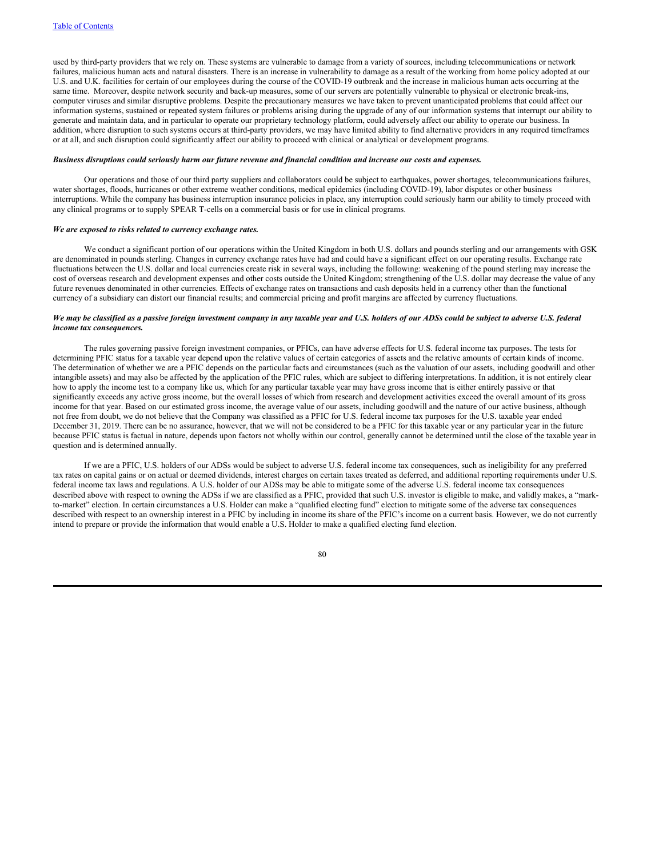used by third-party providers that we rely on. These systems are vulnerable to damage from a variety of sources, including telecommunications or network failures, malicious human acts and natural disasters. There is an increase in vulnerability to damage as a result of the working from home policy adopted at our U.S. and U.K. facilities for certain of our employees during the course of the COVID-19 outbreak and the increase in malicious human acts occurring at the same time. Moreover, despite network security and back-up measures, some of our servers are potentially vulnerable to physical or electronic break-ins, computer viruses and similar disruptive problems. Despite the precautionary measures we have taken to prevent unanticipated problems that could affect our information systems, sustained or repeated system failures or problems arising during the upgrade of any of our information systems that interrupt our ability to generate and maintain data, and in particular to operate our proprietary technology platform, could adversely affect our ability to operate our business. In addition, where disruption to such systems occurs at third-party providers, we may have limited ability to find alternative providers in any required timeframes or at all, and such disruption could significantly affect our ability to proceed with clinical or analytical or development programs.

### Business disruptions could seriously harm our future revenue and financial condition and increase our costs and expenses.

Our operations and those of our third party suppliers and collaborators could be subject to earthquakes, power shortages, telecommunications failures, water shortages, floods, hurricanes or other extreme weather conditions, medical epidemics (including COVID-19), labor disputes or other business interruptions. While the company has business interruption insurance policies in place, any interruption could seriously harm our ability to timely proceed with any clinical programs or to supply SPEAR T-cells on a commercial basis or for use in clinical programs.

#### *We are exposed to risks related to currency exchange rates.*

We conduct a significant portion of our operations within the United Kingdom in both U.S. dollars and pounds sterling and our arrangements with GSK are denominated in pounds sterling. Changes in currency exchange rates have had and could have a significant effect on our operating results. Exchange rate fluctuations between the U.S. dollar and local currencies create risk in several ways, including the following: weakening of the pound sterling may increase the cost of overseas research and development expenses and other costs outside the United Kingdom; strengthening of the U.S. dollar may decrease the value of any future revenues denominated in other currencies. Effects of exchange rates on transactions and cash deposits held in a currency other than the functional currency of a subsidiary can distort our financial results; and commercial pricing and profit margins are affected by currency fluctuations.

### We may be classified as a passive foreign investment company in any taxable year and U.S. holders of our ADSs could be subject to adverse U.S. federal *income tax consequences.*

The rules governing passive foreign investment companies, or PFICs, can have adverse effects for U.S. federal income tax purposes. The tests for determining PFIC status for a taxable year depend upon the relative values of certain categories of assets and the relative amounts of certain kinds of income. The determination of whether we are a PFIC depends on the particular facts and circumstances (such as the valuation of our assets, including goodwill and other intangible assets) and may also be affected by the application of the PFIC rules, which are subject to differing interpretations. In addition, it is not entirely clear how to apply the income test to a company like us, which for any particular taxable year may have gross income that is either entirely passive or that significantly exceeds any active gross income, but the overall losses of which from research and development activities exceed the overall amount of its gross income for that year. Based on our estimated gross income, the average value of our assets, including goodwill and the nature of our active business, although not free from doubt, we do not believe that the Company was classified as a PFIC for U.S. federal income tax purposes for the U.S. taxable year ended December 31, 2019. There can be no assurance, however, that we will not be considered to be a PFIC for this taxable year or any particular year in the future because PFIC status is factual in nature, depends upon factors not wholly within our control, generally cannot be determined until the close of the taxable year in question and is determined annually.

If we are a PFIC, U.S. holders of our ADSs would be subject to adverse U.S. federal income tax consequences, such as ineligibility for any preferred tax rates on capital gains or on actual or deemed dividends, interest charges on certain taxes treated as deferred, and additional reporting requirements under U.S. federal income tax laws and regulations. A U.S. holder of our ADSs may be able to mitigate some of the adverse U.S. federal income tax consequences described above with respect to owning the ADSs if we are classified as a PFIC, provided that such U.S. investor is eligible to make, and validly makes, a "markto-market" election. In certain circumstances a U.S. Holder can make a "qualified electing fund" election to mitigate some of the adverse tax consequences described with respect to an ownership interest in a PFIC by including in income its share of the PFIC's income on a current basis. However, we do not currently intend to prepare or provide the information that would enable a U.S. Holder to make a qualified electing fund election.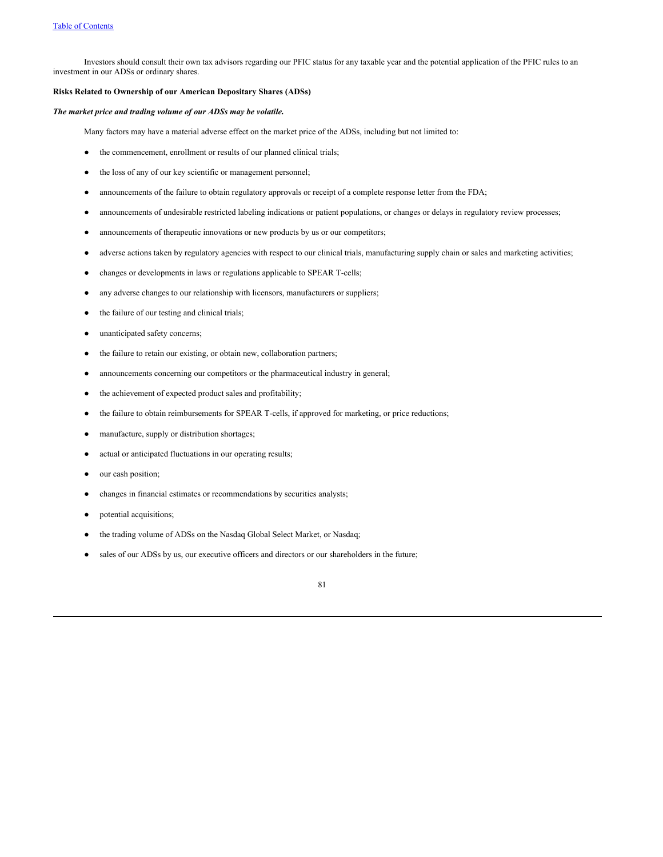# Table of [Contents](#page-0-0)

Investors should consult their own tax advisors regarding our PFIC status for any taxable year and the potential application of the PFIC rules to an investment in our ADSs or ordinary shares.

# **Risks Related to Ownership of our American Depositary Shares (ADSs)**

### *The market price and trading volume of our ADSs may be volatile.*

Many factors may have a material adverse effect on the market price of the ADSs, including but not limited to:

- the commencement, enrollment or results of our planned clinical trials;
- the loss of any of our key scientific or management personnel;
- announcements of the failure to obtain regulatory approvals or receipt of a complete response letter from the FDA;
- announcements of undesirable restricted labeling indications or patient populations, or changes or delays in regulatory review processes;
- announcements of therapeutic innovations or new products by us or our competitors;
- adverse actions taken by regulatory agencies with respect to our clinical trials, manufacturing supply chain or sales and marketing activities;
- changes or developments in laws or regulations applicable to SPEAR T-cells;
- any adverse changes to our relationship with licensors, manufacturers or suppliers;
- the failure of our testing and clinical trials;
- unanticipated safety concerns;
- the failure to retain our existing, or obtain new, collaboration partners;
- announcements concerning our competitors or the pharmaceutical industry in general;
- the achievement of expected product sales and profitability;
- the failure to obtain reimbursements for SPEAR T-cells, if approved for marketing, or price reductions;
- manufacture, supply or distribution shortages;
- actual or anticipated fluctuations in our operating results;
- our cash position;
- changes in financial estimates or recommendations by securities analysts;
- potential acquisitions;
- the trading volume of ADSs on the Nasdaq Global Select Market, or Nasdaq;
- sales of our ADSs by us, our executive officers and directors or our shareholders in the future;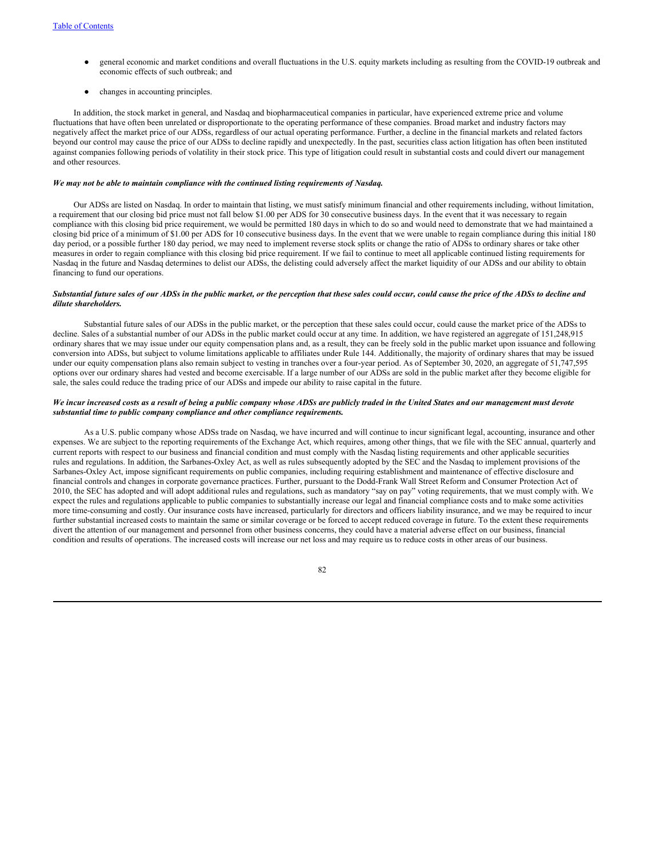- general economic and market conditions and overall fluctuations in the U.S. equity markets including as resulting from the COVID-19 outbreak and economic effects of such outbreak; and
- changes in accounting principles.

In addition, the stock market in general, and Nasdaq and biopharmaceutical companies in particular, have experienced extreme price and volume fluctuations that have often been unrelated or disproportionate to the operating performance of these companies. Broad market and industry factors may negatively affect the market price of our ADSs, regardless of our actual operating performance. Further, a decline in the financial markets and related factors beyond our control may cause the price of our ADSs to decline rapidly and unexpectedly. In the past, securities class action litigation has often been instituted against companies following periods of volatility in their stock price. This type of litigation could result in substantial costs and could divert our management and other resources.

# *We may not be able to maintain compliance with the continued listing requirements of Nasdaq.*

Our ADSs are listed on Nasdaq. In order to maintain that listing, we must satisfy minimum financial and other requirements including, without limitation, a requirement that our closing bid price must not fall below \$1.00 per ADS for 30 consecutive business days. In the event that it was necessary to regain compliance with this closing bid price requirement, we would be permitted 180 days in which to do so and would need to demonstrate that we had maintained a closing bid price of a minimum of \$1.00 per ADS for 10 consecutive business days. In the event that we were unable to regain compliance during this initial 180 day period, or a possible further 180 day period, we may need to implement reverse stock splits or change the ratio of ADSs to ordinary shares or take other measures in order to regain compliance with this closing bid price requirement. If we fail to continue to meet all applicable continued listing requirements for Nasdaq in the future and Nasdaq determines to delist our ADSs, the delisting could adversely affect the market liquidity of our ADSs and our ability to obtain financing to fund our operations.

#### Substantial future sales of our ADSs in the public market, or the perception that these sales could occur, could cause the price of the ADSs to decline and *dilute shareholders.*

Substantial future sales of our ADSs in the public market, or the perception that these sales could occur, could cause the market price of the ADSs to decline. Sales of a substantial number of our ADSs in the public market could occur at any time. In addition, we have registered an aggregate of 151,248,915 ordinary shares that we may issue under our equity compensation plans and, as a result, they can be freely sold in the public market upon issuance and following conversion into ADSs, but subject to volume limitations applicable to affiliates under Rule 144. Additionally, the majority of ordinary shares that may be issued under our equity compensation plans also remain subject to vesting in tranches over a four-year period. As of September 30, 2020, an aggregate of 51,747,595 options over our ordinary shares had vested and become exercisable. If a large number of our ADSs are sold in the public market after they become eligible for sale, the sales could reduce the trading price of our ADSs and impede our ability to raise capital in the future.

### We incur increased costs as a result of being a public company whose ADSs are publicly traded in the United States and our management must devote *substantial time to public company compliance and other compliance requirements.*

As a U.S. public company whose ADSs trade on Nasdaq, we have incurred and will continue to incur significant legal, accounting, insurance and other expenses. We are subject to the reporting requirements of the Exchange Act, which requires, among other things, that we file with the SEC annual, quarterly and current reports with respect to our business and financial condition and must comply with the Nasdaq listing requirements and other applicable securities rules and regulations. In addition, the Sarbanes-Oxley Act, as well as rules subsequently adopted by the SEC and the Nasdaq to implement provisions of the Sarbanes-Oxley Act, impose significant requirements on public companies, including requiring establishment and maintenance of effective disclosure and financial controls and changes in corporate governance practices. Further, pursuant to the Dodd-Frank Wall Street Reform and Consumer Protection Act of 2010, the SEC has adopted and will adopt additional rules and regulations, such as mandatory "say on pay" voting requirements, that we must comply with. We expect the rules and regulations applicable to public companies to substantially increase our legal and financial compliance costs and to make some activities more time-consuming and costly. Our insurance costs have increased, particularly for directors and officers liability insurance, and we may be required to incur further substantial increased costs to maintain the same or similar coverage or be forced to accept reduced coverage in future. To the extent these requirements divert the attention of our management and personnel from other business concerns, they could have a material adverse effect on our business, financial condition and results of operations. The increased costs will increase our net loss and may require us to reduce costs in other areas of our business.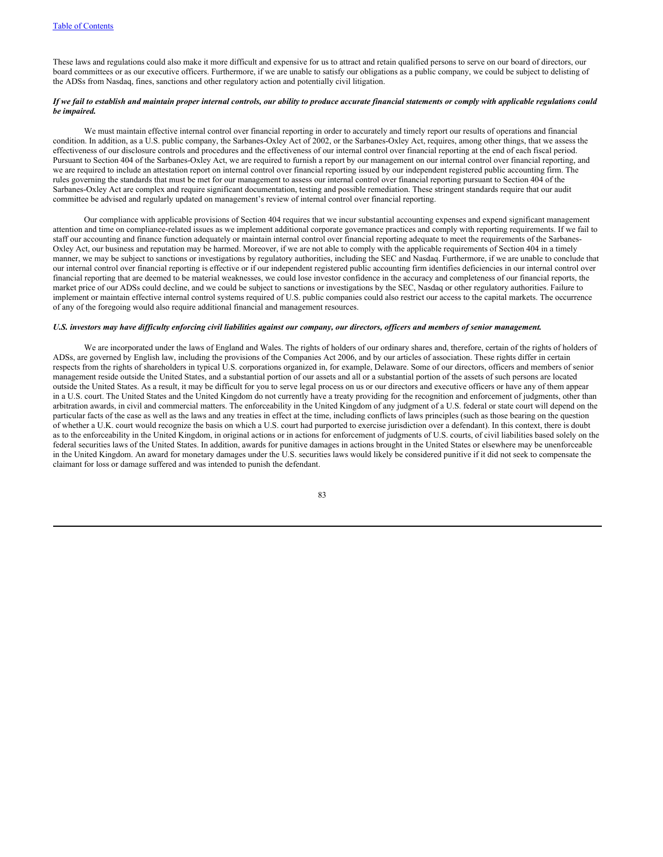These laws and regulations could also make it more difficult and expensive for us to attract and retain qualified persons to serve on our board of directors, our board committees or as our executive officers. Furthermore, if we are unable to satisfy our obligations as a public company, we could be subject to delisting of the ADSs from Nasdaq, fines, sanctions and other regulatory action and potentially civil litigation.

### If we fail to establish and maintain proper internal controls, our ability to produce accurate financial statements or comply with applicable regulations could *be impaired.*

We must maintain effective internal control over financial reporting in order to accurately and timely report our results of operations and financial condition. In addition, as a U.S. public company, the Sarbanes-Oxley Act of 2002, or the Sarbanes-Oxley Act, requires, among other things, that we assess the effectiveness of our disclosure controls and procedures and the effectiveness of our internal control over financial reporting at the end of each fiscal period. Pursuant to Section 404 of the Sarbanes-Oxley Act, we are required to furnish a report by our management on our internal control over financial reporting, and we are required to include an attestation report on internal control over financial reporting issued by our independent registered public accounting firm. The rules governing the standards that must be met for our management to assess our internal control over financial reporting pursuant to Section 404 of the Sarbanes-Oxley Act are complex and require significant documentation, testing and possible remediation. These stringent standards require that our audit committee be advised and regularly updated on management's review of internal control over financial reporting.

Our compliance with applicable provisions of Section 404 requires that we incur substantial accounting expenses and expend significant management attention and time on compliance-related issues as we implement additional corporate governance practices and comply with reporting requirements. If we fail to staff our accounting and finance function adequately or maintain internal control over financial reporting adequate to meet the requirements of the Sarbanes-Oxley Act, our business and reputation may be harmed. Moreover, if we are not able to comply with the applicable requirements of Section 404 in a timely manner, we may be subject to sanctions or investigations by regulatory authorities, including the SEC and Nasdaq. Furthermore, if we are unable to conclude that our internal control over financial reporting is effective or if our independent registered public accounting firm identifies deficiencies in our internal control over financial reporting that are deemed to be material weaknesses, we could lose investor confidence in the accuracy and completeness of our financial reports, the market price of our ADSs could decline, and we could be subject to sanctions or investigations by the SEC, Nasdaq or other regulatory authorities. Failure to implement or maintain effective internal control systems required of U.S. public companies could also restrict our access to the capital markets. The occurrence of any of the foregoing would also require additional financial and management resources.

### U.S. investors may have difficulty enforcing civil liabilities against our company, our directors, officers and members of senior management.

We are incorporated under the laws of England and Wales. The rights of holders of our ordinary shares and, therefore, certain of the rights of holders of ADSs, are governed by English law, including the provisions of the Companies Act 2006, and by our articles of association. These rights differ in certain respects from the rights of shareholders in typical U.S. corporations organized in, for example, Delaware. Some of our directors, officers and members of senior management reside outside the United States, and a substantial portion of our assets and all or a substantial portion of the assets of such persons are located outside the United States. As a result, it may be difficult for you to serve legal process on us or our directors and executive officers or have any of them appear in a U.S. court. The United States and the United Kingdom do not currently have a treaty providing for the recognition and enforcement of judgments, other than arbitration awards, in civil and commercial matters. The enforceability in the United Kingdom of any judgment of a U.S. federal or state court will depend on the particular facts of the case as well as the laws and any treaties in effect at the time, including conflicts of laws principles (such as those bearing on the question of whether a U.K. court would recognize the basis on which a U.S. court had purported to exercise jurisdiction over a defendant). In this context, there is doubt as to the enforceability in the United Kingdom, in original actions or in actions for enforcement of judgments of U.S. courts, of civil liabilities based solely on the federal securities laws of the United States. In addition, awards for punitive damages in actions brought in the United States or elsewhere may be unenforceable in the United Kingdom. An award for monetary damages under the U.S. securities laws would likely be considered punitive if it did not seek to compensate the claimant for loss or damage suffered and was intended to punish the defendant.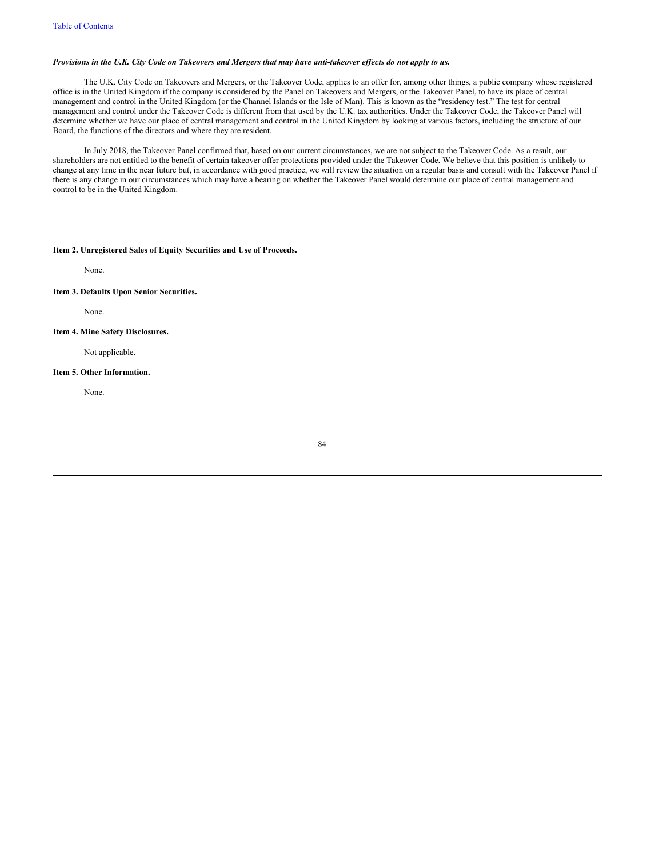### Provisions in the U.K. City Code on Takeovers and Mergers that may have anti-takeover effects do not apply to us.

The U.K. City Code on Takeovers and Mergers, or the Takeover Code, applies to an offer for, among other things, a public company whose registered office is in the United Kingdom if the company is considered by the Panel on Takeovers and Mergers, or the Takeover Panel, to have its place of central management and control in the United Kingdom (or the Channel Islands or the Isle of Man). This is known as the "residency test." The test for central management and control under the Takeover Code is different from that used by the U.K. tax authorities. Under the Takeover Code, the Takeover Panel will determine whether we have our place of central management and control in the United Kingdom by looking at various factors, including the structure of our Board, the functions of the directors and where they are resident.

In July 2018, the Takeover Panel confirmed that, based on our current circumstances, we are not subject to the Takeover Code. As a result, our shareholders are not entitled to the benefit of certain takeover offer protections provided under the Takeover Code. We believe that this position is unlikely to change at any time in the near future but, in accordance with good practice, we will review the situation on a regular basis and consult with the Takeover Panel if there is any change in our circumstances which may have a bearing on whether the Takeover Panel would determine our place of central management and control to be in the United Kingdom.

# **Item 2. Unregistered Sales of Equity Securities and Use of Proceeds.**

None.

**Item 3. Defaults Upon Senior Securities.**

None.

# **Item 4. Mine Safety Disclosures.**

Not applicable.

### **Item 5. Other Information.**

None.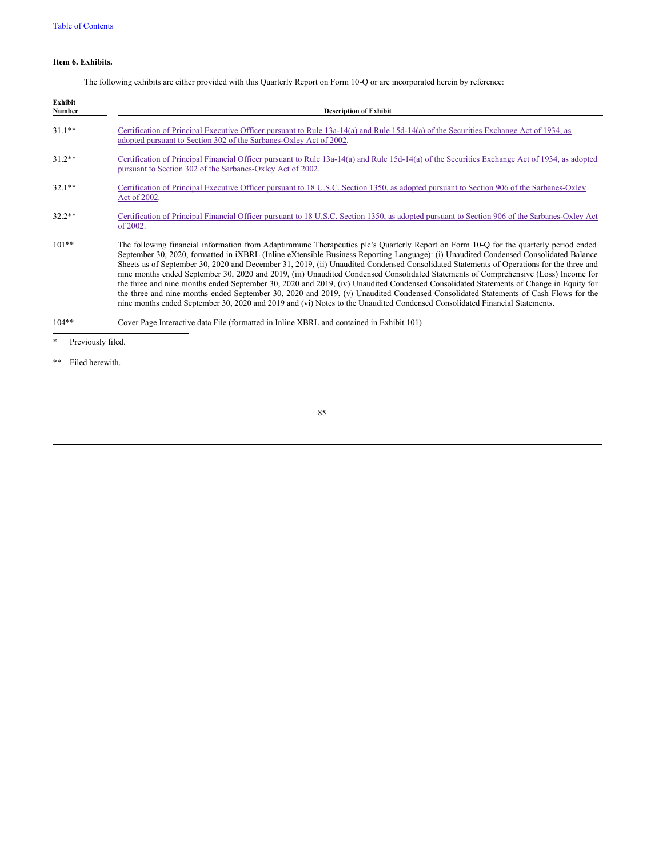# **Item 6. Exhibits.**

The following exhibits are either provided with this Quarterly Report on Form 10-Q or are incorporated herein by reference:

| Exhibit<br>Number | <b>Description of Exhibit</b>                                                                                                                                                                                                                                                                                                                                                                                                                                                                                                                                                                                                                                                                                                                                                                                                                                                                                                                                                      |
|-------------------|------------------------------------------------------------------------------------------------------------------------------------------------------------------------------------------------------------------------------------------------------------------------------------------------------------------------------------------------------------------------------------------------------------------------------------------------------------------------------------------------------------------------------------------------------------------------------------------------------------------------------------------------------------------------------------------------------------------------------------------------------------------------------------------------------------------------------------------------------------------------------------------------------------------------------------------------------------------------------------|
| $31.1**$          | Certification of Principal Executive Officer pursuant to Rule 13a-14(a) and Rule 15d-14(a) of the Securities Exchange Act of 1934, as<br>adopted pursuant to Section 302 of the Sarbanes-Oxley Act of 2002.                                                                                                                                                                                                                                                                                                                                                                                                                                                                                                                                                                                                                                                                                                                                                                        |
| $31.2**$          | Certification of Principal Financial Officer pursuant to Rule 13a-14(a) and Rule 15d-14(a) of the Securities Exchange Act of 1934, as adopted<br>pursuant to Section 302 of the Sarbanes-Oxley Act of 2002.                                                                                                                                                                                                                                                                                                                                                                                                                                                                                                                                                                                                                                                                                                                                                                        |
| $32.1**$          | Certification of Principal Executive Officer pursuant to 18 U.S.C. Section 1350, as adopted pursuant to Section 906 of the Sarbanes-Oxley<br>Act of 2002.                                                                                                                                                                                                                                                                                                                                                                                                                                                                                                                                                                                                                                                                                                                                                                                                                          |
| $32.2**$          | Certification of Principal Financial Officer pursuant to 18 U.S.C. Section 1350, as adopted pursuant to Section 906 of the Sarbanes-Oxley Act<br>of 2002.                                                                                                                                                                                                                                                                                                                                                                                                                                                                                                                                                                                                                                                                                                                                                                                                                          |
| $101**$           | The following financial information from Adaptimmune Therapeutics plc's Quarterly Report on Form 10-Q for the quarterly period ended<br>September 30, 2020, formatted in <i>iXBRL</i> (Inline eXtensible Business Reporting Language): (i) Unaudited Condensed Consolidated Balance<br>Sheets as of September 30, 2020 and December 31, 2019, (ii) Unaudited Condensed Consolidated Statements of Operations for the three and<br>nine months ended September 30, 2020 and 2019, (iii) Unaudited Condensed Consolidated Statements of Comprehensive (Loss) Income for<br>the three and nine months ended September 30, 2020 and 2019, (iv) Unaudited Condensed Consolidated Statements of Change in Equity for<br>the three and nine months ended September 30, 2020 and 2019, (v) Unaudited Condensed Consolidated Statements of Cash Flows for the<br>nine months ended September 30, 2020 and 2019 and (vi) Notes to the Unaudited Condensed Consolidated Financial Statements. |
| $104**$           | Cover Page Interactive data File (formatted in Inline XBRL and contained in Exhibit 101)                                                                                                                                                                                                                                                                                                                                                                                                                                                                                                                                                                                                                                                                                                                                                                                                                                                                                           |

\* Previously filed.

\*\* Filed herewith.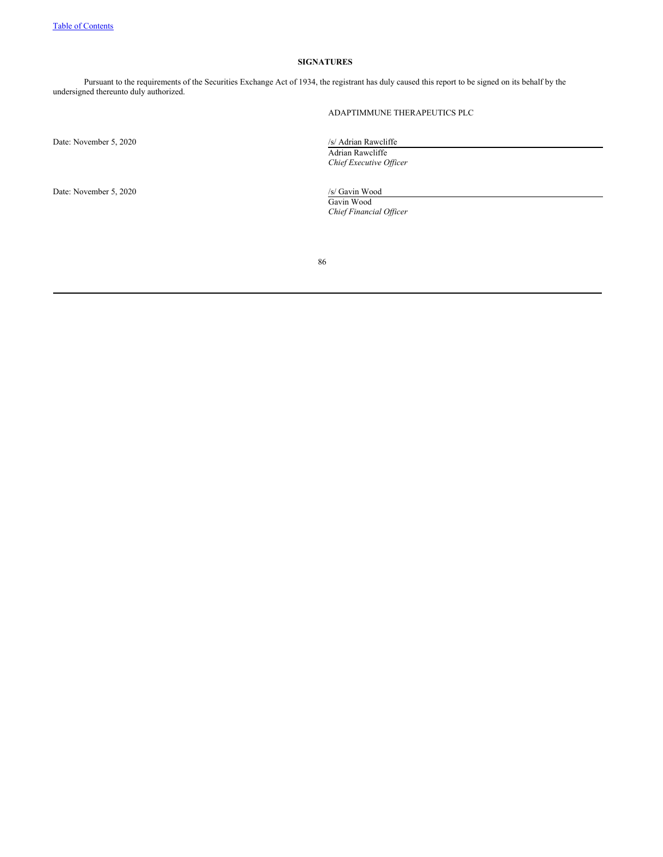# **SIGNATURES**

Pursuant to the requirements of the Securities Exchange Act of 1934, the registrant has duly caused this report to be signed on its behalf by the undersigned thereunto duly authorized.

# ADAPTIMMUNE THERAPEUTICS PLC

Date: November 5, 2020 /s/ Adrian Rawcliffe

Date: November 5, 2020 /s/ Gavin Wood

Adrian Rawcliffe *Chief Executive Of icer*

Gavin Wood *Chief Financial Of icer*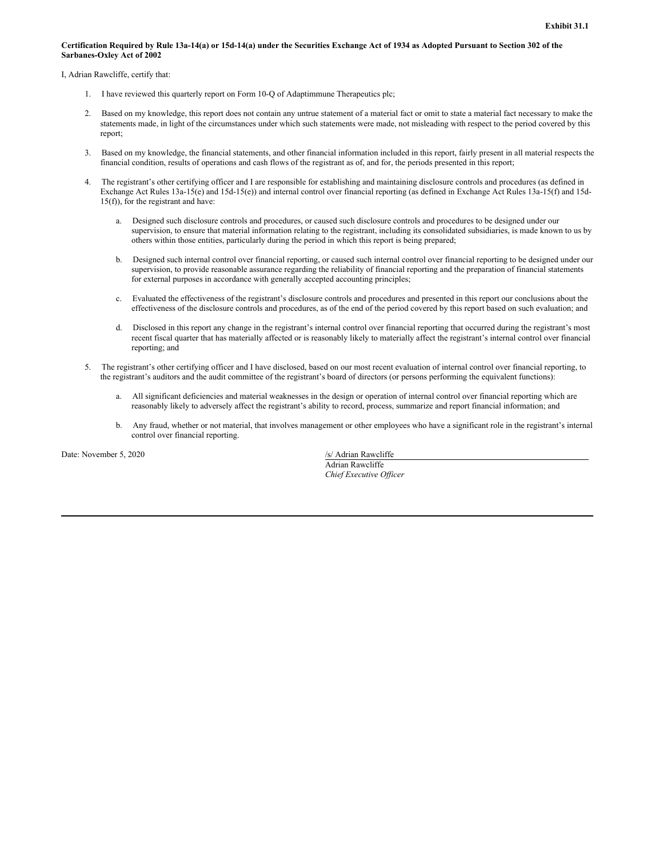## <span id="page-86-0"></span>Certification Required by Rule 13a-14(a) or 15d-14(a) under the Securities Exchange Act of 1934 as Adopted Pursuant to Section 302 of the **Sarbanes-Oxley Act of 2002**

I, Adrian Rawcliffe, certify that:

- 1. I have reviewed this quarterly report on Form 10-Q of Adaptimmune Therapeutics plc;
- 2. Based on my knowledge, this report does not contain any untrue statement of a material fact or omit to state a material fact necessary to make the statements made, in light of the circumstances under which such statements were made, not misleading with respect to the period covered by this report;
- 3. Based on my knowledge, the financial statements, and other financial information included in this report, fairly present in all material respects the financial condition, results of operations and cash flows of the registrant as of, and for, the periods presented in this report;
- 4. The registrant's other certifying officer and I are responsible for establishing and maintaining disclosure controls and procedures (as defined in Exchange Act Rules 13a-15(e) and 15d-15(e)) and internal control over financial reporting (as defined in Exchange Act Rules 13a-15(f) and 15d-15(f)), for the registrant and have:
	- a. Designed such disclosure controls and procedures, or caused such disclosure controls and procedures to be designed under our supervision, to ensure that material information relating to the registrant, including its consolidated subsidiaries, is made known to us by others within those entities, particularly during the period in which this report is being prepared;
	- b. Designed such internal control over financial reporting, or caused such internal control over financial reporting to be designed under our supervision, to provide reasonable assurance regarding the reliability of financial reporting and the preparation of financial statements for external purposes in accordance with generally accepted accounting principles;
	- c. Evaluated the effectiveness of the registrant's disclosure controls and procedures and presented in this report our conclusions about the effectiveness of the disclosure controls and procedures, as of the end of the period covered by this report based on such evaluation; and
	- d. Disclosed in this report any change in the registrant's internal control over financial reporting that occurred during the registrant's most recent fiscal quarter that has materially affected or is reasonably likely to materially affect the registrant's internal control over financial reporting; and
- 5. The registrant's other certifying officer and I have disclosed, based on our most recent evaluation of internal control over financial reporting, to the registrant's auditors and the audit committee of the registrant's board of directors (or persons performing the equivalent functions):
	- All significant deficiencies and material weaknesses in the design or operation of internal control over financial reporting which are reasonably likely to adversely affect the registrant's ability to record, process, summarize and report financial information; and
	- b. Any fraud, whether or not material, that involves management or other employees who have a significant role in the registrant's internal control over financial reporting.

Date: November 5, 2020 /s/ Adrian Rawcliffe

Adrian Rawcliffe *Chief Executive Of icer*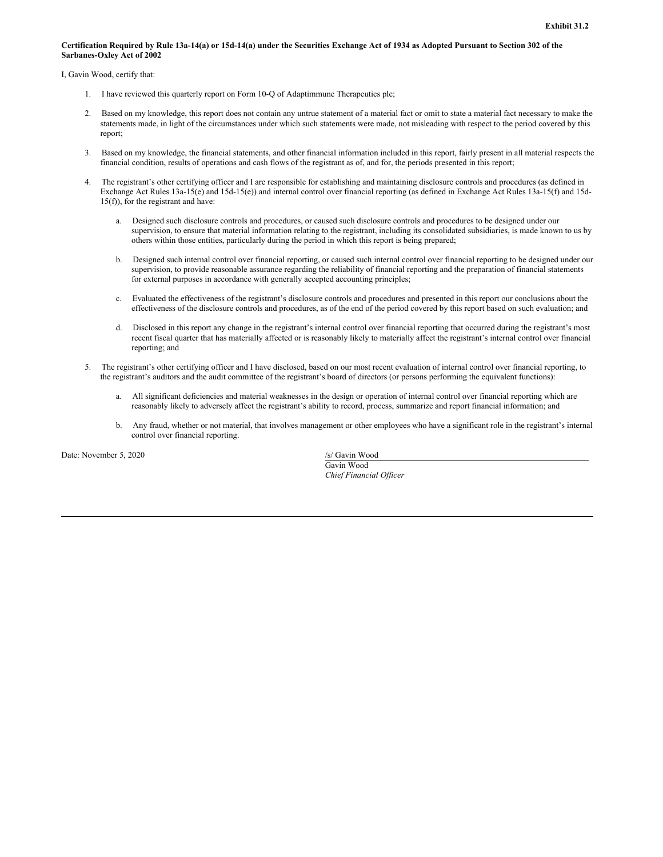# <span id="page-87-0"></span>Certification Required by Rule 13a-14(a) or 15d-14(a) under the Securities Exchange Act of 1934 as Adopted Pursuant to Section 302 of the **Sarbanes-Oxley Act of 2002**

I, Gavin Wood, certify that:

- 1. I have reviewed this quarterly report on Form 10-Q of Adaptimmune Therapeutics plc;
- 2. Based on my knowledge, this report does not contain any untrue statement of a material fact or omit to state a material fact necessary to make the statements made, in light of the circumstances under which such statements were made, not misleading with respect to the period covered by this report;
- 3. Based on my knowledge, the financial statements, and other financial information included in this report, fairly present in all material respects the financial condition, results of operations and cash flows of the registrant as of, and for, the periods presented in this report;
- 4. The registrant's other certifying officer and I are responsible for establishing and maintaining disclosure controls and procedures (as defined in Exchange Act Rules 13a-15(e) and 15d-15(e)) and internal control over financial reporting (as defined in Exchange Act Rules 13a-15(f) and 15d-15(f)), for the registrant and have:
	- a. Designed such disclosure controls and procedures, or caused such disclosure controls and procedures to be designed under our supervision, to ensure that material information relating to the registrant, including its consolidated subsidiaries, is made known to us by others within those entities, particularly during the period in which this report is being prepared;
	- b. Designed such internal control over financial reporting, or caused such internal control over financial reporting to be designed under our supervision, to provide reasonable assurance regarding the reliability of financial reporting and the preparation of financial statements for external purposes in accordance with generally accepted accounting principles;
	- c. Evaluated the effectiveness of the registrant's disclosure controls and procedures and presented in this report our conclusions about the effectiveness of the disclosure controls and procedures, as of the end of the period covered by this report based on such evaluation; and
	- d. Disclosed in this report any change in the registrant's internal control over financial reporting that occurred during the registrant's most recent fiscal quarter that has materially affected or is reasonably likely to materially affect the registrant's internal control over financial reporting; and
- 5. The registrant's other certifying officer and I have disclosed, based on our most recent evaluation of internal control over financial reporting, to the registrant's auditors and the audit committee of the registrant's board of directors (or persons performing the equivalent functions):
	- All significant deficiencies and material weaknesses in the design or operation of internal control over financial reporting which are reasonably likely to adversely affect the registrant's ability to record, process, summarize and report financial information; and
	- b. Any fraud, whether or not material, that involves management or other employees who have a significant role in the registrant's internal control over financial reporting.

Date: November 5, 2020 /s/ Gavin Wood

Gavin Wood *Chief Financial Of icer*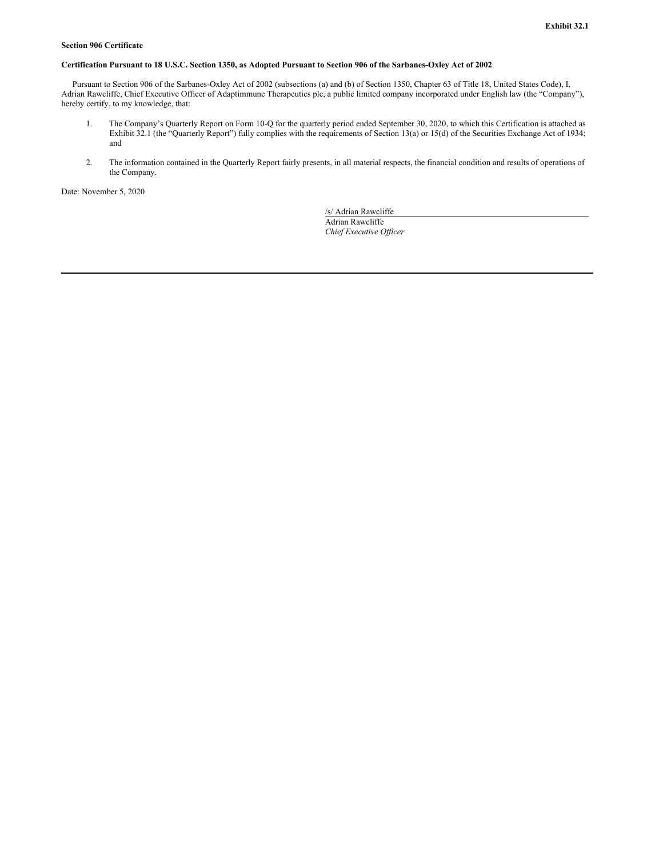# <span id="page-88-0"></span>**Section 906 Certificate**

### Certification Pursuant to 18 U.S.C. Section 1350, as Adopted Pursuant to Section 906 of the Sarbanes-Oxley Act of 2002

Pursuant to Section 906 of the Sarbanes-Oxley Act of 2002 (subsections (a) and (b) of Section 1350, Chapter 63 of Title 18, United States Code), I, Adrian Rawcliffe, Chief Executive Officer of Adaptimmune Therapeutics plc, a public limited company incorporated under English law (the "Company"), hereby certify, to my knowledge, that:

- 1. The Company's Quarterly Report on Form 10-Q for the quarterly period ended September 30, 2020, to which this Certification is attached as Exhibit 32.1 (the "Quarterly Report") fully complies with the requirements of Section 13(a) or 15(d) of the Securities Exchange Act of 1934; and
- 2. The information contained in the Quarterly Report fairly presents, in all material respects, the financial condition and results of operations of the Company.

Date: November 5, 2020

/s/ Adrian Rawcliffe Adrian Rawcliffe *Chief Executive Of icer*